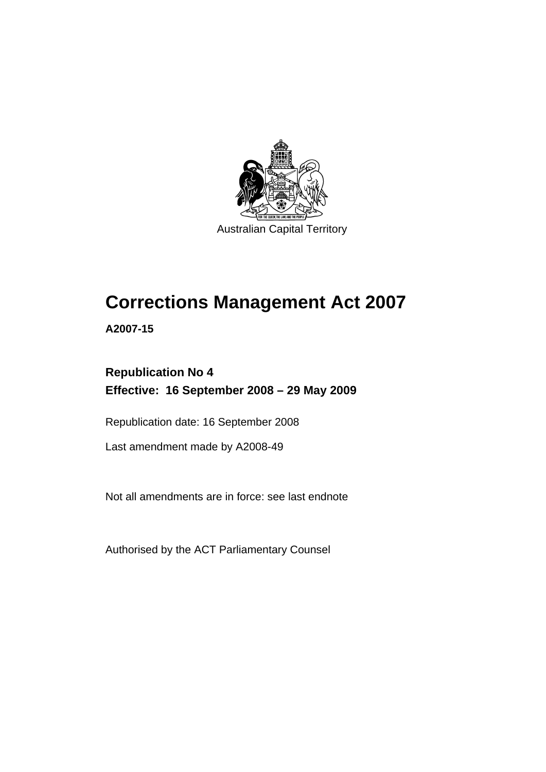

Australian Capital Territory

# **[Corrections Management Act 2007](#page-14-0)**

**A2007-15** 

# **Republication No 4 Effective: 16 September 2008 – 29 May 2009**

Republication date: 16 September 2008

Last amendment made by A2008-49

Not all amendments are in force: see last endnote

Authorised by the ACT Parliamentary Counsel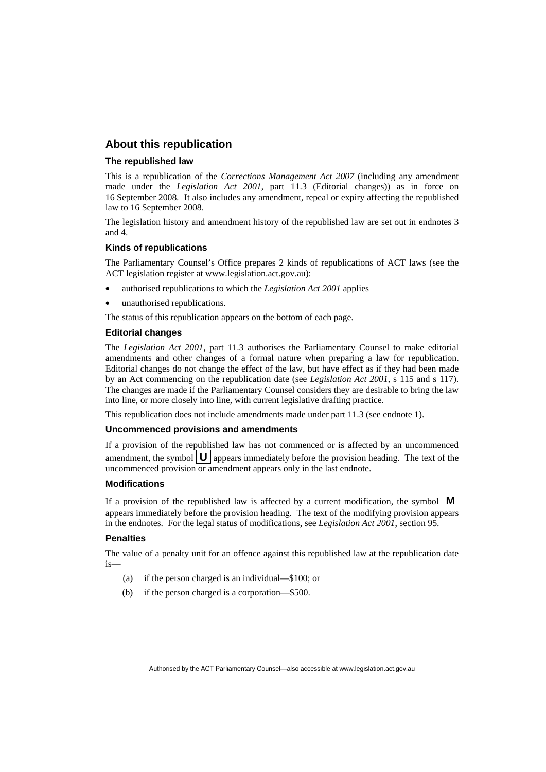#### **About this republication**

#### **The republished law**

This is a republication of the *Corrections Management Act 2007* (including any amendment made under the *Legislation Act 2001*, part 11.3 (Editorial changes)) as in force on 16 September 2008*.* It also includes any amendment, repeal or expiry affecting the republished law to 16 September 2008.

The legislation history and amendment history of the republished law are set out in endnotes 3 and 4.

#### **Kinds of republications**

The Parliamentary Counsel's Office prepares 2 kinds of republications of ACT laws (see the ACT legislation register at www.legislation.act.gov.au):

- authorised republications to which the *Legislation Act 2001* applies
- unauthorised republications.

The status of this republication appears on the bottom of each page.

#### **Editorial changes**

The *Legislation Act 2001*, part 11.3 authorises the Parliamentary Counsel to make editorial amendments and other changes of a formal nature when preparing a law for republication. Editorial changes do not change the effect of the law, but have effect as if they had been made by an Act commencing on the republication date (see *Legislation Act 2001*, s 115 and s 117). The changes are made if the Parliamentary Counsel considers they are desirable to bring the law into line, or more closely into line, with current legislative drafting practice.

This republication does not include amendments made under part 11.3 (see endnote 1).

#### **Uncommenced provisions and amendments**

If a provision of the republished law has not commenced or is affected by an uncommenced amendment, the symbol  $\mathbf{U}$  appears immediately before the provision heading. The text of the uncommenced provision  $\overline{or}$  amendment appears only in the last endnote.

#### **Modifications**

If a provision of the republished law is affected by a current modification, the symbol  $\mathbf{M}$ appears immediately before the provision heading. The text of the modifying provision appears in the endnotes. For the legal status of modifications, see *Legislation Act 2001*, section 95.

#### **Penalties**

The value of a penalty unit for an offence against this republished law at the republication date is—

- (a) if the person charged is an individual—\$100; or
- (b) if the person charged is a corporation—\$500.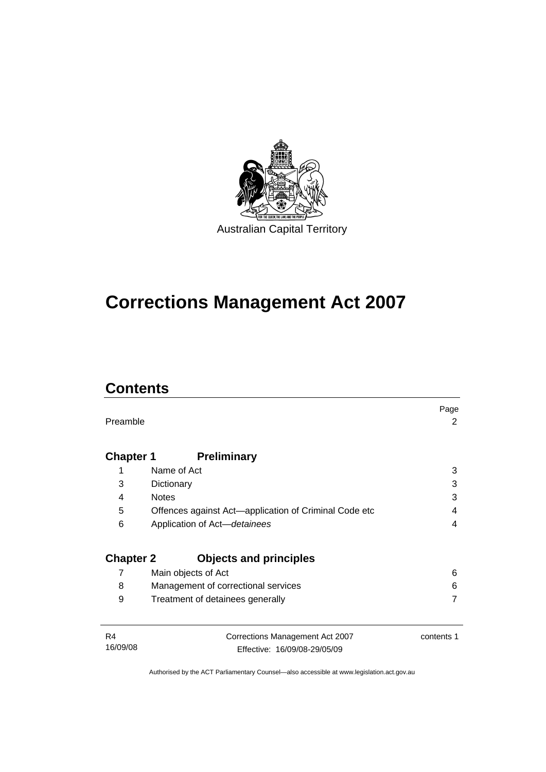

# **[Corrections Management Act 2007](#page-14-0)**

# **Contents**

| Preamble                   |                                                                 | Page<br>2  |
|----------------------------|-----------------------------------------------------------------|------------|
| <b>Chapter 1</b>           | <b>Preliminary</b>                                              |            |
| 1                          | Name of Act                                                     | 3          |
| 3                          | Dictionary                                                      | 3          |
| 4                          | <b>Notes</b>                                                    | 3          |
| 5                          | Offences against Act-application of Criminal Code etc           | 4          |
| 6                          | Application of Act-detainees                                    | 4          |
| <b>Chapter 2</b>           | <b>Objects and principles</b>                                   |            |
| 7                          | Main objects of Act                                             | 6          |
| 8                          | Management of correctional services                             | 6          |
| 9                          | Treatment of detainees generally                                | 7          |
| R <sub>4</sub><br>16/09/08 | Corrections Management Act 2007<br>Effective: 16/09/08-29/05/09 | contents 1 |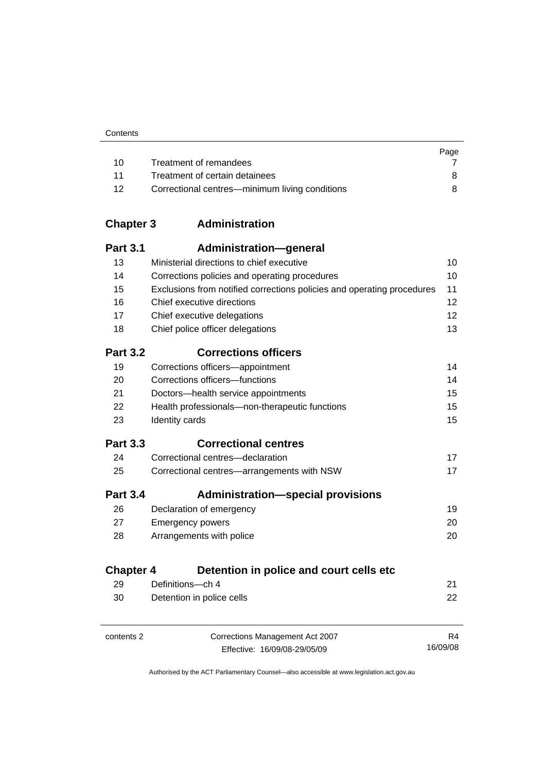|    |                                                | Page |
|----|------------------------------------------------|------|
| 10 | Treatment of remandees                         |      |
| 11 | Treatment of certain detainees                 | 8.   |
| 12 | Correctional centres—minimum living conditions |      |

# **Chapter 3 Administration**

| <b>Part 3.1</b>        | Administration—general                                                 |    |
|------------------------|------------------------------------------------------------------------|----|
| 13                     | Ministerial directions to chief executive                              | 10 |
| 14                     | Corrections policies and operating procedures                          | 10 |
| 15                     | Exclusions from notified corrections policies and operating procedures | 11 |
| 16                     | Chief executive directions                                             | 12 |
| 17                     | Chief executive delegations                                            | 12 |
| 18                     | Chief police officer delegations                                       | 13 |
| <b>Part 3.2</b>        | <b>Corrections officers</b>                                            |    |
| 19                     | Corrections officers-appointment                                       | 14 |
| 20                     | Corrections officers-functions                                         | 14 |
| 21                     | Doctors-health service appointments                                    | 15 |
| 22                     | Health professionals-non-therapeutic functions                         | 15 |
| 23                     | Identity cards                                                         | 15 |
|                        |                                                                        |    |
| <b>Part 3.3</b>        | <b>Correctional centres</b>                                            |    |
| 24                     | Correctional centres-declaration                                       | 17 |
| 25                     | Correctional centres-arrangements with NSW                             | 17 |
| <b>Part 3.4</b>        | <b>Administration-special provisions</b>                               |    |
| 26                     | Declaration of emergency                                               | 19 |
| 27                     | <b>Emergency powers</b>                                                | 20 |
| 28                     | Arrangements with police                                               | 20 |
|                        | Detention in police and court cells etc                                |    |
| <b>Chapter 4</b><br>29 | Definitions-ch 4                                                       | 21 |

| contents 2 | Corrections Management Act 2007 | R4       |
|------------|---------------------------------|----------|
|            | Effective: 16/09/08-29/05/09    | 16/09/08 |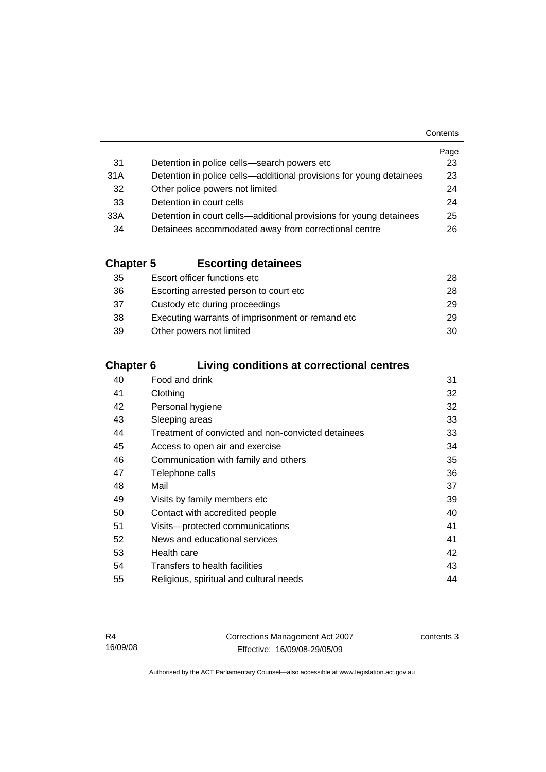| Contents |
|----------|
|          |

|     |                                                                     | Page |
|-----|---------------------------------------------------------------------|------|
| -31 | Detention in police cells-search powers etc                         | 23   |
| 31A | Detention in police cells—additional provisions for young detainees | 23   |
| 32  | Other police powers not limited                                     | 24   |
| -33 | Detention in court cells                                            | 24   |
| 33A | Detention in court cells—additional provisions for young detainees  | 25   |
| 34  | Detainees accommodated away from correctional centre                | 26   |

# **Chapter 5 Escorting detainees**

| 35  | Escort officer functions etc                      | 28 |
|-----|---------------------------------------------------|----|
| 36  | Escorting arrested person to court etc.           | 28 |
| -37 | Custody etc during proceedings                    | 29 |
| 38  | Executing warrants of imprisonment or remand etc. | 29 |
| 39  | Other powers not limited                          | 30 |

# **Chapter 6 Living conditions at correctional centres**

| 40 | Food and drink                                     | 31 |
|----|----------------------------------------------------|----|
| 41 | Clothing                                           | 32 |
| 42 | Personal hygiene                                   | 32 |
| 43 | Sleeping areas                                     | 33 |
| 44 | Treatment of convicted and non-convicted detainees | 33 |
| 45 | Access to open air and exercise                    | 34 |
| 46 | Communication with family and others               | 35 |
| 47 | Telephone calls                                    | 36 |
| 48 | Mail                                               | 37 |
| 49 | Visits by family members etc                       | 39 |
| 50 | Contact with accredited people                     | 40 |
| 51 | Visits-protected communications                    | 41 |
| 52 | News and educational services                      | 41 |
| 53 | Health care                                        | 42 |
| 54 | Transfers to health facilities                     | 43 |
| 55 | Religious, spiritual and cultural needs            | 44 |
|    |                                                    |    |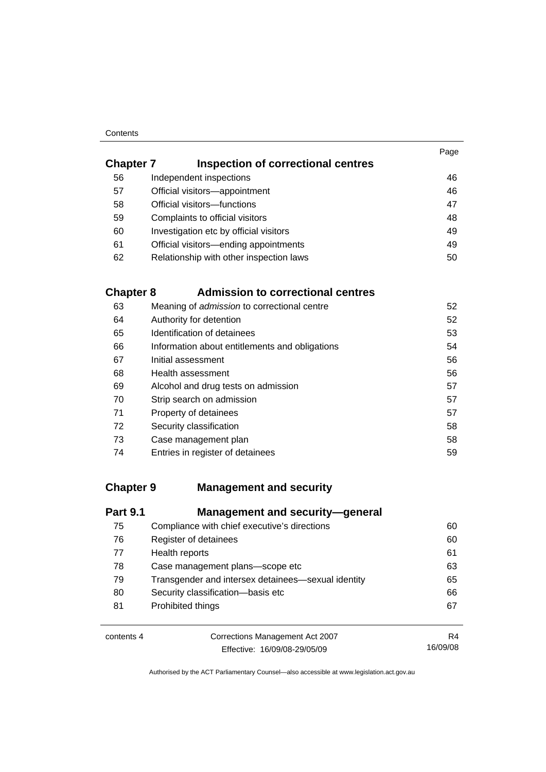#### **Contents**

| <b>Chapter 7</b> | Inspection of correctional centres      | Page |
|------------------|-----------------------------------------|------|
| 56               | Independent inspections                 | 46   |
| 57               | Official visitors-appointment           | 46   |
| 58               | Official visitors-functions             | 47   |
| 59               | Complaints to official visitors         | 48   |
| 60               | Investigation etc by official visitors  | 49   |
| 61               | Official visitors-ending appointments   | 49   |
| 62               | Relationship with other inspection laws | 50   |
|                  |                                         |      |

# **Chapter 8 Admission to correctional centres**

| 63 | Meaning of admission to correctional centre    | 52 |
|----|------------------------------------------------|----|
| 64 | Authority for detention                        | 52 |
| 65 | Identification of detainees                    | 53 |
| 66 | Information about entitlements and obligations | 54 |
| 67 | Initial assessment                             | 56 |
| 68 | Health assessment                              | 56 |
| 69 | Alcohol and drug tests on admission            | 57 |
| 70 | Strip search on admission                      | 57 |
| 71 | Property of detainees                          | 57 |
| 72 | Security classification                        | 58 |
| 73 | Case management plan                           | 58 |
| 74 | Entries in register of detainees               | 59 |

### **Chapter 9 Management and security**

| <b>Part 9.1</b> | <b>Management and security-general</b>             |    |
|-----------------|----------------------------------------------------|----|
| 75              | Compliance with chief executive's directions       | 60 |
| 76              | Register of detainees                              | 60 |
| 77              | Health reports                                     | 61 |
| 78              | Case management plans-scope etc                    | 63 |
| 79              | Transgender and intersex detainees—sexual identity | 65 |
| 80              | Security classification-basis etc                  | 66 |
| 81              | Prohibited things                                  | 67 |

| contents 4 |  |
|------------|--|
|------------|--|

Corrections Management Act 2007 Effective: 16/09/08-29/05/09

R4 16/09/08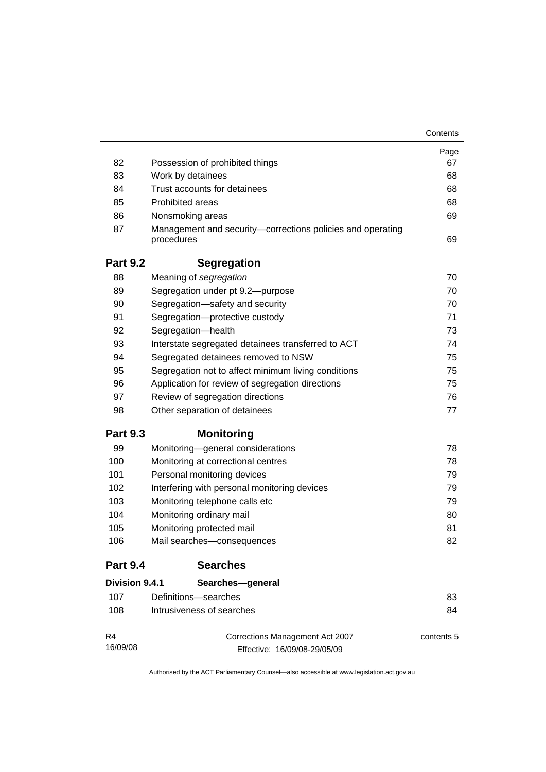|                 |                                                                          | Contents   |
|-----------------|--------------------------------------------------------------------------|------------|
|                 |                                                                          | Page       |
| 82              | Possession of prohibited things                                          | 67         |
| 83              | Work by detainees                                                        | 68         |
| 84              | Trust accounts for detainees                                             | 68         |
| 85              | <b>Prohibited areas</b>                                                  | 68         |
| 86              | Nonsmoking areas                                                         | 69         |
| 87              | Management and security-corrections policies and operating<br>procedures | 69         |
| <b>Part 9.2</b> | <b>Segregation</b>                                                       |            |
| 88              | Meaning of segregation                                                   | 70         |
| 89              | Segregation under pt 9.2-purpose                                         | 70         |
| 90              | Segregation-safety and security                                          | 70         |
| 91              | Segregation-protective custody                                           | 71         |
| 92              | Segregation-health                                                       | 73         |
| 93              | Interstate segregated detainees transferred to ACT                       | 74         |
| 94              | Segregated detainees removed to NSW                                      | 75         |
| 95              | Segregation not to affect minimum living conditions                      | 75         |
| 96              | Application for review of segregation directions                         | 75         |
| 97              | Review of segregation directions                                         | 76         |
| 98              | Other separation of detainees                                            | 77         |
| <b>Part 9.3</b> | <b>Monitoring</b>                                                        |            |
| 99              | Monitoring-general considerations                                        | 78         |
| 100             | Monitoring at correctional centres                                       | 78         |
| 101             | Personal monitoring devices                                              | 79         |
| 102             | Interfering with personal monitoring devices                             | 79         |
| 103             | Monitoring telephone calls etc                                           | 79         |
| 104             | Monitoring ordinary mail                                                 | 80         |
| 105             | Monitoring protected mail                                                | 81         |
| 106             | Mail searches-consequences                                               | 82         |
| <b>Part 9.4</b> | <b>Searches</b>                                                          |            |
| Division 9.4.1  | Searches-general                                                         |            |
| 107             | Definitions-searches                                                     | 83         |
| 108             | Intrusiveness of searches                                                | 84         |
| R4              | Corrections Management Act 2007                                          | contents 5 |
| 16/09/08        | Effective: 16/09/08-29/05/09                                             |            |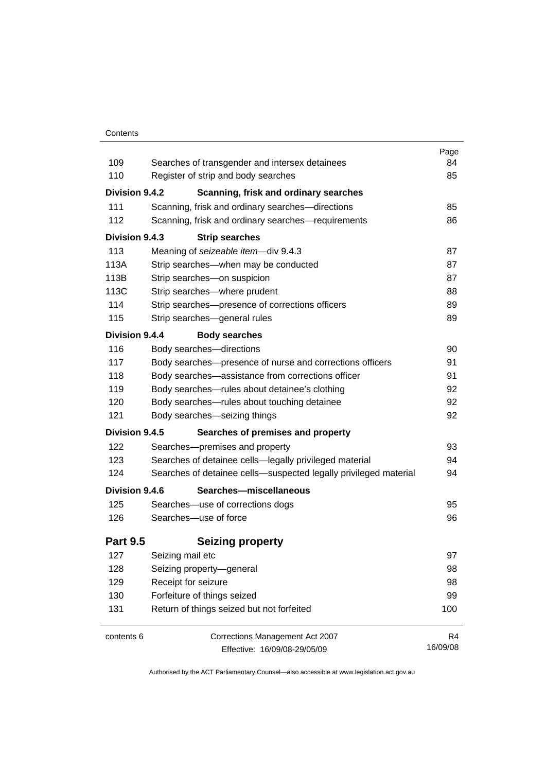#### **Contents**

| 109             | Searches of transgender and intersex detainees                   | Page<br>84 |
|-----------------|------------------------------------------------------------------|------------|
| 110             | Register of strip and body searches                              | 85         |
| Division 9.4.2  | Scanning, frisk and ordinary searches                            |            |
| 111             | Scanning, frisk and ordinary searches-directions                 | 85         |
| 112             | Scanning, frisk and ordinary searches-requirements               | 86         |
| Division 9.4.3  | <b>Strip searches</b>                                            |            |
| 113             | Meaning of seizeable item-div 9.4.3                              | 87         |
| 113A            | Strip searches—when may be conducted                             | 87         |
| 113B            | Strip searches-on suspicion                                      | 87         |
| 113C            | Strip searches-where prudent                                     | 88         |
| 114             | Strip searches-presence of corrections officers                  | 89         |
| 115             | Strip searches-general rules                                     | 89         |
| Division 9.4.4  | <b>Body searches</b>                                             |            |
| 116             | Body searches-directions                                         | 90         |
| 117             | Body searches-presence of nurse and corrections officers         | 91         |
| 118             | Body searches-assistance from corrections officer                | 91         |
| 119             | Body searches-rules about detainee's clothing                    | 92         |
| 120             | Body searches-rules about touching detainee                      | 92         |
| 121             | Body searches-seizing things                                     | 92         |
| Division 9.4.5  | Searches of premises and property                                |            |
| 122             | Searches-premises and property                                   | 93         |
| 123             | Searches of detainee cells-legally privileged material           | 94         |
| 124             | Searches of detainee cells-suspected legally privileged material | 94         |
| Division 9.4.6  | Searches-miscellaneous                                           |            |
| 125             | Searches-use of corrections dogs                                 | 95         |
| 126             | Searches-use of force                                            | 96         |
| <b>Part 9.5</b> | <b>Seizing property</b>                                          |            |
| 127             | Seizing mail etc                                                 | 97         |
| 128             | Seizing property-general                                         | 98         |
| 129             | Receipt for seizure                                              | 98         |
| 130             | Forfeiture of things seized                                      | 99         |
| 131             | Return of things seized but not forfeited                        | 100        |
| contents 6      | <b>Corrections Management Act 2007</b>                           | R4         |
|                 | Effective: 16/09/08-29/05/09                                     | 16/09/08   |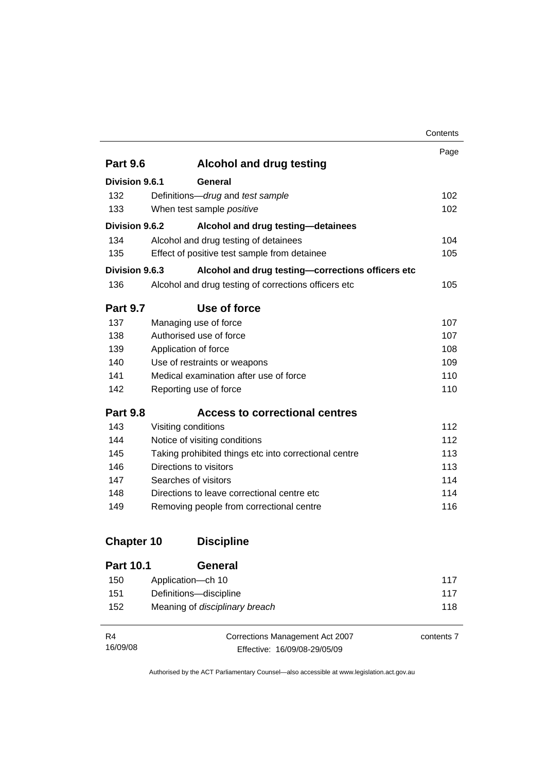|                   |                                                       | Contents |
|-------------------|-------------------------------------------------------|----------|
|                   |                                                       | Page     |
| <b>Part 9.6</b>   | <b>Alcohol and drug testing</b>                       |          |
| Division 9.6.1    | General                                               |          |
| 132               | Definitions-drug and test sample                      | 102      |
| 133               | When test sample positive                             | 102      |
| Division 9.6.2    | Alcohol and drug testing-detainees                    |          |
| 134               | Alcohol and drug testing of detainees                 | 104      |
| 135               | Effect of positive test sample from detainee          | 105      |
| Division 9.6.3    | Alcohol and drug testing-corrections officers etc     |          |
| 136               | Alcohol and drug testing of corrections officers etc  | 105      |
| <b>Part 9.7</b>   | Use of force                                          |          |
| 137               | Managing use of force                                 | 107      |
| 138               | Authorised use of force                               | 107      |
| 139               | Application of force                                  | 108      |
| 140               | Use of restraints or weapons                          | 109      |
| 141               | Medical examination after use of force                | 110      |
| 142               | Reporting use of force                                | 110      |
| <b>Part 9.8</b>   | <b>Access to correctional centres</b>                 |          |
| 143               | Visiting conditions                                   | 112      |
| 144               | Notice of visiting conditions                         | 112      |
| 145               | Taking prohibited things etc into correctional centre | 113      |
| 146               | Directions to visitors                                | 113      |
| 147               | Searches of visitors                                  | 114      |
| 148               | Directions to leave correctional centre etc           | 114      |
| 149               | Removing people from correctional centre              | 116      |
| <b>Chapter 10</b> | <b>Discipline</b>                                     |          |

| <b>Part 10.1</b> | General                        |     |
|------------------|--------------------------------|-----|
| 150              | Application—ch 10              | 117 |
| 151              | Definitions-discipline         | 117 |
| 152              | Meaning of disciplinary breach | 118 |

| R4       | Corrections Management Act 2007 | contents 7 |
|----------|---------------------------------|------------|
| 16/09/08 | Effective: 16/09/08-29/05/09    |            |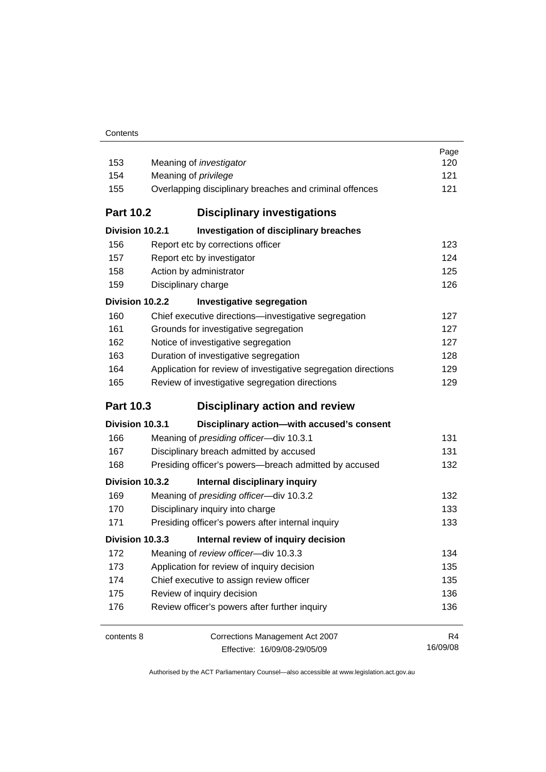| 153<br>154<br>155<br><b>Part 10.2</b> | Meaning of <i>investigator</i><br>Meaning of <i>privilege</i><br>Overlapping disciplinary breaches and criminal offences<br><b>Disciplinary investigations</b> | Page<br>120<br>121<br>121 |
|---------------------------------------|----------------------------------------------------------------------------------------------------------------------------------------------------------------|---------------------------|
| Division 10.2.1                       | Investigation of disciplinary breaches                                                                                                                         |                           |
| 156                                   | Report etc by corrections officer                                                                                                                              | 123                       |
| 157                                   | Report etc by investigator                                                                                                                                     | 124                       |
| 158                                   | Action by administrator                                                                                                                                        | 125                       |
| 159                                   | Disciplinary charge                                                                                                                                            | 126                       |
| Division 10.2.2                       | <b>Investigative segregation</b>                                                                                                                               |                           |
| 160                                   | Chief executive directions-investigative segregation                                                                                                           | 127                       |
| 161                                   | Grounds for investigative segregation                                                                                                                          | 127                       |
| 162                                   | Notice of investigative segregation                                                                                                                            | 127                       |
| 163                                   | Duration of investigative segregation                                                                                                                          | 128                       |
| 164                                   | Application for review of investigative segregation directions                                                                                                 | 129                       |
| 165                                   | Review of investigative segregation directions                                                                                                                 | 129                       |
| <b>Part 10.3</b>                      | <b>Disciplinary action and review</b>                                                                                                                          |                           |
| Division 10.3.1                       | Disciplinary action-with accused's consent                                                                                                                     |                           |
| 166                                   | Meaning of presiding officer-div 10.3.1                                                                                                                        | 131                       |
| 167                                   | Disciplinary breach admitted by accused                                                                                                                        | 131                       |
| 168                                   | Presiding officer's powers--breach admitted by accused                                                                                                         | 132                       |
| Division 10.3.2                       | Internal disciplinary inquiry                                                                                                                                  |                           |
| 169                                   | Meaning of presiding officer-div 10.3.2                                                                                                                        | 132                       |
| 170                                   | Disciplinary inquiry into charge                                                                                                                               | 133                       |
| 171                                   | Presiding officer's powers after internal inquiry                                                                                                              | 133                       |
| Division 10.3.3                       | Internal review of inquiry decision                                                                                                                            |                           |
| 172                                   | Meaning of review officer-div 10.3.3                                                                                                                           | 134                       |
| 173                                   | Application for review of inquiry decision                                                                                                                     | 135                       |
| 174                                   | Chief executive to assign review officer                                                                                                                       | 135                       |
| 175                                   | Review of inquiry decision                                                                                                                                     | 136                       |
| 176                                   | Review officer's powers after further inquiry                                                                                                                  | 136                       |
| contents 8                            | Corrections Management Act 2007<br>Effective: 16/09/08-29/05/09                                                                                                | R4<br>16/09/08            |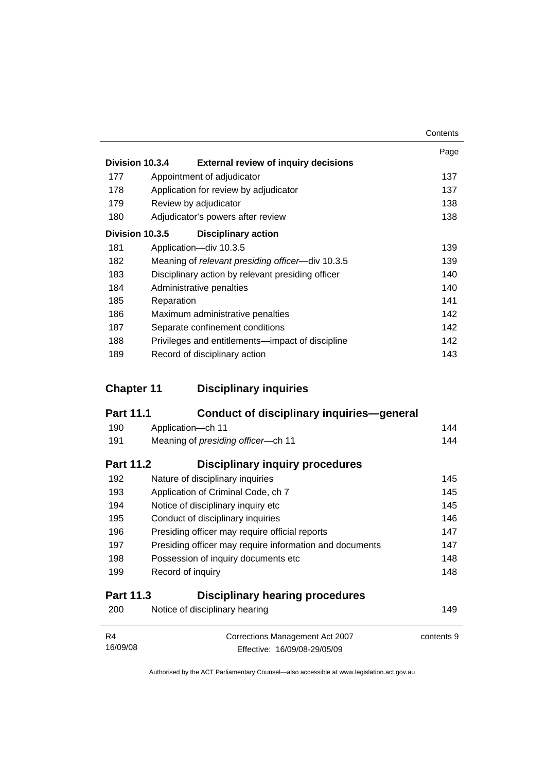|     |                                                                | Contents |
|-----|----------------------------------------------------------------|----------|
|     | Division 10.3.4<br><b>External review of inquiry decisions</b> | Page     |
| 177 |                                                                | 137      |
|     | Appointment of adjudicator                                     |          |
| 178 | Application for review by adjudicator                          | 137      |
| 179 | Review by adjudicator                                          | 138      |
| 180 | Adjudicator's powers after review                              | 138      |
|     | Division 10.3.5<br><b>Disciplinary action</b>                  |          |
| 181 | Application-div 10.3.5                                         | 139      |
| 182 | Meaning of relevant presiding officer—div 10.3.5               | 139      |
| 183 | Disciplinary action by relevant presiding officer              | 140      |
| 184 | Administrative penalties                                       | 140      |
| 185 | Reparation                                                     | 141      |
| 186 | Maximum administrative penalties                               | 142      |
| 187 | Separate confinement conditions                                | 142      |
| 188 | Privileges and entitlements—impact of discipline               | 142      |
| 189 | Record of disciplinary action                                  | 143      |

# **Chapter 11 Disciplinary inquiries**

| <b>Part 11.1</b> | Conduct of disciplinary inquiries—general               |     |
|------------------|---------------------------------------------------------|-----|
| 190              | Application-ch 11                                       | 144 |
| 191              | Meaning of presiding officer-ch 11                      | 144 |
| <b>Part 11.2</b> | Disciplinary inquiry procedures                         |     |
| 192              | Nature of disciplinary inquiries                        | 145 |
| 193              | Application of Criminal Code, ch 7                      | 145 |
| 194              | Notice of disciplinary inquiry etc                      | 145 |
| 195              | Conduct of disciplinary inquiries                       | 146 |
| 196              | Presiding officer may require official reports          | 147 |
| 197              | Presiding officer may require information and documents | 147 |
| 198              | Possession of inquiry documents etc.                    | 148 |
| 199              | Record of inquiry                                       | 148 |

# **Part 11.3 Disciplinary hearing procedures**

| 200            | Notice of disciplinary hearing                                  | 149        |
|----------------|-----------------------------------------------------------------|------------|
| R4<br>16/09/08 | Corrections Management Act 2007<br>Effective: 16/09/08-29/05/09 | contents 9 |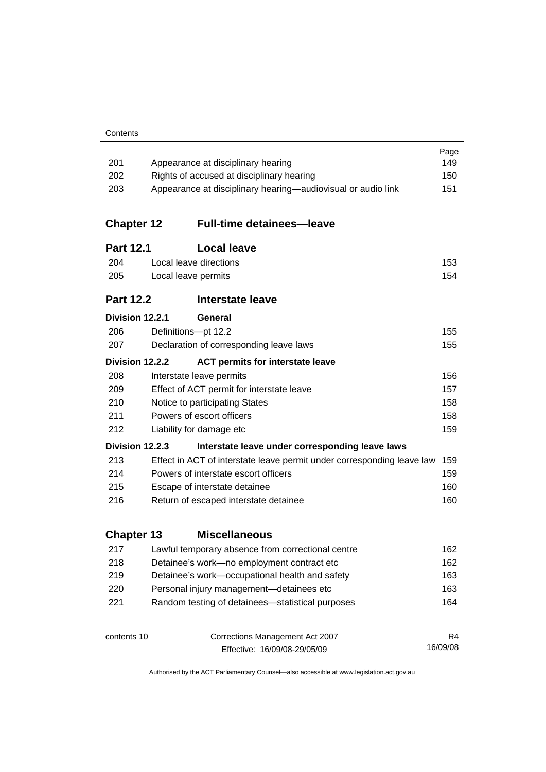| Contents |
|----------|
|----------|

|                   |                                                                                                  |                                                                        | Page<br>149 |  |
|-------------------|--------------------------------------------------------------------------------------------------|------------------------------------------------------------------------|-------------|--|
| 201               | Appearance at disciplinary hearing                                                               |                                                                        |             |  |
| 202               | Rights of accused at disciplinary hearing<br>150                                                 |                                                                        |             |  |
|                   | 203<br>Appearance at disciplinary hearing—audiovisual or audio link<br>151                       |                                                                        |             |  |
| <b>Chapter 12</b> |                                                                                                  | <b>Full-time detainees—leave</b>                                       |             |  |
| <b>Part 12.1</b>  |                                                                                                  | <b>Local leave</b>                                                     |             |  |
| 204               | Local leave directions                                                                           |                                                                        |             |  |
| 205               | 153<br>Local leave permits<br>154                                                                |                                                                        |             |  |
| <b>Part 12.2</b>  |                                                                                                  | Interstate leave                                                       |             |  |
| Division 12.2.1   |                                                                                                  | General                                                                |             |  |
| 206               |                                                                                                  | Definitions-pt 12.2                                                    | 155         |  |
| 207               |                                                                                                  | Declaration of corresponding leave laws                                | 155         |  |
| Division 12.2.2   |                                                                                                  | <b>ACT permits for interstate leave</b>                                |             |  |
| 208               |                                                                                                  | Interstate leave permits                                               | 156         |  |
| 209               | Effect of ACT permit for interstate leave<br>157<br>158<br>210<br>Notice to participating States |                                                                        |             |  |
|                   |                                                                                                  |                                                                        |             |  |
| 211               | Powers of escort officers<br>158                                                                 |                                                                        |             |  |
| 212               |                                                                                                  | Liability for damage etc                                               | 159         |  |
| Division 12.2.3   |                                                                                                  | Interstate leave under corresponding leave laws                        |             |  |
| 213               |                                                                                                  | Effect in ACT of interstate leave permit under corresponding leave law | 159         |  |
| 214               | Powers of interstate escort officers<br>159                                                      |                                                                        |             |  |
| 215               | Escape of interstate detainee                                                                    |                                                                        | 160         |  |
| 216               |                                                                                                  | Return of escaped interstate detainee                                  | 160         |  |
| <b>Chapter 13</b> |                                                                                                  | <b>Miscellaneous</b>                                                   |             |  |
| 217               |                                                                                                  | Lawful temporary absence from correctional centre                      | 162         |  |
| 218               | Detainee's work-no employment contract etc                                                       |                                                                        | 162         |  |
| 219               | Detainee's work-occupational health and safety                                                   |                                                                        | 163         |  |
| 220               |                                                                                                  | Personal injury management-detainees etc                               | 163         |  |
| 221               |                                                                                                  | Random testing of detainees-statistical purposes                       | 164         |  |
| contents 10       |                                                                                                  | Corrections Management Act 2007                                        | R4          |  |
|                   |                                                                                                  | Effective: 16/09/08-29/05/09                                           | 16/09/08    |  |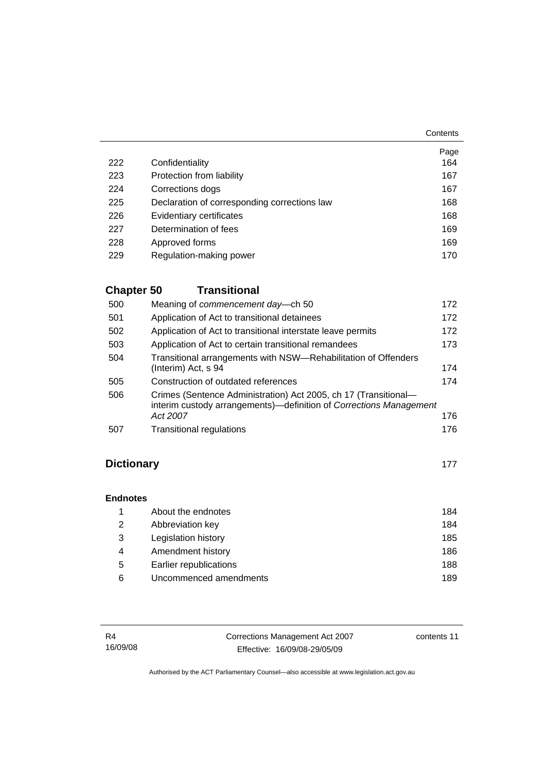**Contents** 

|     |                                              | Page |
|-----|----------------------------------------------|------|
| 222 | Confidentiality                              | 164  |
| 223 | Protection from liability                    | 167  |
| 224 | Corrections dogs                             | 167  |
| 225 | Declaration of corresponding corrections law | 168  |
| 226 | Evidentiary certificates                     | 168  |
| 227 | Determination of fees                        | 169  |
| 228 | Approved forms                               | 169  |
| 229 | Regulation-making power                      | 170  |

# **Chapter 50 Transitional**

| 500 | Meaning of commencement day-ch 50                                                                                                                 | 172 |
|-----|---------------------------------------------------------------------------------------------------------------------------------------------------|-----|
| 501 | Application of Act to transitional detainees                                                                                                      | 172 |
| 502 | Application of Act to transitional interstate leave permits                                                                                       | 172 |
| 503 | Application of Act to certain transitional remandees                                                                                              | 173 |
| 504 | Transitional arrangements with NSW-Rehabilitation of Offenders<br>(Interim) Act, s 94                                                             | 174 |
| 505 | Construction of outdated references                                                                                                               | 174 |
| 506 | Crimes (Sentence Administration) Act 2005, ch 17 (Transitional-<br>interim custody arrangements)—definition of Corrections Management<br>Act 2007 | 176 |
| 507 | <b>Transitional regulations</b>                                                                                                                   | 176 |

# **Dictionary** [177](#page-190-0)

# **Endnotes**

|   | About the endnotes     | 184 |
|---|------------------------|-----|
| 2 | Abbreviation key       | 184 |
| 3 | Legislation history    | 185 |
| 4 | Amendment history      | 186 |
| 5 | Earlier republications | 188 |
| 6 | Uncommenced amendments | 189 |

| <b>R4</b> | Corrections Management Act 2007 | contents 11 |
|-----------|---------------------------------|-------------|
| 16/09/08  | Effective: 16/09/08-29/05/09    |             |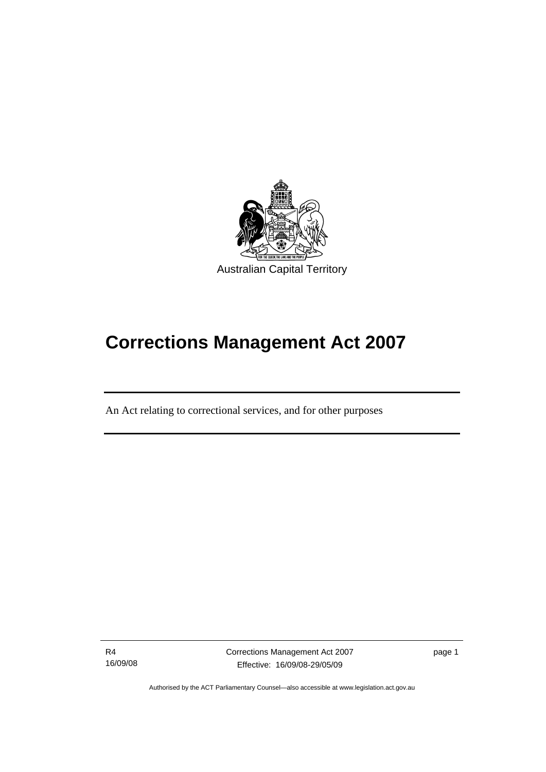<span id="page-14-0"></span>

# **Corrections Management Act 2007**

An Act relating to correctional services, and for other purposes

R4 16/09/08

I

Corrections Management Act 2007 Effective: 16/09/08-29/05/09

page 1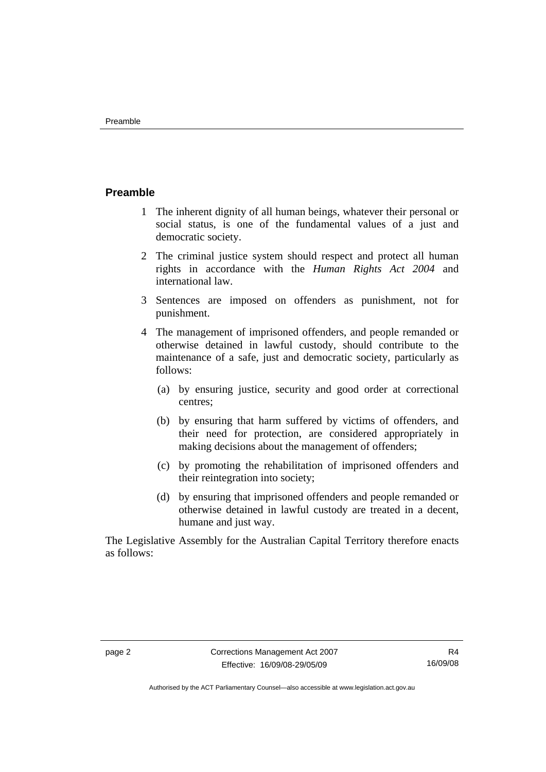#### <span id="page-15-0"></span>**Preamble**

- 1 The inherent dignity of all human beings, whatever their personal or social status, is one of the fundamental values of a just and democratic society.
- 2 The criminal justice system should respect and protect all human rights in accordance with the *Human Rights Act 2004* and international law.
- 3 Sentences are imposed on offenders as punishment, not for punishment.
- 4 The management of imprisoned offenders, and people remanded or otherwise detained in lawful custody, should contribute to the maintenance of a safe, just and democratic society, particularly as follows:
	- (a) by ensuring justice, security and good order at correctional centres;
	- (b) by ensuring that harm suffered by victims of offenders, and their need for protection, are considered appropriately in making decisions about the management of offenders;
	- (c) by promoting the rehabilitation of imprisoned offenders and their reintegration into society;
	- (d) by ensuring that imprisoned offenders and people remanded or otherwise detained in lawful custody are treated in a decent, humane and just way.

The Legislative Assembly for the Australian Capital Territory therefore enacts as follows: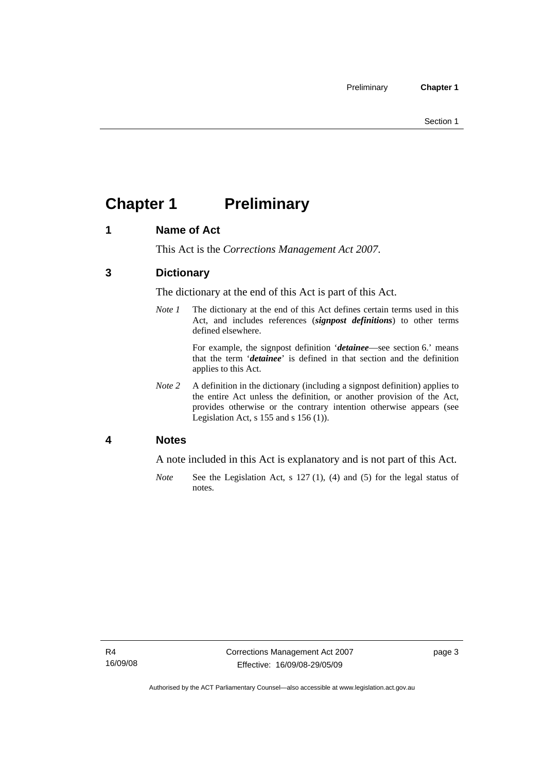# <span id="page-16-0"></span>**Chapter 1** Preliminary

#### **1 Name of Act**

This Act is the *Corrections Management Act 2007*.

#### **3 Dictionary**

The dictionary at the end of this Act is part of this Act.

*Note 1* The dictionary at the end of this Act defines certain terms used in this Act, and includes references (*signpost definitions*) to other terms defined elsewhere.

> For example, the signpost definition '*detainee*—see section 6.' means that the term '*detainee*' is defined in that section and the definition applies to this Act.

*Note 2* A definition in the dictionary (including a signpost definition) applies to the entire Act unless the definition, or another provision of the Act, provides otherwise or the contrary intention otherwise appears (see Legislation Act,  $s$  155 and  $s$  156 (1)).

#### **4 Notes**

A note included in this Act is explanatory and is not part of this Act.

*Note* See the Legislation Act, s 127 (1), (4) and (5) for the legal status of notes.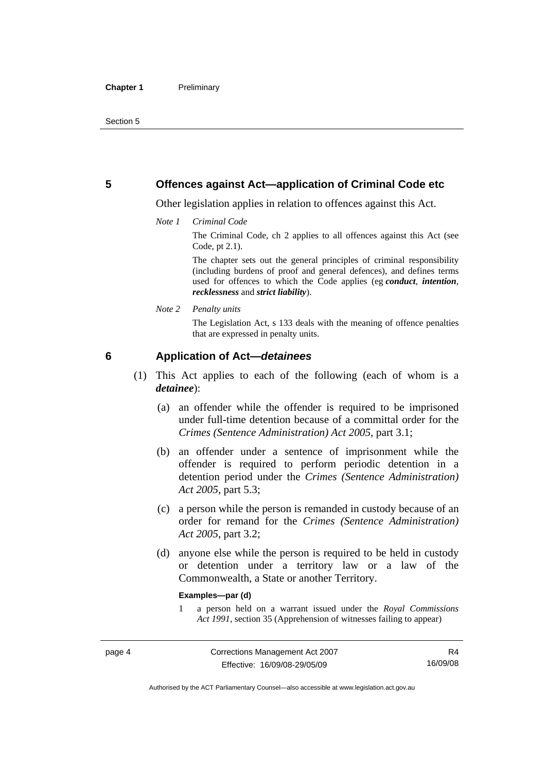#### <span id="page-17-0"></span>**5 Offences against Act—application of Criminal Code etc**

Other legislation applies in relation to offences against this Act.

*Note 1 Criminal Code*

The Criminal Code, ch 2 applies to all offences against this Act (see Code, pt 2.1).

The chapter sets out the general principles of criminal responsibility (including burdens of proof and general defences), and defines terms used for offences to which the Code applies (eg *conduct*, *intention*, *recklessness* and *strict liability*).

*Note 2 Penalty units* 

The Legislation Act, s 133 deals with the meaning of offence penalties that are expressed in penalty units.

#### **6 Application of Act—***detainees*

- (1) This Act applies to each of the following (each of whom is a *detainee*):
	- (a) an offender while the offender is required to be imprisoned under full-time detention because of a committal order for the *Crimes (Sentence Administration) Act 2005*, part 3.1;
	- (b) an offender under a sentence of imprisonment while the offender is required to perform periodic detention in a detention period under the *Crimes (Sentence Administration) Act 2005,* part 5.3;
	- (c) a person while the person is remanded in custody because of an order for remand for the *Crimes (Sentence Administration) Act 2005*, part 3.2;
	- (d) anyone else while the person is required to be held in custody or detention under a territory law or a law of the Commonwealth, a State or another Territory.

#### **Examples—par (d)**

1 a person held on a warrant issued under the *Royal Commissions Act 1991*, section 35 (Apprehension of witnesses failing to appear)

Authorised by the ACT Parliamentary Counsel—also accessible at www.legislation.act.gov.au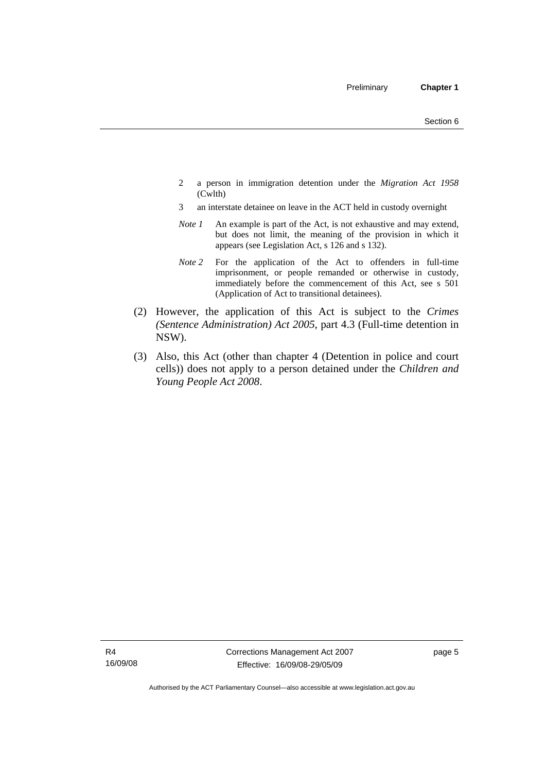- 2 a person in immigration detention under the *Migration Act 1958*  (Cwlth)
- 3 an interstate detainee on leave in the ACT held in custody overnight
- *Note 1* An example is part of the Act, is not exhaustive and may extend, but does not limit, the meaning of the provision in which it appears (see Legislation Act, s 126 and s 132).
- *Note 2* For the application of the Act to offenders in full-time imprisonment, or people remanded or otherwise in custody, immediately before the commencement of this Act, see s 501 (Application of Act to transitional detainees).
- (2) However, the application of this Act is subject to the *Crimes (Sentence Administration) Act 2005*, part 4.3 (Full-time detention in NSW).
- (3) Also, this Act (other than chapter 4 (Detention in police and court cells)) does not apply to a person detained under the *Children and Young People Act 2008*.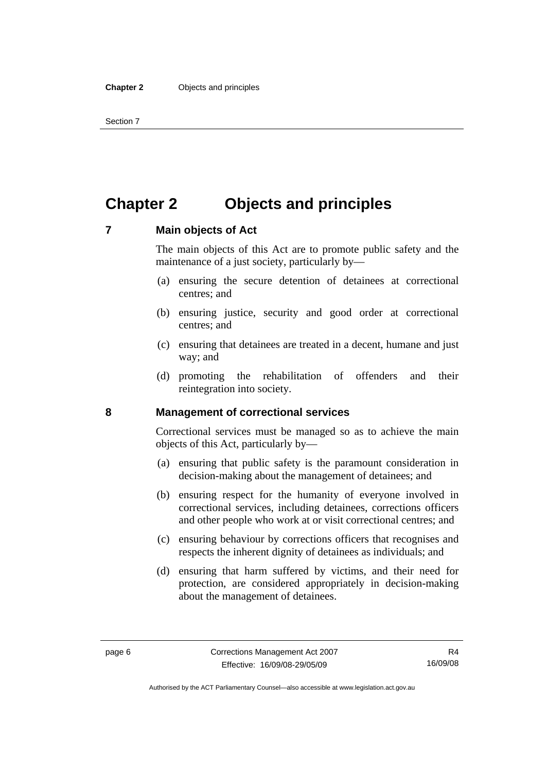# <span id="page-19-0"></span>**Chapter 2 Objects and principles**

#### **7 Main objects of Act**

The main objects of this Act are to promote public safety and the maintenance of a just society, particularly by—

- (a) ensuring the secure detention of detainees at correctional centres; and
- (b) ensuring justice, security and good order at correctional centres; and
- (c) ensuring that detainees are treated in a decent, humane and just way; and
- (d) promoting the rehabilitation of offenders and their reintegration into society.

#### **8 Management of correctional services**

Correctional services must be managed so as to achieve the main objects of this Act, particularly by—

- (a) ensuring that public safety is the paramount consideration in decision-making about the management of detainees; and
- (b) ensuring respect for the humanity of everyone involved in correctional services, including detainees, corrections officers and other people who work at or visit correctional centres; and
- (c) ensuring behaviour by corrections officers that recognises and respects the inherent dignity of detainees as individuals; and
- (d) ensuring that harm suffered by victims, and their need for protection, are considered appropriately in decision-making about the management of detainees.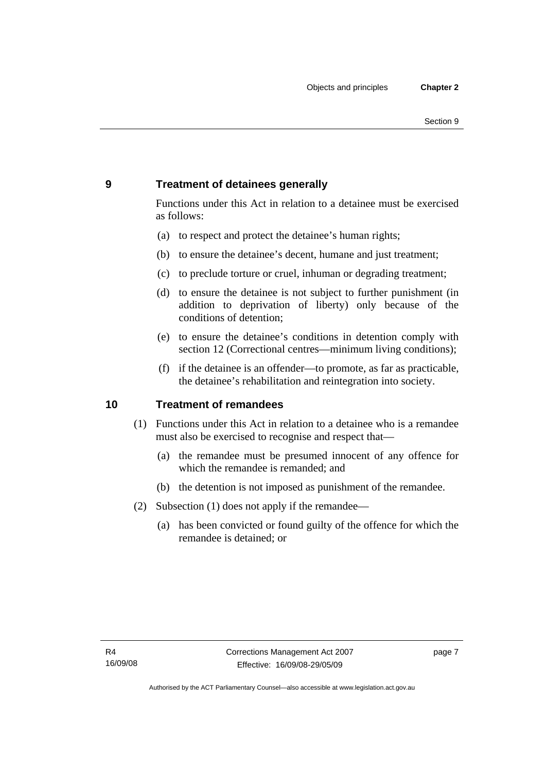### <span id="page-20-0"></span>**9 Treatment of detainees generally**

Functions under this Act in relation to a detainee must be exercised as follows:

- (a) to respect and protect the detainee's human rights;
- (b) to ensure the detainee's decent, humane and just treatment;
- (c) to preclude torture or cruel, inhuman or degrading treatment;
- (d) to ensure the detainee is not subject to further punishment (in addition to deprivation of liberty) only because of the conditions of detention;
- (e) to ensure the detainee's conditions in detention comply with section 12 (Correctional centres—minimum living conditions);
- (f) if the detainee is an offender—to promote, as far as practicable, the detainee's rehabilitation and reintegration into society.

#### **10 Treatment of remandees**

- (1) Functions under this Act in relation to a detainee who is a remandee must also be exercised to recognise and respect that—
	- (a) the remandee must be presumed innocent of any offence for which the remandee is remanded; and
	- (b) the detention is not imposed as punishment of the remandee.
- (2) Subsection (1) does not apply if the remandee—
	- (a) has been convicted or found guilty of the offence for which the remandee is detained; or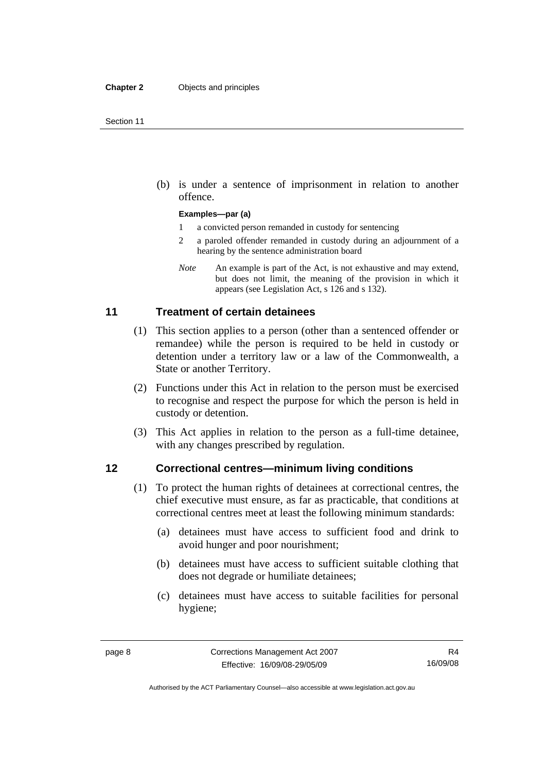<span id="page-21-0"></span> (b) is under a sentence of imprisonment in relation to another offence.

#### **Examples—par (a)**

- 1 a convicted person remanded in custody for sentencing
- 2 a paroled offender remanded in custody during an adjournment of a hearing by the sentence administration board
- *Note* An example is part of the Act, is not exhaustive and may extend, but does not limit, the meaning of the provision in which it appears (see Legislation Act, s 126 and s 132).

#### **11 Treatment of certain detainees**

- (1) This section applies to a person (other than a sentenced offender or remandee) while the person is required to be held in custody or detention under a territory law or a law of the Commonwealth, a State or another Territory.
- (2) Functions under this Act in relation to the person must be exercised to recognise and respect the purpose for which the person is held in custody or detention.
- (3) This Act applies in relation to the person as a full-time detainee, with any changes prescribed by regulation.

#### **12 Correctional centres—minimum living conditions**

- (1) To protect the human rights of detainees at correctional centres, the chief executive must ensure, as far as practicable, that conditions at correctional centres meet at least the following minimum standards:
	- (a) detainees must have access to sufficient food and drink to avoid hunger and poor nourishment;
	- (b) detainees must have access to sufficient suitable clothing that does not degrade or humiliate detainees;
	- (c) detainees must have access to suitable facilities for personal hygiene;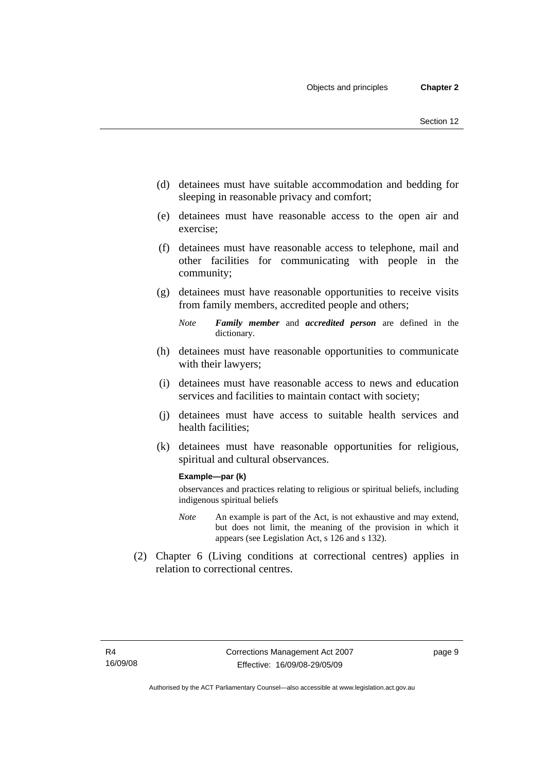- (d) detainees must have suitable accommodation and bedding for sleeping in reasonable privacy and comfort;
- (e) detainees must have reasonable access to the open air and exercise;
- (f) detainees must have reasonable access to telephone, mail and other facilities for communicating with people in the community;
- (g) detainees must have reasonable opportunities to receive visits from family members, accredited people and others;
	- *Note Family member* and *accredited person* are defined in the dictionary.
- (h) detainees must have reasonable opportunities to communicate with their lawyers;
- (i) detainees must have reasonable access to news and education services and facilities to maintain contact with society;
- (j) detainees must have access to suitable health services and health facilities;
- (k) detainees must have reasonable opportunities for religious, spiritual and cultural observances.

#### **Example—par (k)**

observances and practices relating to religious or spiritual beliefs, including indigenous spiritual beliefs

- *Note* An example is part of the Act, is not exhaustive and may extend, but does not limit, the meaning of the provision in which it appears (see Legislation Act, s 126 and s 132).
- (2) Chapter 6 (Living conditions at correctional centres) applies in relation to correctional centres.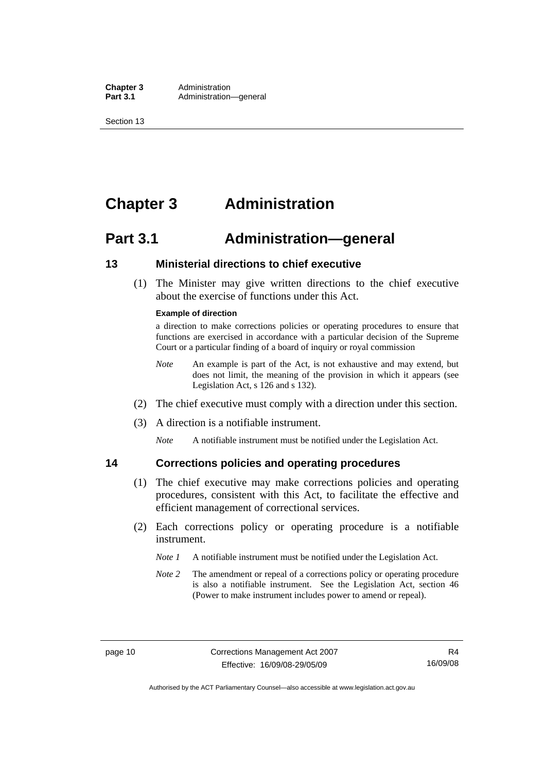<span id="page-23-0"></span>**Chapter 3** Administration<br>**Part 3.1** Administration Administration—general

Section 13

# **Chapter 3 Administration**

# **Part 3.1 Administration—general**

#### **13 Ministerial directions to chief executive**

 (1) The Minister may give written directions to the chief executive about the exercise of functions under this Act.

#### **Example of direction**

a direction to make corrections policies or operating procedures to ensure that functions are exercised in accordance with a particular decision of the Supreme Court or a particular finding of a board of inquiry or royal commission

- *Note* An example is part of the Act, is not exhaustive and may extend, but does not limit, the meaning of the provision in which it appears (see Legislation Act, s 126 and s 132).
- (2) The chief executive must comply with a direction under this section.
- (3) A direction is a notifiable instrument.

*Note* A notifiable instrument must be notified under the Legislation Act.

#### **14 Corrections policies and operating procedures**

- (1) The chief executive may make corrections policies and operating procedures, consistent with this Act, to facilitate the effective and efficient management of correctional services.
- (2) Each corrections policy or operating procedure is a notifiable instrument.
	- *Note 1* A notifiable instrument must be notified under the Legislation Act.
	- *Note 2* The amendment or repeal of a corrections policy or operating procedure is also a notifiable instrument. See the Legislation Act, section 46 (Power to make instrument includes power to amend or repeal).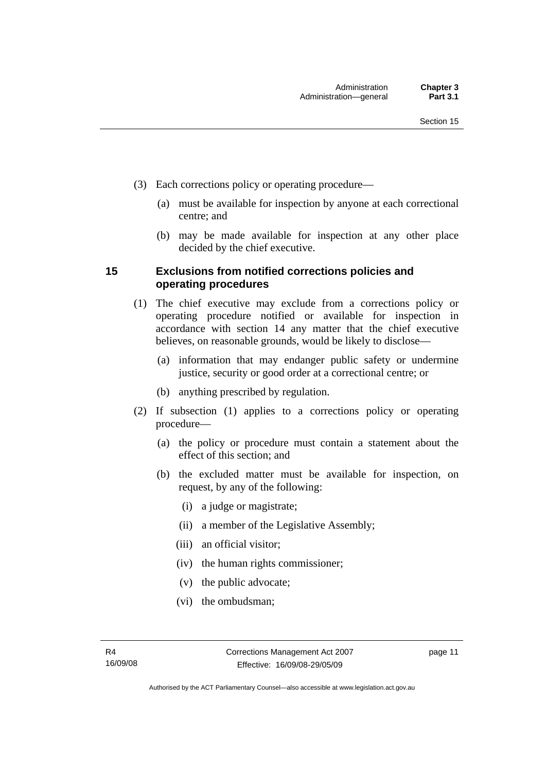- <span id="page-24-0"></span> (3) Each corrections policy or operating procedure—
	- (a) must be available for inspection by anyone at each correctional centre; and
	- (b) may be made available for inspection at any other place decided by the chief executive.

#### **15 Exclusions from notified corrections policies and operating procedures**

- (1) The chief executive may exclude from a corrections policy or operating procedure notified or available for inspection in accordance with section 14 any matter that the chief executive believes, on reasonable grounds, would be likely to disclose—
	- (a) information that may endanger public safety or undermine justice, security or good order at a correctional centre; or
	- (b) anything prescribed by regulation.
- (2) If subsection (1) applies to a corrections policy or operating procedure—
	- (a) the policy or procedure must contain a statement about the effect of this section; and
	- (b) the excluded matter must be available for inspection, on request, by any of the following:
		- (i) a judge or magistrate;
		- (ii) a member of the Legislative Assembly;
		- (iii) an official visitor;
		- (iv) the human rights commissioner;
		- (v) the public advocate;
		- (vi) the ombudsman;

page 11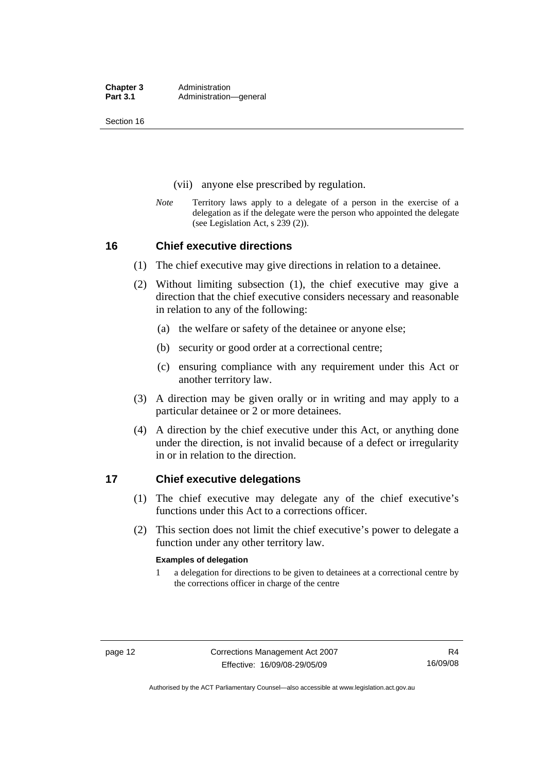<span id="page-25-0"></span>Section 16

- (vii) anyone else prescribed by regulation.
- *Note* Territory laws apply to a delegate of a person in the exercise of a delegation as if the delegate were the person who appointed the delegate (see Legislation Act, s 239 (2)).

#### **16 Chief executive directions**

- (1) The chief executive may give directions in relation to a detainee.
- (2) Without limiting subsection (1), the chief executive may give a direction that the chief executive considers necessary and reasonable in relation to any of the following:
	- (a) the welfare or safety of the detainee or anyone else;
	- (b) security or good order at a correctional centre;
	- (c) ensuring compliance with any requirement under this Act or another territory law.
- (3) A direction may be given orally or in writing and may apply to a particular detainee or 2 or more detainees.
- (4) A direction by the chief executive under this Act, or anything done under the direction, is not invalid because of a defect or irregularity in or in relation to the direction.

#### **17 Chief executive delegations**

- (1) The chief executive may delegate any of the chief executive's functions under this Act to a corrections officer.
- (2) This section does not limit the chief executive's power to delegate a function under any other territory law.

#### **Examples of delegation**

1 a delegation for directions to be given to detainees at a correctional centre by the corrections officer in charge of the centre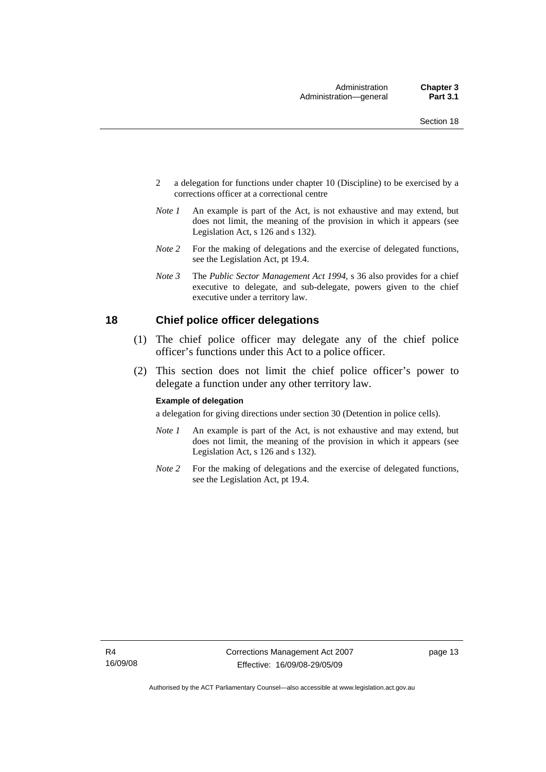- <span id="page-26-0"></span>2 a delegation for functions under chapter 10 (Discipline) to be exercised by a corrections officer at a correctional centre
- *Note 1* An example is part of the Act, is not exhaustive and may extend, but does not limit, the meaning of the provision in which it appears (see Legislation Act, s 126 and s 132).
- *Note* 2 For the making of delegations and the exercise of delegated functions, see the Legislation Act, pt 19.4.
- *Note 3* The *Public Sector Management Act 1994*, s 36 also provides for a chief executive to delegate, and sub-delegate, powers given to the chief executive under a territory law.

#### **18 Chief police officer delegations**

- (1) The chief police officer may delegate any of the chief police officer's functions under this Act to a police officer.
- (2) This section does not limit the chief police officer's power to delegate a function under any other territory law.

#### **Example of delegation**

a delegation for giving directions under section 30 (Detention in police cells).

- *Note 1* An example is part of the Act, is not exhaustive and may extend, but does not limit, the meaning of the provision in which it appears (see Legislation Act, s 126 and s 132).
- *Note* 2 For the making of delegations and the exercise of delegated functions, see the Legislation Act, pt 19.4.

page 13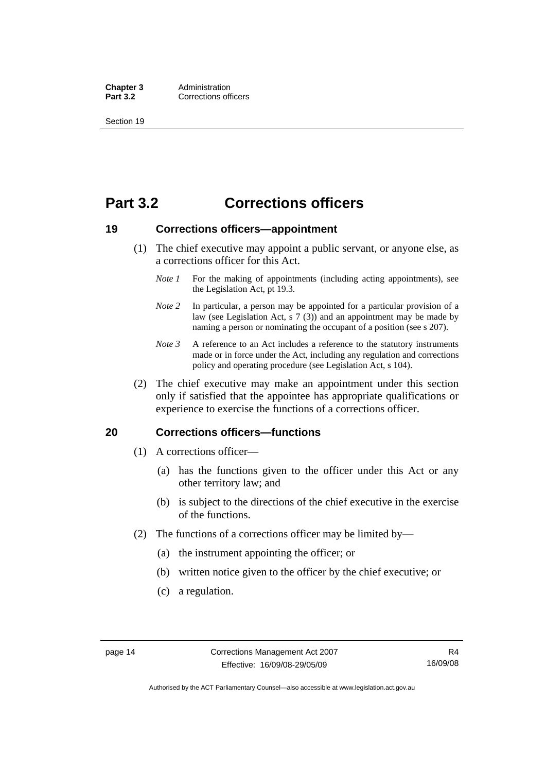<span id="page-27-0"></span>**Chapter 3** Administration<br> **Part 3.2** Corrections off **Corrections officers** 

Section 19

# **Part 3.2 Corrections officers**

#### **19 Corrections officers—appointment**

- (1) The chief executive may appoint a public servant, or anyone else, as a corrections officer for this Act.
	- *Note 1* For the making of appointments (including acting appointments), see the Legislation Act, pt 19.3.
	- *Note 2* In particular, a person may be appointed for a particular provision of a law (see Legislation Act,  $s \, 7 \, (3)$ ) and an appointment may be made by naming a person or nominating the occupant of a position (see s 207).
	- *Note 3* A reference to an Act includes a reference to the statutory instruments made or in force under the Act, including any regulation and corrections policy and operating procedure (see Legislation Act, s 104).
- (2) The chief executive may make an appointment under this section only if satisfied that the appointee has appropriate qualifications or experience to exercise the functions of a corrections officer.

#### **20 Corrections officers—functions**

- (1) A corrections officer—
	- (a) has the functions given to the officer under this Act or any other territory law; and
	- (b) is subject to the directions of the chief executive in the exercise of the functions.
- (2) The functions of a corrections officer may be limited by—
	- (a) the instrument appointing the officer; or
	- (b) written notice given to the officer by the chief executive; or
	- (c) a regulation.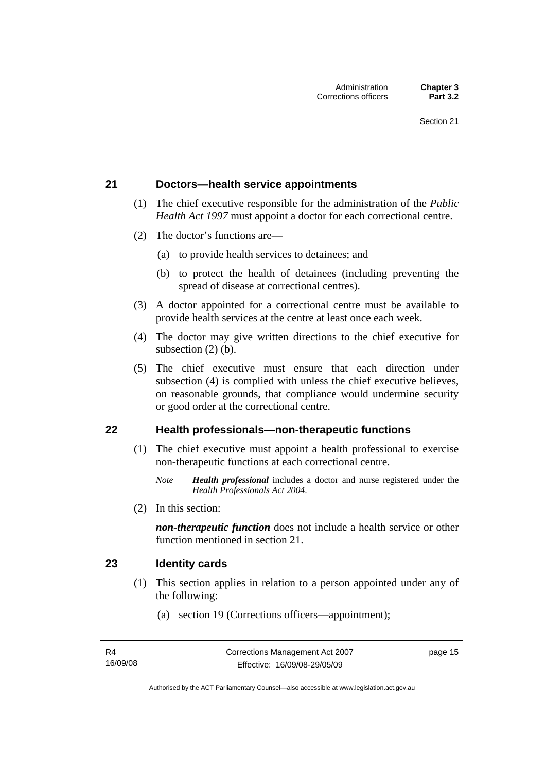#### <span id="page-28-0"></span>**21 Doctors—health service appointments**

- (1) The chief executive responsible for the administration of the *Public Health Act 1997* must appoint a doctor for each correctional centre.
- (2) The doctor's functions are—
	- (a) to provide health services to detainees; and
	- (b) to protect the health of detainees (including preventing the spread of disease at correctional centres).
- (3) A doctor appointed for a correctional centre must be available to provide health services at the centre at least once each week.
- (4) The doctor may give written directions to the chief executive for subsection (2) (b).
- (5) The chief executive must ensure that each direction under subsection (4) is complied with unless the chief executive believes, on reasonable grounds, that compliance would undermine security or good order at the correctional centre.

#### **22 Health professionals—non-therapeutic functions**

- (1) The chief executive must appoint a health professional to exercise non-therapeutic functions at each correctional centre.
	- *Note Health professional* includes a doctor and nurse registered under the *Health Professionals Act 2004*.
- (2) In this section:

*non-therapeutic function* does not include a health service or other function mentioned in section 21.

#### **23 Identity cards**

- (1) This section applies in relation to a person appointed under any of the following:
	- (a) section 19 (Corrections officers—appointment);

page 15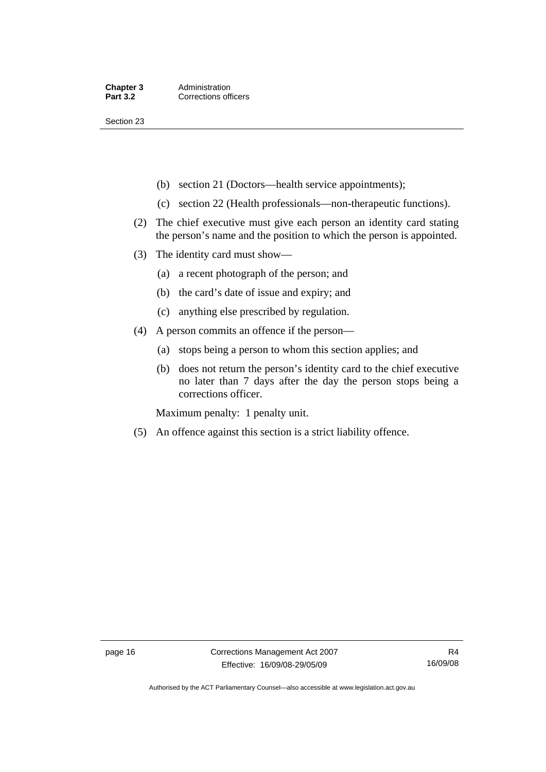Section 23

- (b) section 21 (Doctors—health service appointments);
- (c) section 22 (Health professionals—non-therapeutic functions).
- (2) The chief executive must give each person an identity card stating the person's name and the position to which the person is appointed.
- (3) The identity card must show—
	- (a) a recent photograph of the person; and
	- (b) the card's date of issue and expiry; and
	- (c) anything else prescribed by regulation.
- (4) A person commits an offence if the person—
	- (a) stops being a person to whom this section applies; and
	- (b) does not return the person's identity card to the chief executive no later than 7 days after the day the person stops being a corrections officer.

Maximum penalty: 1 penalty unit.

(5) An offence against this section is a strict liability offence.

Authorised by the ACT Parliamentary Counsel—also accessible at www.legislation.act.gov.au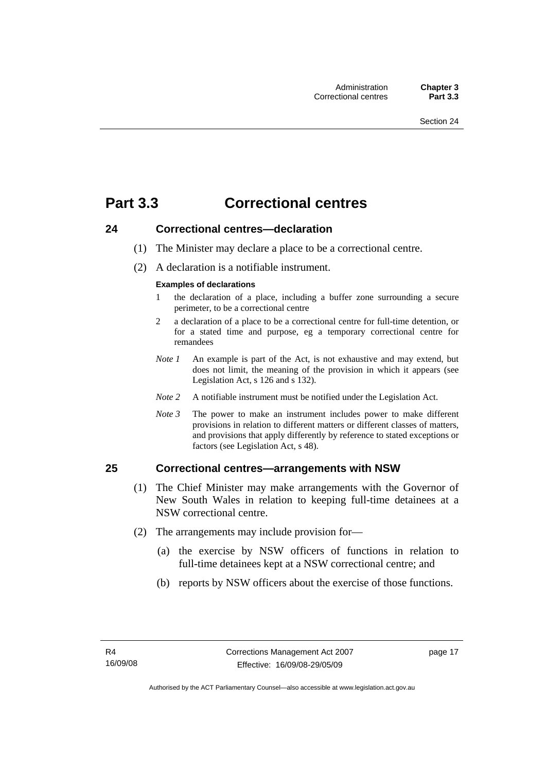# <span id="page-30-0"></span>**Part 3.3 Correctional centres**

#### **24 Correctional centres—declaration**

- (1) The Minister may declare a place to be a correctional centre.
- (2) A declaration is a notifiable instrument.

#### **Examples of declarations**

- 1 the declaration of a place, including a buffer zone surrounding a secure perimeter, to be a correctional centre
- 2 a declaration of a place to be a correctional centre for full-time detention, or for a stated time and purpose, eg a temporary correctional centre for remandees
- *Note 1* An example is part of the Act, is not exhaustive and may extend, but does not limit, the meaning of the provision in which it appears (see Legislation Act, s 126 and s 132).
- *Note 2* A notifiable instrument must be notified under the Legislation Act.
- *Note 3* The power to make an instrument includes power to make different provisions in relation to different matters or different classes of matters, and provisions that apply differently by reference to stated exceptions or factors (see Legislation Act, s 48).

#### **25 Correctional centres—arrangements with NSW**

- (1) The Chief Minister may make arrangements with the Governor of New South Wales in relation to keeping full-time detainees at a NSW correctional centre.
- (2) The arrangements may include provision for—
	- (a) the exercise by NSW officers of functions in relation to full-time detainees kept at a NSW correctional centre; and
	- (b) reports by NSW officers about the exercise of those functions.

page 17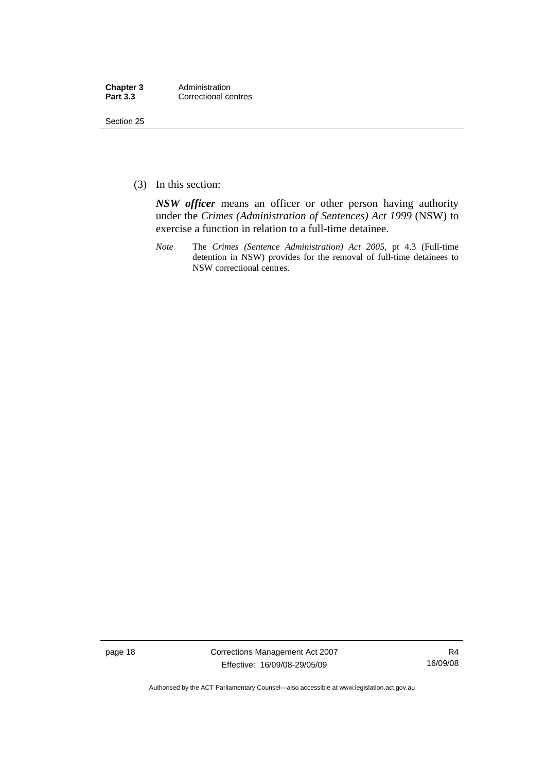| Chapter 3       | Administration       |
|-----------------|----------------------|
| <b>Part 3.3</b> | Correctional centres |

Section 25

(3) In this section:

*NSW officer* means an officer or other person having authority under the *Crimes (Administration of Sentences) Act 1999* (NSW) to exercise a function in relation to a full-time detainee.

*Note* The *Crimes (Sentence Administration) Act 2005*, pt 4.3 (Full-time detention in NSW) provides for the removal of full-time detainees to NSW correctional centres.

page 18 Corrections Management Act 2007 Effective: 16/09/08-29/05/09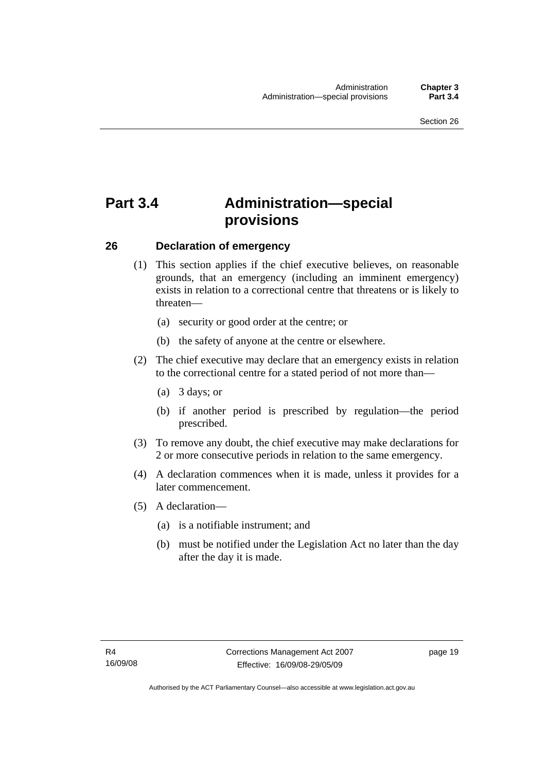# <span id="page-32-0"></span>**Part 3.4 Administration—special provisions**

#### **26 Declaration of emergency**

- (1) This section applies if the chief executive believes, on reasonable grounds, that an emergency (including an imminent emergency) exists in relation to a correctional centre that threatens or is likely to threaten—
	- (a) security or good order at the centre; or
	- (b) the safety of anyone at the centre or elsewhere.
- (2) The chief executive may declare that an emergency exists in relation to the correctional centre for a stated period of not more than—
	- (a) 3 days; or
	- (b) if another period is prescribed by regulation—the period prescribed.
- (3) To remove any doubt, the chief executive may make declarations for 2 or more consecutive periods in relation to the same emergency.
- (4) A declaration commences when it is made, unless it provides for a later commencement.
- (5) A declaration—
	- (a) is a notifiable instrument; and
	- (b) must be notified under the Legislation Act no later than the day after the day it is made.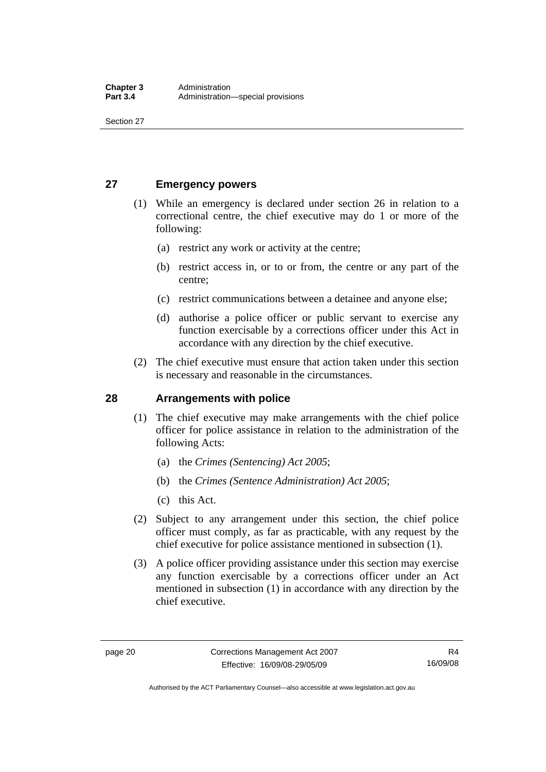<span id="page-33-0"></span>Section 27

#### **27 Emergency powers**

- (1) While an emergency is declared under section 26 in relation to a correctional centre, the chief executive may do 1 or more of the following:
	- (a) restrict any work or activity at the centre;
	- (b) restrict access in, or to or from, the centre or any part of the centre;
	- (c) restrict communications between a detainee and anyone else;
	- (d) authorise a police officer or public servant to exercise any function exercisable by a corrections officer under this Act in accordance with any direction by the chief executive.
- (2) The chief executive must ensure that action taken under this section is necessary and reasonable in the circumstances.

#### **28 Arrangements with police**

- (1) The chief executive may make arrangements with the chief police officer for police assistance in relation to the administration of the following Acts:
	- (a) the *Crimes (Sentencing) Act 2005*;
	- (b) the *Crimes (Sentence Administration) Act 2005*;
	- (c) this Act.
- (2) Subject to any arrangement under this section, the chief police officer must comply, as far as practicable, with any request by the chief executive for police assistance mentioned in subsection (1).
- (3) A police officer providing assistance under this section may exercise any function exercisable by a corrections officer under an Act mentioned in subsection (1) in accordance with any direction by the chief executive.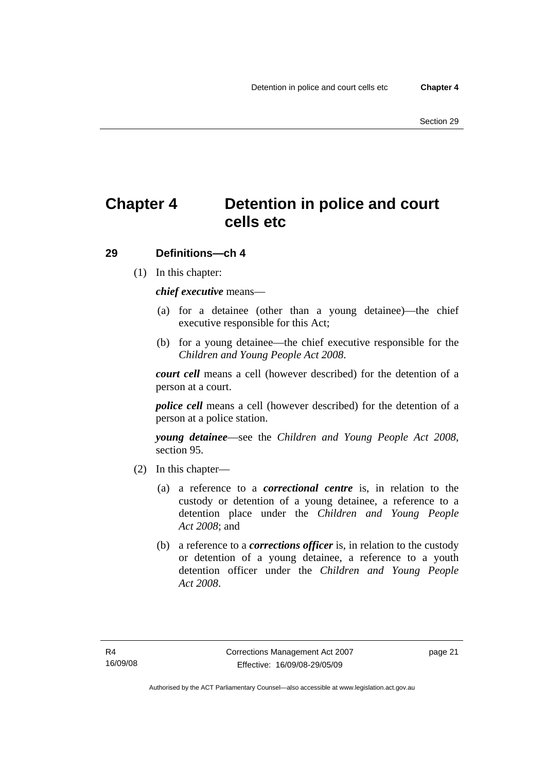# <span id="page-34-0"></span>**Chapter 4 Detention in police and court cells etc**

#### **29 Definitions—ch 4**

(1) In this chapter:

*chief executive* means—

- (a) for a detainee (other than a young detainee)—the chief executive responsible for this Act;
- (b) for a young detainee—the chief executive responsible for the *Children and Young People Act 2008*.

*court cell* means a cell (however described) for the detention of a person at a court.

*police cell* means a cell (however described) for the detention of a person at a police station.

*young detainee*—see the *Children and Young People Act 2008*, section 95.

- (2) In this chapter—
	- (a) a reference to a *correctional centre* is, in relation to the custody or detention of a young detainee, a reference to a detention place under the *Children and Young People Act 2008*; and
	- (b) a reference to a *corrections officer* is, in relation to the custody or detention of a young detainee, a reference to a youth detention officer under the *Children and Young People Act 2008*.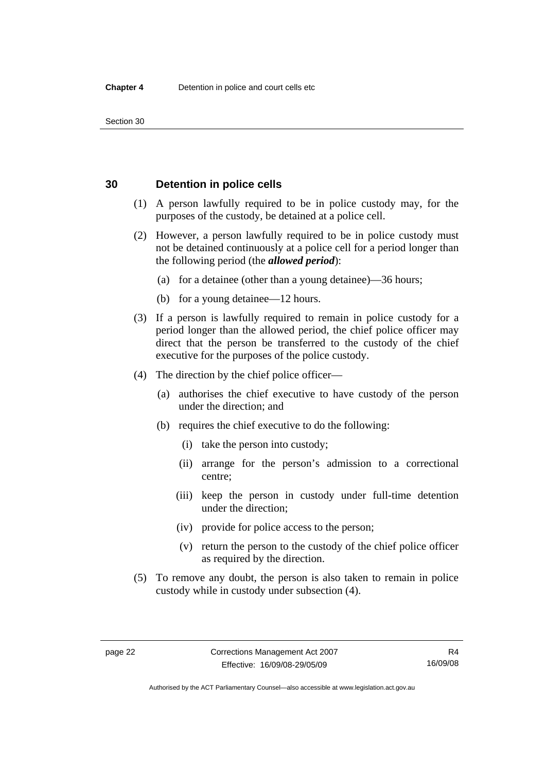<span id="page-35-0"></span>Section 30

#### **30 Detention in police cells**

- (1) A person lawfully required to be in police custody may, for the purposes of the custody, be detained at a police cell.
- (2) However, a person lawfully required to be in police custody must not be detained continuously at a police cell for a period longer than the following period (the *allowed period*):
	- (a) for a detainee (other than a young detainee)—36 hours;
	- (b) for a young detainee—12 hours.
- (3) If a person is lawfully required to remain in police custody for a period longer than the allowed period, the chief police officer may direct that the person be transferred to the custody of the chief executive for the purposes of the police custody.
- (4) The direction by the chief police officer—
	- (a) authorises the chief executive to have custody of the person under the direction; and
	- (b) requires the chief executive to do the following:
		- (i) take the person into custody;
		- (ii) arrange for the person's admission to a correctional centre;
		- (iii) keep the person in custody under full-time detention under the direction;
		- (iv) provide for police access to the person;
		- (v) return the person to the custody of the chief police officer as required by the direction.
- (5) To remove any doubt, the person is also taken to remain in police custody while in custody under subsection (4).

Authorised by the ACT Parliamentary Counsel—also accessible at www.legislation.act.gov.au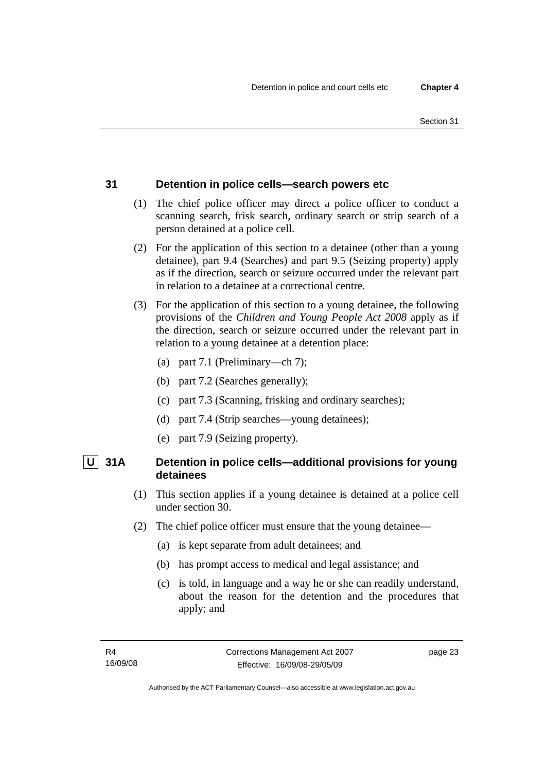# **31 Detention in police cells—search powers etc**

- (1) The chief police officer may direct a police officer to conduct a scanning search, frisk search, ordinary search or strip search of a person detained at a police cell.
- (2) For the application of this section to a detainee (other than a young detainee), part 9.4 (Searches) and part 9.5 (Seizing property) apply as if the direction, search or seizure occurred under the relevant part in relation to a detainee at a correctional centre.
- (3) For the application of this section to a young detainee, the following provisions of the *Children and Young People Act 2008* apply as if the direction, search or seizure occurred under the relevant part in relation to a young detainee at a detention place:
	- (a) part 7.1 (Preliminary—ch 7);
	- (b) part 7.2 (Searches generally);
	- (c) part 7.3 (Scanning, frisking and ordinary searches);
	- (d) part 7.4 (Strip searches—young detainees);
	- (e) part 7.9 (Seizing property).

# **U 31A Detention in police cells—additional provisions for young detainees**

- (1) This section applies if a young detainee is detained at a police cell under section 30.
- (2) The chief police officer must ensure that the young detainee—
	- (a) is kept separate from adult detainees; and
	- (b) has prompt access to medical and legal assistance; and
	- (c) is told, in language and a way he or she can readily understand, about the reason for the detention and the procedures that apply; and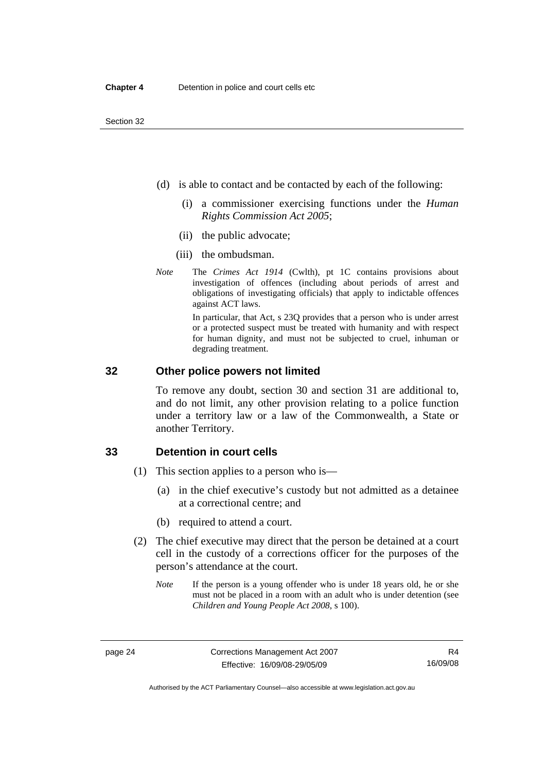- (d) is able to contact and be contacted by each of the following:
	- (i) a commissioner exercising functions under the *Human Rights Commission Act 2005*;
	- (ii) the public advocate;
	- (iii) the ombudsman.
- *Note* The *Crimes Act 1914* (Cwlth), pt 1C contains provisions about investigation of offences (including about periods of arrest and obligations of investigating officials) that apply to indictable offences against ACT laws.

In particular, that Act, s 23Q provides that a person who is under arrest or a protected suspect must be treated with humanity and with respect for human dignity, and must not be subjected to cruel, inhuman or degrading treatment.

#### **32 Other police powers not limited**

To remove any doubt, section 30 and section 31 are additional to, and do not limit, any other provision relating to a police function under a territory law or a law of the Commonwealth, a State or another Territory.

#### **33 Detention in court cells**

- (1) This section applies to a person who is—
	- (a) in the chief executive's custody but not admitted as a detainee at a correctional centre; and
	- (b) required to attend a court.
- (2) The chief executive may direct that the person be detained at a court cell in the custody of a corrections officer for the purposes of the person's attendance at the court.
	- *Note* If the person is a young offender who is under 18 years old, he or she must not be placed in a room with an adult who is under detention (see *Children and Young People Act 2008*, s 100).

Authorised by the ACT Parliamentary Counsel—also accessible at www.legislation.act.gov.au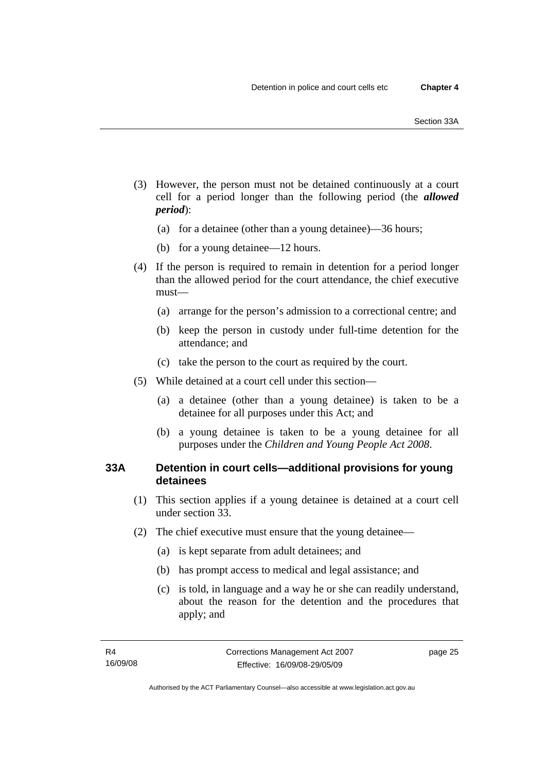- (3) However, the person must not be detained continuously at a court cell for a period longer than the following period (the *allowed period*):
	- (a) for a detainee (other than a young detainee)—36 hours;
	- (b) for a young detainee—12 hours.
- (4) If the person is required to remain in detention for a period longer than the allowed period for the court attendance, the chief executive must—
	- (a) arrange for the person's admission to a correctional centre; and
	- (b) keep the person in custody under full-time detention for the attendance; and
	- (c) take the person to the court as required by the court.
- (5) While detained at a court cell under this section—
	- (a) a detainee (other than a young detainee) is taken to be a detainee for all purposes under this Act; and
	- (b) a young detainee is taken to be a young detainee for all purposes under the *Children and Young People Act 2008*.

# **33A Detention in court cells—additional provisions for young detainees**

- (1) This section applies if a young detainee is detained at a court cell under section 33.
- (2) The chief executive must ensure that the young detainee—
	- (a) is kept separate from adult detainees; and
	- (b) has prompt access to medical and legal assistance; and
	- (c) is told, in language and a way he or she can readily understand, about the reason for the detention and the procedures that apply; and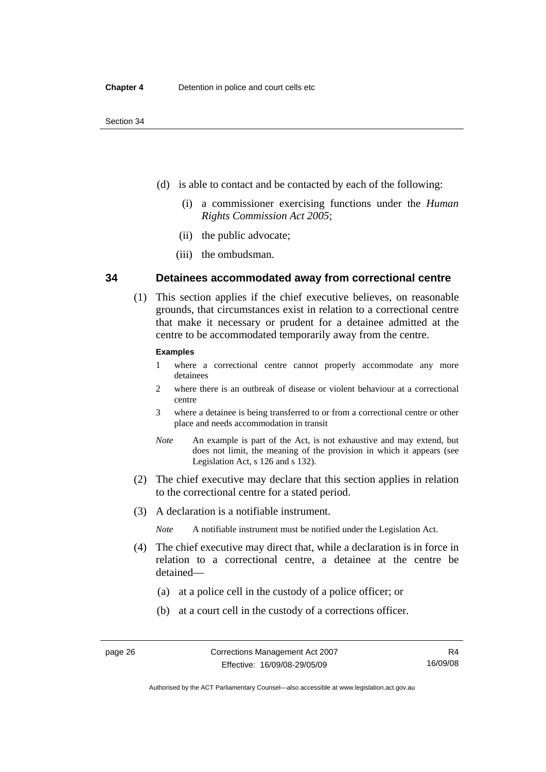- (d) is able to contact and be contacted by each of the following:
	- (i) a commissioner exercising functions under the *Human Rights Commission Act 2005*;
	- (ii) the public advocate;
	- (iii) the ombudsman.

#### **34 Detainees accommodated away from correctional centre**

 (1) This section applies if the chief executive believes, on reasonable grounds, that circumstances exist in relation to a correctional centre that make it necessary or prudent for a detainee admitted at the centre to be accommodated temporarily away from the centre.

#### **Examples**

- 1 where a correctional centre cannot properly accommodate any more detainees
- 2 where there is an outbreak of disease or violent behaviour at a correctional centre
- 3 where a detainee is being transferred to or from a correctional centre or other place and needs accommodation in transit
- *Note* An example is part of the Act, is not exhaustive and may extend, but does not limit, the meaning of the provision in which it appears (see Legislation Act, s 126 and s 132).
- (2) The chief executive may declare that this section applies in relation to the correctional centre for a stated period.
- (3) A declaration is a notifiable instrument.
	- *Note* A notifiable instrument must be notified under the Legislation Act.
- (4) The chief executive may direct that, while a declaration is in force in relation to a correctional centre, a detainee at the centre be detained—
	- (a) at a police cell in the custody of a police officer; or
	- (b) at a court cell in the custody of a corrections officer.

Authorised by the ACT Parliamentary Counsel—also accessible at www.legislation.act.gov.au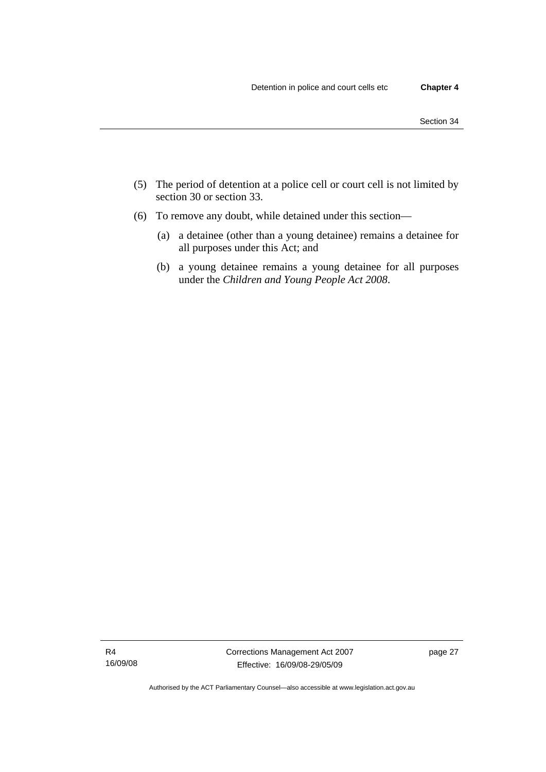- (5) The period of detention at a police cell or court cell is not limited by section 30 or section 33.
- (6) To remove any doubt, while detained under this section—
	- (a) a detainee (other than a young detainee) remains a detainee for all purposes under this Act; and
	- (b) a young detainee remains a young detainee for all purposes under the *Children and Young People Act 2008*.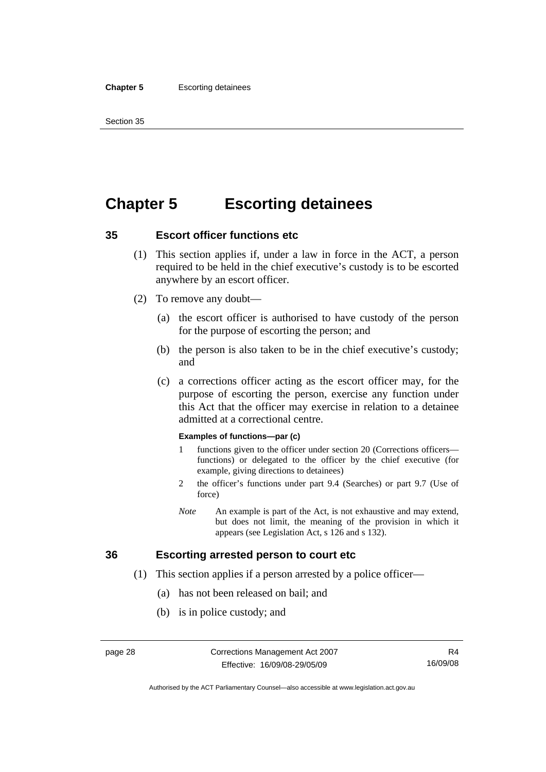# **Chapter 5 Escorting detainees**

#### **35 Escort officer functions etc**

- (1) This section applies if, under a law in force in the ACT, a person required to be held in the chief executive's custody is to be escorted anywhere by an escort officer.
- (2) To remove any doubt—
	- (a) the escort officer is authorised to have custody of the person for the purpose of escorting the person; and
	- (b) the person is also taken to be in the chief executive's custody; and
	- (c) a corrections officer acting as the escort officer may, for the purpose of escorting the person, exercise any function under this Act that the officer may exercise in relation to a detainee admitted at a correctional centre.

#### **Examples of functions—par (c)**

- 1 functions given to the officer under section 20 (Corrections officers functions) or delegated to the officer by the chief executive (for example, giving directions to detainees)
- 2 the officer's functions under part 9.4 (Searches) or part 9.7 (Use of force)
- *Note* An example is part of the Act, is not exhaustive and may extend, but does not limit, the meaning of the provision in which it appears (see Legislation Act, s 126 and s 132).

## **36 Escorting arrested person to court etc**

- (1) This section applies if a person arrested by a police officer—
	- (a) has not been released on bail; and
	- (b) is in police custody; and

Authorised by the ACT Parliamentary Counsel—also accessible at www.legislation.act.gov.au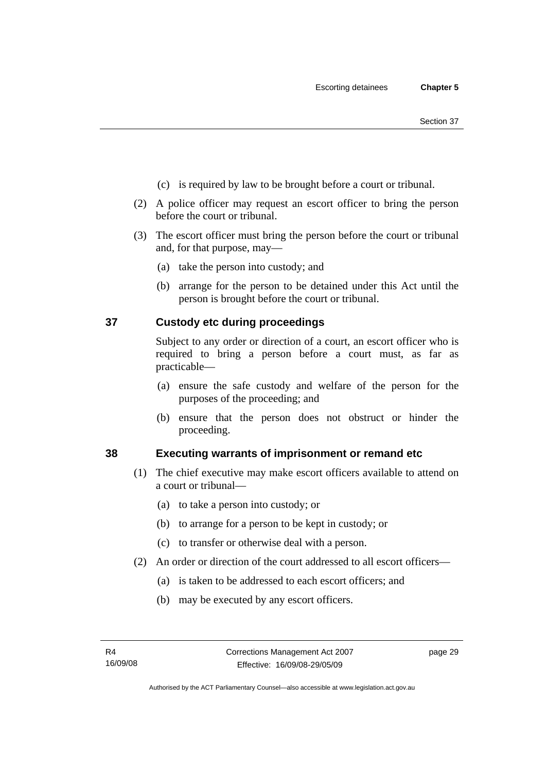- (c) is required by law to be brought before a court or tribunal.
- (2) A police officer may request an escort officer to bring the person before the court or tribunal.
- (3) The escort officer must bring the person before the court or tribunal and, for that purpose, may—
	- (a) take the person into custody; and
	- (b) arrange for the person to be detained under this Act until the person is brought before the court or tribunal.

# **37 Custody etc during proceedings**

Subject to any order or direction of a court, an escort officer who is required to bring a person before a court must, as far as practicable—

- (a) ensure the safe custody and welfare of the person for the purposes of the proceeding; and
- (b) ensure that the person does not obstruct or hinder the proceeding.

## **38 Executing warrants of imprisonment or remand etc**

- (1) The chief executive may make escort officers available to attend on a court or tribunal—
	- (a) to take a person into custody; or
	- (b) to arrange for a person to be kept in custody; or
	- (c) to transfer or otherwise deal with a person.
- (2) An order or direction of the court addressed to all escort officers—
	- (a) is taken to be addressed to each escort officers; and
	- (b) may be executed by any escort officers.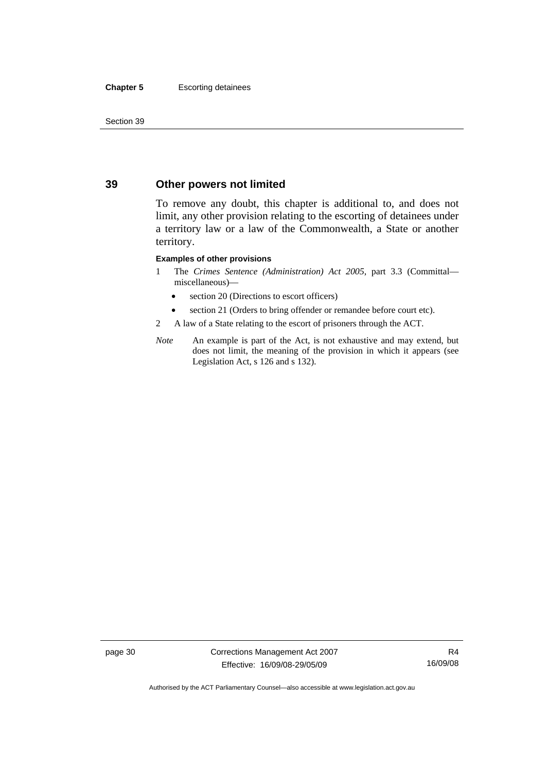#### **Chapter 5** Escorting detainees

Section 39

# **39 Other powers not limited**

To remove any doubt, this chapter is additional to, and does not limit, any other provision relating to the escorting of detainees under a territory law or a law of the Commonwealth, a State or another territory.

#### **Examples of other provisions**

- 1 The *Crimes Sentence (Administration) Act 2005*, part 3.3 (Committal miscellaneous)—
	- section 20 (Directions to escort officers)
	- section 21 (Orders to bring offender or remandee before court etc).
- 2 A law of a State relating to the escort of prisoners through the ACT.
- *Note* An example is part of the Act, is not exhaustive and may extend, but does not limit, the meaning of the provision in which it appears (see Legislation Act, s 126 and s 132).

page 30 Corrections Management Act 2007 Effective: 16/09/08-29/05/09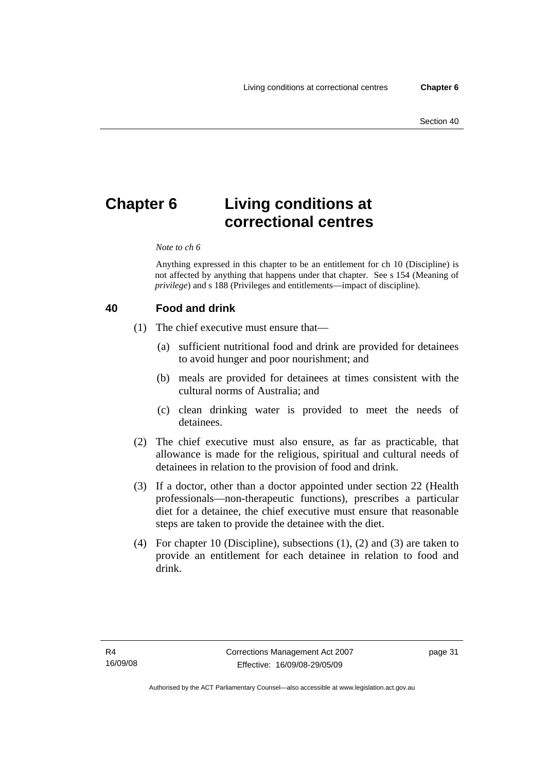# **Chapter 6 Living conditions at correctional centres**

#### *Note to ch 6*

Anything expressed in this chapter to be an entitlement for ch 10 (Discipline) is not affected by anything that happens under that chapter. See s 154 (Meaning of *privilege*) and s 188 (Privileges and entitlements—impact of discipline).

#### **40 Food and drink**

- (1) The chief executive must ensure that—
	- (a) sufficient nutritional food and drink are provided for detainees to avoid hunger and poor nourishment; and
	- (b) meals are provided for detainees at times consistent with the cultural norms of Australia; and
	- (c) clean drinking water is provided to meet the needs of detainees.
- (2) The chief executive must also ensure, as far as practicable, that allowance is made for the religious, spiritual and cultural needs of detainees in relation to the provision of food and drink.
- (3) If a doctor, other than a doctor appointed under section 22 (Health professionals—non-therapeutic functions), prescribes a particular diet for a detainee, the chief executive must ensure that reasonable steps are taken to provide the detainee with the diet.
- (4) For chapter 10 (Discipline), subsections (1), (2) and (3) are taken to provide an entitlement for each detainee in relation to food and drink.

page 31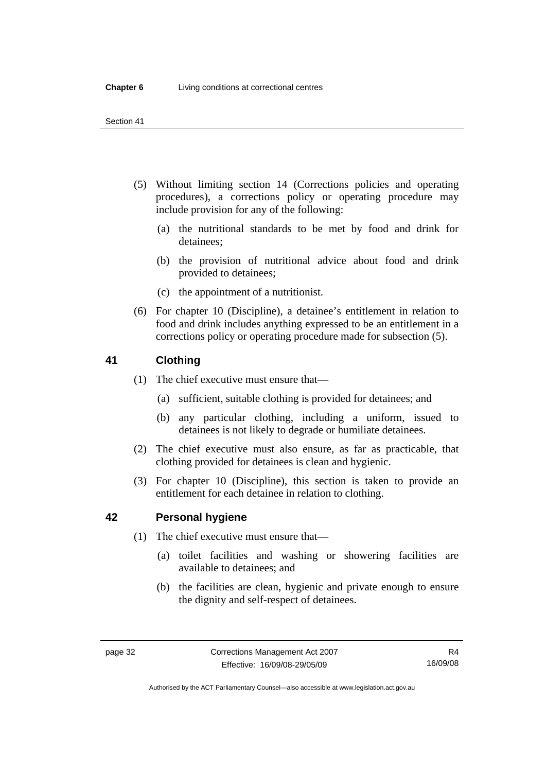- (5) Without limiting section 14 (Corrections policies and operating procedures), a corrections policy or operating procedure may include provision for any of the following:
	- (a) the nutritional standards to be met by food and drink for detainees;
	- (b) the provision of nutritional advice about food and drink provided to detainees;
	- (c) the appointment of a nutritionist.
- (6) For chapter 10 (Discipline), a detainee's entitlement in relation to food and drink includes anything expressed to be an entitlement in a corrections policy or operating procedure made for subsection (5).

# **41 Clothing**

- (1) The chief executive must ensure that—
	- (a) sufficient, suitable clothing is provided for detainees; and
	- (b) any particular clothing, including a uniform, issued to detainees is not likely to degrade or humiliate detainees.
- (2) The chief executive must also ensure, as far as practicable, that clothing provided for detainees is clean and hygienic.
- (3) For chapter 10 (Discipline), this section is taken to provide an entitlement for each detainee in relation to clothing.

## **42 Personal hygiene**

- (1) The chief executive must ensure that—
	- (a) toilet facilities and washing or showering facilities are available to detainees; and
	- (b) the facilities are clean, hygienic and private enough to ensure the dignity and self-respect of detainees.

Authorised by the ACT Parliamentary Counsel—also accessible at www.legislation.act.gov.au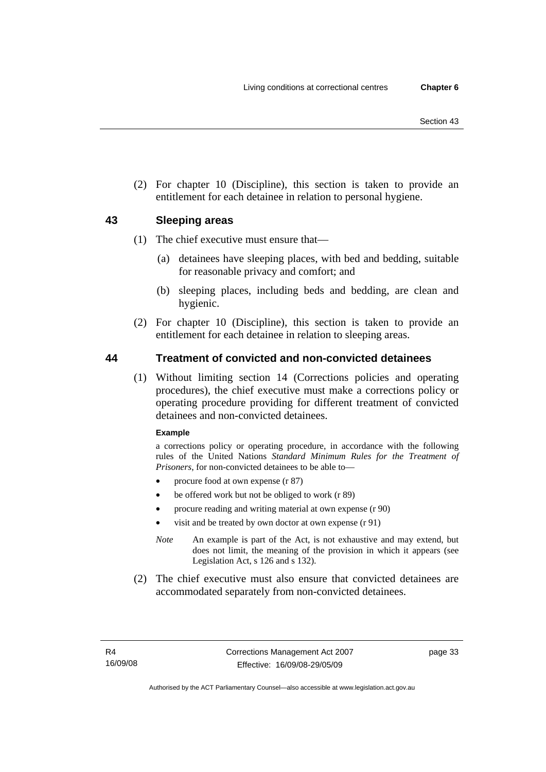(2) For chapter 10 (Discipline), this section is taken to provide an entitlement for each detainee in relation to personal hygiene.

# **43 Sleeping areas**

- (1) The chief executive must ensure that—
	- (a) detainees have sleeping places, with bed and bedding, suitable for reasonable privacy and comfort; and
	- (b) sleeping places, including beds and bedding, are clean and hygienic.
- (2) For chapter 10 (Discipline), this section is taken to provide an entitlement for each detainee in relation to sleeping areas.

# **44 Treatment of convicted and non-convicted detainees**

 (1) Without limiting section 14 (Corrections policies and operating procedures), the chief executive must make a corrections policy or operating procedure providing for different treatment of convicted detainees and non-convicted detainees.

#### **Example**

a corrections policy or operating procedure, in accordance with the following rules of the United Nations *Standard Minimum Rules for the Treatment of Prisoners*, for non-convicted detainees to be able to—

- procure food at own expense (r 87)
- be offered work but not be obliged to work (r 89)
- procure reading and writing material at own expense (r 90)
- visit and be treated by own doctor at own expense (r 91)
- *Note* An example is part of the Act, is not exhaustive and may extend, but does not limit, the meaning of the provision in which it appears (see Legislation Act, s 126 and s 132).
- (2) The chief executive must also ensure that convicted detainees are accommodated separately from non-convicted detainees.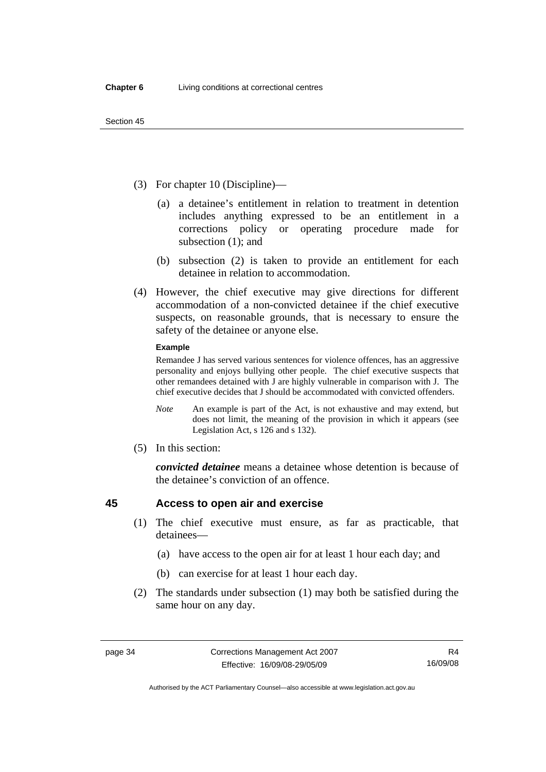- (3) For chapter 10 (Discipline)—
	- (a) a detainee's entitlement in relation to treatment in detention includes anything expressed to be an entitlement in a corrections policy or operating procedure made for subsection (1); and
	- (b) subsection (2) is taken to provide an entitlement for each detainee in relation to accommodation.
- (4) However, the chief executive may give directions for different accommodation of a non-convicted detainee if the chief executive suspects, on reasonable grounds, that is necessary to ensure the safety of the detainee or anyone else.

#### **Example**

Remandee J has served various sentences for violence offences, has an aggressive personality and enjoys bullying other people. The chief executive suspects that other remandees detained with J are highly vulnerable in comparison with J. The chief executive decides that J should be accommodated with convicted offenders.

- *Note* An example is part of the Act, is not exhaustive and may extend, but does not limit, the meaning of the provision in which it appears (see Legislation Act, s 126 and s 132).
- (5) In this section:

*convicted detainee* means a detainee whose detention is because of the detainee's conviction of an offence.

## **45 Access to open air and exercise**

- (1) The chief executive must ensure, as far as practicable, that detainees—
	- (a) have access to the open air for at least 1 hour each day; and
	- (b) can exercise for at least 1 hour each day.
- (2) The standards under subsection (1) may both be satisfied during the same hour on any day.

Authorised by the ACT Parliamentary Counsel—also accessible at www.legislation.act.gov.au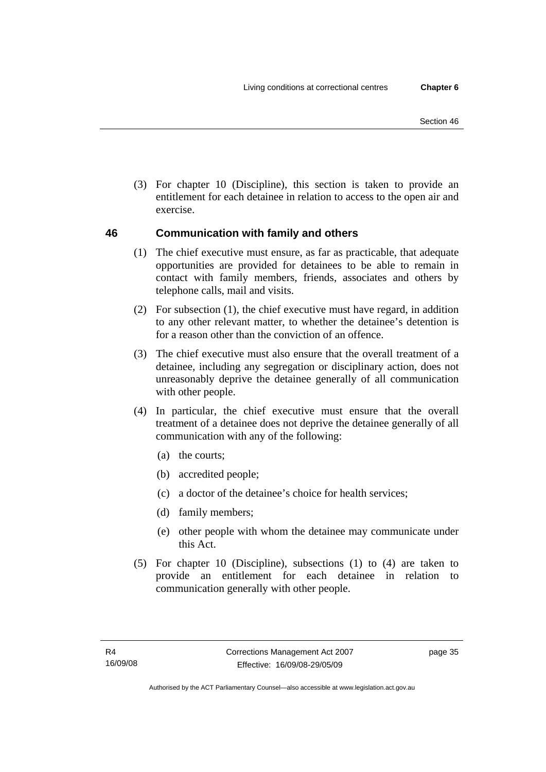(3) For chapter 10 (Discipline), this section is taken to provide an entitlement for each detainee in relation to access to the open air and exercise.

# **46 Communication with family and others**

- (1) The chief executive must ensure, as far as practicable, that adequate opportunities are provided for detainees to be able to remain in contact with family members, friends, associates and others by telephone calls, mail and visits.
- (2) For subsection (1), the chief executive must have regard, in addition to any other relevant matter, to whether the detainee's detention is for a reason other than the conviction of an offence.
- (3) The chief executive must also ensure that the overall treatment of a detainee, including any segregation or disciplinary action, does not unreasonably deprive the detainee generally of all communication with other people.
- (4) In particular, the chief executive must ensure that the overall treatment of a detainee does not deprive the detainee generally of all communication with any of the following:
	- (a) the courts;
	- (b) accredited people;
	- (c) a doctor of the detainee's choice for health services;
	- (d) family members;
	- (e) other people with whom the detainee may communicate under this Act.
- (5) For chapter 10 (Discipline), subsections (1) to (4) are taken to provide an entitlement for each detainee in relation to communication generally with other people.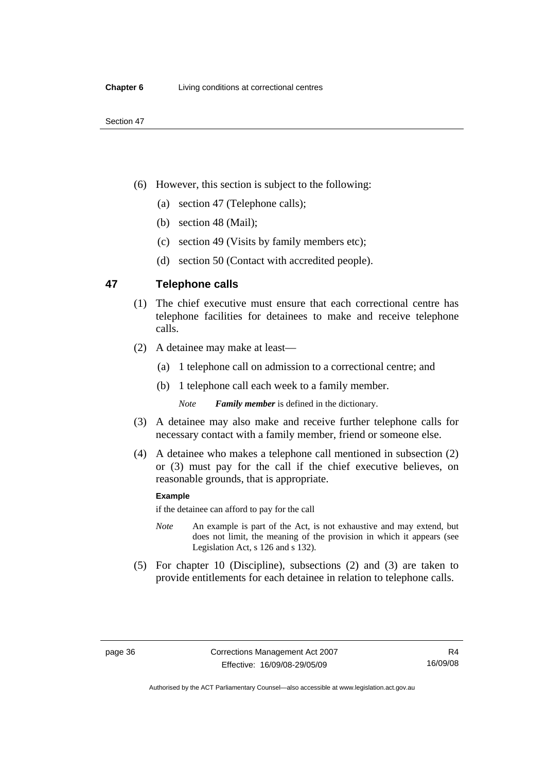- (6) However, this section is subject to the following:
	- (a) section 47 (Telephone calls);
	- (b) section 48 (Mail);
	- (c) section 49 (Visits by family members etc);
	- (d) section 50 (Contact with accredited people).

## **47 Telephone calls**

- (1) The chief executive must ensure that each correctional centre has telephone facilities for detainees to make and receive telephone calls.
- (2) A detainee may make at least—
	- (a) 1 telephone call on admission to a correctional centre; and
	- (b) 1 telephone call each week to a family member.

*Note Family member* is defined in the dictionary.

- (3) A detainee may also make and receive further telephone calls for necessary contact with a family member, friend or someone else.
- (4) A detainee who makes a telephone call mentioned in subsection (2) or (3) must pay for the call if the chief executive believes, on reasonable grounds, that is appropriate.

#### **Example**

if the detainee can afford to pay for the call

- *Note* An example is part of the Act, is not exhaustive and may extend, but does not limit, the meaning of the provision in which it appears (see Legislation Act, s 126 and s 132).
- (5) For chapter 10 (Discipline), subsections (2) and (3) are taken to provide entitlements for each detainee in relation to telephone calls.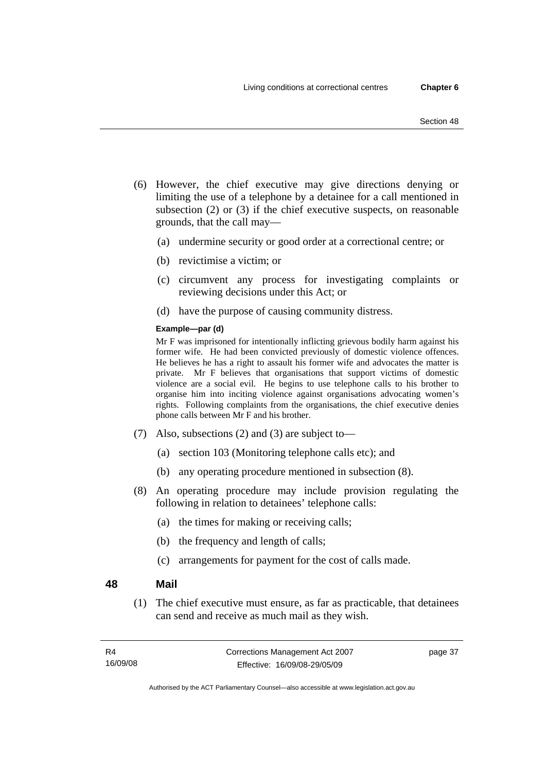- (6) However, the chief executive may give directions denying or limiting the use of a telephone by a detainee for a call mentioned in subsection (2) or (3) if the chief executive suspects, on reasonable grounds, that the call may—
	- (a) undermine security or good order at a correctional centre; or
	- (b) revictimise a victim; or
	- (c) circumvent any process for investigating complaints or reviewing decisions under this Act; or
	- (d) have the purpose of causing community distress.

#### **Example—par (d)**

Mr F was imprisoned for intentionally inflicting grievous bodily harm against his former wife. He had been convicted previously of domestic violence offences. He believes he has a right to assault his former wife and advocates the matter is private. Mr F believes that organisations that support victims of domestic violence are a social evil. He begins to use telephone calls to his brother to organise him into inciting violence against organisations advocating women's rights. Following complaints from the organisations, the chief executive denies phone calls between Mr F and his brother.

- (7) Also, subsections (2) and (3) are subject to—
	- (a) section 103 (Monitoring telephone calls etc); and
	- (b) any operating procedure mentioned in subsection (8).
- (8) An operating procedure may include provision regulating the following in relation to detainees' telephone calls:
	- (a) the times for making or receiving calls;
	- (b) the frequency and length of calls;
	- (c) arrangements for payment for the cost of calls made.

## **48 Mail**

 (1) The chief executive must ensure, as far as practicable, that detainees can send and receive as much mail as they wish.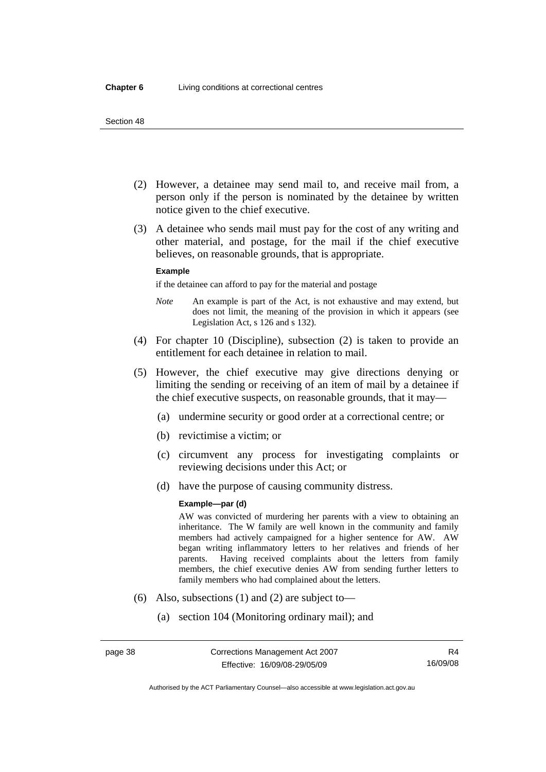#### Section 48

- (2) However, a detainee may send mail to, and receive mail from, a person only if the person is nominated by the detainee by written notice given to the chief executive.
- (3) A detainee who sends mail must pay for the cost of any writing and other material, and postage, for the mail if the chief executive believes, on reasonable grounds, that is appropriate.

#### **Example**

if the detainee can afford to pay for the material and postage

- *Note* An example is part of the Act, is not exhaustive and may extend, but does not limit, the meaning of the provision in which it appears (see Legislation Act, s 126 and s 132).
- (4) For chapter 10 (Discipline), subsection (2) is taken to provide an entitlement for each detainee in relation to mail.
- (5) However, the chief executive may give directions denying or limiting the sending or receiving of an item of mail by a detainee if the chief executive suspects, on reasonable grounds, that it may—
	- (a) undermine security or good order at a correctional centre; or
	- (b) revictimise a victim; or
	- (c) circumvent any process for investigating complaints or reviewing decisions under this Act; or
	- (d) have the purpose of causing community distress.

#### **Example—par (d)**

AW was convicted of murdering her parents with a view to obtaining an inheritance. The W family are well known in the community and family members had actively campaigned for a higher sentence for AW. AW began writing inflammatory letters to her relatives and friends of her parents. Having received complaints about the letters from family members, the chief executive denies AW from sending further letters to family members who had complained about the letters.

- (6) Also, subsections (1) and (2) are subject to—
	- (a) section 104 (Monitoring ordinary mail); and

R4 16/09/08

Authorised by the ACT Parliamentary Counsel—also accessible at www.legislation.act.gov.au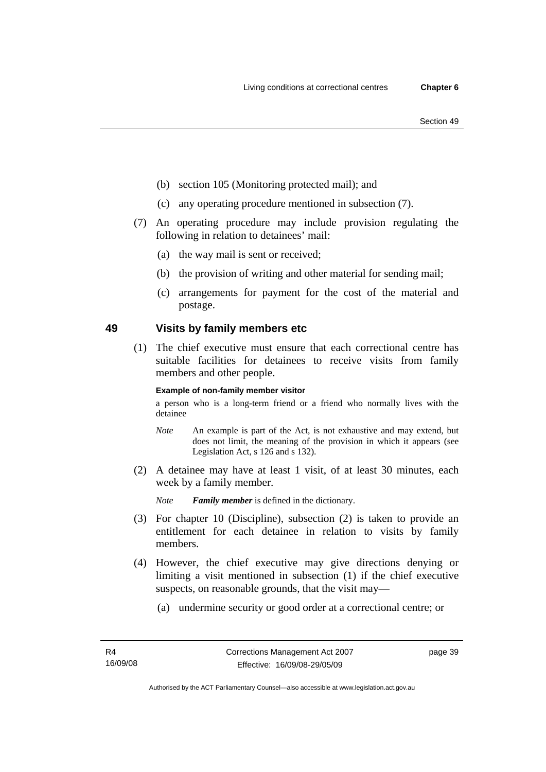- Section 49
- (b) section 105 (Monitoring protected mail); and
- (c) any operating procedure mentioned in subsection (7).
- (7) An operating procedure may include provision regulating the following in relation to detainees' mail:
	- (a) the way mail is sent or received;
	- (b) the provision of writing and other material for sending mail;
	- (c) arrangements for payment for the cost of the material and postage.

# **49 Visits by family members etc**

 (1) The chief executive must ensure that each correctional centre has suitable facilities for detainees to receive visits from family members and other people.

#### **Example of non-family member visitor**

a person who is a long-term friend or a friend who normally lives with the detainee

- *Note* An example is part of the Act, is not exhaustive and may extend, but does not limit, the meaning of the provision in which it appears (see Legislation Act, s 126 and s 132).
- (2) A detainee may have at least 1 visit, of at least 30 minutes, each week by a family member.

*Note Family member* is defined in the dictionary.

- (3) For chapter 10 (Discipline), subsection (2) is taken to provide an entitlement for each detainee in relation to visits by family members.
- (4) However, the chief executive may give directions denying or limiting a visit mentioned in subsection (1) if the chief executive suspects, on reasonable grounds, that the visit may—
	- (a) undermine security or good order at a correctional centre; or

page 39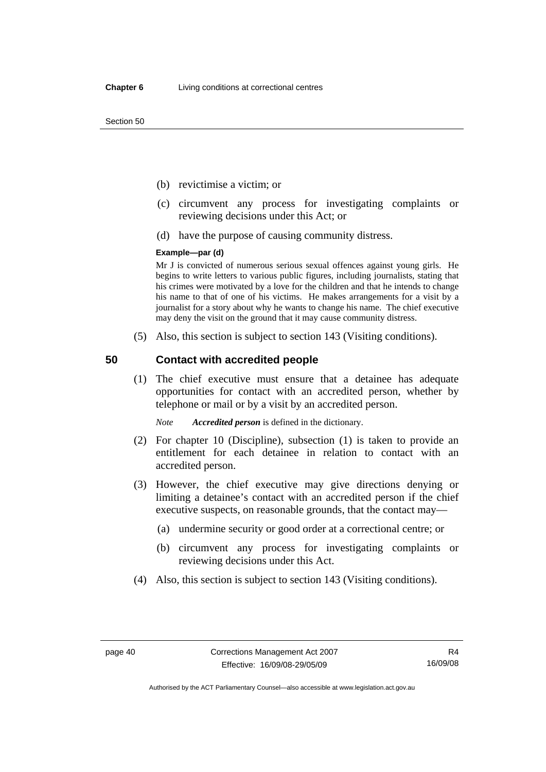Section 50

- (b) revictimise a victim; or
- (c) circumvent any process for investigating complaints or reviewing decisions under this Act; or
- (d) have the purpose of causing community distress.

#### **Example—par (d)**

Mr J is convicted of numerous serious sexual offences against young girls. He begins to write letters to various public figures, including journalists, stating that his crimes were motivated by a love for the children and that he intends to change his name to that of one of his victims. He makes arrangements for a visit by a journalist for a story about why he wants to change his name. The chief executive may deny the visit on the ground that it may cause community distress.

(5) Also, this section is subject to section 143 (Visiting conditions).

## **50 Contact with accredited people**

 (1) The chief executive must ensure that a detainee has adequate opportunities for contact with an accredited person, whether by telephone or mail or by a visit by an accredited person.

*Note Accredited person* is defined in the dictionary.

- (2) For chapter 10 (Discipline), subsection (1) is taken to provide an entitlement for each detainee in relation to contact with an accredited person.
- (3) However, the chief executive may give directions denying or limiting a detainee's contact with an accredited person if the chief executive suspects, on reasonable grounds, that the contact may—
	- (a) undermine security or good order at a correctional centre; or
	- (b) circumvent any process for investigating complaints or reviewing decisions under this Act.
- (4) Also, this section is subject to section 143 (Visiting conditions).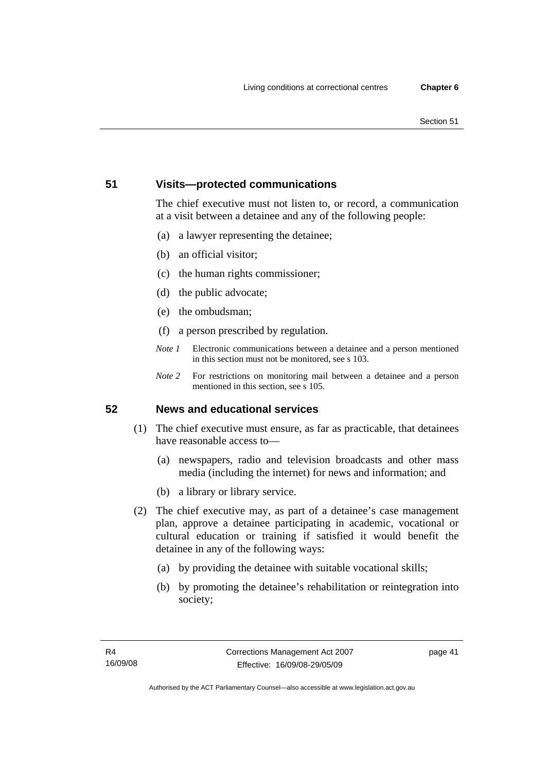# **51 Visits—protected communications**

The chief executive must not listen to, or record, a communication at a visit between a detainee and any of the following people:

- (a) a lawyer representing the detainee;
- (b) an official visitor;
- (c) the human rights commissioner;
- (d) the public advocate;
- (e) the ombudsman;
- (f) a person prescribed by regulation.
- *Note 1* Electronic communications between a detainee and a person mentioned in this section must not be monitored, see s 103.
- *Note 2* For restrictions on monitoring mail between a detainee and a person mentioned in this section, see s 105.

# **52 News and educational services**

- (1) The chief executive must ensure, as far as practicable, that detainees have reasonable access to—
	- (a) newspapers, radio and television broadcasts and other mass media (including the internet) for news and information; and
	- (b) a library or library service.
- (2) The chief executive may, as part of a detainee's case management plan, approve a detainee participating in academic, vocational or cultural education or training if satisfied it would benefit the detainee in any of the following ways:
	- (a) by providing the detainee with suitable vocational skills;
	- (b) by promoting the detainee's rehabilitation or reintegration into society;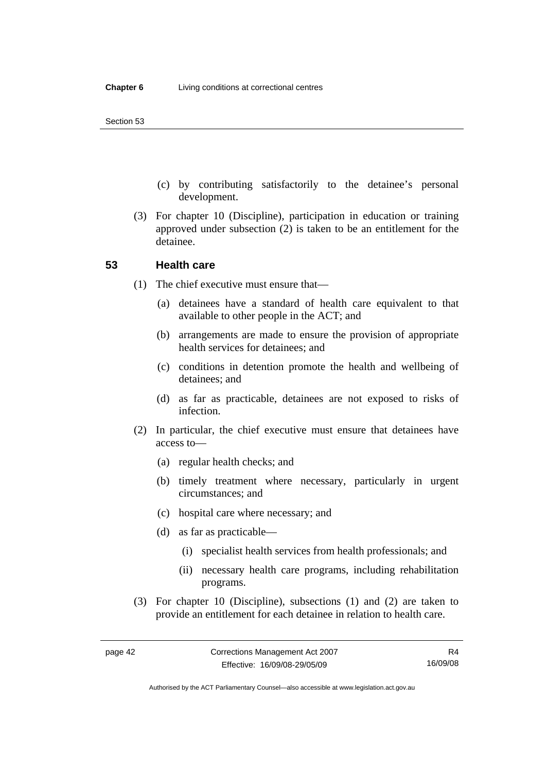- (c) by contributing satisfactorily to the detainee's personal development.
- (3) For chapter 10 (Discipline), participation in education or training approved under subsection (2) is taken to be an entitlement for the detainee.

#### **53 Health care**

- (1) The chief executive must ensure that—
	- (a) detainees have a standard of health care equivalent to that available to other people in the ACT; and
	- (b) arrangements are made to ensure the provision of appropriate health services for detainees; and
	- (c) conditions in detention promote the health and wellbeing of detainees; and
	- (d) as far as practicable, detainees are not exposed to risks of infection.
- (2) In particular, the chief executive must ensure that detainees have access to—
	- (a) regular health checks; and
	- (b) timely treatment where necessary, particularly in urgent circumstances; and
	- (c) hospital care where necessary; and
	- (d) as far as practicable—
		- (i) specialist health services from health professionals; and
		- (ii) necessary health care programs, including rehabilitation programs.
- (3) For chapter 10 (Discipline), subsections (1) and (2) are taken to provide an entitlement for each detainee in relation to health care.

Authorised by the ACT Parliamentary Counsel—also accessible at www.legislation.act.gov.au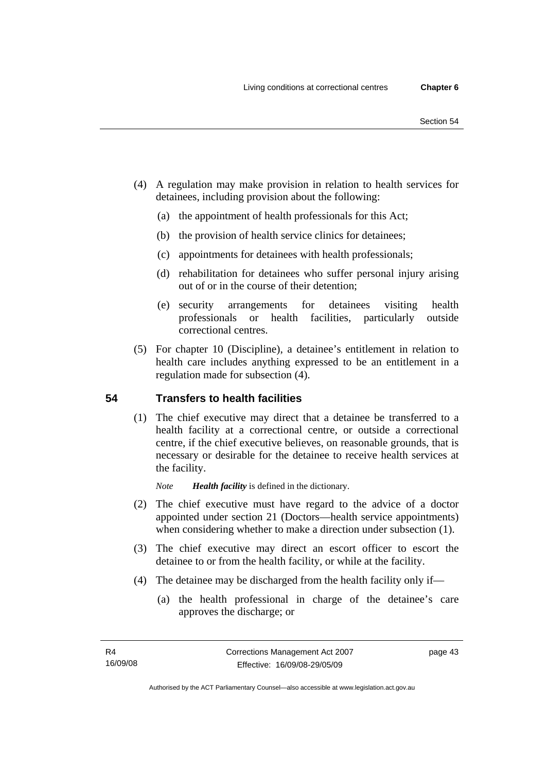- (4) A regulation may make provision in relation to health services for detainees, including provision about the following:
	- (a) the appointment of health professionals for this Act;
	- (b) the provision of health service clinics for detainees;
	- (c) appointments for detainees with health professionals;
	- (d) rehabilitation for detainees who suffer personal injury arising out of or in the course of their detention;
	- (e) security arrangements for detainees visiting health professionals or health facilities, particularly outside correctional centres.
- (5) For chapter 10 (Discipline), a detainee's entitlement in relation to health care includes anything expressed to be an entitlement in a regulation made for subsection (4).

# **54 Transfers to health facilities**

 (1) The chief executive may direct that a detainee be transferred to a health facility at a correctional centre, or outside a correctional centre, if the chief executive believes, on reasonable grounds, that is necessary or desirable for the detainee to receive health services at the facility.

*Note Health facility* is defined in the dictionary.

- (2) The chief executive must have regard to the advice of a doctor appointed under section 21 (Doctors—health service appointments) when considering whether to make a direction under subsection (1).
- (3) The chief executive may direct an escort officer to escort the detainee to or from the health facility, or while at the facility.
- (4) The detainee may be discharged from the health facility only if—
	- (a) the health professional in charge of the detainee's care approves the discharge; or

page 43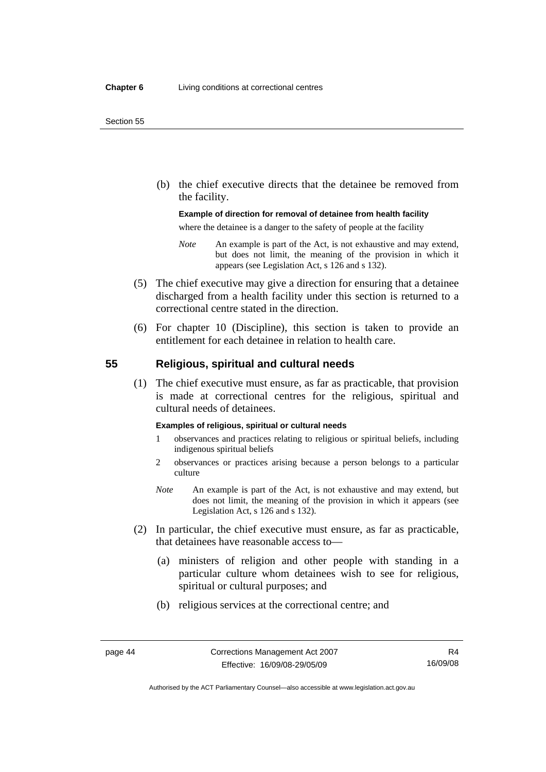#### Section 55

 (b) the chief executive directs that the detainee be removed from the facility.

#### **Example of direction for removal of detainee from health facility**

where the detainee is a danger to the safety of people at the facility

- *Note* An example is part of the Act, is not exhaustive and may extend, but does not limit, the meaning of the provision in which it appears (see Legislation Act, s 126 and s 132).
- (5) The chief executive may give a direction for ensuring that a detainee discharged from a health facility under this section is returned to a correctional centre stated in the direction.
- (6) For chapter 10 (Discipline), this section is taken to provide an entitlement for each detainee in relation to health care.

## **55 Religious, spiritual and cultural needs**

 (1) The chief executive must ensure, as far as practicable, that provision is made at correctional centres for the religious, spiritual and cultural needs of detainees.

#### **Examples of religious, spiritual or cultural needs**

- 1 observances and practices relating to religious or spiritual beliefs, including indigenous spiritual beliefs
- 2 observances or practices arising because a person belongs to a particular culture
- *Note* An example is part of the Act, is not exhaustive and may extend, but does not limit, the meaning of the provision in which it appears (see Legislation Act, s 126 and s 132).
- (2) In particular, the chief executive must ensure, as far as practicable, that detainees have reasonable access to—
	- (a) ministers of religion and other people with standing in a particular culture whom detainees wish to see for religious, spiritual or cultural purposes; and
	- (b) religious services at the correctional centre; and

Authorised by the ACT Parliamentary Counsel—also accessible at www.legislation.act.gov.au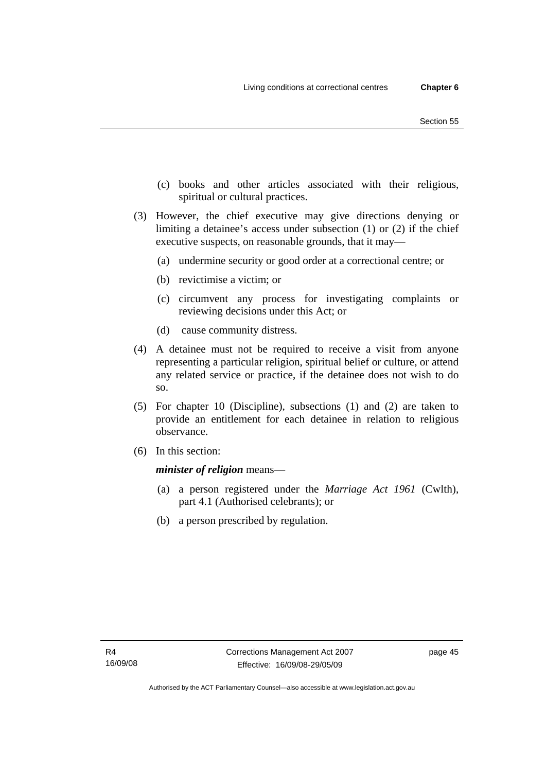- (c) books and other articles associated with their religious, spiritual or cultural practices.
- (3) However, the chief executive may give directions denying or limiting a detainee's access under subsection (1) or (2) if the chief executive suspects, on reasonable grounds, that it may—
	- (a) undermine security or good order at a correctional centre; or
	- (b) revictimise a victim; or
	- (c) circumvent any process for investigating complaints or reviewing decisions under this Act; or
	- (d) cause community distress.
- (4) A detainee must not be required to receive a visit from anyone representing a particular religion, spiritual belief or culture, or attend any related service or practice, if the detainee does not wish to do so.
- (5) For chapter 10 (Discipline), subsections (1) and (2) are taken to provide an entitlement for each detainee in relation to religious observance.
- (6) In this section:

*minister of religion* means—

- (a) a person registered under the *Marriage Act 1961* (Cwlth), part 4.1 (Authorised celebrants); or
- (b) a person prescribed by regulation.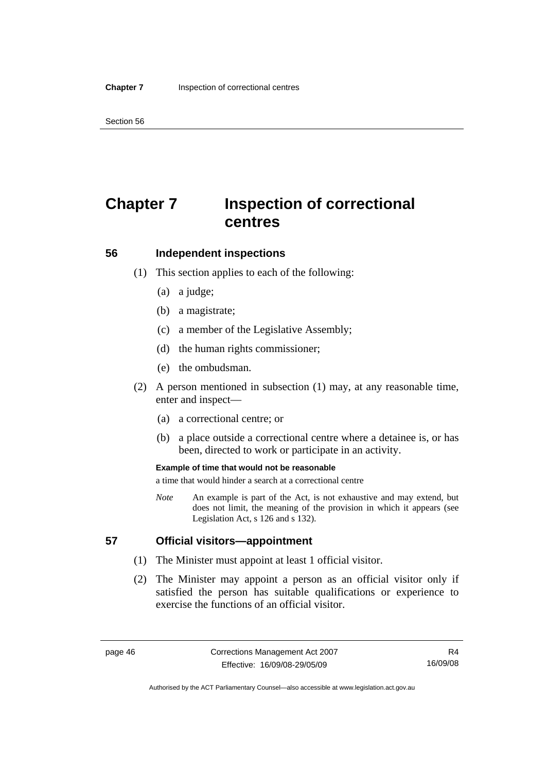Section 56

# **Chapter 7 Inspection of correctional centres**

# **56 Independent inspections**

- (1) This section applies to each of the following:
	- (a) a judge;
	- (b) a magistrate;
	- (c) a member of the Legislative Assembly;
	- (d) the human rights commissioner;
	- (e) the ombudsman.
- (2) A person mentioned in subsection (1) may, at any reasonable time, enter and inspect—
	- (a) a correctional centre; or
	- (b) a place outside a correctional centre where a detainee is, or has been, directed to work or participate in an activity.

#### **Example of time that would not be reasonable**

a time that would hinder a search at a correctional centre

*Note* An example is part of the Act, is not exhaustive and may extend, but does not limit, the meaning of the provision in which it appears (see Legislation Act, s 126 and s 132).

## **57 Official visitors—appointment**

- (1) The Minister must appoint at least 1 official visitor.
- (2) The Minister may appoint a person as an official visitor only if satisfied the person has suitable qualifications or experience to exercise the functions of an official visitor.

R4 16/09/08

Authorised by the ACT Parliamentary Counsel—also accessible at www.legislation.act.gov.au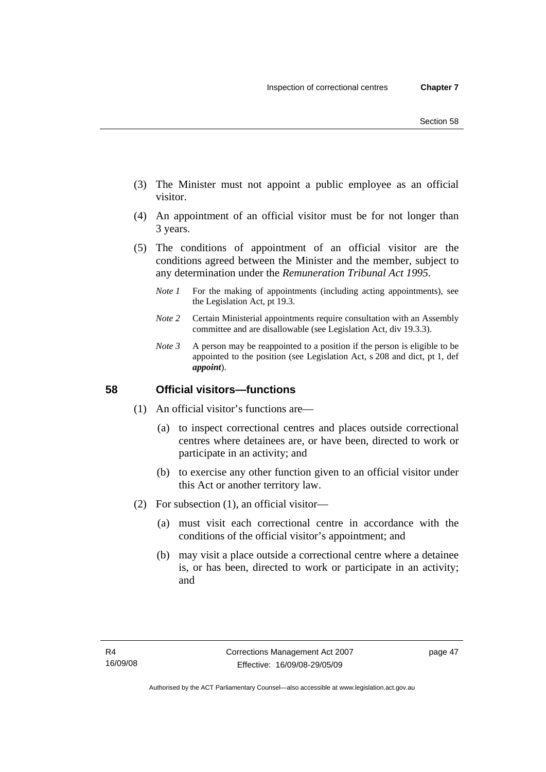- (3) The Minister must not appoint a public employee as an official visitor.
- (4) An appointment of an official visitor must be for not longer than 3 years.
- (5) The conditions of appointment of an official visitor are the conditions agreed between the Minister and the member, subject to any determination under the *Remuneration Tribunal Act 1995*.
	- *Note 1* For the making of appointments (including acting appointments), see the Legislation Act, pt 19.3.
	- *Note 2* Certain Ministerial appointments require consultation with an Assembly committee and are disallowable (see Legislation Act, div 19.3.3).
	- *Note 3* A person may be reappointed to a position if the person is eligible to be appointed to the position (see Legislation Act, s 208 and dict, pt 1, def *appoint*).

# **58 Official visitors—functions**

- (1) An official visitor's functions are—
	- (a) to inspect correctional centres and places outside correctional centres where detainees are, or have been, directed to work or participate in an activity; and
	- (b) to exercise any other function given to an official visitor under this Act or another territory law.
- (2) For subsection (1), an official visitor—
	- (a) must visit each correctional centre in accordance with the conditions of the official visitor's appointment; and
	- (b) may visit a place outside a correctional centre where a detainee is, or has been, directed to work or participate in an activity; and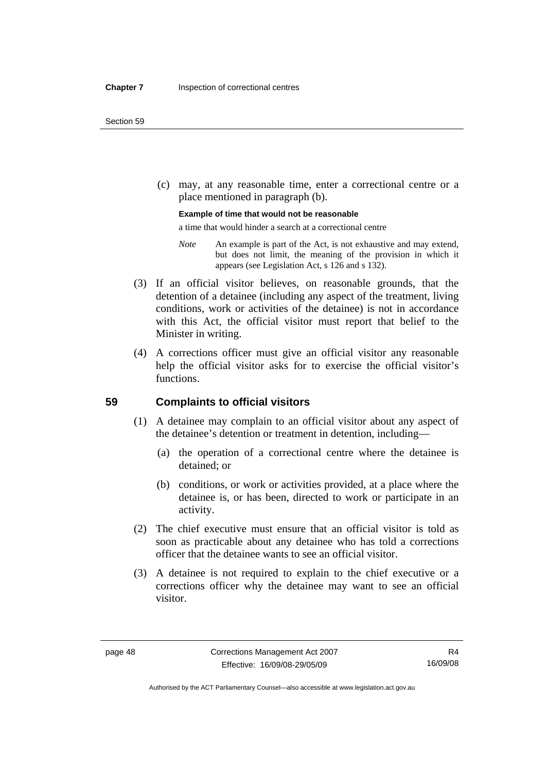(c) may, at any reasonable time, enter a correctional centre or a place mentioned in paragraph (b).

#### **Example of time that would not be reasonable**

a time that would hinder a search at a correctional centre

- *Note* An example is part of the Act, is not exhaustive and may extend, but does not limit, the meaning of the provision in which it appears (see Legislation Act, s 126 and s 132).
- (3) If an official visitor believes, on reasonable grounds, that the detention of a detainee (including any aspect of the treatment, living conditions, work or activities of the detainee) is not in accordance with this Act, the official visitor must report that belief to the Minister in writing.
- (4) A corrections officer must give an official visitor any reasonable help the official visitor asks for to exercise the official visitor's functions.

## **59 Complaints to official visitors**

- (1) A detainee may complain to an official visitor about any aspect of the detainee's detention or treatment in detention, including—
	- (a) the operation of a correctional centre where the detainee is detained; or
	- (b) conditions, or work or activities provided, at a place where the detainee is, or has been, directed to work or participate in an activity.
- (2) The chief executive must ensure that an official visitor is told as soon as practicable about any detainee who has told a corrections officer that the detainee wants to see an official visitor.
- (3) A detainee is not required to explain to the chief executive or a corrections officer why the detainee may want to see an official visitor.

Authorised by the ACT Parliamentary Counsel—also accessible at www.legislation.act.gov.au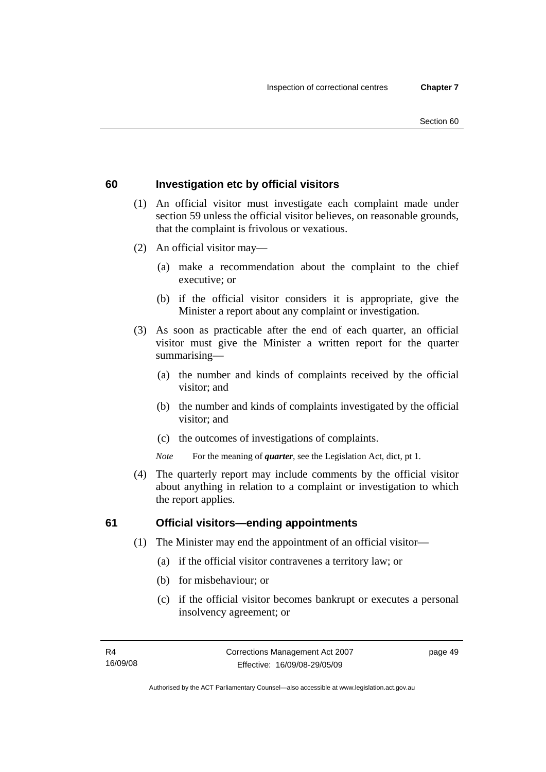#### Section 60

## **60 Investigation etc by official visitors**

- (1) An official visitor must investigate each complaint made under section 59 unless the official visitor believes, on reasonable grounds, that the complaint is frivolous or vexatious.
- (2) An official visitor may—
	- (a) make a recommendation about the complaint to the chief executive; or
	- (b) if the official visitor considers it is appropriate, give the Minister a report about any complaint or investigation.
- (3) As soon as practicable after the end of each quarter, an official visitor must give the Minister a written report for the quarter summarising—
	- (a) the number and kinds of complaints received by the official visitor; and
	- (b) the number and kinds of complaints investigated by the official visitor; and
	- (c) the outcomes of investigations of complaints.
	- *Note* For the meaning of *quarter*, see the Legislation Act, dict, pt 1.
- (4) The quarterly report may include comments by the official visitor about anything in relation to a complaint or investigation to which the report applies.

#### **61 Official visitors—ending appointments**

- (1) The Minister may end the appointment of an official visitor—
	- (a) if the official visitor contravenes a territory law; or
	- (b) for misbehaviour; or
	- (c) if the official visitor becomes bankrupt or executes a personal insolvency agreement; or

page 49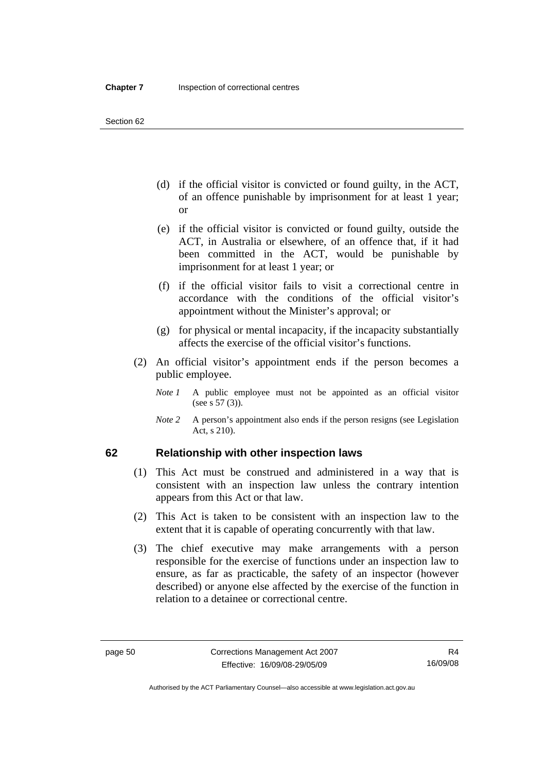- (d) if the official visitor is convicted or found guilty, in the ACT, of an offence punishable by imprisonment for at least 1 year; or
- (e) if the official visitor is convicted or found guilty, outside the ACT, in Australia or elsewhere, of an offence that, if it had been committed in the ACT, would be punishable by imprisonment for at least 1 year; or
- (f) if the official visitor fails to visit a correctional centre in accordance with the conditions of the official visitor's appointment without the Minister's approval; or
- (g) for physical or mental incapacity, if the incapacity substantially affects the exercise of the official visitor's functions.
- (2) An official visitor's appointment ends if the person becomes a public employee.
	- *Note 1* A public employee must not be appointed as an official visitor (see s 57 (3)).
	- *Note 2* A person's appointment also ends if the person resigns (see Legislation Act, s 210).

## **62 Relationship with other inspection laws**

- (1) This Act must be construed and administered in a way that is consistent with an inspection law unless the contrary intention appears from this Act or that law.
- (2) This Act is taken to be consistent with an inspection law to the extent that it is capable of operating concurrently with that law.
- (3) The chief executive may make arrangements with a person responsible for the exercise of functions under an inspection law to ensure, as far as practicable, the safety of an inspector (however described) or anyone else affected by the exercise of the function in relation to a detainee or correctional centre.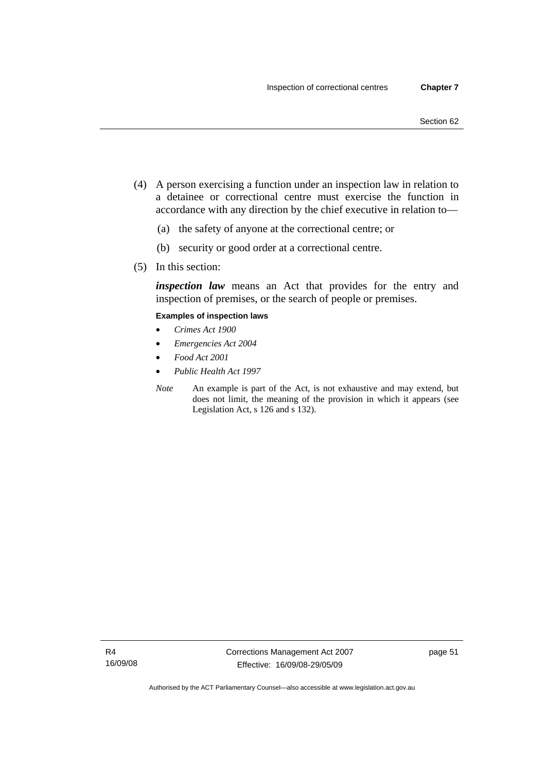- (4) A person exercising a function under an inspection law in relation to a detainee or correctional centre must exercise the function in accordance with any direction by the chief executive in relation to—
	- (a) the safety of anyone at the correctional centre; or
	- (b) security or good order at a correctional centre.
- (5) In this section:

*inspection law* means an Act that provides for the entry and inspection of premises, or the search of people or premises.

#### **Examples of inspection laws**

- *Crimes Act 1900*
- *Emergencies Act 2004*
- *Food Act 2001*
- *Public Health Act 1997*
- *Note* An example is part of the Act, is not exhaustive and may extend, but does not limit, the meaning of the provision in which it appears (see Legislation Act, s 126 and s 132).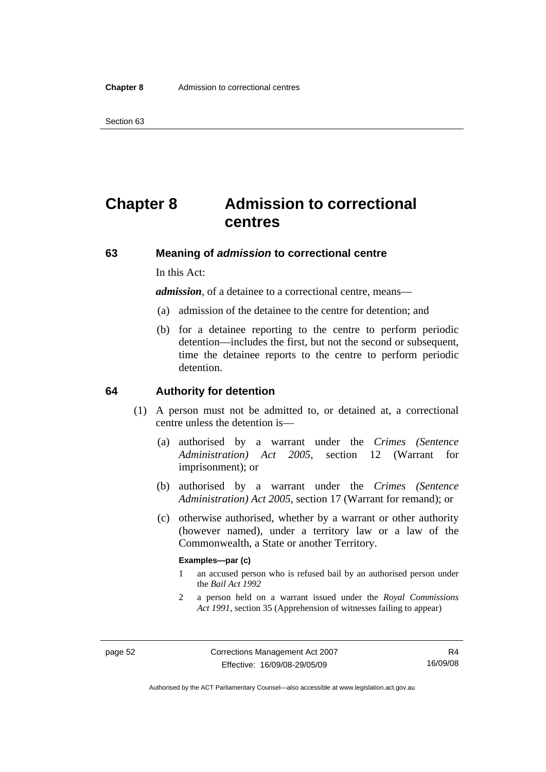# **Chapter 8 Admission to correctional centres**

## **63 Meaning of** *admission* **to correctional centre**

In this Act:

*admission,* of a detainee to a correctional centre, means—

- (a) admission of the detainee to the centre for detention; and
- (b) for a detainee reporting to the centre to perform periodic detention—includes the first, but not the second or subsequent, time the detainee reports to the centre to perform periodic detention.

#### **64 Authority for detention**

- (1) A person must not be admitted to, or detained at, a correctional centre unless the detention is—
	- (a) authorised by a warrant under the *Crimes (Sentence Administration) Act 2005*, section 12 (Warrant for imprisonment); or
	- (b) authorised by a warrant under the *Crimes (Sentence Administration) Act 2005*, section 17 (Warrant for remand); or
	- (c) otherwise authorised, whether by a warrant or other authority (however named), under a territory law or a law of the Commonwealth, a State or another Territory.

#### **Examples—par (c)**

- 1 an accused person who is refused bail by an authorised person under the *Bail Act 1992*
- 2 a person held on a warrant issued under the *Royal Commissions Act 1991*, section 35 (Apprehension of witnesses failing to appear)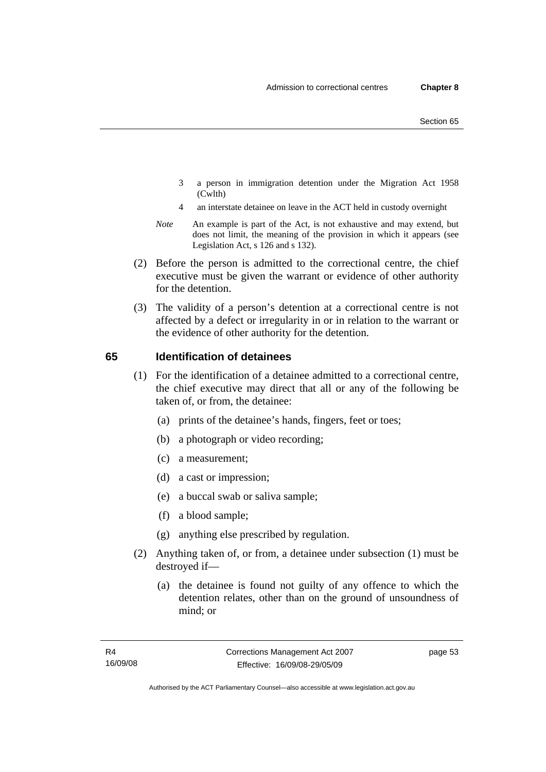- 3 a person in immigration detention under the Migration Act 1958 (Cwlth)
- 4 an interstate detainee on leave in the ACT held in custody overnight
- *Note* An example is part of the Act, is not exhaustive and may extend, but does not limit, the meaning of the provision in which it appears (see Legislation Act, s 126 and s 132).
- (2) Before the person is admitted to the correctional centre, the chief executive must be given the warrant or evidence of other authority for the detention.
- (3) The validity of a person's detention at a correctional centre is not affected by a defect or irregularity in or in relation to the warrant or the evidence of other authority for the detention.

# **65 Identification of detainees**

- (1) For the identification of a detainee admitted to a correctional centre, the chief executive may direct that all or any of the following be taken of, or from, the detainee:
	- (a) prints of the detainee's hands, fingers, feet or toes;
	- (b) a photograph or video recording;
	- (c) a measurement;
	- (d) a cast or impression;
	- (e) a buccal swab or saliva sample;
	- (f) a blood sample;
	- (g) anything else prescribed by regulation.
- (2) Anything taken of, or from, a detainee under subsection (1) must be destroyed if—
	- (a) the detainee is found not guilty of any offence to which the detention relates, other than on the ground of unsoundness of mind; or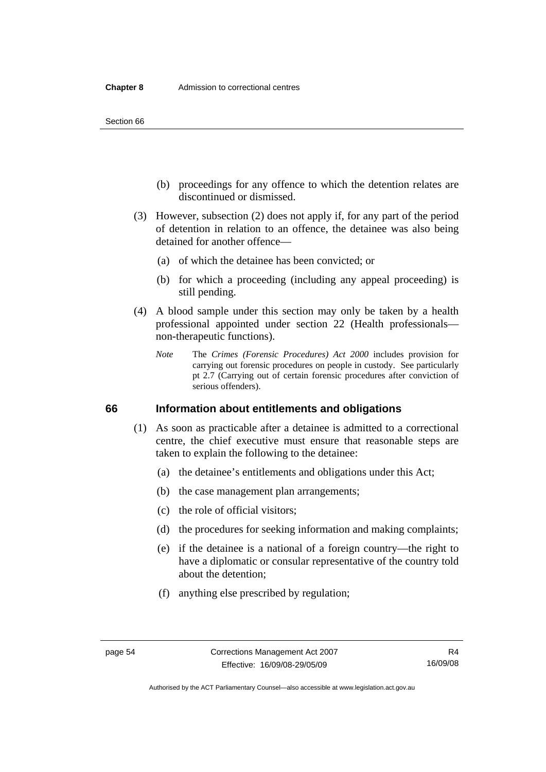Section 66

- (b) proceedings for any offence to which the detention relates are discontinued or dismissed.
- (3) However, subsection (2) does not apply if, for any part of the period of detention in relation to an offence, the detainee was also being detained for another offence—
	- (a) of which the detainee has been convicted; or
	- (b) for which a proceeding (including any appeal proceeding) is still pending.
- (4) A blood sample under this section may only be taken by a health professional appointed under section 22 (Health professionals non-therapeutic functions).
	- *Note* The *Crimes (Forensic Procedures) Act 2000* includes provision for carrying out forensic procedures on people in custody. See particularly pt 2.7 (Carrying out of certain forensic procedures after conviction of serious offenders).

#### **66 Information about entitlements and obligations**

- (1) As soon as practicable after a detainee is admitted to a correctional centre, the chief executive must ensure that reasonable steps are taken to explain the following to the detainee:
	- (a) the detainee's entitlements and obligations under this Act;
	- (b) the case management plan arrangements;
	- (c) the role of official visitors;
	- (d) the procedures for seeking information and making complaints;
	- (e) if the detainee is a national of a foreign country—the right to have a diplomatic or consular representative of the country told about the detention;
	- (f) anything else prescribed by regulation;

Authorised by the ACT Parliamentary Counsel—also accessible at www.legislation.act.gov.au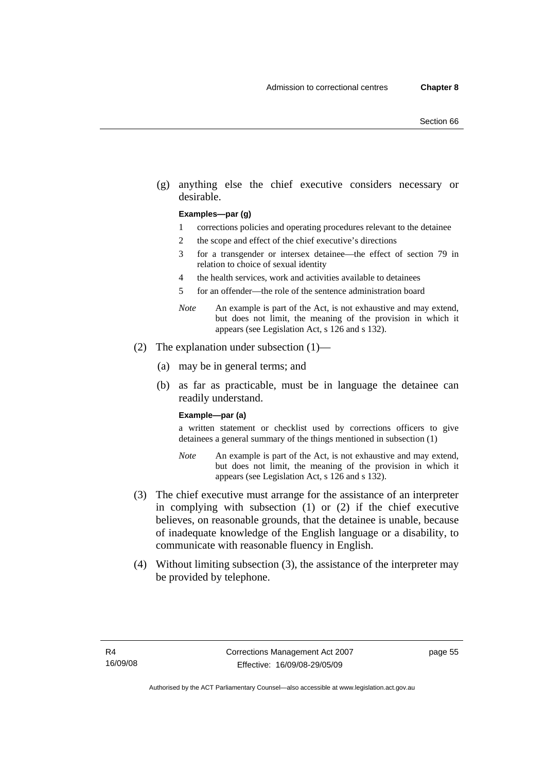(g) anything else the chief executive considers necessary or desirable.

#### **Examples—par (g)**

- 1 corrections policies and operating procedures relevant to the detainee
- 2 the scope and effect of the chief executive's directions
- 3 for a transgender or intersex detainee—the effect of section 79 in relation to choice of sexual identity
- 4 the health services, work and activities available to detainees
- 5 for an offender—the role of the sentence administration board
- *Note* An example is part of the Act, is not exhaustive and may extend, but does not limit, the meaning of the provision in which it appears (see Legislation Act, s 126 and s 132).
- (2) The explanation under subsection (1)—
	- (a) may be in general terms; and
	- (b) as far as practicable, must be in language the detainee can readily understand.

#### **Example—par (a)**

a written statement or checklist used by corrections officers to give detainees a general summary of the things mentioned in subsection (1)

- *Note* An example is part of the Act, is not exhaustive and may extend, but does not limit, the meaning of the provision in which it appears (see Legislation Act, s 126 and s 132).
- (3) The chief executive must arrange for the assistance of an interpreter in complying with subsection (1) or (2) if the chief executive believes, on reasonable grounds, that the detainee is unable, because of inadequate knowledge of the English language or a disability, to communicate with reasonable fluency in English.
- (4) Without limiting subsection (3), the assistance of the interpreter may be provided by telephone.

page 55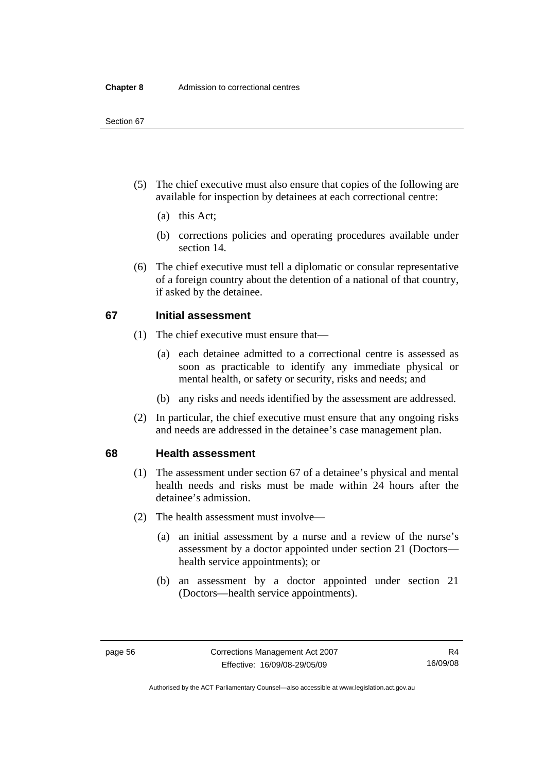- (5) The chief executive must also ensure that copies of the following are available for inspection by detainees at each correctional centre:
	- (a) this Act;
	- (b) corrections policies and operating procedures available under section 14.
- (6) The chief executive must tell a diplomatic or consular representative of a foreign country about the detention of a national of that country, if asked by the detainee.

## **67 Initial assessment**

- (1) The chief executive must ensure that—
	- (a) each detainee admitted to a correctional centre is assessed as soon as practicable to identify any immediate physical or mental health, or safety or security, risks and needs; and
	- (b) any risks and needs identified by the assessment are addressed.
- (2) In particular, the chief executive must ensure that any ongoing risks and needs are addressed in the detainee's case management plan.

#### **68 Health assessment**

- (1) The assessment under section 67 of a detainee's physical and mental health needs and risks must be made within 24 hours after the detainee's admission.
- (2) The health assessment must involve—
	- (a) an initial assessment by a nurse and a review of the nurse's assessment by a doctor appointed under section 21 (Doctors health service appointments); or
	- (b) an assessment by a doctor appointed under section 21 (Doctors—health service appointments).

Authorised by the ACT Parliamentary Counsel—also accessible at www.legislation.act.gov.au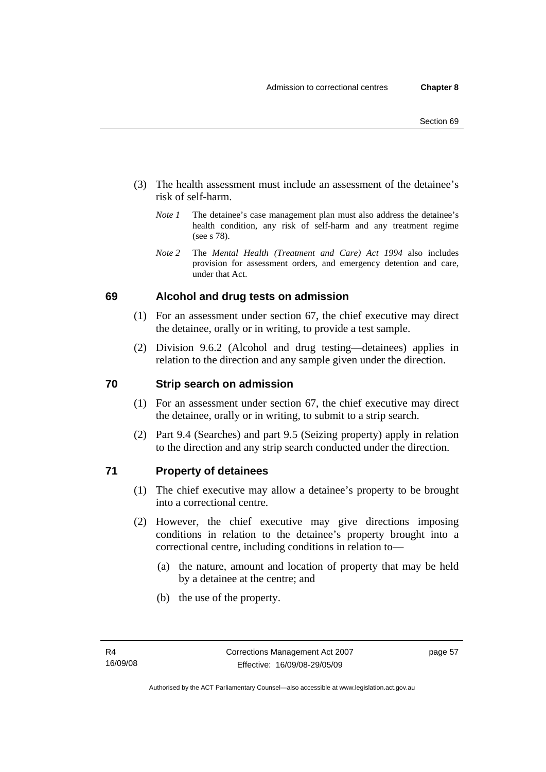- (3) The health assessment must include an assessment of the detainee's risk of self-harm.
	- *Note 1* The detainee's case management plan must also address the detainee's health condition, any risk of self-harm and any treatment regime (see s 78).
	- *Note 2* The *Mental Health (Treatment and Care) Act 1994* also includes provision for assessment orders, and emergency detention and care, under that Act.

# **69 Alcohol and drug tests on admission**

- (1) For an assessment under section 67, the chief executive may direct the detainee, orally or in writing, to provide a test sample.
- (2) Division 9.6.2 (Alcohol and drug testing—detainees) applies in relation to the direction and any sample given under the direction.

# **70 Strip search on admission**

- (1) For an assessment under section 67, the chief executive may direct the detainee, orally or in writing, to submit to a strip search.
- (2) Part 9.4 (Searches) and part 9.5 (Seizing property) apply in relation to the direction and any strip search conducted under the direction.

## **71 Property of detainees**

- (1) The chief executive may allow a detainee's property to be brought into a correctional centre.
- (2) However, the chief executive may give directions imposing conditions in relation to the detainee's property brought into a correctional centre, including conditions in relation to—
	- (a) the nature, amount and location of property that may be held by a detainee at the centre; and
	- (b) the use of the property.

page 57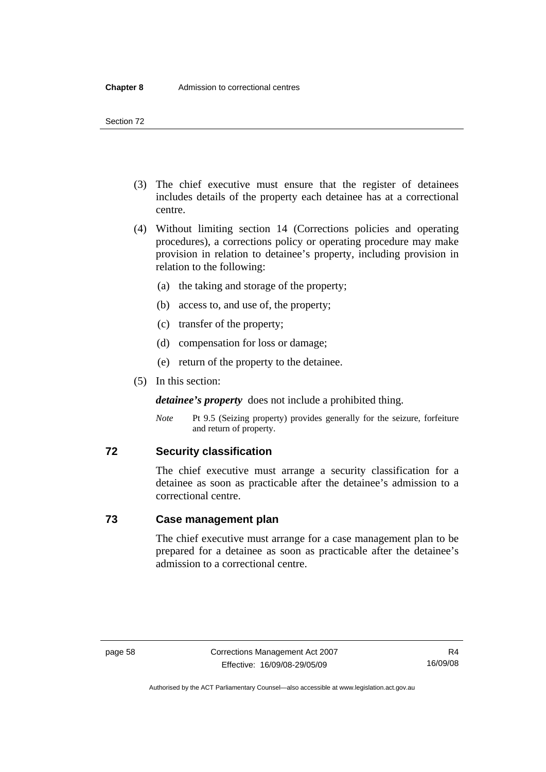- (3) The chief executive must ensure that the register of detainees includes details of the property each detainee has at a correctional centre.
- (4) Without limiting section 14 (Corrections policies and operating procedures), a corrections policy or operating procedure may make provision in relation to detainee's property, including provision in relation to the following:
	- (a) the taking and storage of the property;
	- (b) access to, and use of, the property;
	- (c) transfer of the property;
	- (d) compensation for loss or damage;
	- (e) return of the property to the detainee.
- (5) In this section:

*detainee's property* does not include a prohibited thing.

*Note* Pt 9.5 (Seizing property) provides generally for the seizure, forfeiture and return of property.

#### **72 Security classification**

The chief executive must arrange a security classification for a detainee as soon as practicable after the detainee's admission to a correctional centre.

## **73 Case management plan**

The chief executive must arrange for a case management plan to be prepared for a detainee as soon as practicable after the detainee's admission to a correctional centre.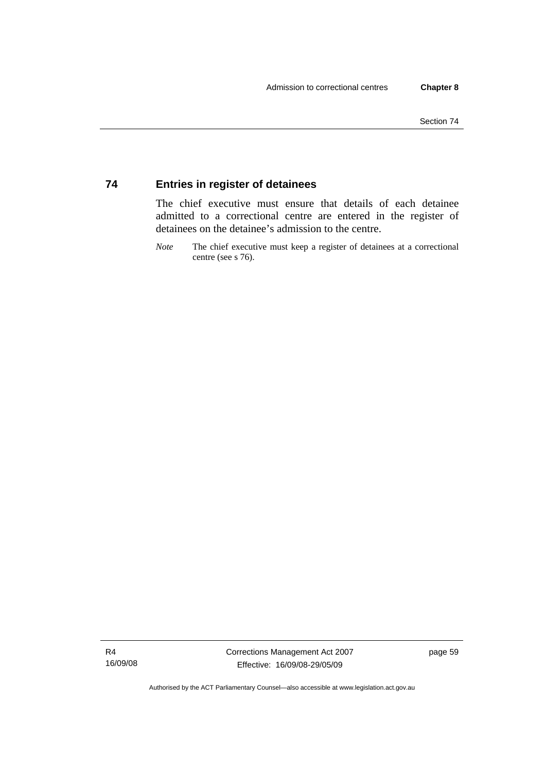## **74 Entries in register of detainees**

The chief executive must ensure that details of each detainee admitted to a correctional centre are entered in the register of detainees on the detainee's admission to the centre.

*Note* The chief executive must keep a register of detainees at a correctional centre (see s 76).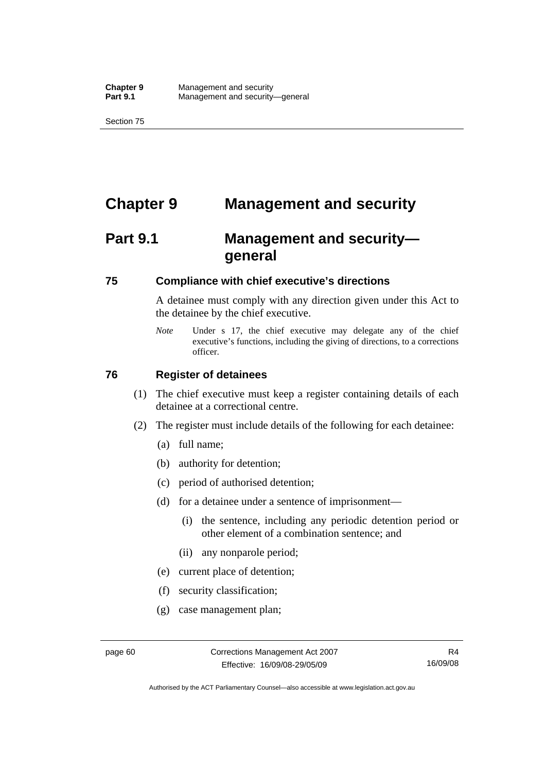# **Chapter 9 Management and security**

# **Part 9.1 Management and security general**

#### **75 Compliance with chief executive's directions**

A detainee must comply with any direction given under this Act to the detainee by the chief executive.

*Note* Under s 17, the chief executive may delegate any of the chief executive's functions, including the giving of directions, to a corrections officer.

#### **76 Register of detainees**

- (1) The chief executive must keep a register containing details of each detainee at a correctional centre.
- (2) The register must include details of the following for each detainee:
	- (a) full name;
	- (b) authority for detention;
	- (c) period of authorised detention;
	- (d) for a detainee under a sentence of imprisonment—
		- (i) the sentence, including any periodic detention period or other element of a combination sentence; and
		- (ii) any nonparole period;
	- (e) current place of detention;
	- (f) security classification;
	- (g) case management plan;

Authorised by the ACT Parliamentary Counsel—also accessible at www.legislation.act.gov.au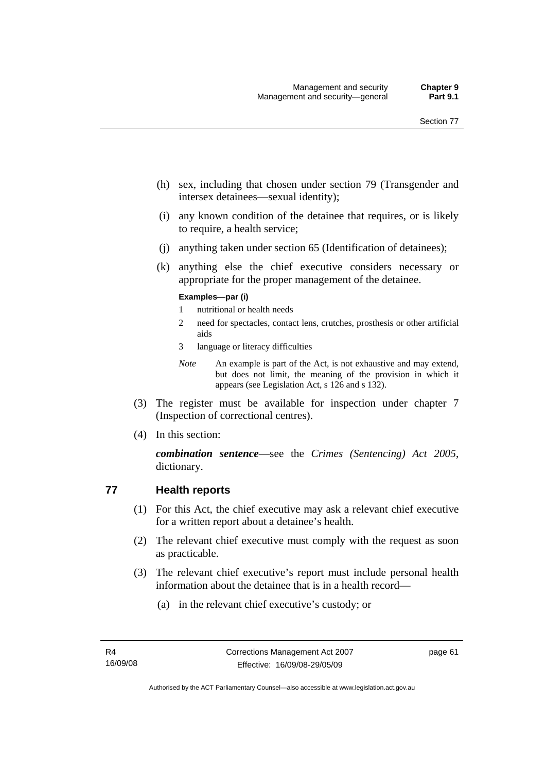- (h) sex, including that chosen under section 79 (Transgender and intersex detainees—sexual identity);
- (i) any known condition of the detainee that requires, or is likely to require, a health service;
- (j) anything taken under section 65 (Identification of detainees);
- (k) anything else the chief executive considers necessary or appropriate for the proper management of the detainee.

#### **Examples—par (i)**

- 1 nutritional or health needs
- 2 need for spectacles, contact lens, crutches, prosthesis or other artificial aids
- 3 language or literacy difficulties

*Note* An example is part of the Act, is not exhaustive and may extend, but does not limit, the meaning of the provision in which it appears (see Legislation Act, s 126 and s 132).

- (3) The register must be available for inspection under chapter 7 (Inspection of correctional centres).
- (4) In this section:

*combination sentence*—see the *Crimes (Sentencing) Act 2005*, dictionary.

#### **77 Health reports**

- (1) For this Act, the chief executive may ask a relevant chief executive for a written report about a detainee's health.
- (2) The relevant chief executive must comply with the request as soon as practicable.
- (3) The relevant chief executive's report must include personal health information about the detainee that is in a health record—
	- (a) in the relevant chief executive's custody; or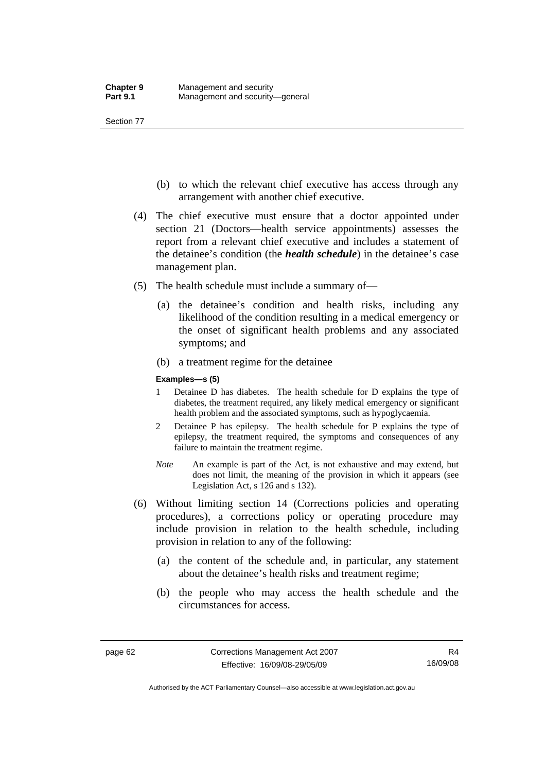- (b) to which the relevant chief executive has access through any arrangement with another chief executive.
- (4) The chief executive must ensure that a doctor appointed under section 21 (Doctors—health service appointments) assesses the report from a relevant chief executive and includes a statement of the detainee's condition (the *health schedule*) in the detainee's case management plan.
- (5) The health schedule must include a summary of—
	- (a) the detainee's condition and health risks, including any likelihood of the condition resulting in a medical emergency or the onset of significant health problems and any associated symptoms; and
	- (b) a treatment regime for the detainee

#### **Examples—s (5)**

- 1 Detainee D has diabetes. The health schedule for D explains the type of diabetes, the treatment required, any likely medical emergency or significant health problem and the associated symptoms, such as hypoglycaemia.
- 2 Detainee P has epilepsy. The health schedule for P explains the type of epilepsy, the treatment required, the symptoms and consequences of any failure to maintain the treatment regime.
- *Note* An example is part of the Act, is not exhaustive and may extend, but does not limit, the meaning of the provision in which it appears (see Legislation Act, s 126 and s 132).
- (6) Without limiting section 14 (Corrections policies and operating procedures), a corrections policy or operating procedure may include provision in relation to the health schedule, including provision in relation to any of the following:
	- (a) the content of the schedule and, in particular, any statement about the detainee's health risks and treatment regime;
	- (b) the people who may access the health schedule and the circumstances for access.

Authorised by the ACT Parliamentary Counsel—also accessible at www.legislation.act.gov.au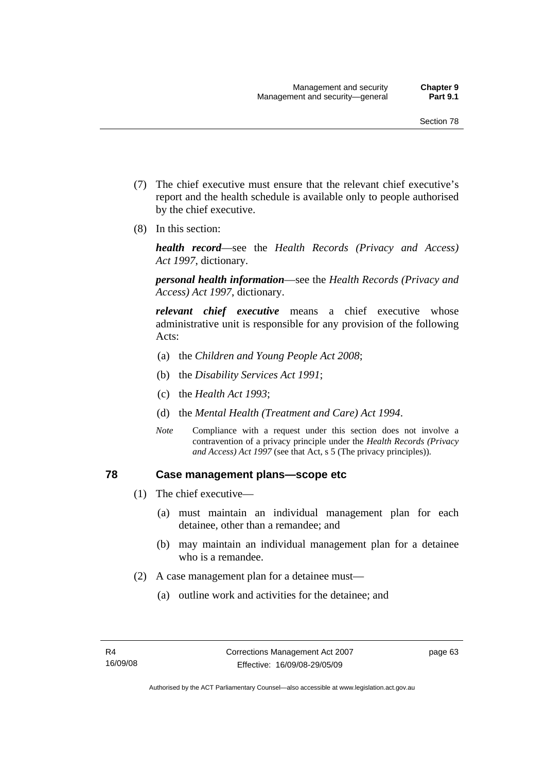- (7) The chief executive must ensure that the relevant chief executive's report and the health schedule is available only to people authorised by the chief executive.
- (8) In this section:

*health record*—see the *Health Records (Privacy and Access) Act 1997*, dictionary.

*personal health information*—see the *Health Records (Privacy and Access) Act 1997*, dictionary.

*relevant chief executive* means a chief executive whose administrative unit is responsible for any provision of the following Acts:

- (a) the *Children and Young People Act 2008*;
- (b) the *Disability Services Act 1991*;
- (c) the *Health Act 1993*;
- (d) the *Mental Health (Treatment and Care) Act 1994*.
- *Note* Compliance with a request under this section does not involve a contravention of a privacy principle under the *Health Records (Privacy and Access) Act 1997* (see that Act, s 5 (The privacy principles))*.*

#### **78 Case management plans—scope etc**

- (1) The chief executive—
	- (a) must maintain an individual management plan for each detainee, other than a remandee; and
	- (b) may maintain an individual management plan for a detainee who is a remandee.
- (2) A case management plan for a detainee must—
	- (a) outline work and activities for the detainee; and

page 63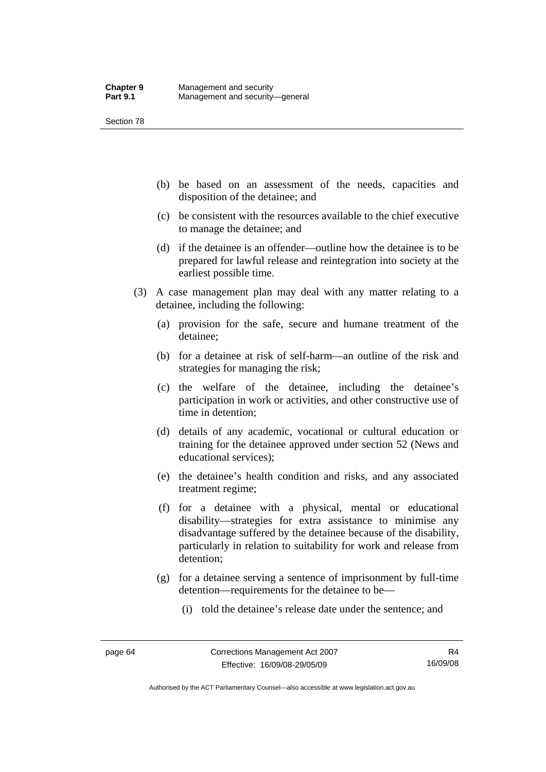- (b) be based on an assessment of the needs, capacities and disposition of the detainee; and
- (c) be consistent with the resources available to the chief executive to manage the detainee; and
- (d) if the detainee is an offender—outline how the detainee is to be prepared for lawful release and reintegration into society at the earliest possible time.
- (3) A case management plan may deal with any matter relating to a detainee, including the following:
	- (a) provision for the safe, secure and humane treatment of the detainee;
	- (b) for a detainee at risk of self-harm—an outline of the risk and strategies for managing the risk;
	- (c) the welfare of the detainee, including the detainee's participation in work or activities, and other constructive use of time in detention;
	- (d) details of any academic, vocational or cultural education or training for the detainee approved under section 52 (News and educational services);
	- (e) the detainee's health condition and risks, and any associated treatment regime;
	- (f) for a detainee with a physical, mental or educational disability—strategies for extra assistance to minimise any disadvantage suffered by the detainee because of the disability, particularly in relation to suitability for work and release from detention;
	- (g) for a detainee serving a sentence of imprisonment by full-time detention—requirements for the detainee to be—
		- (i) told the detainee's release date under the sentence; and

Authorised by the ACT Parliamentary Counsel—also accessible at www.legislation.act.gov.au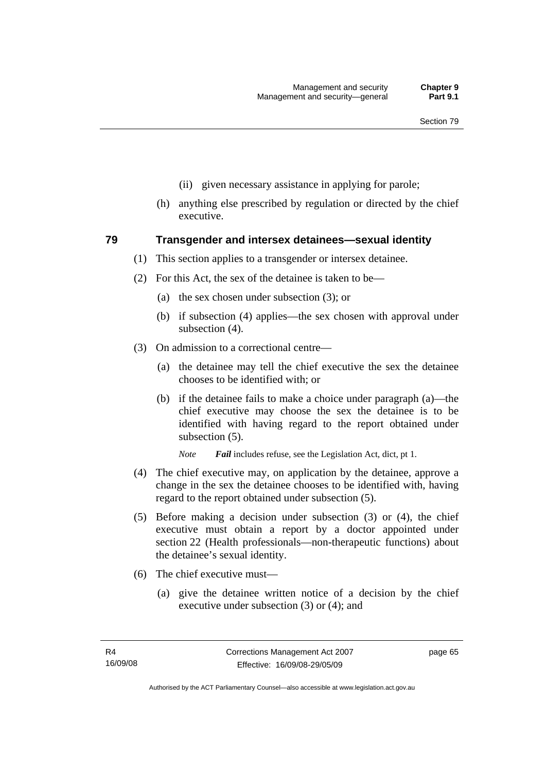- (ii) given necessary assistance in applying for parole;
- (h) anything else prescribed by regulation or directed by the chief executive.

#### **79 Transgender and intersex detainees—sexual identity**

- (1) This section applies to a transgender or intersex detainee.
- (2) For this Act, the sex of the detainee is taken to be—
	- (a) the sex chosen under subsection (3); or
	- (b) if subsection (4) applies—the sex chosen with approval under subsection (4).
- (3) On admission to a correctional centre—
	- (a) the detainee may tell the chief executive the sex the detainee chooses to be identified with; or
	- (b) if the detainee fails to make a choice under paragraph (a)—the chief executive may choose the sex the detainee is to be identified with having regard to the report obtained under subsection (5).

*Note Fail* includes refuse, see the Legislation Act, dict, pt 1.

- (4) The chief executive may, on application by the detainee, approve a change in the sex the detainee chooses to be identified with, having regard to the report obtained under subsection (5).
- (5) Before making a decision under subsection (3) or (4), the chief executive must obtain a report by a doctor appointed under section 22 (Health professionals—non-therapeutic functions) about the detainee's sexual identity.
- (6) The chief executive must—
	- (a) give the detainee written notice of a decision by the chief executive under subsection (3) or (4); and

page 65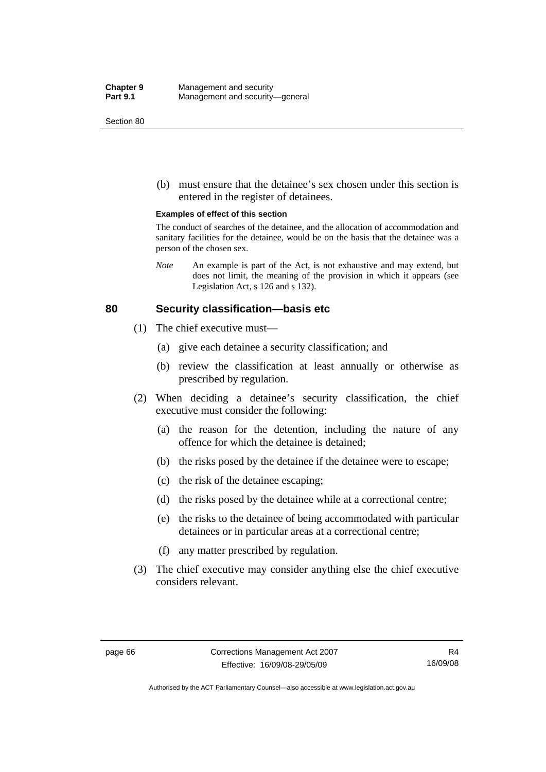(b) must ensure that the detainee's sex chosen under this section is entered in the register of detainees.

#### **Examples of effect of this section**

The conduct of searches of the detainee, and the allocation of accommodation and sanitary facilities for the detainee, would be on the basis that the detainee was a person of the chosen sex.

*Note* An example is part of the Act, is not exhaustive and may extend, but does not limit, the meaning of the provision in which it appears (see Legislation Act, s 126 and s 132).

#### **80 Security classification—basis etc**

- (1) The chief executive must—
	- (a) give each detainee a security classification; and
	- (b) review the classification at least annually or otherwise as prescribed by regulation.
- (2) When deciding a detainee's security classification, the chief executive must consider the following:
	- (a) the reason for the detention, including the nature of any offence for which the detainee is detained;
	- (b) the risks posed by the detainee if the detainee were to escape;
	- (c) the risk of the detainee escaping;
	- (d) the risks posed by the detainee while at a correctional centre;
	- (e) the risks to the detainee of being accommodated with particular detainees or in particular areas at a correctional centre;
	- (f) any matter prescribed by regulation.
- (3) The chief executive may consider anything else the chief executive considers relevant.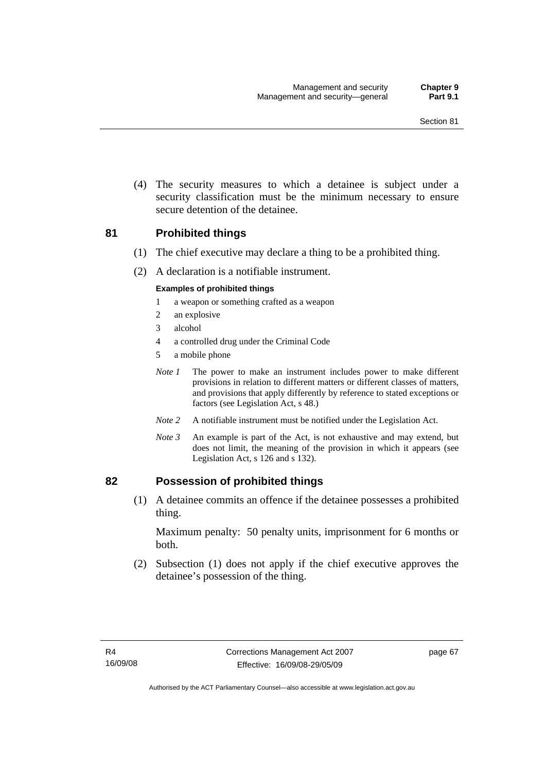(4) The security measures to which a detainee is subject under a security classification must be the minimum necessary to ensure secure detention of the detainee.

#### **81 Prohibited things**

- (1) The chief executive may declare a thing to be a prohibited thing.
- (2) A declaration is a notifiable instrument.

#### **Examples of prohibited things**

- 1 a weapon or something crafted as a weapon
- 2 an explosive
- 3 alcohol
- 4 a controlled drug under the Criminal Code
- 5 a mobile phone
- *Note 1* The power to make an instrument includes power to make different provisions in relation to different matters or different classes of matters, and provisions that apply differently by reference to stated exceptions or factors (see Legislation Act, s 48.)
- *Note 2* A notifiable instrument must be notified under the Legislation Act.
- *Note 3* An example is part of the Act, is not exhaustive and may extend, but does not limit, the meaning of the provision in which it appears (see Legislation Act, s 126 and s 132).

#### **82 Possession of prohibited things**

 (1) A detainee commits an offence if the detainee possesses a prohibited thing.

Maximum penalty: 50 penalty units, imprisonment for 6 months or both.

 (2) Subsection (1) does not apply if the chief executive approves the detainee's possession of the thing.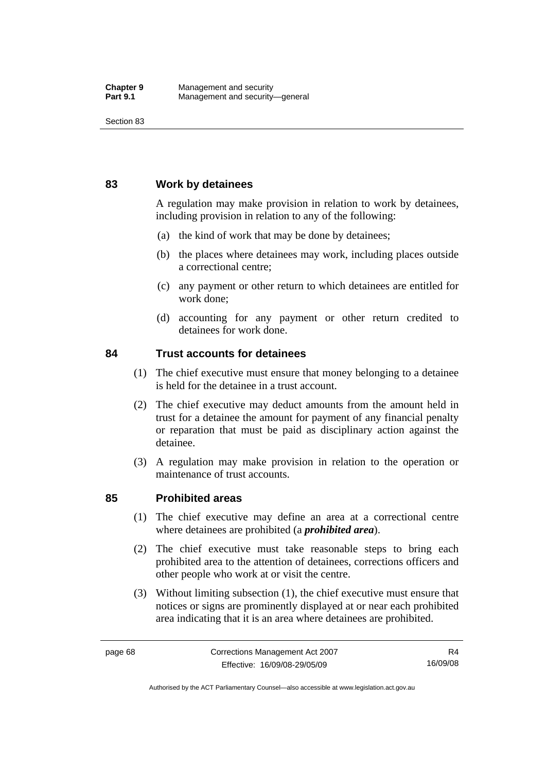#### **83 Work by detainees**

A regulation may make provision in relation to work by detainees, including provision in relation to any of the following:

- (a) the kind of work that may be done by detainees;
- (b) the places where detainees may work, including places outside a correctional centre;
- (c) any payment or other return to which detainees are entitled for work done;
- (d) accounting for any payment or other return credited to detainees for work done.

#### **84 Trust accounts for detainees**

- (1) The chief executive must ensure that money belonging to a detainee is held for the detainee in a trust account.
- (2) The chief executive may deduct amounts from the amount held in trust for a detainee the amount for payment of any financial penalty or reparation that must be paid as disciplinary action against the detainee.
- (3) A regulation may make provision in relation to the operation or maintenance of trust accounts.

#### **85 Prohibited areas**

- (1) The chief executive may define an area at a correctional centre where detainees are prohibited (a *prohibited area*).
- (2) The chief executive must take reasonable steps to bring each prohibited area to the attention of detainees, corrections officers and other people who work at or visit the centre.
- (3) Without limiting subsection (1), the chief executive must ensure that notices or signs are prominently displayed at or near each prohibited area indicating that it is an area where detainees are prohibited.

Authorised by the ACT Parliamentary Counsel—also accessible at www.legislation.act.gov.au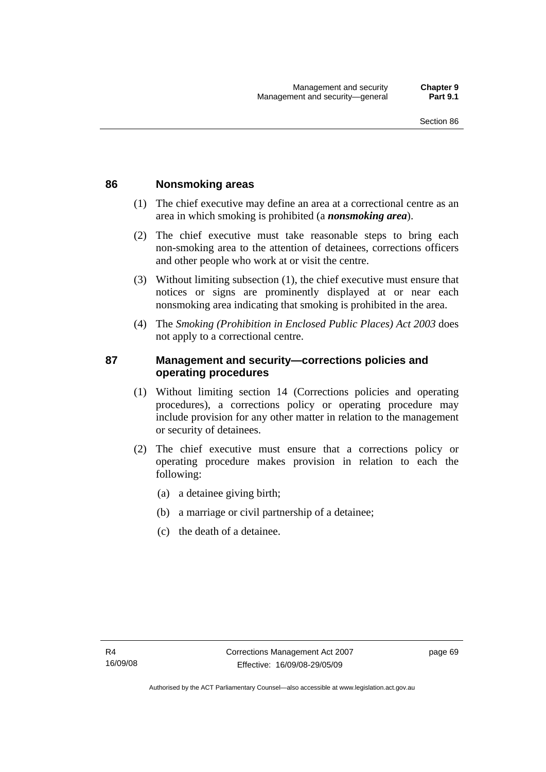#### **86 Nonsmoking areas**

- (1) The chief executive may define an area at a correctional centre as an area in which smoking is prohibited (a *nonsmoking area*).
- (2) The chief executive must take reasonable steps to bring each non-smoking area to the attention of detainees, corrections officers and other people who work at or visit the centre.
- (3) Without limiting subsection (1), the chief executive must ensure that notices or signs are prominently displayed at or near each nonsmoking area indicating that smoking is prohibited in the area.
- (4) The *Smoking (Prohibition in Enclosed Public Places) Act 2003* does not apply to a correctional centre.

## **87 Management and security—corrections policies and operating procedures**

- (1) Without limiting section 14 (Corrections policies and operating procedures), a corrections policy or operating procedure may include provision for any other matter in relation to the management or security of detainees.
- (2) The chief executive must ensure that a corrections policy or operating procedure makes provision in relation to each the following:
	- (a) a detainee giving birth;
	- (b) a marriage or civil partnership of a detainee;
	- (c) the death of a detainee.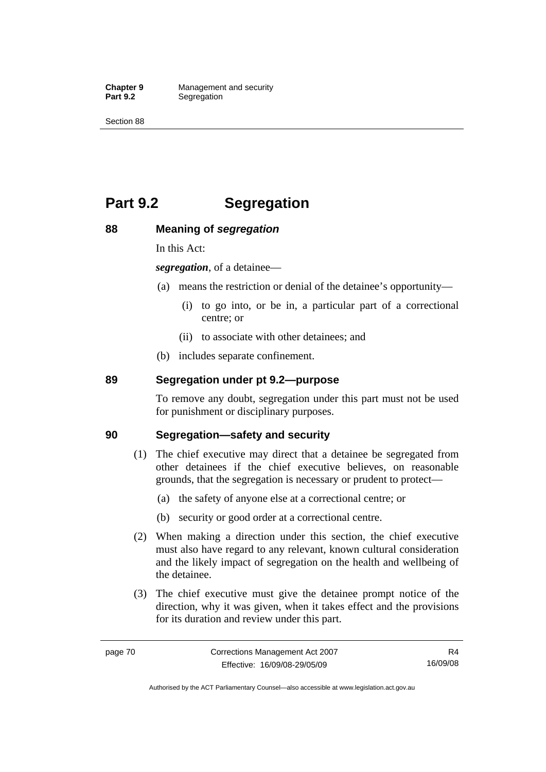**Chapter 9 Management and security**<br>**Part 9.2 Segregation Segregation** 

Section 88

# **Part 9.2 Segregation**

## **88 Meaning of** *segregation*

In this Act:

*segregation*, of a detainee—

- (a) means the restriction or denial of the detainee's opportunity—
	- (i) to go into, or be in, a particular part of a correctional centre; or
	- (ii) to associate with other detainees; and
- (b) includes separate confinement.

## **89 Segregation under pt 9.2—purpose**

To remove any doubt, segregation under this part must not be used for punishment or disciplinary purposes.

#### **90 Segregation—safety and security**

- (1) The chief executive may direct that a detainee be segregated from other detainees if the chief executive believes, on reasonable grounds, that the segregation is necessary or prudent to protect—
	- (a) the safety of anyone else at a correctional centre; or
	- (b) security or good order at a correctional centre.
- (2) When making a direction under this section, the chief executive must also have regard to any relevant, known cultural consideration and the likely impact of segregation on the health and wellbeing of the detainee.
- (3) The chief executive must give the detainee prompt notice of the direction, why it was given, when it takes effect and the provisions for its duration and review under this part.

R4 16/09/08

Authorised by the ACT Parliamentary Counsel—also accessible at www.legislation.act.gov.au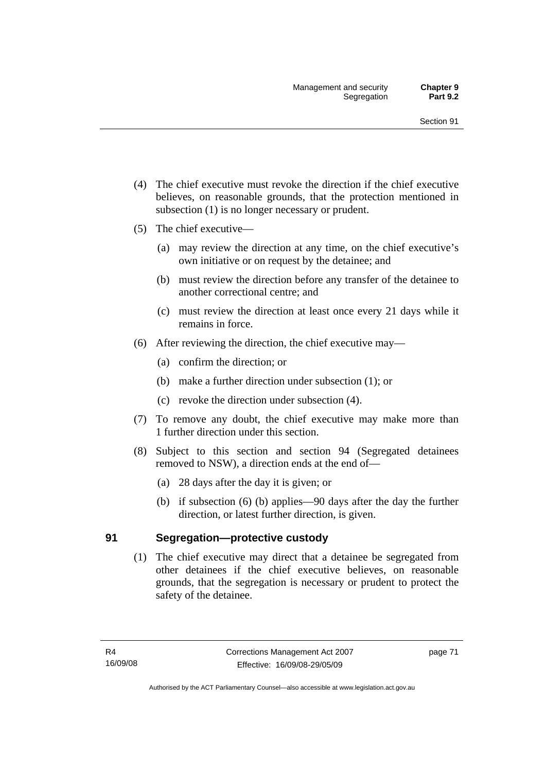- (4) The chief executive must revoke the direction if the chief executive believes, on reasonable grounds, that the protection mentioned in subsection (1) is no longer necessary or prudent.
- (5) The chief executive—
	- (a) may review the direction at any time, on the chief executive's own initiative or on request by the detainee; and
	- (b) must review the direction before any transfer of the detainee to another correctional centre; and
	- (c) must review the direction at least once every 21 days while it remains in force.
- (6) After reviewing the direction, the chief executive may—
	- (a) confirm the direction; or
	- (b) make a further direction under subsection (1); or
	- (c) revoke the direction under subsection (4).
- (7) To remove any doubt, the chief executive may make more than 1 further direction under this section.
- (8) Subject to this section and section 94 (Segregated detainees removed to NSW), a direction ends at the end of—
	- (a) 28 days after the day it is given; or
	- (b) if subsection (6) (b) applies—90 days after the day the further direction, or latest further direction, is given.

#### **91 Segregation—protective custody**

 (1) The chief executive may direct that a detainee be segregated from other detainees if the chief executive believes, on reasonable grounds, that the segregation is necessary or prudent to protect the safety of the detainee.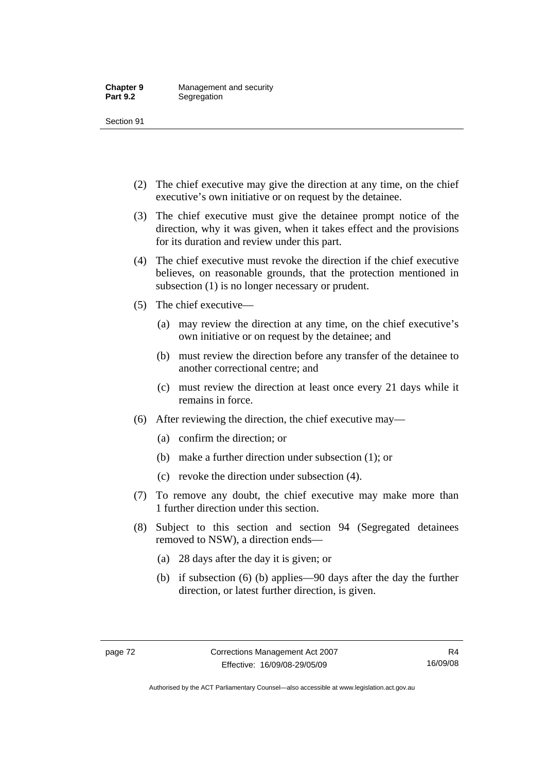- (2) The chief executive may give the direction at any time, on the chief executive's own initiative or on request by the detainee.
- (3) The chief executive must give the detainee prompt notice of the direction, why it was given, when it takes effect and the provisions for its duration and review under this part.
- (4) The chief executive must revoke the direction if the chief executive believes, on reasonable grounds, that the protection mentioned in subsection (1) is no longer necessary or prudent.
- (5) The chief executive—
	- (a) may review the direction at any time, on the chief executive's own initiative or on request by the detainee; and
	- (b) must review the direction before any transfer of the detainee to another correctional centre; and
	- (c) must review the direction at least once every 21 days while it remains in force.
- (6) After reviewing the direction, the chief executive may—
	- (a) confirm the direction; or
	- (b) make a further direction under subsection (1); or
	- (c) revoke the direction under subsection (4).
- (7) To remove any doubt, the chief executive may make more than 1 further direction under this section.
- (8) Subject to this section and section 94 (Segregated detainees removed to NSW), a direction ends—
	- (a) 28 days after the day it is given; or
	- (b) if subsection (6) (b) applies—90 days after the day the further direction, or latest further direction, is given.

Authorised by the ACT Parliamentary Counsel—also accessible at www.legislation.act.gov.au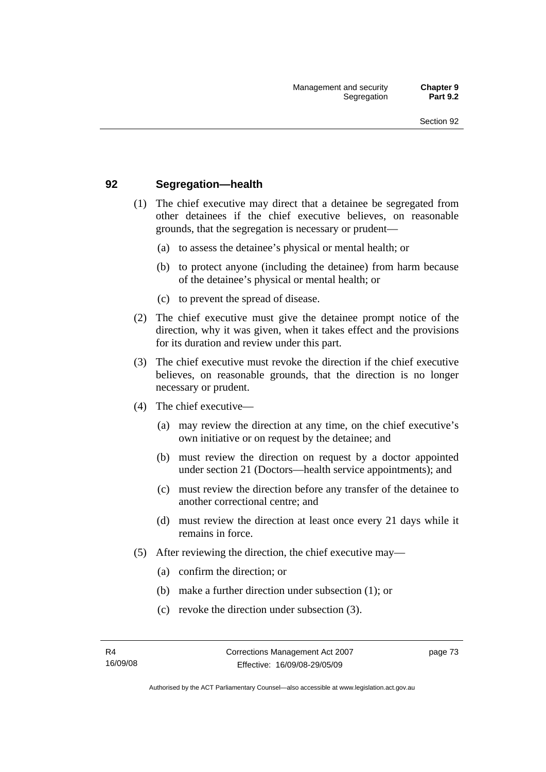## **92 Segregation—health**

- (1) The chief executive may direct that a detainee be segregated from other detainees if the chief executive believes, on reasonable grounds, that the segregation is necessary or prudent—
	- (a) to assess the detainee's physical or mental health; or
	- (b) to protect anyone (including the detainee) from harm because of the detainee's physical or mental health; or
	- (c) to prevent the spread of disease.
- (2) The chief executive must give the detainee prompt notice of the direction, why it was given, when it takes effect and the provisions for its duration and review under this part.
- (3) The chief executive must revoke the direction if the chief executive believes, on reasonable grounds, that the direction is no longer necessary or prudent.
- (4) The chief executive—
	- (a) may review the direction at any time, on the chief executive's own initiative or on request by the detainee; and
	- (b) must review the direction on request by a doctor appointed under section 21 (Doctors—health service appointments); and
	- (c) must review the direction before any transfer of the detainee to another correctional centre; and
	- (d) must review the direction at least once every 21 days while it remains in force.
- (5) After reviewing the direction, the chief executive may—
	- (a) confirm the direction; or
	- (b) make a further direction under subsection (1); or
	- (c) revoke the direction under subsection (3).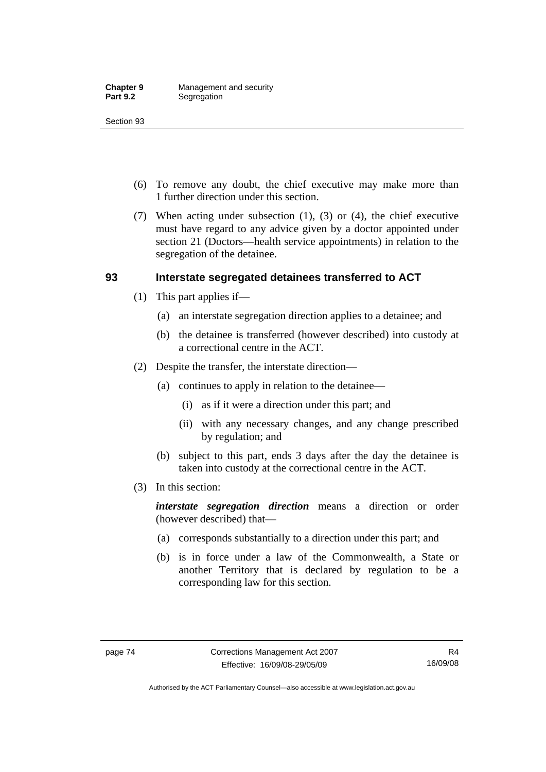- (6) To remove any doubt, the chief executive may make more than 1 further direction under this section.
- (7) When acting under subsection (1), (3) or (4), the chief executive must have regard to any advice given by a doctor appointed under section 21 (Doctors—health service appointments) in relation to the segregation of the detainee.

## **93 Interstate segregated detainees transferred to ACT**

- (1) This part applies if—
	- (a) an interstate segregation direction applies to a detainee; and
	- (b) the detainee is transferred (however described) into custody at a correctional centre in the ACT.
- (2) Despite the transfer, the interstate direction—
	- (a) continues to apply in relation to the detainee—
		- (i) as if it were a direction under this part; and
		- (ii) with any necessary changes, and any change prescribed by regulation; and
	- (b) subject to this part, ends 3 days after the day the detainee is taken into custody at the correctional centre in the ACT.
- (3) In this section:

*interstate segregation direction* means a direction or order (however described) that—

- (a) corresponds substantially to a direction under this part; and
- (b) is in force under a law of the Commonwealth, a State or another Territory that is declared by regulation to be a corresponding law for this section.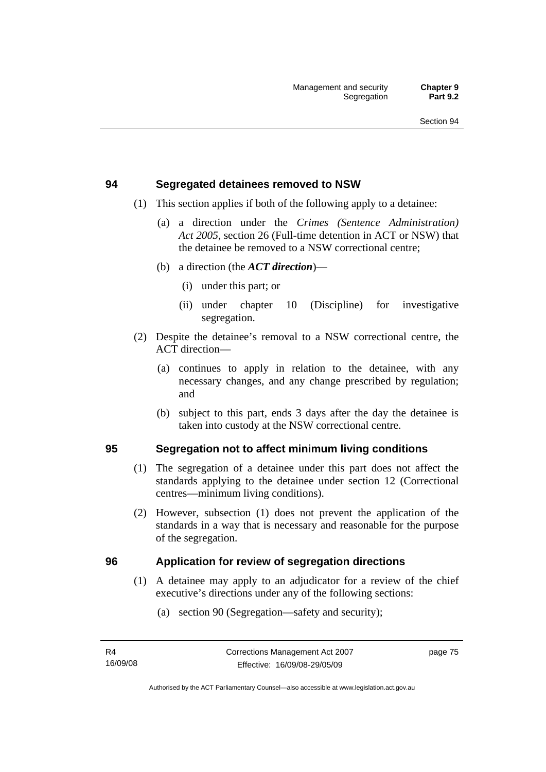#### **94 Segregated detainees removed to NSW**

- (1) This section applies if both of the following apply to a detainee:
	- (a) a direction under the *Crimes (Sentence Administration) Act 2005*, section 26 (Full-time detention in ACT or NSW) that the detainee be removed to a NSW correctional centre;
	- (b) a direction (the *ACT direction*)—
		- (i) under this part; or
		- (ii) under chapter 10 (Discipline) for investigative segregation.
- (2) Despite the detainee's removal to a NSW correctional centre, the ACT direction—
	- (a) continues to apply in relation to the detainee, with any necessary changes, and any change prescribed by regulation; and
	- (b) subject to this part, ends 3 days after the day the detainee is taken into custody at the NSW correctional centre.

## **95 Segregation not to affect minimum living conditions**

- (1) The segregation of a detainee under this part does not affect the standards applying to the detainee under section 12 (Correctional centres—minimum living conditions).
- (2) However, subsection (1) does not prevent the application of the standards in a way that is necessary and reasonable for the purpose of the segregation.

## **96 Application for review of segregation directions**

- (1) A detainee may apply to an adjudicator for a review of the chief executive's directions under any of the following sections:
	- (a) section 90 (Segregation—safety and security);

page 75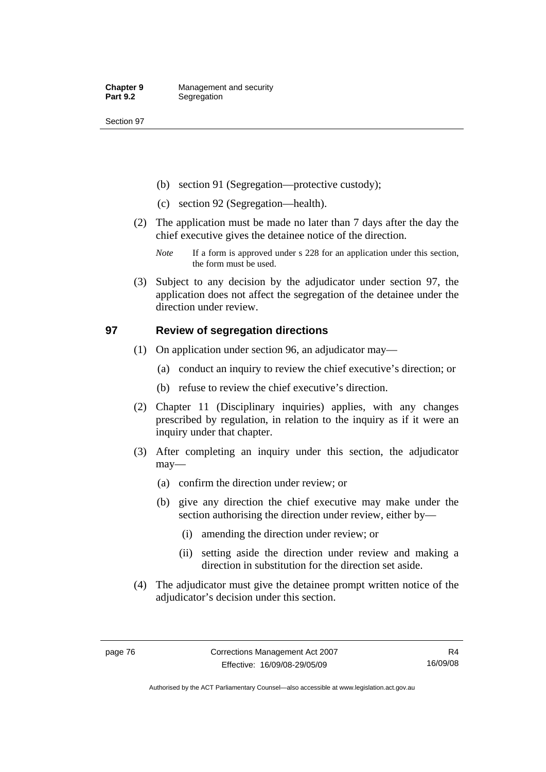- (b) section 91 (Segregation—protective custody);
- (c) section 92 (Segregation—health).
- (2) The application must be made no later than 7 days after the day the chief executive gives the detainee notice of the direction.
	- *Note* If a form is approved under s 228 for an application under this section, the form must be used.
- (3) Subject to any decision by the adjudicator under section 97, the application does not affect the segregation of the detainee under the direction under review.

## **97 Review of segregation directions**

- (1) On application under section 96, an adjudicator may—
	- (a) conduct an inquiry to review the chief executive's direction; or
	- (b) refuse to review the chief executive's direction.
- (2) Chapter 11 (Disciplinary inquiries) applies, with any changes prescribed by regulation, in relation to the inquiry as if it were an inquiry under that chapter.
- (3) After completing an inquiry under this section, the adjudicator may—
	- (a) confirm the direction under review; or
	- (b) give any direction the chief executive may make under the section authorising the direction under review, either by—
		- (i) amending the direction under review; or
		- (ii) setting aside the direction under review and making a direction in substitution for the direction set aside.
- (4) The adjudicator must give the detainee prompt written notice of the adjudicator's decision under this section.

Authorised by the ACT Parliamentary Counsel—also accessible at www.legislation.act.gov.au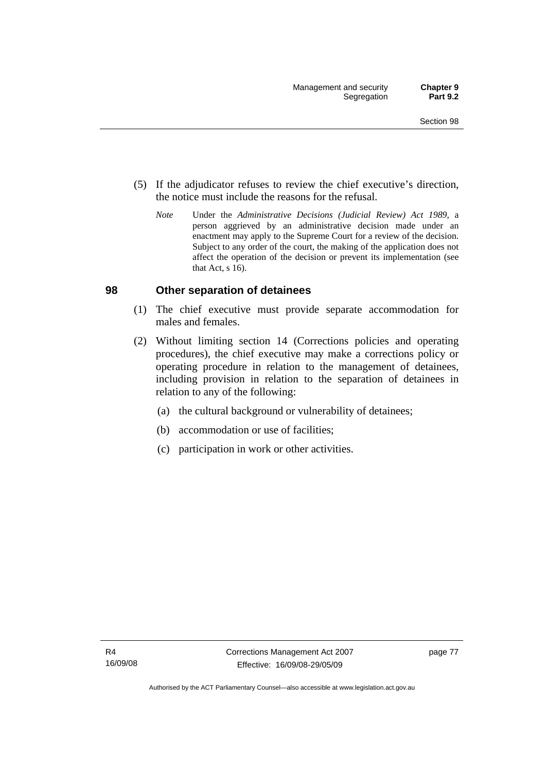- (5) If the adjudicator refuses to review the chief executive's direction, the notice must include the reasons for the refusal.
	- *Note* Under the *Administrative Decisions (Judicial Review) Act 1989*, a person aggrieved by an administrative decision made under an enactment may apply to the Supreme Court for a review of the decision. Subject to any order of the court, the making of the application does not affect the operation of the decision or prevent its implementation (see that Act, s 16).

#### **98 Other separation of detainees**

- (1) The chief executive must provide separate accommodation for males and females.
- (2) Without limiting section 14 (Corrections policies and operating procedures), the chief executive may make a corrections policy or operating procedure in relation to the management of detainees, including provision in relation to the separation of detainees in relation to any of the following:
	- (a) the cultural background or vulnerability of detainees;
	- (b) accommodation or use of facilities;
	- (c) participation in work or other activities.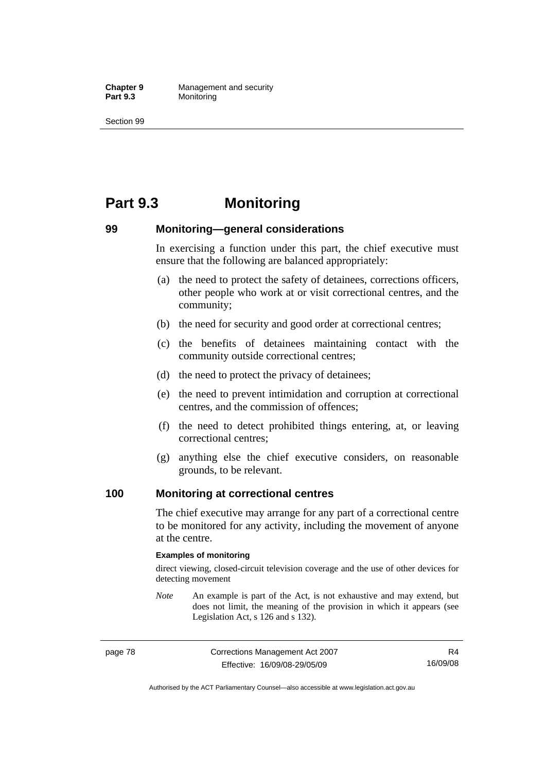**Chapter 9 Management and security**<br>**Part 9.3 Monitoring Monitoring** 

Section 99

# **Part 9.3 Monitoring**

## **99 Monitoring—general considerations**

In exercising a function under this part, the chief executive must ensure that the following are balanced appropriately:

- (a) the need to protect the safety of detainees, corrections officers, other people who work at or visit correctional centres, and the community;
- (b) the need for security and good order at correctional centres;
- (c) the benefits of detainees maintaining contact with the community outside correctional centres;
- (d) the need to protect the privacy of detainees;
- (e) the need to prevent intimidation and corruption at correctional centres, and the commission of offences;
- (f) the need to detect prohibited things entering, at, or leaving correctional centres;
- (g) anything else the chief executive considers, on reasonable grounds, to be relevant.

#### **100 Monitoring at correctional centres**

The chief executive may arrange for any part of a correctional centre to be monitored for any activity, including the movement of anyone at the centre.

#### **Examples of monitoring**

direct viewing, closed-circuit television coverage and the use of other devices for detecting movement

*Note* An example is part of the Act, is not exhaustive and may extend, but does not limit, the meaning of the provision in which it appears (see Legislation Act, s 126 and s 132).

R4 16/09/08

Authorised by the ACT Parliamentary Counsel—also accessible at www.legislation.act.gov.au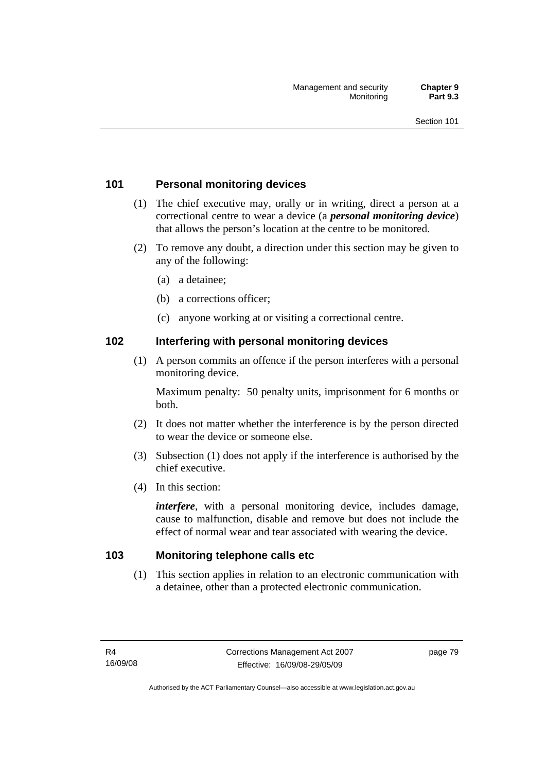## **101 Personal monitoring devices**

- (1) The chief executive may, orally or in writing, direct a person at a correctional centre to wear a device (a *personal monitoring device*) that allows the person's location at the centre to be monitored.
- (2) To remove any doubt, a direction under this section may be given to any of the following:
	- (a) a detainee;
	- (b) a corrections officer;
	- (c) anyone working at or visiting a correctional centre.

## **102 Interfering with personal monitoring devices**

 (1) A person commits an offence if the person interferes with a personal monitoring device.

Maximum penalty: 50 penalty units, imprisonment for 6 months or both.

- (2) It does not matter whether the interference is by the person directed to wear the device or someone else.
- (3) Subsection (1) does not apply if the interference is authorised by the chief executive.
- (4) In this section:

*interfere*, with a personal monitoring device, includes damage, cause to malfunction, disable and remove but does not include the effect of normal wear and tear associated with wearing the device.

## **103 Monitoring telephone calls etc**

 (1) This section applies in relation to an electronic communication with a detainee, other than a protected electronic communication.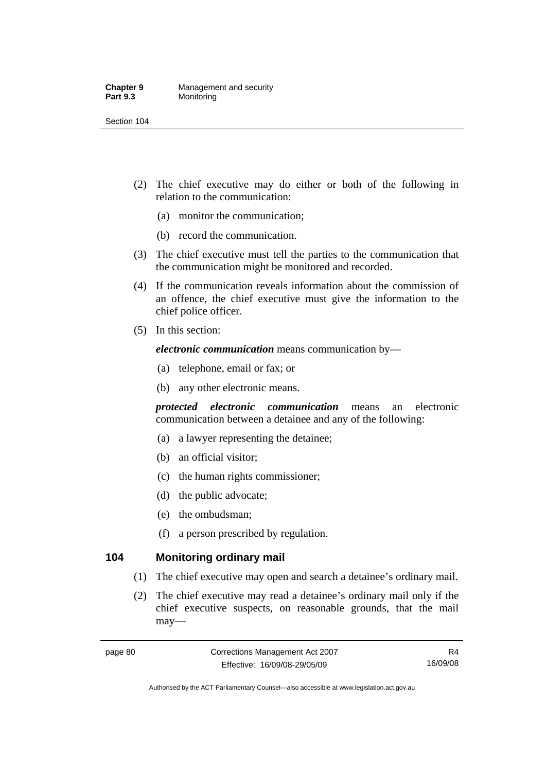#### **Chapter 9 Management and security**<br>**Part 9.3 Monitoring Monitoring**

Section 104

- (2) The chief executive may do either or both of the following in relation to the communication:
	- (a) monitor the communication;
	- (b) record the communication.
- (3) The chief executive must tell the parties to the communication that the communication might be monitored and recorded.
- (4) If the communication reveals information about the commission of an offence, the chief executive must give the information to the chief police officer.
- (5) In this section:

*electronic communication* means communication by—

- (a) telephone, email or fax; or
- (b) any other electronic means.

*protected electronic communication* means an electronic communication between a detainee and any of the following:

- (a) a lawyer representing the detainee;
- (b) an official visitor;
- (c) the human rights commissioner;
- (d) the public advocate;
- (e) the ombudsman;
- (f) a person prescribed by regulation.

## **104 Monitoring ordinary mail**

- (1) The chief executive may open and search a detainee's ordinary mail.
- (2) The chief executive may read a detainee's ordinary mail only if the chief executive suspects, on reasonable grounds, that the mail may—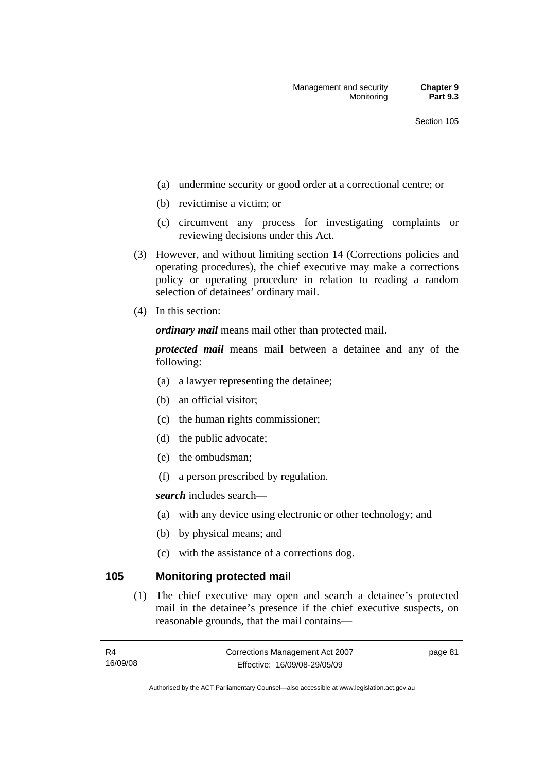- (a) undermine security or good order at a correctional centre; or
- (b) revictimise a victim; or
- (c) circumvent any process for investigating complaints or reviewing decisions under this Act.
- (3) However, and without limiting section 14 (Corrections policies and operating procedures), the chief executive may make a corrections policy or operating procedure in relation to reading a random selection of detainees' ordinary mail.
- (4) In this section:

*ordinary mail* means mail other than protected mail.

*protected mail* means mail between a detainee and any of the following:

- (a) a lawyer representing the detainee;
- (b) an official visitor;
- (c) the human rights commissioner;
- (d) the public advocate;
- (e) the ombudsman;
- (f) a person prescribed by regulation.

*search* includes search—

- (a) with any device using electronic or other technology; and
- (b) by physical means; and
- (c) with the assistance of a corrections dog.

#### **105 Monitoring protected mail**

 (1) The chief executive may open and search a detainee's protected mail in the detainee's presence if the chief executive suspects, on reasonable grounds, that the mail contains—

page 81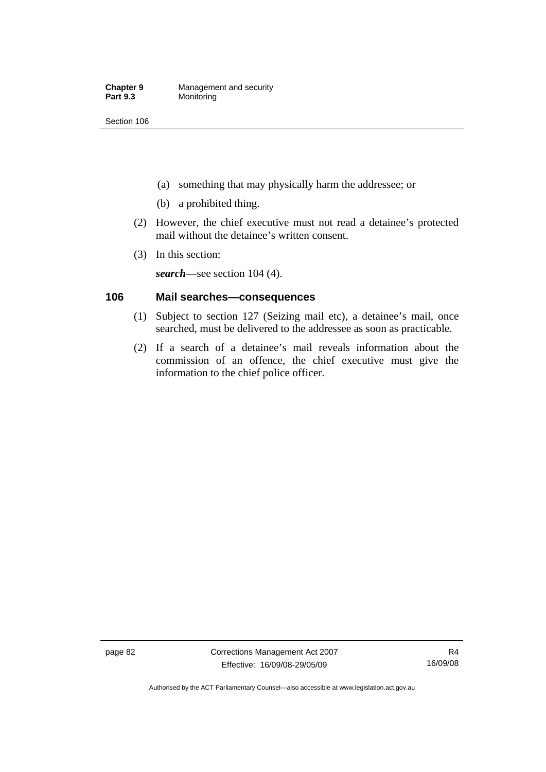- (a) something that may physically harm the addressee; or
- (b) a prohibited thing.
- (2) However, the chief executive must not read a detainee's protected mail without the detainee's written consent.
- (3) In this section:

*search*—see section 104 (4).

## **106 Mail searches—consequences**

- (1) Subject to section 127 (Seizing mail etc), a detainee's mail, once searched, must be delivered to the addressee as soon as practicable.
- (2) If a search of a detainee's mail reveals information about the commission of an offence, the chief executive must give the information to the chief police officer.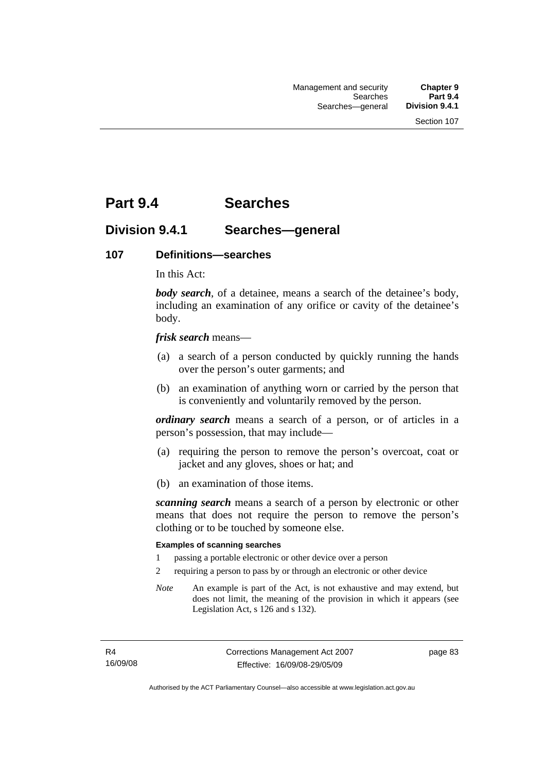# **Part 9.4 Searches**

## **Division 9.4.1 Searches—general**

#### **107 Definitions—searches**

In this Act:

*body search*, of a detainee, means a search of the detainee's body, including an examination of any orifice or cavity of the detainee's body.

*frisk search* means—

- (a) a search of a person conducted by quickly running the hands over the person's outer garments; and
- (b) an examination of anything worn or carried by the person that is conveniently and voluntarily removed by the person.

*ordinary search* means a search of a person, or of articles in a person's possession, that may include—

- (a) requiring the person to remove the person's overcoat, coat or jacket and any gloves, shoes or hat; and
- (b) an examination of those items.

*scanning search* means a search of a person by electronic or other means that does not require the person to remove the person's clothing or to be touched by someone else.

#### **Examples of scanning searches**

- 1 passing a portable electronic or other device over a person
- 2 requiring a person to pass by or through an electronic or other device
- *Note* An example is part of the Act, is not exhaustive and may extend, but does not limit, the meaning of the provision in which it appears (see Legislation Act, s 126 and s 132).

page 83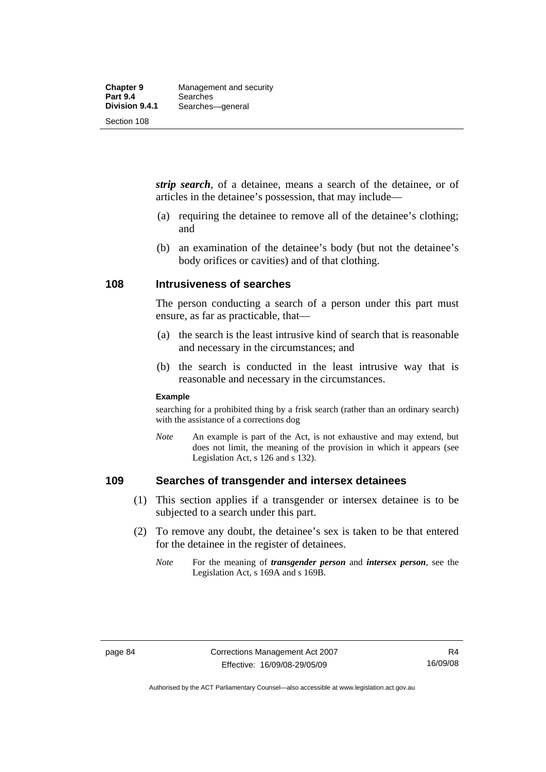*strip search*, of a detainee, means a search of the detainee, or of articles in the detainee's possession, that may include—

- (a) requiring the detainee to remove all of the detainee's clothing; and
- (b) an examination of the detainee's body (but not the detainee's body orifices or cavities) and of that clothing.

#### **108 Intrusiveness of searches**

The person conducting a search of a person under this part must ensure, as far as practicable, that—

- (a) the search is the least intrusive kind of search that is reasonable and necessary in the circumstances; and
- (b) the search is conducted in the least intrusive way that is reasonable and necessary in the circumstances.

#### **Example**

searching for a prohibited thing by a frisk search (rather than an ordinary search) with the assistance of a corrections dog

*Note* An example is part of the Act, is not exhaustive and may extend, but does not limit, the meaning of the provision in which it appears (see Legislation Act, s 126 and s 132).

#### **109 Searches of transgender and intersex detainees**

- (1) This section applies if a transgender or intersex detainee is to be subjected to a search under this part.
- (2) To remove any doubt, the detainee's sex is taken to be that entered for the detainee in the register of detainees.
	- *Note* For the meaning of *transgender person* and *intersex person*, see the Legislation Act, s 169A and s 169B.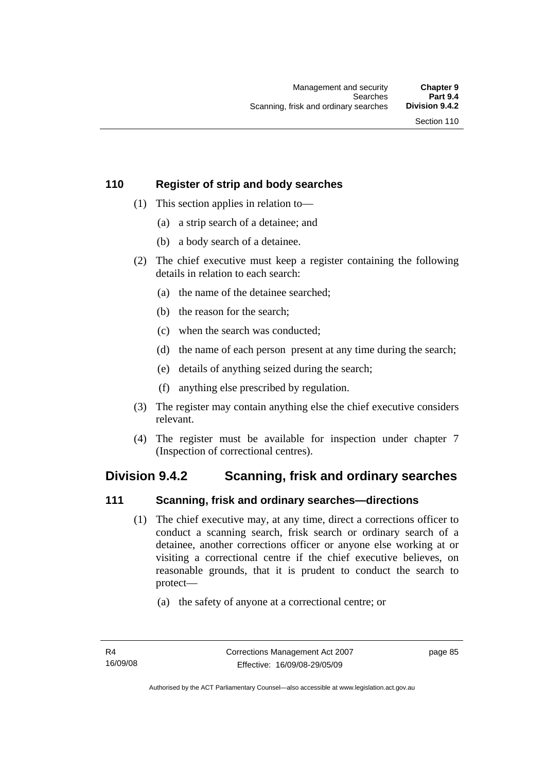## **110 Register of strip and body searches**

- (1) This section applies in relation to—
	- (a) a strip search of a detainee; and
	- (b) a body search of a detainee.
- (2) The chief executive must keep a register containing the following details in relation to each search:
	- (a) the name of the detainee searched;
	- (b) the reason for the search;
	- (c) when the search was conducted;
	- (d) the name of each person present at any time during the search;
	- (e) details of anything seized during the search;
	- (f) anything else prescribed by regulation.
- (3) The register may contain anything else the chief executive considers relevant.
- (4) The register must be available for inspection under chapter 7 (Inspection of correctional centres).

## **Division 9.4.2 Scanning, frisk and ordinary searches**

## **111 Scanning, frisk and ordinary searches—directions**

- (1) The chief executive may, at any time, direct a corrections officer to conduct a scanning search, frisk search or ordinary search of a detainee, another corrections officer or anyone else working at or visiting a correctional centre if the chief executive believes, on reasonable grounds, that it is prudent to conduct the search to protect—
	- (a) the safety of anyone at a correctional centre; or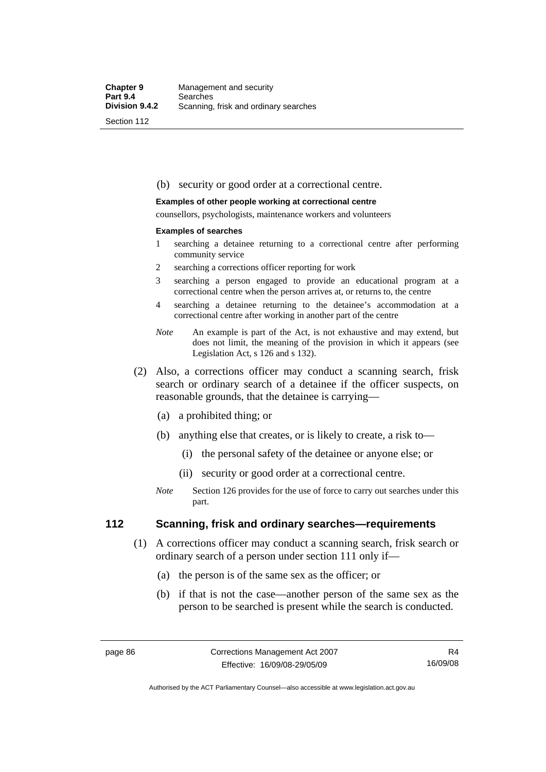#### (b) security or good order at a correctional centre.

#### **Examples of other people working at correctional centre**

counsellors, psychologists, maintenance workers and volunteers

#### **Examples of searches**

- 1 searching a detainee returning to a correctional centre after performing community service
- 2 searching a corrections officer reporting for work
- 3 searching a person engaged to provide an educational program at a correctional centre when the person arrives at, or returns to, the centre
- 4 searching a detainee returning to the detainee's accommodation at a correctional centre after working in another part of the centre
- *Note* An example is part of the Act, is not exhaustive and may extend, but does not limit, the meaning of the provision in which it appears (see Legislation Act, s 126 and s 132).
- (2) Also, a corrections officer may conduct a scanning search, frisk search or ordinary search of a detainee if the officer suspects, on reasonable grounds, that the detainee is carrying—
	- (a) a prohibited thing; or
	- (b) anything else that creates, or is likely to create, a risk to—
		- (i) the personal safety of the detainee or anyone else; or
		- (ii) security or good order at a correctional centre.
	- *Note* Section 126 provides for the use of force to carry out searches under this part.

#### **112 Scanning, frisk and ordinary searches—requirements**

- (1) A corrections officer may conduct a scanning search, frisk search or ordinary search of a person under section 111 only if—
	- (a) the person is of the same sex as the officer; or
	- (b) if that is not the case—another person of the same sex as the person to be searched is present while the search is conducted.

Authorised by the ACT Parliamentary Counsel—also accessible at www.legislation.act.gov.au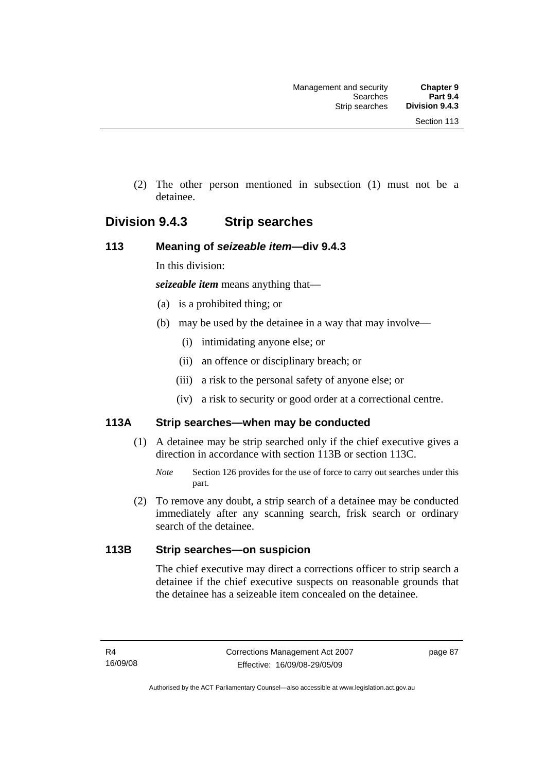(2) The other person mentioned in subsection (1) must not be a detainee.

## **Division 9.4.3 Strip searches**

## **113 Meaning of** *seizeable item***—div 9.4.3**

In this division:

*seizeable item* means anything that—

- (a) is a prohibited thing; or
- (b) may be used by the detainee in a way that may involve—
	- (i) intimidating anyone else; or
	- (ii) an offence or disciplinary breach; or
	- (iii) a risk to the personal safety of anyone else; or
	- (iv) a risk to security or good order at a correctional centre.

## **113A Strip searches—when may be conducted**

- (1) A detainee may be strip searched only if the chief executive gives a direction in accordance with section 113B or section 113C.
	- *Note* Section 126 provides for the use of force to carry out searches under this part.
- (2) To remove any doubt, a strip search of a detainee may be conducted immediately after any scanning search, frisk search or ordinary search of the detainee.

## **113B Strip searches—on suspicion**

The chief executive may direct a corrections officer to strip search a detainee if the chief executive suspects on reasonable grounds that the detainee has a seizeable item concealed on the detainee.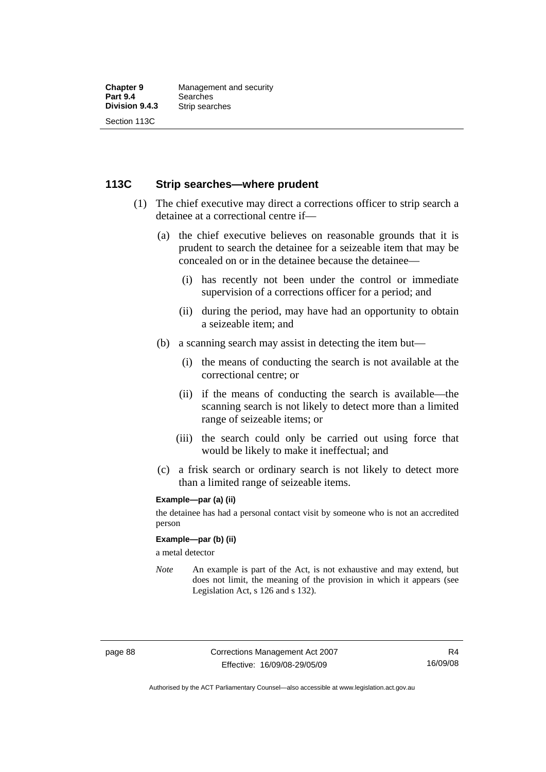#### **113C Strip searches—where prudent**

- (1) The chief executive may direct a corrections officer to strip search a detainee at a correctional centre if—
	- (a) the chief executive believes on reasonable grounds that it is prudent to search the detainee for a seizeable item that may be concealed on or in the detainee because the detainee—
		- (i) has recently not been under the control or immediate supervision of a corrections officer for a period; and
		- (ii) during the period, may have had an opportunity to obtain a seizeable item; and
	- (b) a scanning search may assist in detecting the item but—
		- (i) the means of conducting the search is not available at the correctional centre; or
		- (ii) if the means of conducting the search is available—the scanning search is not likely to detect more than a limited range of seizeable items; or
		- (iii) the search could only be carried out using force that would be likely to make it ineffectual; and
	- (c) a frisk search or ordinary search is not likely to detect more than a limited range of seizeable items.

#### **Example—par (a) (ii)**

the detainee has had a personal contact visit by someone who is not an accredited person

#### **Example—par (b) (ii)**

a metal detector

*Note* An example is part of the Act, is not exhaustive and may extend, but does not limit, the meaning of the provision in which it appears (see Legislation Act, s 126 and s 132).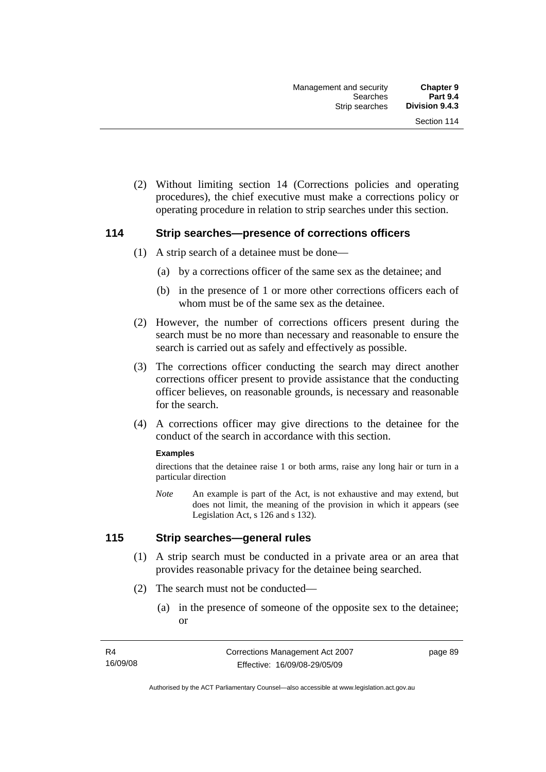(2) Without limiting section 14 (Corrections policies and operating procedures), the chief executive must make a corrections policy or operating procedure in relation to strip searches under this section.

#### **114 Strip searches—presence of corrections officers**

- (1) A strip search of a detainee must be done—
	- (a) by a corrections officer of the same sex as the detainee; and
	- (b) in the presence of 1 or more other corrections officers each of whom must be of the same sex as the detainee.
- (2) However, the number of corrections officers present during the search must be no more than necessary and reasonable to ensure the search is carried out as safely and effectively as possible.
- (3) The corrections officer conducting the search may direct another corrections officer present to provide assistance that the conducting officer believes, on reasonable grounds, is necessary and reasonable for the search.
- (4) A corrections officer may give directions to the detainee for the conduct of the search in accordance with this section.

#### **Examples**

directions that the detainee raise 1 or both arms, raise any long hair or turn in a particular direction

*Note* An example is part of the Act, is not exhaustive and may extend, but does not limit, the meaning of the provision in which it appears (see Legislation Act, s 126 and s 132).

## **115 Strip searches—general rules**

- (1) A strip search must be conducted in a private area or an area that provides reasonable privacy for the detainee being searched.
- (2) The search must not be conducted—
	- (a) in the presence of someone of the opposite sex to the detainee; or

page 89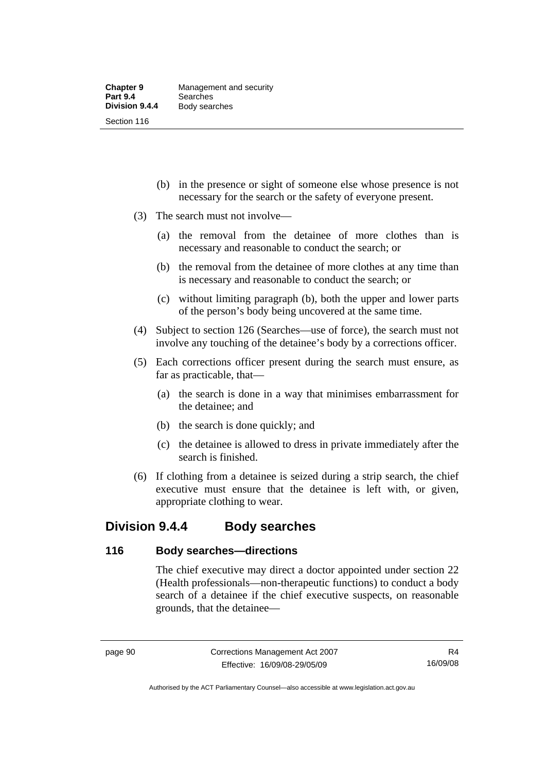- (b) in the presence or sight of someone else whose presence is not necessary for the search or the safety of everyone present.
- (3) The search must not involve—
	- (a) the removal from the detainee of more clothes than is necessary and reasonable to conduct the search; or
	- (b) the removal from the detainee of more clothes at any time than is necessary and reasonable to conduct the search; or
	- (c) without limiting paragraph (b), both the upper and lower parts of the person's body being uncovered at the same time.
- (4) Subject to section 126 (Searches—use of force), the search must not involve any touching of the detainee's body by a corrections officer.
- (5) Each corrections officer present during the search must ensure, as far as practicable, that—
	- (a) the search is done in a way that minimises embarrassment for the detainee; and
	- (b) the search is done quickly; and
	- (c) the detainee is allowed to dress in private immediately after the search is finished.
- (6) If clothing from a detainee is seized during a strip search, the chief executive must ensure that the detainee is left with, or given, appropriate clothing to wear.

## **Division 9.4.4 Body searches**

#### **116 Body searches—directions**

The chief executive may direct a doctor appointed under section 22 (Health professionals—non-therapeutic functions) to conduct a body search of a detainee if the chief executive suspects, on reasonable grounds, that the detainee—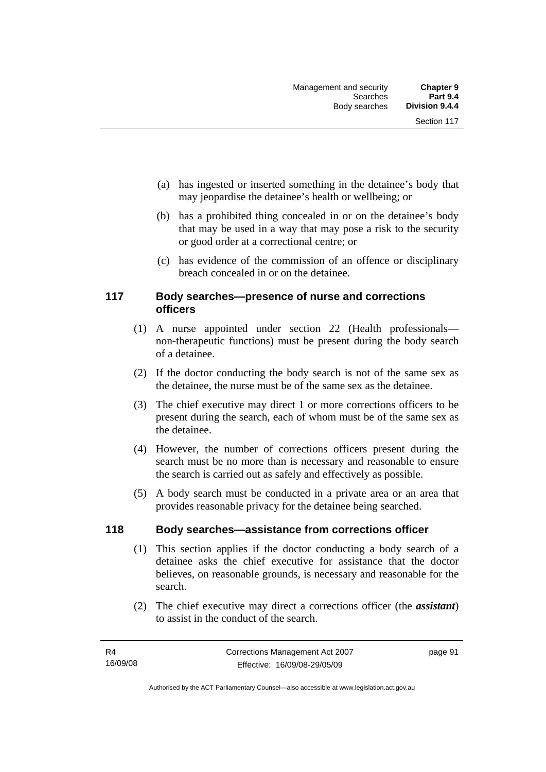- (a) has ingested or inserted something in the detainee's body that may jeopardise the detainee's health or wellbeing; or
- (b) has a prohibited thing concealed in or on the detainee's body that may be used in a way that may pose a risk to the security or good order at a correctional centre; or
- (c) has evidence of the commission of an offence or disciplinary breach concealed in or on the detainee.

## **117 Body searches—presence of nurse and corrections officers**

- (1) A nurse appointed under section 22 (Health professionals non-therapeutic functions) must be present during the body search of a detainee.
- (2) If the doctor conducting the body search is not of the same sex as the detainee, the nurse must be of the same sex as the detainee.
- (3) The chief executive may direct 1 or more corrections officers to be present during the search, each of whom must be of the same sex as the detainee.
- (4) However, the number of corrections officers present during the search must be no more than is necessary and reasonable to ensure the search is carried out as safely and effectively as possible.
- (5) A body search must be conducted in a private area or an area that provides reasonable privacy for the detainee being searched.

## **118 Body searches—assistance from corrections officer**

- (1) This section applies if the doctor conducting a body search of a detainee asks the chief executive for assistance that the doctor believes, on reasonable grounds, is necessary and reasonable for the search.
- (2) The chief executive may direct a corrections officer (the *assistant*) to assist in the conduct of the search.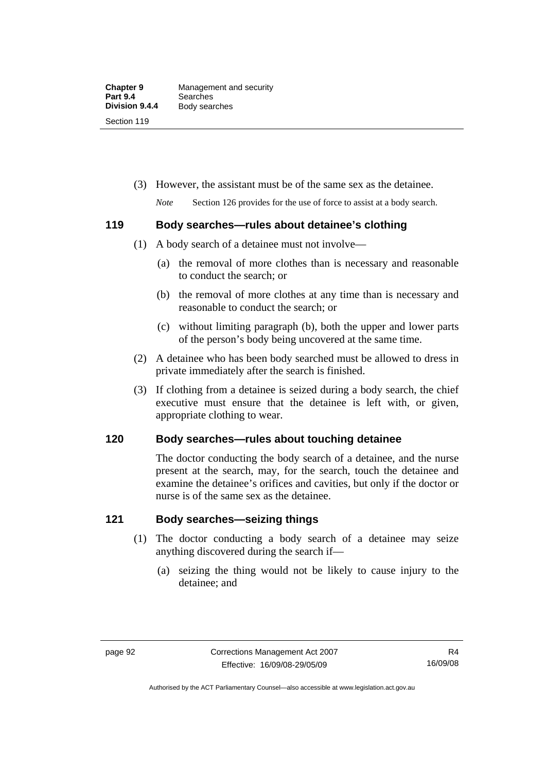(3) However, the assistant must be of the same sex as the detainee.

*Note* Section 126 provides for the use of force to assist at a body search.

## **119 Body searches—rules about detainee's clothing**

- (1) A body search of a detainee must not involve—
	- (a) the removal of more clothes than is necessary and reasonable to conduct the search; or
	- (b) the removal of more clothes at any time than is necessary and reasonable to conduct the search; or
	- (c) without limiting paragraph (b), both the upper and lower parts of the person's body being uncovered at the same time.
- (2) A detainee who has been body searched must be allowed to dress in private immediately after the search is finished.
- (3) If clothing from a detainee is seized during a body search, the chief executive must ensure that the detainee is left with, or given, appropriate clothing to wear.

## **120 Body searches—rules about touching detainee**

The doctor conducting the body search of a detainee, and the nurse present at the search, may, for the search, touch the detainee and examine the detainee's orifices and cavities, but only if the doctor or nurse is of the same sex as the detainee.

## **121 Body searches—seizing things**

- (1) The doctor conducting a body search of a detainee may seize anything discovered during the search if—
	- (a) seizing the thing would not be likely to cause injury to the detainee; and

Authorised by the ACT Parliamentary Counsel—also accessible at www.legislation.act.gov.au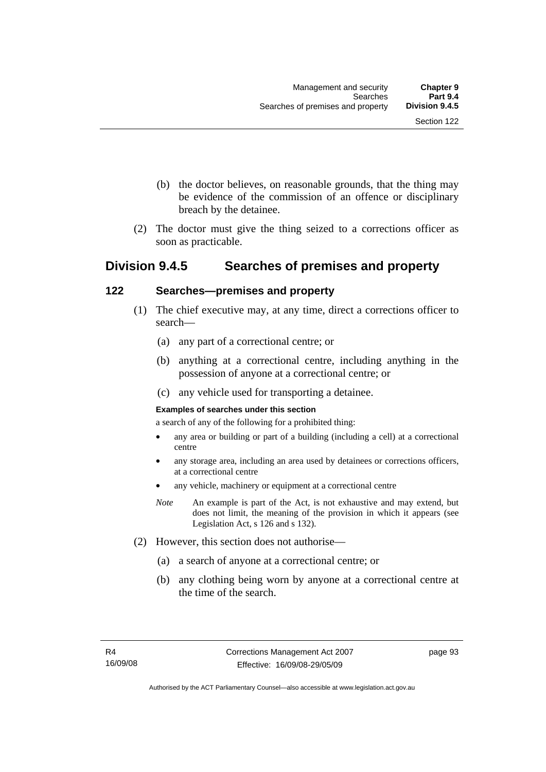- (b) the doctor believes, on reasonable grounds, that the thing may be evidence of the commission of an offence or disciplinary breach by the detainee.
- (2) The doctor must give the thing seized to a corrections officer as soon as practicable.

## **Division 9.4.5 Searches of premises and property**

## **122 Searches—premises and property**

- (1) The chief executive may, at any time, direct a corrections officer to search—
	- (a) any part of a correctional centre; or
	- (b) anything at a correctional centre, including anything in the possession of anyone at a correctional centre; or
	- (c) any vehicle used for transporting a detainee.

#### **Examples of searches under this section**

a search of any of the following for a prohibited thing:

- any area or building or part of a building (including a cell) at a correctional centre
- any storage area, including an area used by detainees or corrections officers, at a correctional centre
- any vehicle, machinery or equipment at a correctional centre
- *Note* An example is part of the Act, is not exhaustive and may extend, but does not limit, the meaning of the provision in which it appears (see Legislation Act, s 126 and s 132).
- (2) However, this section does not authorise—
	- (a) a search of anyone at a correctional centre; or
	- (b) any clothing being worn by anyone at a correctional centre at the time of the search.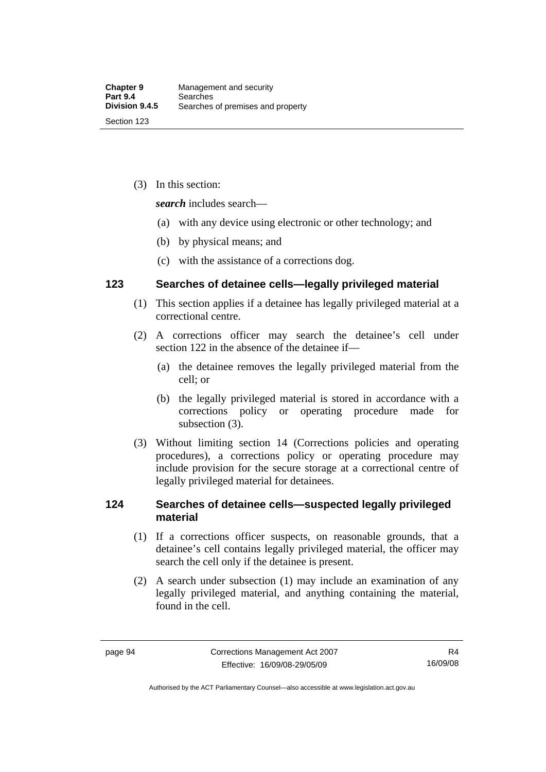(3) In this section:

*search* includes search—

- (a) with any device using electronic or other technology; and
- (b) by physical means; and
- (c) with the assistance of a corrections dog.

## **123 Searches of detainee cells—legally privileged material**

- (1) This section applies if a detainee has legally privileged material at a correctional centre.
- (2) A corrections officer may search the detainee's cell under section 122 in the absence of the detainee if—
	- (a) the detainee removes the legally privileged material from the cell; or
	- (b) the legally privileged material is stored in accordance with a corrections policy or operating procedure made for subsection (3).
- (3) Without limiting section 14 (Corrections policies and operating procedures), a corrections policy or operating procedure may include provision for the secure storage at a correctional centre of legally privileged material for detainees.

## **124 Searches of detainee cells—suspected legally privileged material**

- (1) If a corrections officer suspects, on reasonable grounds, that a detainee's cell contains legally privileged material, the officer may search the cell only if the detainee is present.
- (2) A search under subsection (1) may include an examination of any legally privileged material, and anything containing the material, found in the cell.

Authorised by the ACT Parliamentary Counsel—also accessible at www.legislation.act.gov.au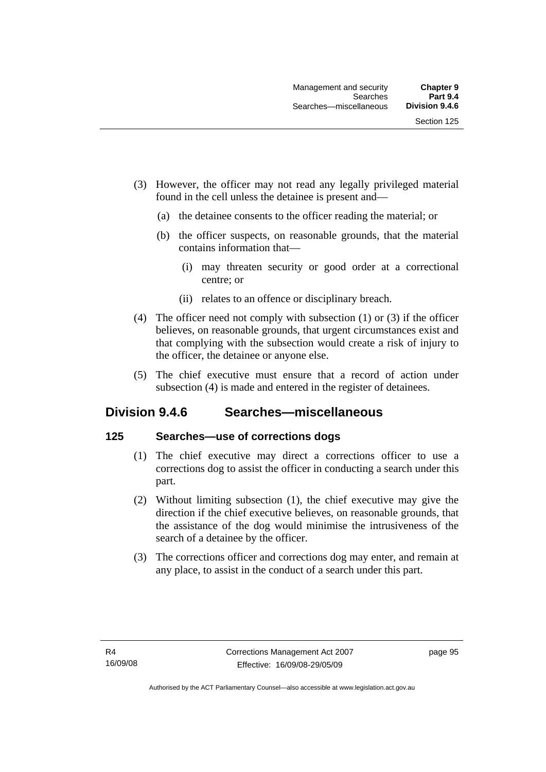- (3) However, the officer may not read any legally privileged material found in the cell unless the detainee is present and—
	- (a) the detainee consents to the officer reading the material; or
	- (b) the officer suspects, on reasonable grounds, that the material contains information that—
		- (i) may threaten security or good order at a correctional centre; or
		- (ii) relates to an offence or disciplinary breach.
- (4) The officer need not comply with subsection (1) or (3) if the officer believes, on reasonable grounds, that urgent circumstances exist and that complying with the subsection would create a risk of injury to the officer, the detainee or anyone else.
- (5) The chief executive must ensure that a record of action under subsection (4) is made and entered in the register of detainees.

## **Division 9.4.6 Searches—miscellaneous**

#### **125 Searches—use of corrections dogs**

- (1) The chief executive may direct a corrections officer to use a corrections dog to assist the officer in conducting a search under this part.
- (2) Without limiting subsection (1), the chief executive may give the direction if the chief executive believes, on reasonable grounds, that the assistance of the dog would minimise the intrusiveness of the search of a detainee by the officer.
- (3) The corrections officer and corrections dog may enter, and remain at any place, to assist in the conduct of a search under this part.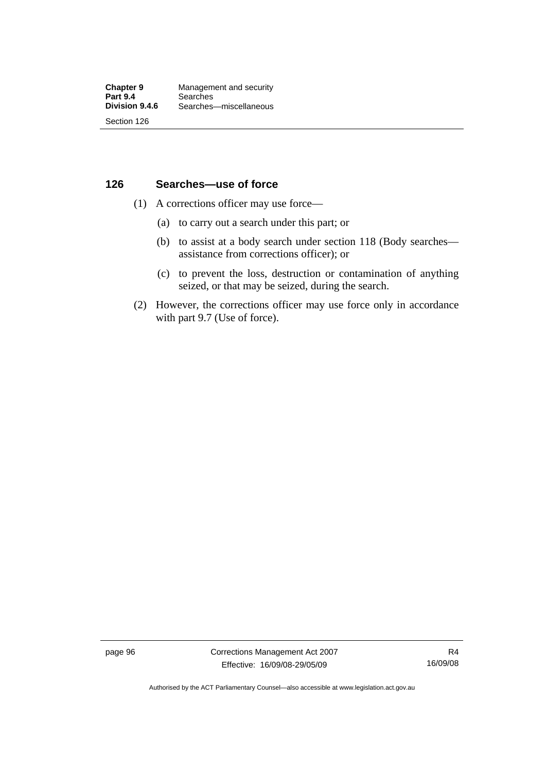## **126 Searches—use of force**

- (1) A corrections officer may use force—
	- (a) to carry out a search under this part; or
	- (b) to assist at a body search under section 118 (Body searches assistance from corrections officer); or
	- (c) to prevent the loss, destruction or contamination of anything seized, or that may be seized, during the search.
- (2) However, the corrections officer may use force only in accordance with part 9.7 (Use of force).

page 96 Corrections Management Act 2007 Effective: 16/09/08-29/05/09

R4 16/09/08

Authorised by the ACT Parliamentary Counsel—also accessible at www.legislation.act.gov.au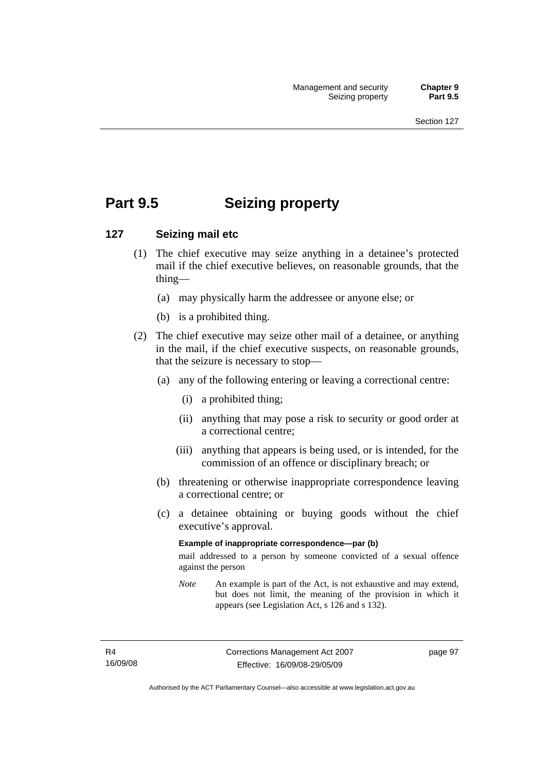# **Part 9.5 Seizing property**

### **127 Seizing mail etc**

- (1) The chief executive may seize anything in a detainee's protected mail if the chief executive believes, on reasonable grounds, that the thing—
	- (a) may physically harm the addressee or anyone else; or
	- (b) is a prohibited thing.
- (2) The chief executive may seize other mail of a detainee, or anything in the mail, if the chief executive suspects, on reasonable grounds, that the seizure is necessary to stop—
	- (a) any of the following entering or leaving a correctional centre:
		- (i) a prohibited thing;
		- (ii) anything that may pose a risk to security or good order at a correctional centre;
		- (iii) anything that appears is being used, or is intended, for the commission of an offence or disciplinary breach; or
	- (b) threatening or otherwise inappropriate correspondence leaving a correctional centre; or
	- (c) a detainee obtaining or buying goods without the chief executive's approval.

#### **Example of inappropriate correspondence—par (b)**

mail addressed to a person by someone convicted of a sexual offence against the person

*Note* An example is part of the Act, is not exhaustive and may extend, but does not limit, the meaning of the provision in which it appears (see Legislation Act, s 126 and s 132).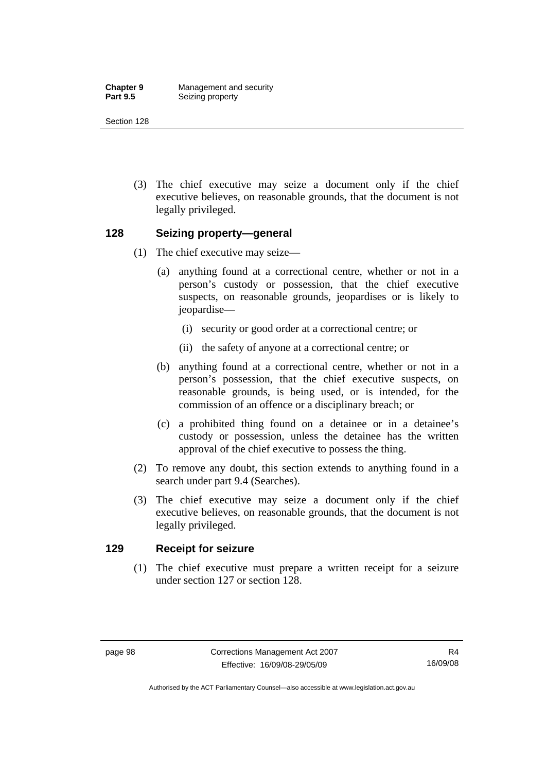**Chapter 9 Management and security**<br>**Part 9.5 Seizing property Seizing property** 

Section 128

 (3) The chief executive may seize a document only if the chief executive believes, on reasonable grounds, that the document is not legally privileged.

#### **128 Seizing property—general**

- (1) The chief executive may seize—
	- (a) anything found at a correctional centre, whether or not in a person's custody or possession, that the chief executive suspects, on reasonable grounds, jeopardises or is likely to jeopardise—
		- (i) security or good order at a correctional centre; or
		- (ii) the safety of anyone at a correctional centre; or
	- (b) anything found at a correctional centre, whether or not in a person's possession, that the chief executive suspects, on reasonable grounds, is being used, or is intended, for the commission of an offence or a disciplinary breach; or
	- (c) a prohibited thing found on a detainee or in a detainee's custody or possession, unless the detainee has the written approval of the chief executive to possess the thing.
- (2) To remove any doubt, this section extends to anything found in a search under part 9.4 (Searches).
- (3) The chief executive may seize a document only if the chief executive believes, on reasonable grounds, that the document is not legally privileged.

#### **129 Receipt for seizure**

 (1) The chief executive must prepare a written receipt for a seizure under section 127 or section 128.

Authorised by the ACT Parliamentary Counsel—also accessible at www.legislation.act.gov.au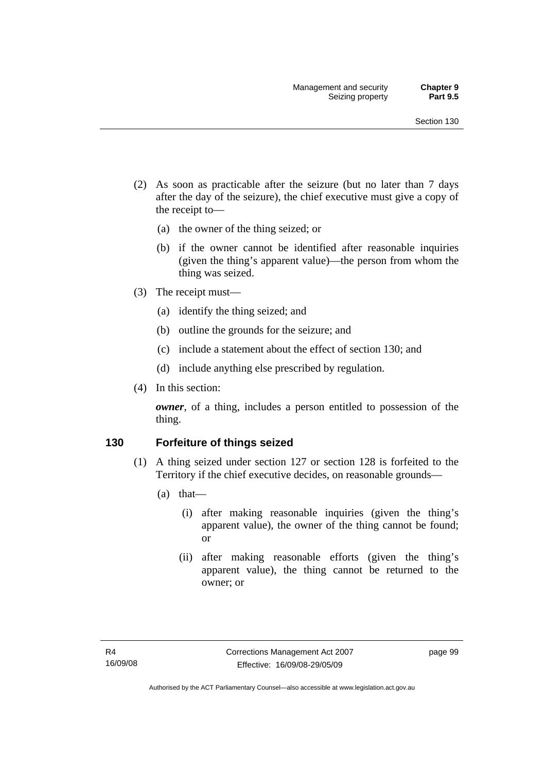- (2) As soon as practicable after the seizure (but no later than 7 days after the day of the seizure), the chief executive must give a copy of the receipt to—
	- (a) the owner of the thing seized; or
	- (b) if the owner cannot be identified after reasonable inquiries (given the thing's apparent value)—the person from whom the thing was seized.
- (3) The receipt must—
	- (a) identify the thing seized; and
	- (b) outline the grounds for the seizure; and
	- (c) include a statement about the effect of section 130; and
	- (d) include anything else prescribed by regulation.
- (4) In this section:

*owner*, of a thing, includes a person entitled to possession of the thing.

#### **130 Forfeiture of things seized**

- (1) A thing seized under section 127 or section 128 is forfeited to the Territory if the chief executive decides, on reasonable grounds—
	- (a) that—
		- (i) after making reasonable inquiries (given the thing's apparent value), the owner of the thing cannot be found; or
		- (ii) after making reasonable efforts (given the thing's apparent value), the thing cannot be returned to the owner; or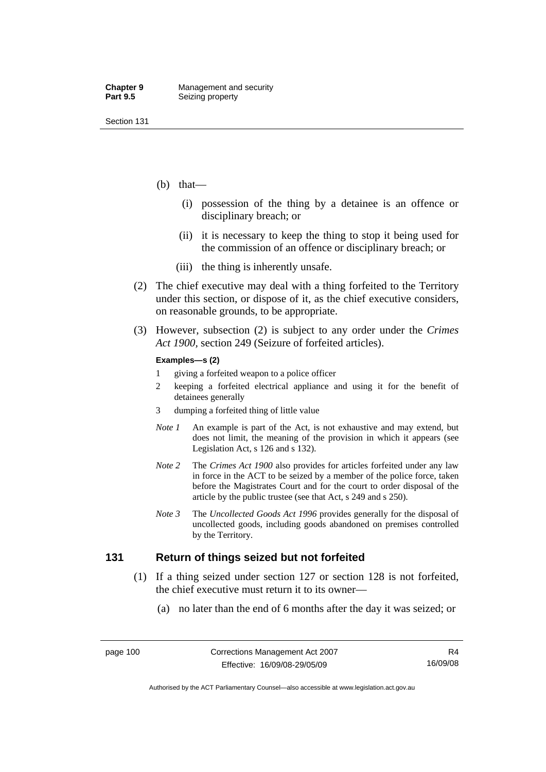- (b) that—
	- (i) possession of the thing by a detainee is an offence or disciplinary breach; or
	- (ii) it is necessary to keep the thing to stop it being used for the commission of an offence or disciplinary breach; or
	- (iii) the thing is inherently unsafe.
- (2) The chief executive may deal with a thing forfeited to the Territory under this section, or dispose of it, as the chief executive considers, on reasonable grounds, to be appropriate.
- (3) However, subsection (2) is subject to any order under the *Crimes Act 1900,* section 249 (Seizure of forfeited articles).

#### **Examples—s (2)**

- 1 giving a forfeited weapon to a police officer
- 2 keeping a forfeited electrical appliance and using it for the benefit of detainees generally
- 3 dumping a forfeited thing of little value
- *Note 1* An example is part of the Act, is not exhaustive and may extend, but does not limit, the meaning of the provision in which it appears (see Legislation Act, s 126 and s 132).
- *Note 2* The *Crimes Act 1900* also provides for articles forfeited under any law in force in the ACT to be seized by a member of the police force, taken before the Magistrates Court and for the court to order disposal of the article by the public trustee (see that Act, s 249 and s 250).
- *Note 3* The *Uncollected Goods Act 1996* provides generally for the disposal of uncollected goods, including goods abandoned on premises controlled by the Territory.

#### **131 Return of things seized but not forfeited**

- (1) If a thing seized under section 127 or section 128 is not forfeited, the chief executive must return it to its owner—
	- (a) no later than the end of 6 months after the day it was seized; or

Authorised by the ACT Parliamentary Counsel—also accessible at www.legislation.act.gov.au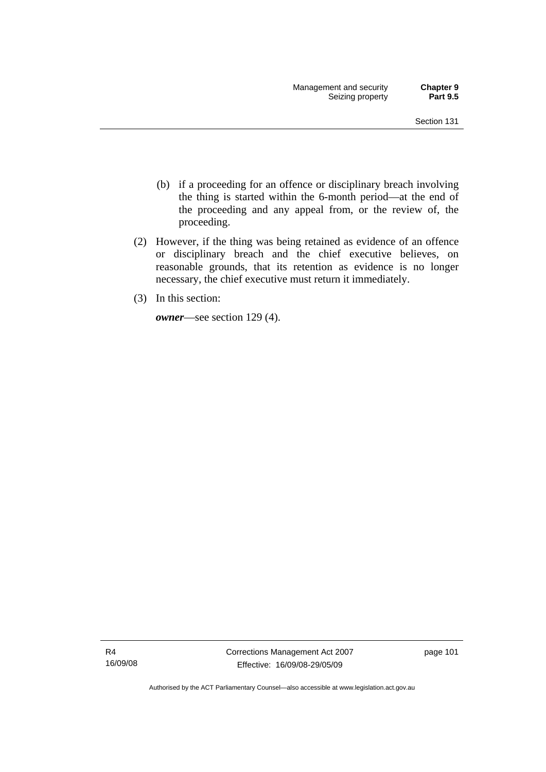- (b) if a proceeding for an offence or disciplinary breach involving the thing is started within the 6-month period—at the end of the proceeding and any appeal from, or the review of, the proceeding.
- (2) However, if the thing was being retained as evidence of an offence or disciplinary breach and the chief executive believes, on reasonable grounds, that its retention as evidence is no longer necessary, the chief executive must return it immediately.
- (3) In this section:

*owner*—see section 129 (4).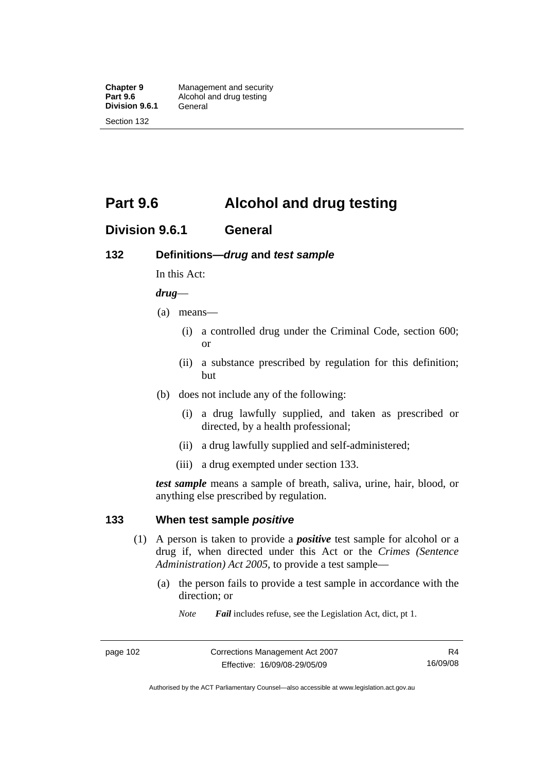**Division 9.6.1** 

Section 132

# **Part 9.6 Alcohol and drug testing**

## **Division 9.6.1 General**

### **132 Definitions—***drug* **and** *test sample*

In this Act:

#### *drug*—

- (a) means—
	- (i) a controlled drug under the Criminal Code, section 600; or
	- (ii) a substance prescribed by regulation for this definition; but
- (b) does not include any of the following:
	- (i) a drug lawfully supplied, and taken as prescribed or directed, by a health professional;
	- (ii) a drug lawfully supplied and self-administered;
	- (iii) a drug exempted under section 133.

*test sample* means a sample of breath, saliva, urine, hair, blood, or anything else prescribed by regulation.

#### **133 When test sample** *positive*

- (1) A person is taken to provide a *positive* test sample for alcohol or a drug if, when directed under this Act or the *Crimes (Sentence Administration) Act 2005*, to provide a test sample—
	- (a) the person fails to provide a test sample in accordance with the direction; or
		- *Note Fail* includes refuse, see the Legislation Act, dict, pt 1.

Authorised by the ACT Parliamentary Counsel—also accessible at www.legislation.act.gov.au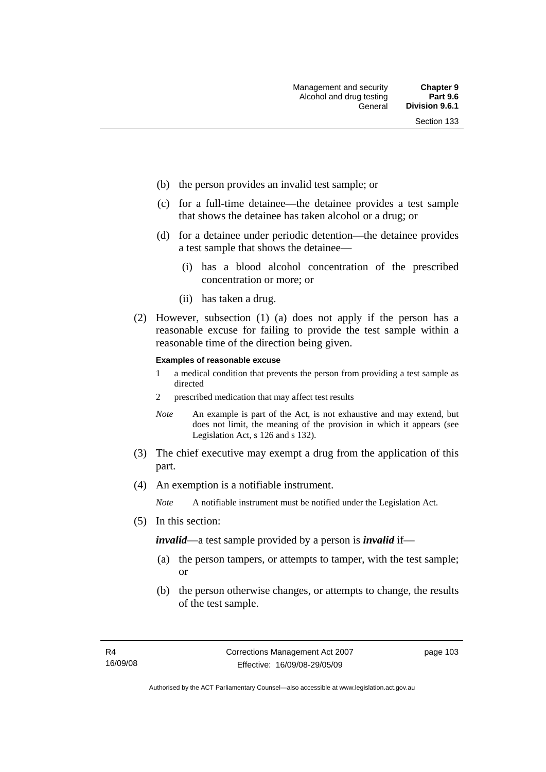- (b) the person provides an invalid test sample; or
- (c) for a full-time detainee—the detainee provides a test sample that shows the detainee has taken alcohol or a drug; or
- (d) for a detainee under periodic detention—the detainee provides a test sample that shows the detainee—
	- (i) has a blood alcohol concentration of the prescribed concentration or more; or
	- (ii) has taken a drug.
- (2) However, subsection (1) (a) does not apply if the person has a reasonable excuse for failing to provide the test sample within a reasonable time of the direction being given.

#### **Examples of reasonable excuse**

- 1 a medical condition that prevents the person from providing a test sample as directed
- 2 prescribed medication that may affect test results
- *Note* An example is part of the Act, is not exhaustive and may extend, but does not limit, the meaning of the provision in which it appears (see Legislation Act, s 126 and s 132).
- (3) The chief executive may exempt a drug from the application of this part.
- (4) An exemption is a notifiable instrument.

*Note* A notifiable instrument must be notified under the Legislation Act.

(5) In this section:

*invalid*—a test sample provided by a person is *invalid* if—

- (a) the person tampers, or attempts to tamper, with the test sample; or
- (b) the person otherwise changes, or attempts to change, the results of the test sample.

page 103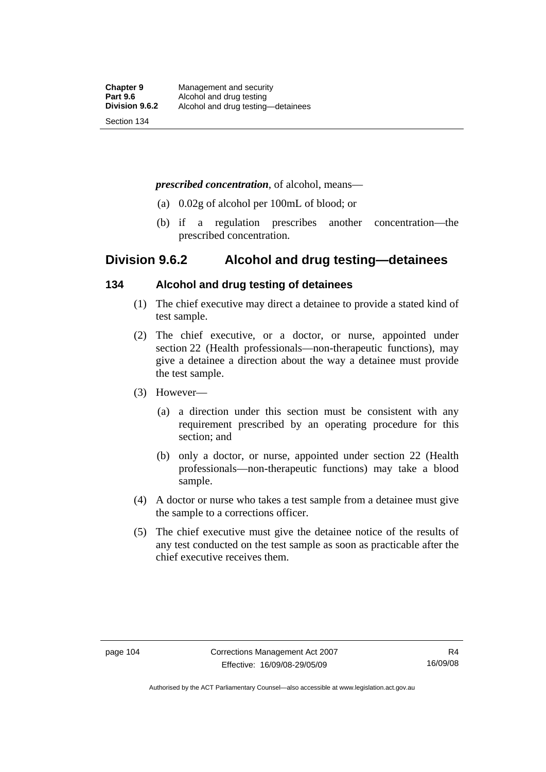#### *prescribed concentration*, of alcohol, means—

- (a) 0.02g of alcohol per 100mL of blood; or
- (b) if a regulation prescribes another concentration—the prescribed concentration.

## **Division 9.6.2 Alcohol and drug testing—detainees**

### **134 Alcohol and drug testing of detainees**

- (1) The chief executive may direct a detainee to provide a stated kind of test sample.
- (2) The chief executive, or a doctor, or nurse, appointed under section 22 (Health professionals—non-therapeutic functions), may give a detainee a direction about the way a detainee must provide the test sample.
- (3) However—
	- (a) a direction under this section must be consistent with any requirement prescribed by an operating procedure for this section; and
	- (b) only a doctor, or nurse, appointed under section 22 (Health professionals—non-therapeutic functions) may take a blood sample.
- (4) A doctor or nurse who takes a test sample from a detainee must give the sample to a corrections officer.
- (5) The chief executive must give the detainee notice of the results of any test conducted on the test sample as soon as practicable after the chief executive receives them.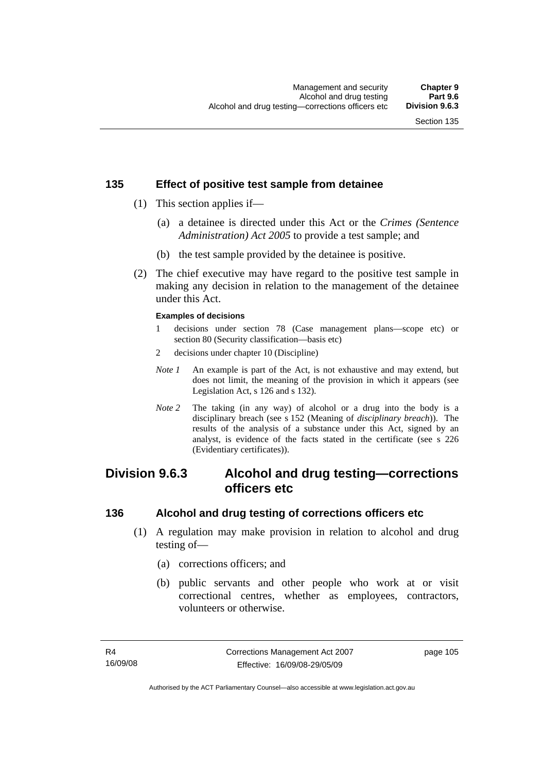## **135 Effect of positive test sample from detainee**

- (1) This section applies if—
	- (a) a detainee is directed under this Act or the *Crimes (Sentence Administration) Act 2005* to provide a test sample; and
	- (b) the test sample provided by the detainee is positive.
- (2) The chief executive may have regard to the positive test sample in making any decision in relation to the management of the detainee under this Act.

#### **Examples of decisions**

- 1 decisions under section 78 (Case management plans—scope etc) or section 80 (Security classification—basis etc)
- 2 decisions under chapter 10 (Discipline)
- *Note 1* An example is part of the Act, is not exhaustive and may extend, but does not limit, the meaning of the provision in which it appears (see Legislation Act, s 126 and s 132).
- *Note 2* The taking (in any way) of alcohol or a drug into the body is a disciplinary breach (see s 152 (Meaning of *disciplinary breach*)). The results of the analysis of a substance under this Act, signed by an analyst, is evidence of the facts stated in the certificate (see s 226 (Evidentiary certificates)).

## **Division 9.6.3 Alcohol and drug testing—corrections officers etc**

#### **136 Alcohol and drug testing of corrections officers etc**

- (1) A regulation may make provision in relation to alcohol and drug testing of—
	- (a) corrections officers; and
	- (b) public servants and other people who work at or visit correctional centres, whether as employees, contractors, volunteers or otherwise.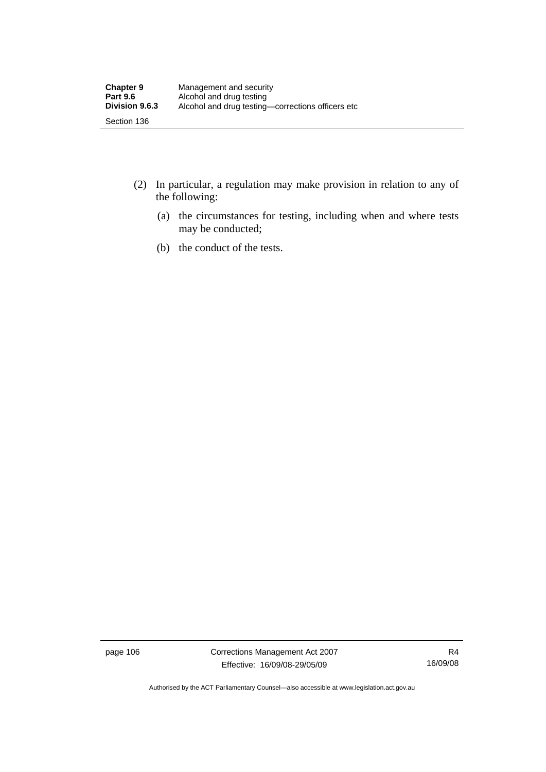- (2) In particular, a regulation may make provision in relation to any of the following:
	- (a) the circumstances for testing, including when and where tests may be conducted;
	- (b) the conduct of the tests.

page 106 Corrections Management Act 2007 Effective: 16/09/08-29/05/09

R4 16/09/08

Authorised by the ACT Parliamentary Counsel—also accessible at www.legislation.act.gov.au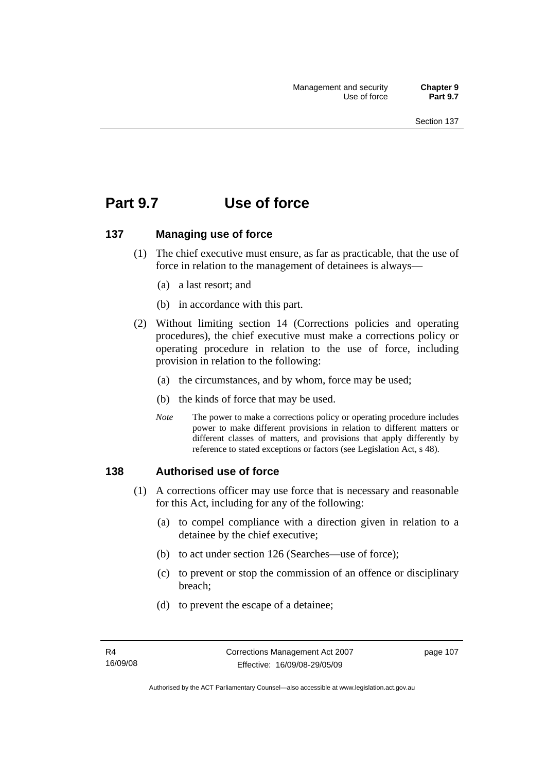# **Part 9.7 Use of force**

#### **137 Managing use of force**

- (1) The chief executive must ensure, as far as practicable, that the use of force in relation to the management of detainees is always—
	- (a) a last resort; and
	- (b) in accordance with this part.
- (2) Without limiting section 14 (Corrections policies and operating procedures), the chief executive must make a corrections policy or operating procedure in relation to the use of force, including provision in relation to the following:
	- (a) the circumstances, and by whom, force may be used;
	- (b) the kinds of force that may be used.
	- *Note* The power to make a corrections policy or operating procedure includes power to make different provisions in relation to different matters or different classes of matters, and provisions that apply differently by reference to stated exceptions or factors (see Legislation Act, s 48).

#### **138 Authorised use of force**

- (1) A corrections officer may use force that is necessary and reasonable for this Act, including for any of the following:
	- (a) to compel compliance with a direction given in relation to a detainee by the chief executive;
	- (b) to act under section 126 (Searches—use of force);
	- (c) to prevent or stop the commission of an offence or disciplinary breach;
	- (d) to prevent the escape of a detainee;

page 107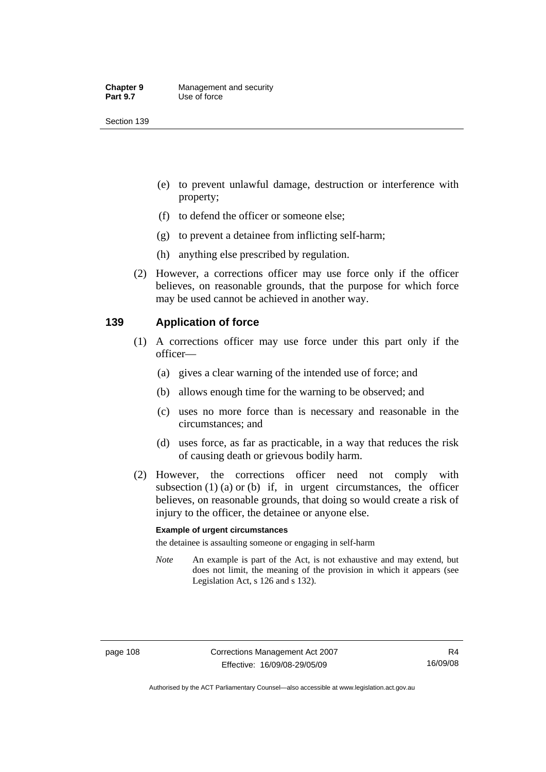- (e) to prevent unlawful damage, destruction or interference with property;
- (f) to defend the officer or someone else;
- (g) to prevent a detainee from inflicting self-harm;
- (h) anything else prescribed by regulation.
- (2) However, a corrections officer may use force only if the officer believes, on reasonable grounds, that the purpose for which force may be used cannot be achieved in another way.

#### **139 Application of force**

- (1) A corrections officer may use force under this part only if the officer—
	- (a) gives a clear warning of the intended use of force; and
	- (b) allows enough time for the warning to be observed; and
	- (c) uses no more force than is necessary and reasonable in the circumstances; and
	- (d) uses force, as far as practicable, in a way that reduces the risk of causing death or grievous bodily harm.
- (2) However, the corrections officer need not comply with subsection  $(1)$   $(a)$  or  $(b)$  if, in urgent circumstances, the officer believes, on reasonable grounds, that doing so would create a risk of injury to the officer, the detainee or anyone else.

#### **Example of urgent circumstances**

the detainee is assaulting someone or engaging in self-harm

*Note* An example is part of the Act, is not exhaustive and may extend, but does not limit, the meaning of the provision in which it appears (see Legislation Act, s 126 and s 132).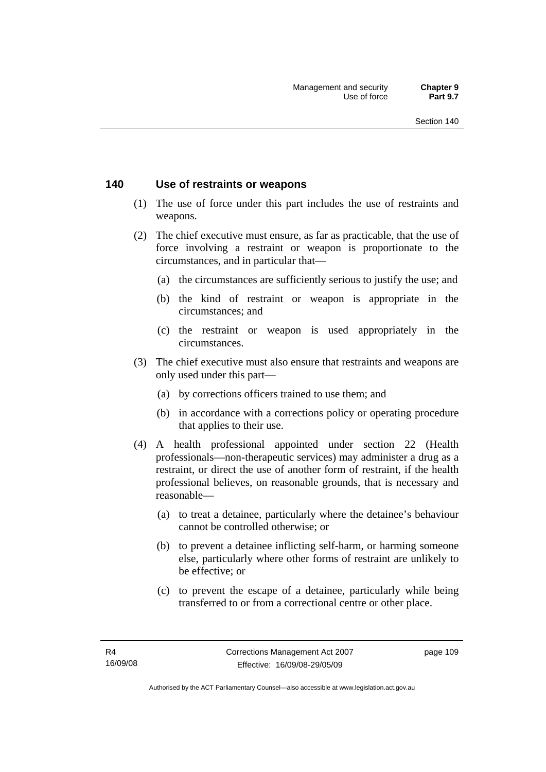#### **140 Use of restraints or weapons**

- (1) The use of force under this part includes the use of restraints and weapons.
- (2) The chief executive must ensure, as far as practicable, that the use of force involving a restraint or weapon is proportionate to the circumstances, and in particular that—
	- (a) the circumstances are sufficiently serious to justify the use; and
	- (b) the kind of restraint or weapon is appropriate in the circumstances; and
	- (c) the restraint or weapon is used appropriately in the circumstances.
- (3) The chief executive must also ensure that restraints and weapons are only used under this part—
	- (a) by corrections officers trained to use them; and
	- (b) in accordance with a corrections policy or operating procedure that applies to their use.
- (4) A health professional appointed under section 22 (Health professionals—non-therapeutic services) may administer a drug as a restraint, or direct the use of another form of restraint, if the health professional believes, on reasonable grounds, that is necessary and reasonable—
	- (a) to treat a detainee, particularly where the detainee's behaviour cannot be controlled otherwise; or
	- (b) to prevent a detainee inflicting self-harm, or harming someone else, particularly where other forms of restraint are unlikely to be effective; or
	- (c) to prevent the escape of a detainee, particularly while being transferred to or from a correctional centre or other place.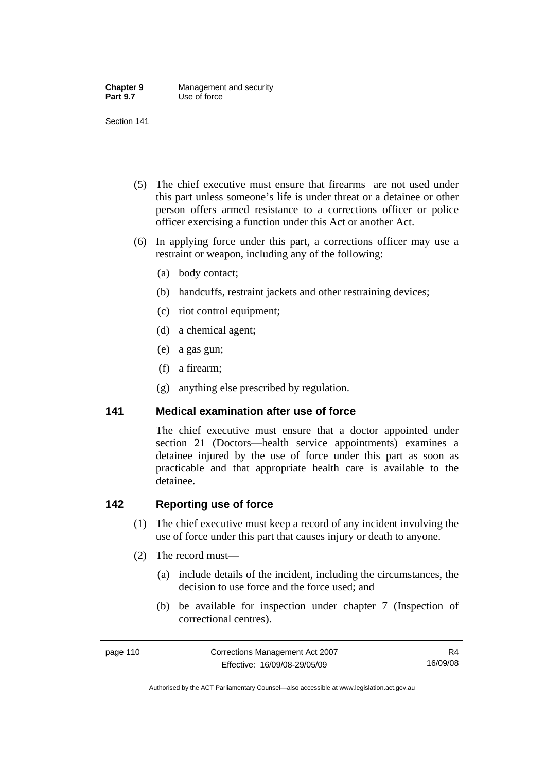| <b>Chapter 9</b> | Management and security |
|------------------|-------------------------|
| <b>Part 9.7</b>  | Use of force            |

- (5) The chief executive must ensure that firearms are not used under this part unless someone's life is under threat or a detainee or other person offers armed resistance to a corrections officer or police officer exercising a function under this Act or another Act.
- (6) In applying force under this part, a corrections officer may use a restraint or weapon, including any of the following:
	- (a) body contact;
	- (b) handcuffs, restraint jackets and other restraining devices;
	- (c) riot control equipment;
	- (d) a chemical agent;
	- (e) a gas gun;
	- (f) a firearm;
	- (g) anything else prescribed by regulation.

#### **141 Medical examination after use of force**

The chief executive must ensure that a doctor appointed under section 21 (Doctors—health service appointments) examines a detainee injured by the use of force under this part as soon as practicable and that appropriate health care is available to the detainee.

### **142 Reporting use of force**

- (1) The chief executive must keep a record of any incident involving the use of force under this part that causes injury or death to anyone.
- (2) The record must—
	- (a) include details of the incident, including the circumstances, the decision to use force and the force used; and
	- (b) be available for inspection under chapter 7 (Inspection of correctional centres).

R4 16/09/08

Authorised by the ACT Parliamentary Counsel—also accessible at www.legislation.act.gov.au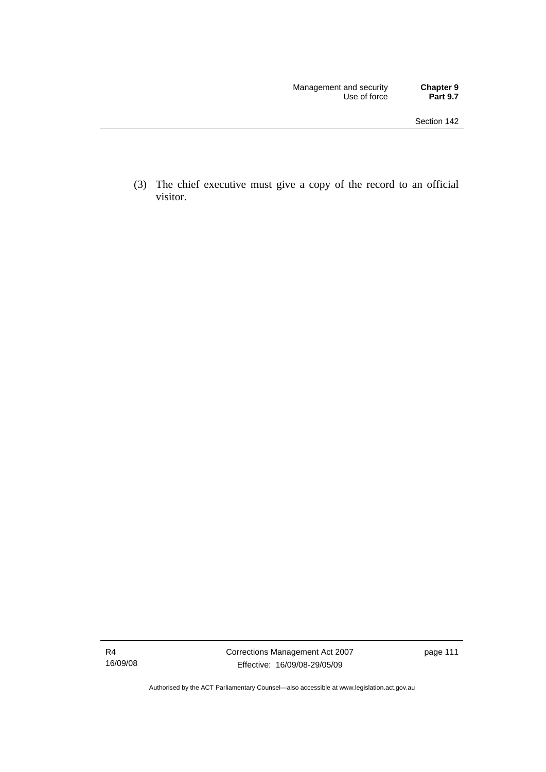(3) The chief executive must give a copy of the record to an official visitor.

Authorised by the ACT Parliamentary Counsel—also accessible at www.legislation.act.gov.au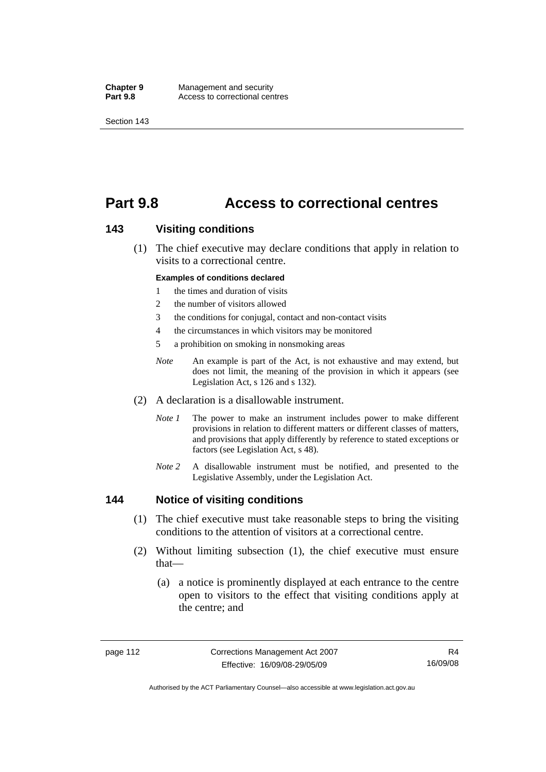**Chapter 9 Management and security<br>
<b>Part 9.8 Access to correctional cen** Access to correctional centres

Section 143

# **Part 9.8 Access to correctional centres**

#### **143 Visiting conditions**

 (1) The chief executive may declare conditions that apply in relation to visits to a correctional centre.

#### **Examples of conditions declared**

- 1 the times and duration of visits
- 2 the number of visitors allowed
- 3 the conditions for conjugal, contact and non-contact visits
- 4 the circumstances in which visitors may be monitored
- 5 a prohibition on smoking in nonsmoking areas
- *Note* An example is part of the Act, is not exhaustive and may extend, but does not limit, the meaning of the provision in which it appears (see Legislation Act, s 126 and s 132).
- (2) A declaration is a disallowable instrument.
	- *Note 1* The power to make an instrument includes power to make different provisions in relation to different matters or different classes of matters, and provisions that apply differently by reference to stated exceptions or factors (see Legislation Act, s 48).
	- *Note 2* A disallowable instrument must be notified, and presented to the Legislative Assembly, under the Legislation Act.

#### **144 Notice of visiting conditions**

- (1) The chief executive must take reasonable steps to bring the visiting conditions to the attention of visitors at a correctional centre.
- (2) Without limiting subsection (1), the chief executive must ensure that—
	- (a) a notice is prominently displayed at each entrance to the centre open to visitors to the effect that visiting conditions apply at the centre; and

Authorised by the ACT Parliamentary Counsel—also accessible at www.legislation.act.gov.au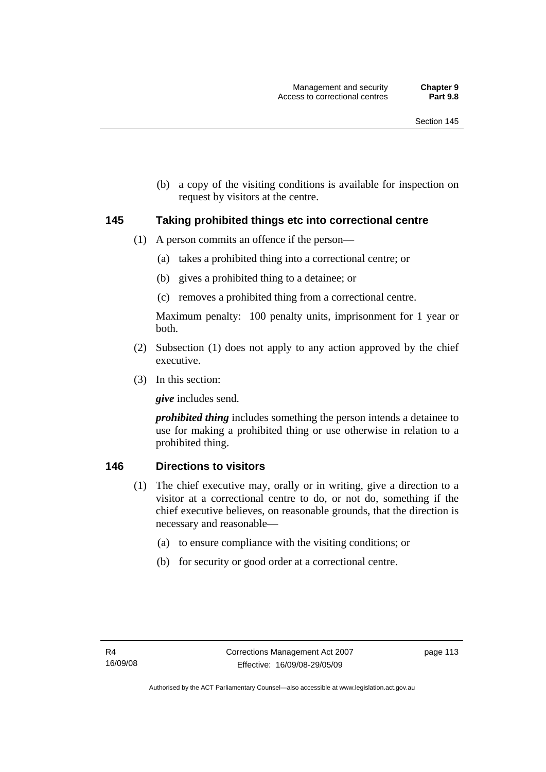(b) a copy of the visiting conditions is available for inspection on request by visitors at the centre.

#### **145 Taking prohibited things etc into correctional centre**

- (1) A person commits an offence if the person—
	- (a) takes a prohibited thing into a correctional centre; or
	- (b) gives a prohibited thing to a detainee; or
	- (c) removes a prohibited thing from a correctional centre.

Maximum penalty: 100 penalty units, imprisonment for 1 year or both.

- (2) Subsection (1) does not apply to any action approved by the chief executive.
- (3) In this section:

*give* includes send.

*prohibited thing* includes something the person intends a detainee to use for making a prohibited thing or use otherwise in relation to a prohibited thing.

#### **146 Directions to visitors**

- (1) The chief executive may, orally or in writing, give a direction to a visitor at a correctional centre to do, or not do, something if the chief executive believes, on reasonable grounds, that the direction is necessary and reasonable—
	- (a) to ensure compliance with the visiting conditions; or
	- (b) for security or good order at a correctional centre.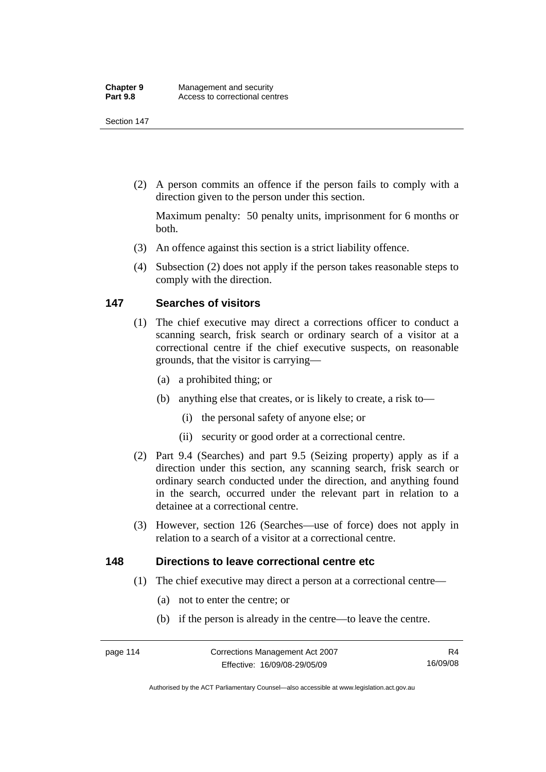(2) A person commits an offence if the person fails to comply with a direction given to the person under this section.

Maximum penalty: 50 penalty units, imprisonment for 6 months or both.

- (3) An offence against this section is a strict liability offence.
- (4) Subsection (2) does not apply if the person takes reasonable steps to comply with the direction.

### **147 Searches of visitors**

- (1) The chief executive may direct a corrections officer to conduct a scanning search, frisk search or ordinary search of a visitor at a correctional centre if the chief executive suspects, on reasonable grounds, that the visitor is carrying—
	- (a) a prohibited thing; or
	- (b) anything else that creates, or is likely to create, a risk to—
		- (i) the personal safety of anyone else; or
		- (ii) security or good order at a correctional centre.
- (2) Part 9.4 (Searches) and part 9.5 (Seizing property) apply as if a direction under this section, any scanning search, frisk search or ordinary search conducted under the direction, and anything found in the search, occurred under the relevant part in relation to a detainee at a correctional centre.
- (3) However, section 126 (Searches—use of force) does not apply in relation to a search of a visitor at a correctional centre.

#### **148 Directions to leave correctional centre etc**

- (1) The chief executive may direct a person at a correctional centre—
	- (a) not to enter the centre; or
	- (b) if the person is already in the centre—to leave the centre.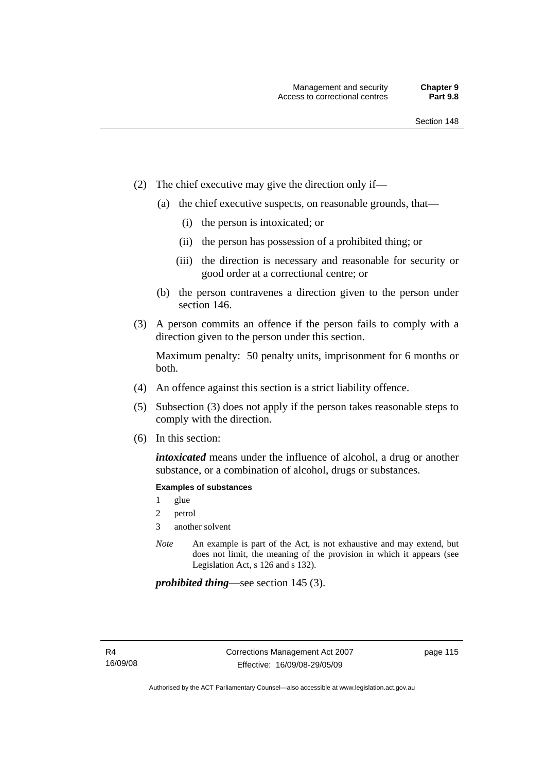- (2) The chief executive may give the direction only if—
	- (a) the chief executive suspects, on reasonable grounds, that—
		- (i) the person is intoxicated; or
		- (ii) the person has possession of a prohibited thing; or
		- (iii) the direction is necessary and reasonable for security or good order at a correctional centre; or
	- (b) the person contravenes a direction given to the person under section 146.
- (3) A person commits an offence if the person fails to comply with a direction given to the person under this section.

Maximum penalty: 50 penalty units, imprisonment for 6 months or both.

- (4) An offence against this section is a strict liability offence.
- (5) Subsection (3) does not apply if the person takes reasonable steps to comply with the direction.
- (6) In this section:

*intoxicated* means under the influence of alcohol, a drug or another substance, or a combination of alcohol, drugs or substances.

#### **Examples of substances**

- 1 glue
- 2 petrol
- 3 another solvent
- *Note* An example is part of the Act, is not exhaustive and may extend, but does not limit, the meaning of the provision in which it appears (see Legislation Act, s 126 and s 132).

*prohibited thing*—see section 145 (3).

page 115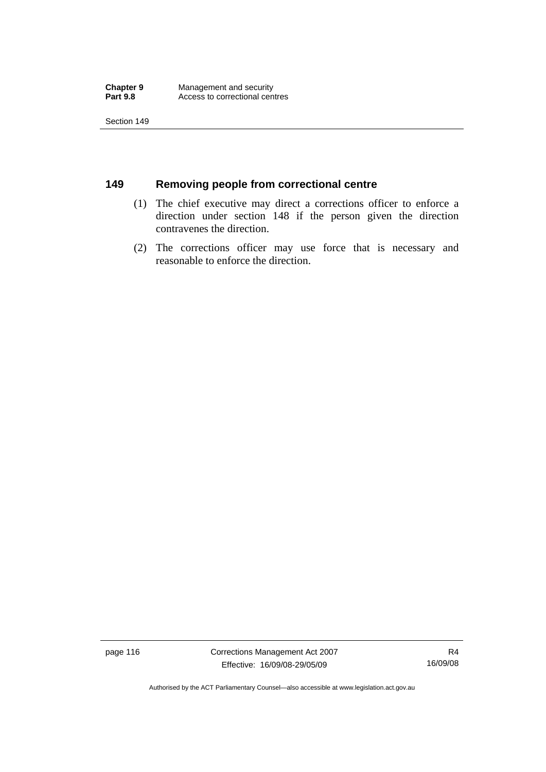## **149 Removing people from correctional centre**

- (1) The chief executive may direct a corrections officer to enforce a direction under section 148 if the person given the direction contravenes the direction.
- (2) The corrections officer may use force that is necessary and reasonable to enforce the direction.

page 116 Corrections Management Act 2007 Effective: 16/09/08-29/05/09

R4 16/09/08

Authorised by the ACT Parliamentary Counsel—also accessible at www.legislation.act.gov.au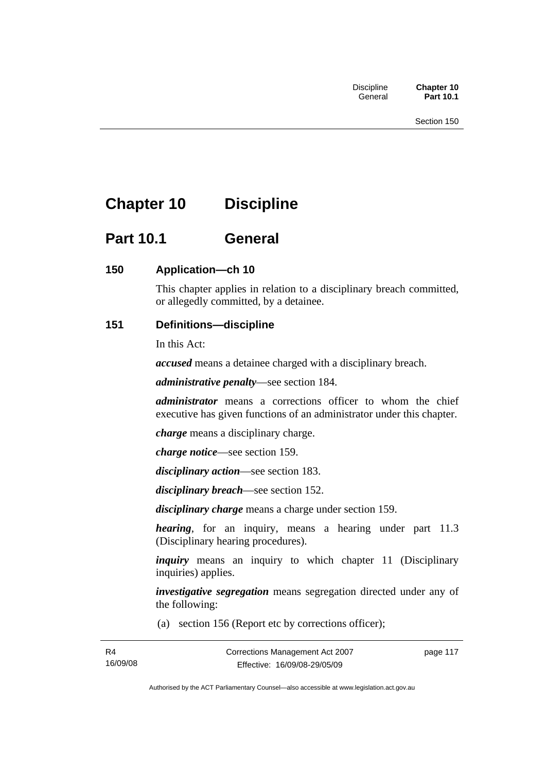# **Chapter 10 Discipline**

# **Part 10.1 General**

## **150 Application—ch 10**

This chapter applies in relation to a disciplinary breach committed, or allegedly committed, by a detainee.

## **151 Definitions—discipline**

In this Act:

*accused* means a detainee charged with a disciplinary breach.

*administrative penalty*—see section 184.

*administrator* means a corrections officer to whom the chief executive has given functions of an administrator under this chapter.

*charge* means a disciplinary charge.

*charge notice*—see section 159.

*disciplinary action*—see section 183.

*disciplinary breach*—see section 152.

*disciplinary charge* means a charge under section 159.

*hearing*, for an inquiry, means a hearing under part 11.3 (Disciplinary hearing procedures).

*inquiry* means an inquiry to which chapter 11 (Disciplinary inquiries) applies.

*investigative segregation* means segregation directed under any of the following:

(a) section 156 (Report etc by corrections officer);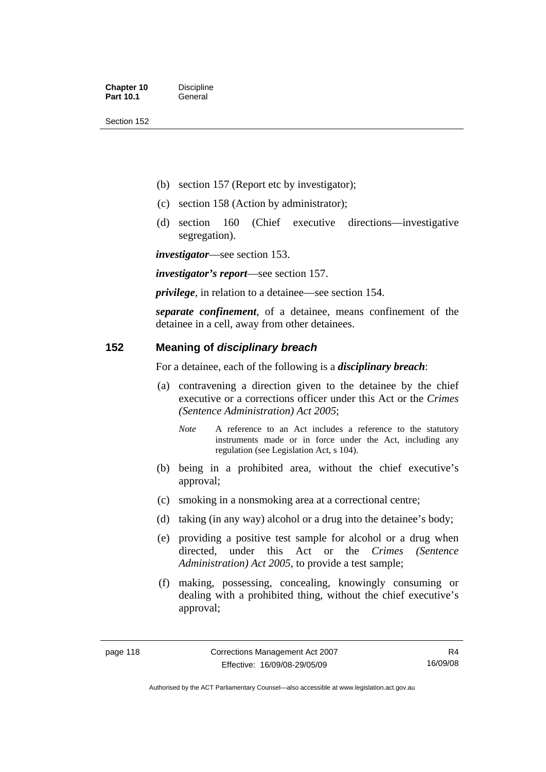- (b) section 157 (Report etc by investigator);
- (c) section 158 (Action by administrator);
- (d) section 160 (Chief executive directions—investigative segregation).

*investigator*—see section 153.

*investigator's report*—see section 157.

*privilege*, in relation to a detainee—see section 154.

*separate confinement*, of a detainee, means confinement of the detainee in a cell, away from other detainees.

#### **152 Meaning of** *disciplinary breach*

For a detainee, each of the following is a *disciplinary breach*:

- (a) contravening a direction given to the detainee by the chief executive or a corrections officer under this Act or the *Crimes (Sentence Administration) Act 2005*;
	- *Note* A reference to an Act includes a reference to the statutory instruments made or in force under the Act, including any regulation (see Legislation Act, s 104).
- (b) being in a prohibited area, without the chief executive's approval;
- (c) smoking in a nonsmoking area at a correctional centre;
- (d) taking (in any way) alcohol or a drug into the detainee's body;
- (e) providing a positive test sample for alcohol or a drug when directed, under this Act or the *Crimes (Sentence Administration) Act 2005*, to provide a test sample;
- (f) making, possessing, concealing, knowingly consuming or dealing with a prohibited thing, without the chief executive's approval;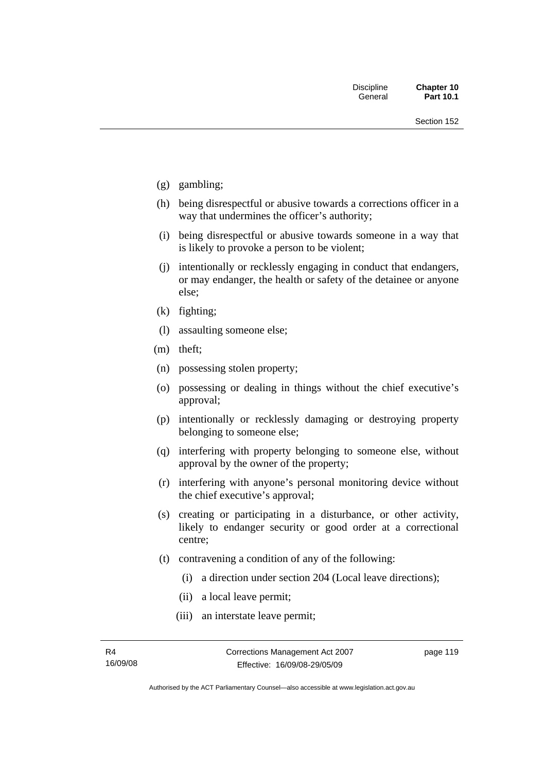- (g) gambling;
- (h) being disrespectful or abusive towards a corrections officer in a way that undermines the officer's authority;
- (i) being disrespectful or abusive towards someone in a way that is likely to provoke a person to be violent;
- (j) intentionally or recklessly engaging in conduct that endangers, or may endanger, the health or safety of the detainee or anyone else;
- (k) fighting;
- (l) assaulting someone else;
- (m) theft;
- (n) possessing stolen property;
- (o) possessing or dealing in things without the chief executive's approval;
- (p) intentionally or recklessly damaging or destroying property belonging to someone else;
- (q) interfering with property belonging to someone else, without approval by the owner of the property;
- (r) interfering with anyone's personal monitoring device without the chief executive's approval;
- (s) creating or participating in a disturbance, or other activity, likely to endanger security or good order at a correctional centre;
- (t) contravening a condition of any of the following:
	- (i) a direction under section 204 (Local leave directions);
	- (ii) a local leave permit;
	- (iii) an interstate leave permit;

page 119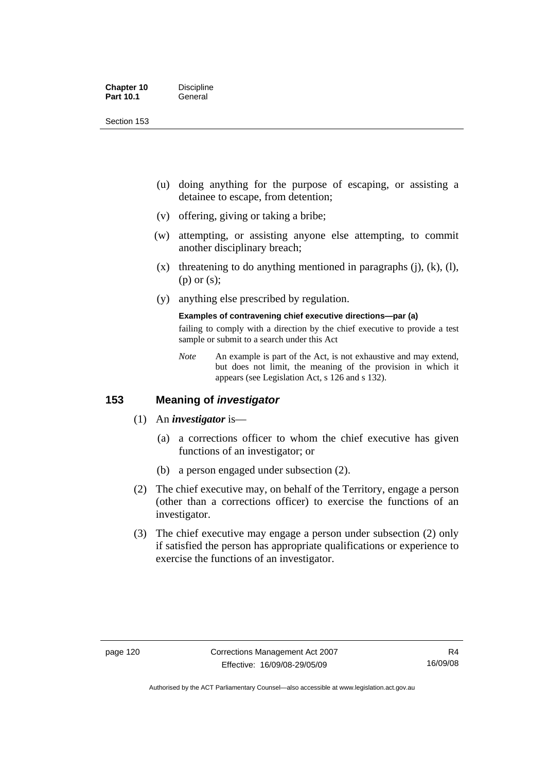| <b>Chapter 10</b> | <b>Discipline</b> |
|-------------------|-------------------|
| <b>Part 10.1</b>  | General           |

- (u) doing anything for the purpose of escaping, or assisting a detainee to escape, from detention;
- (v) offering, giving or taking a bribe;
- (w) attempting, or assisting anyone else attempting, to commit another disciplinary breach;
- $(x)$  threatening to do anything mentioned in paragraphs (j), (k), (l), (p) or (s);
- (y) anything else prescribed by regulation.

#### **Examples of contravening chief executive directions—par (a)**

failing to comply with a direction by the chief executive to provide a test sample or submit to a search under this Act

*Note* An example is part of the Act, is not exhaustive and may extend, but does not limit, the meaning of the provision in which it appears (see Legislation Act, s 126 and s 132).

#### **153 Meaning of** *investigator*

- (1) An *investigator* is—
	- (a) a corrections officer to whom the chief executive has given functions of an investigator; or
	- (b) a person engaged under subsection (2).
- (2) The chief executive may, on behalf of the Territory, engage a person (other than a corrections officer) to exercise the functions of an investigator.
- (3) The chief executive may engage a person under subsection (2) only if satisfied the person has appropriate qualifications or experience to exercise the functions of an investigator.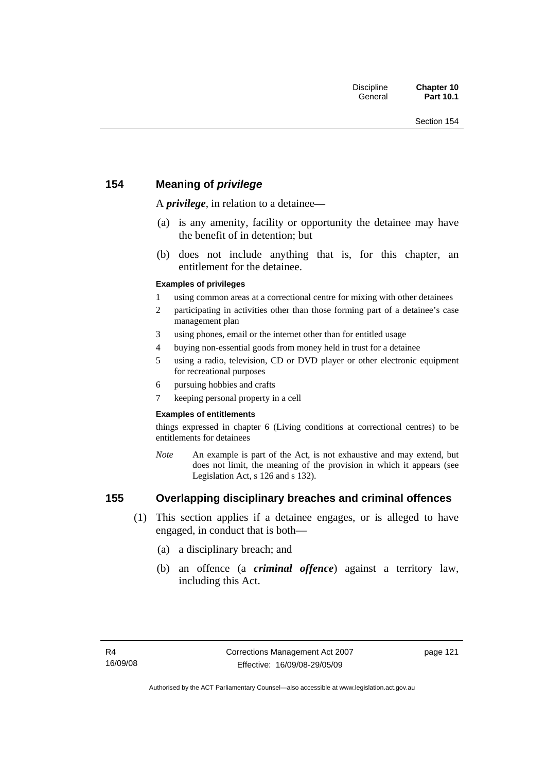## **154 Meaning of** *privilege*

A *privilege*, in relation to a detainee*—*

- (a) is any amenity, facility or opportunity the detainee may have the benefit of in detention; but
- (b) does not include anything that is, for this chapter, an entitlement for the detainee.

#### **Examples of privileges**

- 1 using common areas at a correctional centre for mixing with other detainees
- 2 participating in activities other than those forming part of a detainee's case management plan
- 3 using phones, email or the internet other than for entitled usage
- 4 buying non-essential goods from money held in trust for a detainee
- 5 using a radio, television, CD or DVD player or other electronic equipment for recreational purposes
- 6 pursuing hobbies and crafts
- 7 keeping personal property in a cell

#### **Examples of entitlements**

things expressed in chapter 6 (Living conditions at correctional centres) to be entitlements for detainees

*Note* An example is part of the Act, is not exhaustive and may extend, but does not limit, the meaning of the provision in which it appears (see Legislation Act, s 126 and s 132).

## **155 Overlapping disciplinary breaches and criminal offences**

- (1) This section applies if a detainee engages, or is alleged to have engaged, in conduct that is both—
	- (a) a disciplinary breach; and
	- (b) an offence (a *criminal offence*) against a territory law, including this Act.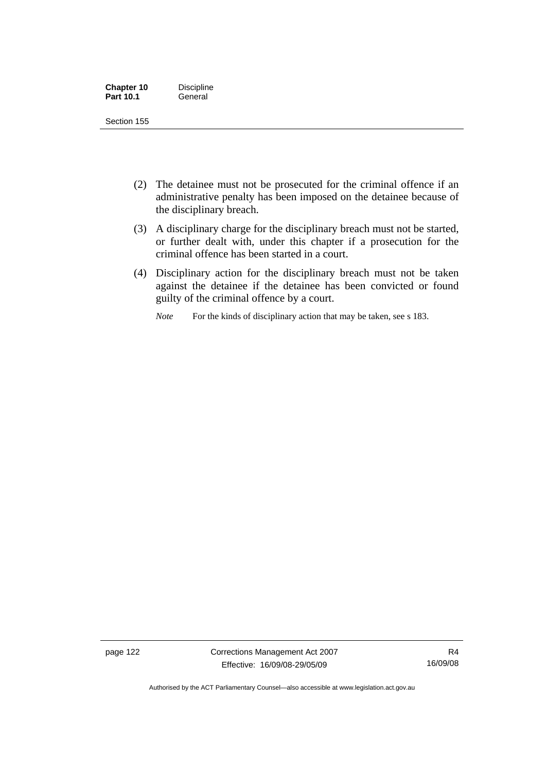| <b>Chapter 10</b> | <b>Discipline</b> |
|-------------------|-------------------|
| <b>Part 10.1</b>  | General           |

- (2) The detainee must not be prosecuted for the criminal offence if an administrative penalty has been imposed on the detainee because of the disciplinary breach.
- (3) A disciplinary charge for the disciplinary breach must not be started, or further dealt with, under this chapter if a prosecution for the criminal offence has been started in a court.
- (4) Disciplinary action for the disciplinary breach must not be taken against the detainee if the detainee has been convicted or found guilty of the criminal offence by a court.

*Note* For the kinds of disciplinary action that may be taken, see s 183.

page 122 Corrections Management Act 2007 Effective: 16/09/08-29/05/09

R4 16/09/08

Authorised by the ACT Parliamentary Counsel—also accessible at www.legislation.act.gov.au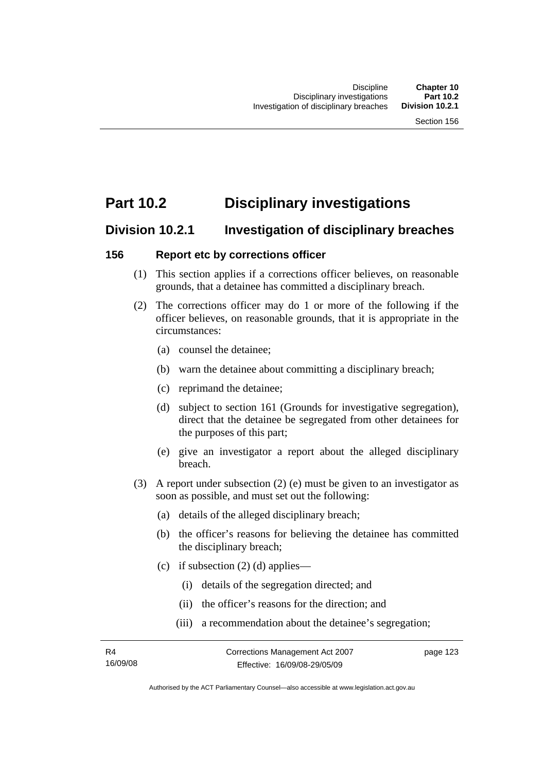# **Part 10.2 Disciplinary investigations**

## **Division 10.2.1 Investigation of disciplinary breaches**

#### **156 Report etc by corrections officer**

- (1) This section applies if a corrections officer believes, on reasonable grounds, that a detainee has committed a disciplinary breach.
- (2) The corrections officer may do 1 or more of the following if the officer believes, on reasonable grounds, that it is appropriate in the circumstances:
	- (a) counsel the detainee;
	- (b) warn the detainee about committing a disciplinary breach;
	- (c) reprimand the detainee;
	- (d) subject to section 161 (Grounds for investigative segregation), direct that the detainee be segregated from other detainees for the purposes of this part;
	- (e) give an investigator a report about the alleged disciplinary breach.
- (3) A report under subsection (2) (e) must be given to an investigator as soon as possible, and must set out the following:
	- (a) details of the alleged disciplinary breach;
	- (b) the officer's reasons for believing the detainee has committed the disciplinary breach;
	- (c) if subsection  $(2)$  (d) applies—
		- (i) details of the segregation directed; and
		- (ii) the officer's reasons for the direction; and
		- (iii) a recommendation about the detainee's segregation;

page 123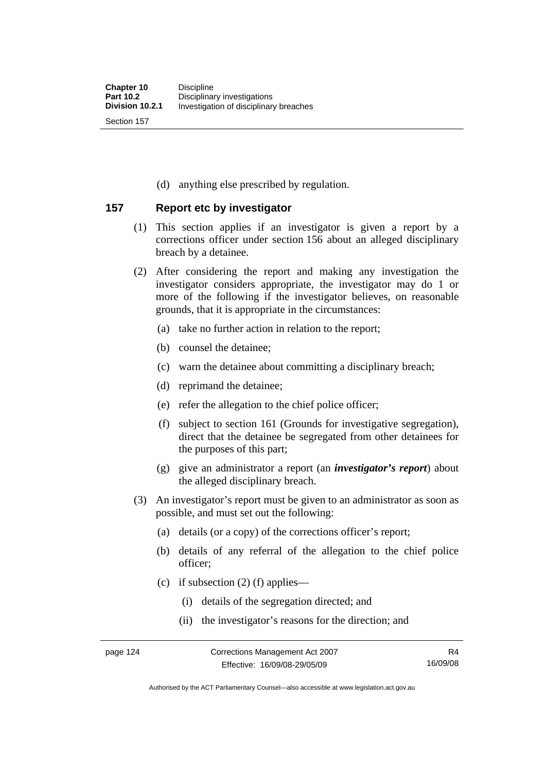(d) anything else prescribed by regulation.

### **157 Report etc by investigator**

- (1) This section applies if an investigator is given a report by a corrections officer under section 156 about an alleged disciplinary breach by a detainee.
- (2) After considering the report and making any investigation the investigator considers appropriate, the investigator may do 1 or more of the following if the investigator believes, on reasonable grounds, that it is appropriate in the circumstances:
	- (a) take no further action in relation to the report;
	- (b) counsel the detainee;
	- (c) warn the detainee about committing a disciplinary breach;
	- (d) reprimand the detainee;
	- (e) refer the allegation to the chief police officer;
	- (f) subject to section 161 (Grounds for investigative segregation), direct that the detainee be segregated from other detainees for the purposes of this part;
	- (g) give an administrator a report (an *investigator's report*) about the alleged disciplinary breach.
- (3) An investigator's report must be given to an administrator as soon as possible, and must set out the following:
	- (a) details (or a copy) of the corrections officer's report;
	- (b) details of any referral of the allegation to the chief police officer;
	- (c) if subsection  $(2)$  (f) applies—
		- (i) details of the segregation directed; and
		- (ii) the investigator's reasons for the direction; and

Authorised by the ACT Parliamentary Counsel—also accessible at www.legislation.act.gov.au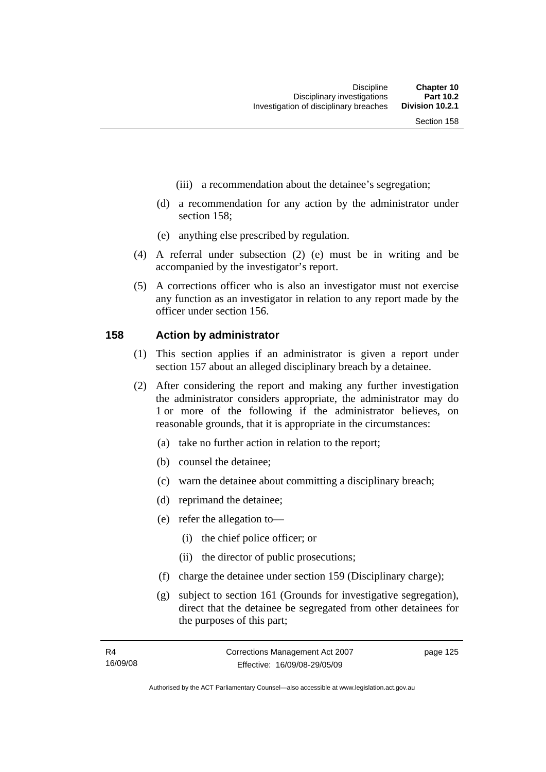- (iii) a recommendation about the detainee's segregation;
- (d) a recommendation for any action by the administrator under section 158;
- (e) anything else prescribed by regulation.
- (4) A referral under subsection (2) (e) must be in writing and be accompanied by the investigator's report.
- (5) A corrections officer who is also an investigator must not exercise any function as an investigator in relation to any report made by the officer under section 156.

#### **158 Action by administrator**

- (1) This section applies if an administrator is given a report under section 157 about an alleged disciplinary breach by a detainee.
- (2) After considering the report and making any further investigation the administrator considers appropriate, the administrator may do 1 or more of the following if the administrator believes, on reasonable grounds, that it is appropriate in the circumstances:
	- (a) take no further action in relation to the report;
	- (b) counsel the detainee;
	- (c) warn the detainee about committing a disciplinary breach;
	- (d) reprimand the detainee;
	- (e) refer the allegation to—
		- (i) the chief police officer; or
		- (ii) the director of public prosecutions;
	- (f) charge the detainee under section 159 (Disciplinary charge);
	- (g) subject to section 161 (Grounds for investigative segregation), direct that the detainee be segregated from other detainees for the purposes of this part;

page 125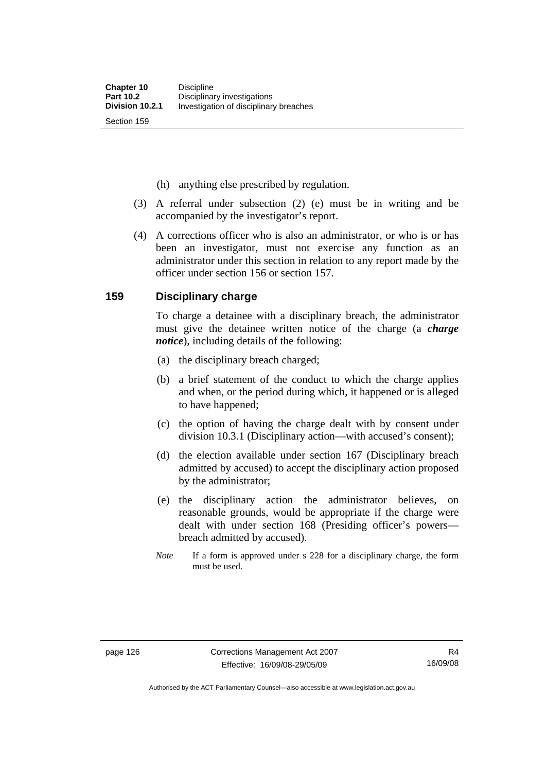(h) anything else prescribed by regulation.

- (3) A referral under subsection (2) (e) must be in writing and be accompanied by the investigator's report.
- (4) A corrections officer who is also an administrator, or who is or has been an investigator, must not exercise any function as an administrator under this section in relation to any report made by the officer under section 156 or section 157.

#### **159 Disciplinary charge**

To charge a detainee with a disciplinary breach, the administrator must give the detainee written notice of the charge (a *charge notice*), including details of the following:

- (a) the disciplinary breach charged;
- (b) a brief statement of the conduct to which the charge applies and when, or the period during which, it happened or is alleged to have happened;
- (c) the option of having the charge dealt with by consent under division 10.3.1 (Disciplinary action—with accused's consent);
- (d) the election available under section 167 (Disciplinary breach admitted by accused) to accept the disciplinary action proposed by the administrator;
- (e) the disciplinary action the administrator believes, on reasonable grounds, would be appropriate if the charge were dealt with under section 168 (Presiding officer's powers breach admitted by accused).
- *Note* If a form is approved under s 228 for a disciplinary charge, the form must be used.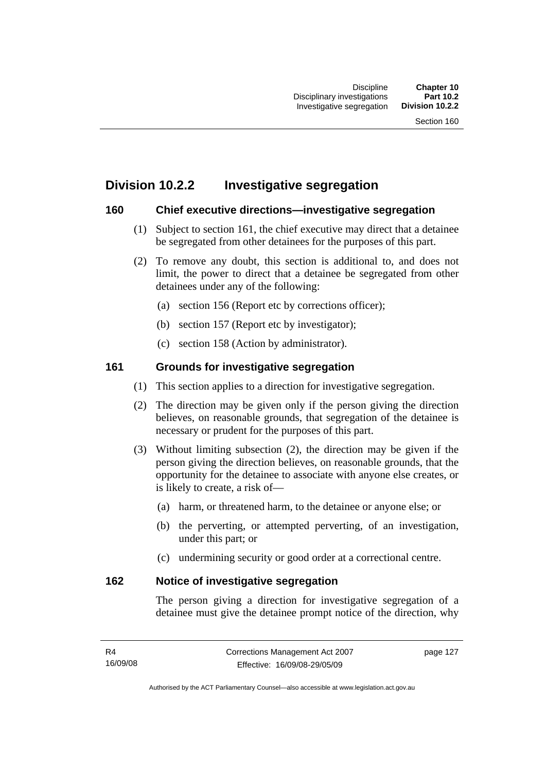# **Division 10.2.2 Investigative segregation**

### **160 Chief executive directions—investigative segregation**

- (1) Subject to section 161, the chief executive may direct that a detainee be segregated from other detainees for the purposes of this part.
- (2) To remove any doubt, this section is additional to, and does not limit, the power to direct that a detainee be segregated from other detainees under any of the following:
	- (a) section 156 (Report etc by corrections officer);
	- (b) section 157 (Report etc by investigator);
	- (c) section 158 (Action by administrator).

## **161 Grounds for investigative segregation**

- (1) This section applies to a direction for investigative segregation.
- (2) The direction may be given only if the person giving the direction believes, on reasonable grounds, that segregation of the detainee is necessary or prudent for the purposes of this part.
- (3) Without limiting subsection (2), the direction may be given if the person giving the direction believes, on reasonable grounds, that the opportunity for the detainee to associate with anyone else creates, or is likely to create, a risk of—
	- (a) harm, or threatened harm, to the detainee or anyone else; or
	- (b) the perverting, or attempted perverting, of an investigation, under this part; or
	- (c) undermining security or good order at a correctional centre.

#### **162 Notice of investigative segregation**

The person giving a direction for investigative segregation of a detainee must give the detainee prompt notice of the direction, why

page 127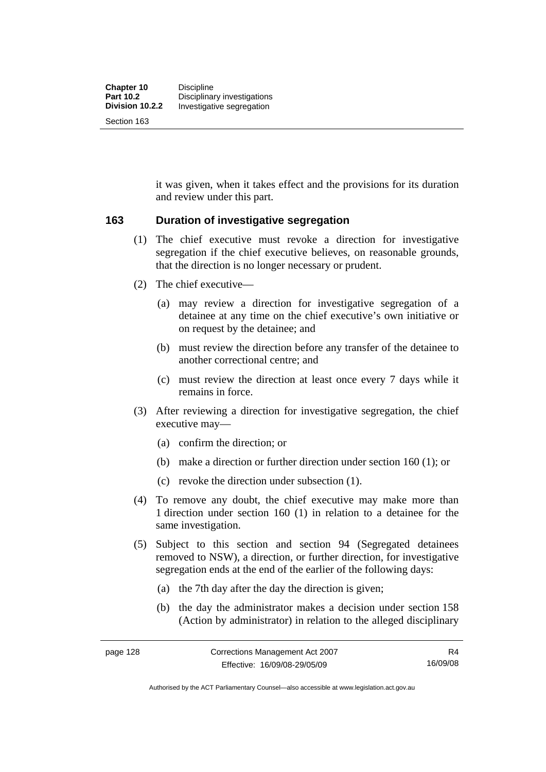it was given, when it takes effect and the provisions for its duration and review under this part.

### **163 Duration of investigative segregation**

- (1) The chief executive must revoke a direction for investigative segregation if the chief executive believes, on reasonable grounds, that the direction is no longer necessary or prudent.
- (2) The chief executive—
	- (a) may review a direction for investigative segregation of a detainee at any time on the chief executive's own initiative or on request by the detainee; and
	- (b) must review the direction before any transfer of the detainee to another correctional centre; and
	- (c) must review the direction at least once every 7 days while it remains in force.
- (3) After reviewing a direction for investigative segregation, the chief executive may—
	- (a) confirm the direction; or
	- (b) make a direction or further direction under section 160 (1); or
	- (c) revoke the direction under subsection (1).
- (4) To remove any doubt, the chief executive may make more than 1 direction under section 160 (1) in relation to a detainee for the same investigation.
- (5) Subject to this section and section 94 (Segregated detainees removed to NSW), a direction, or further direction, for investigative segregation ends at the end of the earlier of the following days:
	- (a) the 7th day after the day the direction is given;
	- (b) the day the administrator makes a decision under section 158 (Action by administrator) in relation to the alleged disciplinary

Authorised by the ACT Parliamentary Counsel—also accessible at www.legislation.act.gov.au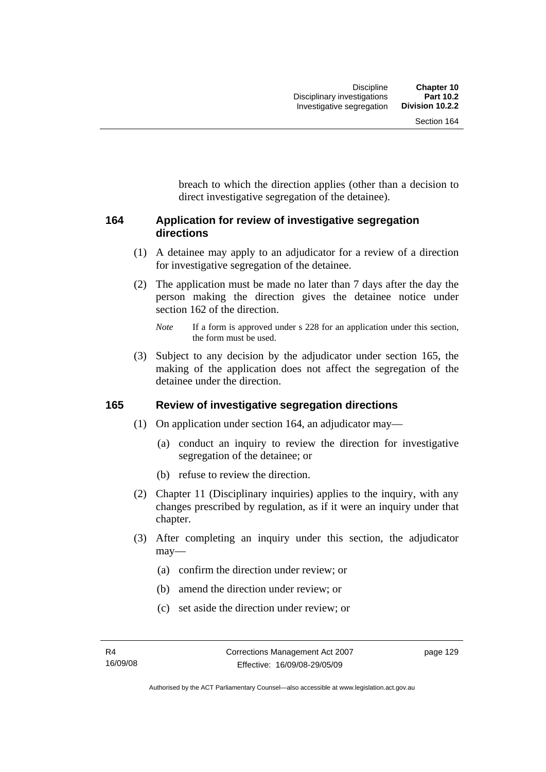breach to which the direction applies (other than a decision to direct investigative segregation of the detainee).

## **164 Application for review of investigative segregation directions**

- (1) A detainee may apply to an adjudicator for a review of a direction for investigative segregation of the detainee.
- (2) The application must be made no later than 7 days after the day the person making the direction gives the detainee notice under section 162 of the direction.

 (3) Subject to any decision by the adjudicator under section 165, the making of the application does not affect the segregation of the detainee under the direction.

#### **165 Review of investigative segregation directions**

- (1) On application under section 164, an adjudicator may—
	- (a) conduct an inquiry to review the direction for investigative segregation of the detainee; or
	- (b) refuse to review the direction.
- (2) Chapter 11 (Disciplinary inquiries) applies to the inquiry, with any changes prescribed by regulation, as if it were an inquiry under that chapter.
- (3) After completing an inquiry under this section, the adjudicator may—
	- (a) confirm the direction under review; or
	- (b) amend the direction under review; or
	- (c) set aside the direction under review; or

*Note* If a form is approved under s 228 for an application under this section, the form must be used.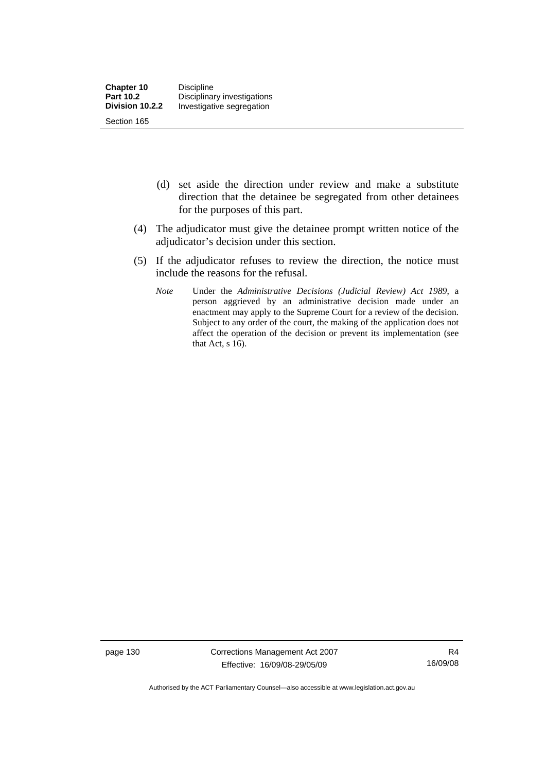- (d) set aside the direction under review and make a substitute direction that the detainee be segregated from other detainees for the purposes of this part.
- (4) The adjudicator must give the detainee prompt written notice of the adjudicator's decision under this section.
- (5) If the adjudicator refuses to review the direction, the notice must include the reasons for the refusal.
	- *Note* Under the *Administrative Decisions (Judicial Review) Act 1989*, a person aggrieved by an administrative decision made under an enactment may apply to the Supreme Court for a review of the decision. Subject to any order of the court, the making of the application does not affect the operation of the decision or prevent its implementation (see that Act,  $s$  16).

page 130 Corrections Management Act 2007 Effective: 16/09/08-29/05/09

R4 16/09/08

Authorised by the ACT Parliamentary Counsel—also accessible at www.legislation.act.gov.au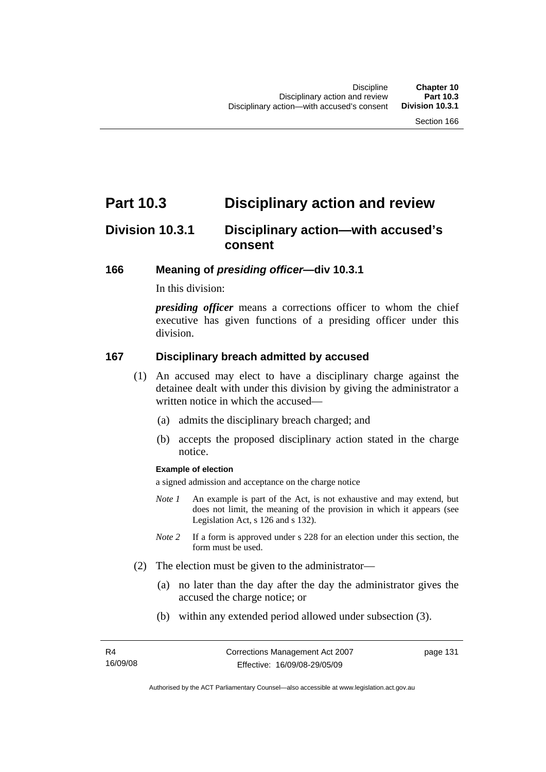# **Part 10.3 Disciplinary action and review**

# **Division 10.3.1 Disciplinary action—with accused's consent**

### **166 Meaning of** *presiding officer***—div 10.3.1**

In this division:

*presiding officer* means a corrections officer to whom the chief executive has given functions of a presiding officer under this division.

### **167 Disciplinary breach admitted by accused**

- (1) An accused may elect to have a disciplinary charge against the detainee dealt with under this division by giving the administrator a written notice in which the accused—
	- (a) admits the disciplinary breach charged; and
	- (b) accepts the proposed disciplinary action stated in the charge notice.

#### **Example of election**

a signed admission and acceptance on the charge notice

- *Note 1* An example is part of the Act, is not exhaustive and may extend, but does not limit, the meaning of the provision in which it appears (see Legislation Act, s 126 and s 132).
- *Note* 2 If a form is approved under s 228 for an election under this section, the form must be used.
- (2) The election must be given to the administrator—
	- (a) no later than the day after the day the administrator gives the accused the charge notice; or
	- (b) within any extended period allowed under subsection (3).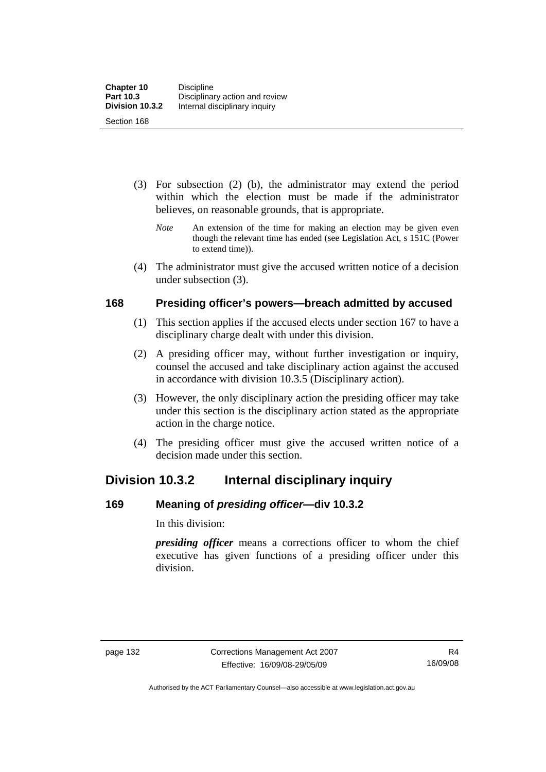- (3) For subsection (2) (b), the administrator may extend the period within which the election must be made if the administrator believes, on reasonable grounds, that is appropriate.
	- *Note* An extension of the time for making an election may be given even though the relevant time has ended (see Legislation Act, s 151C (Power to extend time)).
- (4) The administrator must give the accused written notice of a decision under subsection (3).

### **168 Presiding officer's powers—breach admitted by accused**

- (1) This section applies if the accused elects under section 167 to have a disciplinary charge dealt with under this division.
- (2) A presiding officer may, without further investigation or inquiry, counsel the accused and take disciplinary action against the accused in accordance with division 10.3.5 (Disciplinary action).
- (3) However, the only disciplinary action the presiding officer may take under this section is the disciplinary action stated as the appropriate action in the charge notice.
- (4) The presiding officer must give the accused written notice of a decision made under this section.

# **Division 10.3.2 Internal disciplinary inquiry**

## **169 Meaning of** *presiding officer***—div 10.3.2**

In this division:

*presiding officer* means a corrections officer to whom the chief executive has given functions of a presiding officer under this division.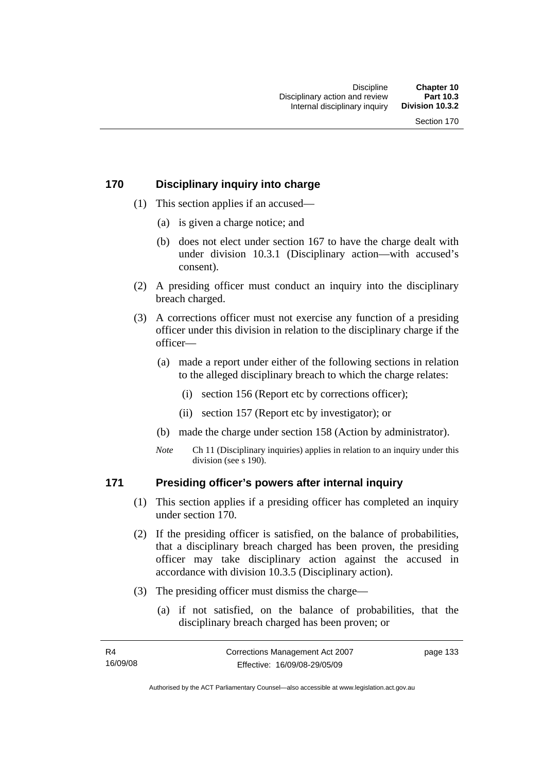### **170 Disciplinary inquiry into charge**

- (1) This section applies if an accused—
	- (a) is given a charge notice; and
	- (b) does not elect under section 167 to have the charge dealt with under division 10.3.1 (Disciplinary action—with accused's consent).
- (2) A presiding officer must conduct an inquiry into the disciplinary breach charged.
- (3) A corrections officer must not exercise any function of a presiding officer under this division in relation to the disciplinary charge if the officer—
	- (a) made a report under either of the following sections in relation to the alleged disciplinary breach to which the charge relates:
		- (i) section 156 (Report etc by corrections officer);
		- (ii) section 157 (Report etc by investigator); or
	- (b) made the charge under section 158 (Action by administrator).
	- *Note* Ch 11 (Disciplinary inquiries) applies in relation to an inquiry under this division (see s 190).

#### **171 Presiding officer's powers after internal inquiry**

- (1) This section applies if a presiding officer has completed an inquiry under section 170.
- (2) If the presiding officer is satisfied, on the balance of probabilities, that a disciplinary breach charged has been proven, the presiding officer may take disciplinary action against the accused in accordance with division 10.3.5 (Disciplinary action).
- (3) The presiding officer must dismiss the charge—
	- (a) if not satisfied, on the balance of probabilities, that the disciplinary breach charged has been proven; or

Authorised by the ACT Parliamentary Counsel—also accessible at www.legislation.act.gov.au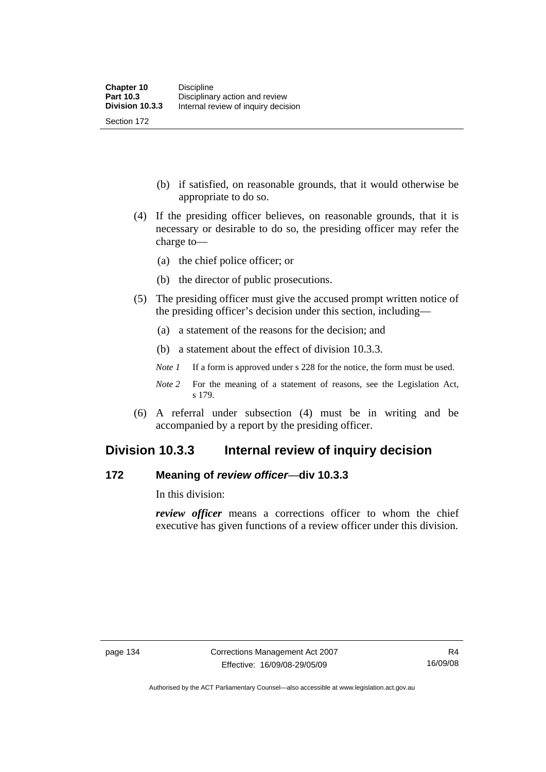Section 172

 (b) if satisfied, on reasonable grounds, that it would otherwise be appropriate to do so.

- (4) If the presiding officer believes, on reasonable grounds, that it is necessary or desirable to do so, the presiding officer may refer the charge to—
	- (a) the chief police officer; or
	- (b) the director of public prosecutions.
- (5) The presiding officer must give the accused prompt written notice of the presiding officer's decision under this section, including—
	- (a) a statement of the reasons for the decision; and
	- (b) a statement about the effect of division 10.3.3.
	- *Note 1* If a form is approved under s 228 for the notice, the form must be used.
	- *Note* 2 For the meaning of a statement of reasons, see the Legislation Act, s 179.
- (6) A referral under subsection (4) must be in writing and be accompanied by a report by the presiding officer.

## **Division 10.3.3 Internal review of inquiry decision**

#### **172 Meaning of** *review officer*—**div 10.3.3**

In this division:

*review officer* means a corrections officer to whom the chief executive has given functions of a review officer under this division.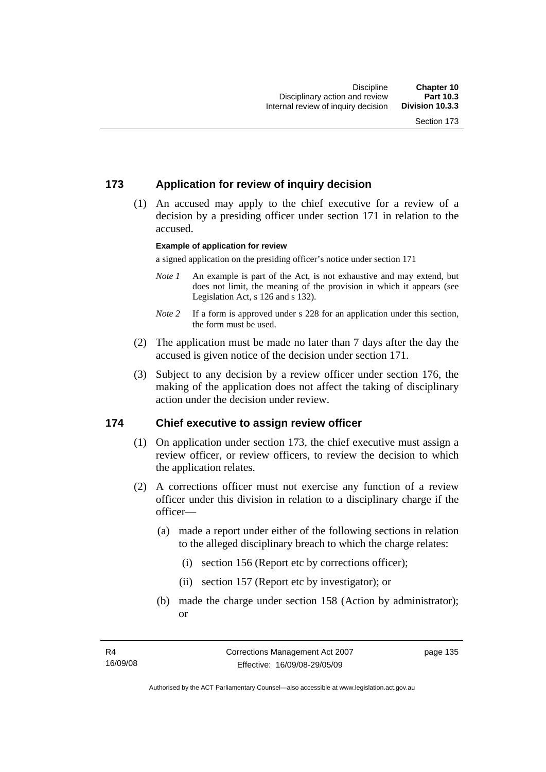## **173 Application for review of inquiry decision**

 (1) An accused may apply to the chief executive for a review of a decision by a presiding officer under section 171 in relation to the accused.

#### **Example of application for review**

a signed application on the presiding officer's notice under section 171

- *Note 1* An example is part of the Act, is not exhaustive and may extend, but does not limit, the meaning of the provision in which it appears (see Legislation Act, s 126 and s 132).
- *Note* 2 If a form is approved under s 228 for an application under this section, the form must be used.
- (2) The application must be made no later than 7 days after the day the accused is given notice of the decision under section 171.
- (3) Subject to any decision by a review officer under section 176, the making of the application does not affect the taking of disciplinary action under the decision under review.

#### **174 Chief executive to assign review officer**

- (1) On application under section 173, the chief executive must assign a review officer, or review officers, to review the decision to which the application relates.
- (2) A corrections officer must not exercise any function of a review officer under this division in relation to a disciplinary charge if the officer—
	- (a) made a report under either of the following sections in relation to the alleged disciplinary breach to which the charge relates:
		- (i) section 156 (Report etc by corrections officer);
		- (ii) section 157 (Report etc by investigator); or
	- (b) made the charge under section 158 (Action by administrator); or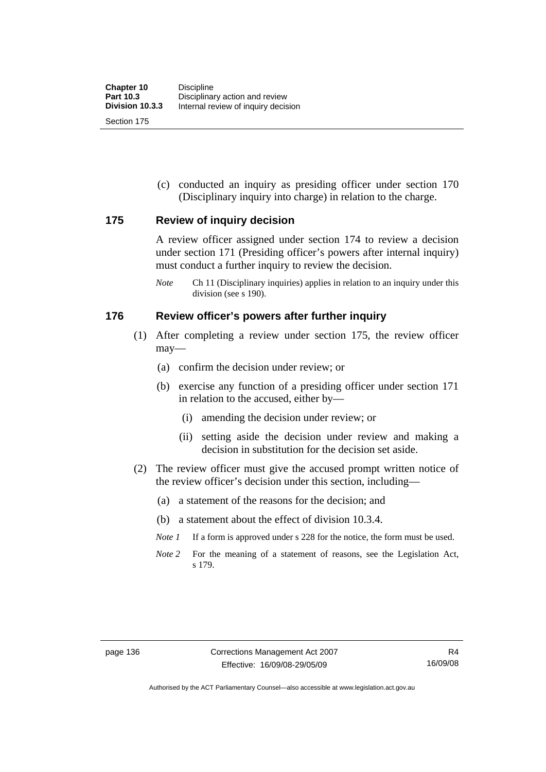(c) conducted an inquiry as presiding officer under section 170 (Disciplinary inquiry into charge) in relation to the charge.

#### **175 Review of inquiry decision**

A review officer assigned under section 174 to review a decision under section 171 (Presiding officer's powers after internal inquiry) must conduct a further inquiry to review the decision.

*Note* Ch 11 (Disciplinary inquiries) applies in relation to an inquiry under this division (see s 190).

#### **176 Review officer's powers after further inquiry**

- (1) After completing a review under section 175, the review officer may—
	- (a) confirm the decision under review; or
	- (b) exercise any function of a presiding officer under section 171 in relation to the accused, either by—
		- (i) amending the decision under review; or
		- (ii) setting aside the decision under review and making a decision in substitution for the decision set aside.
- (2) The review officer must give the accused prompt written notice of the review officer's decision under this section, including—
	- (a) a statement of the reasons for the decision; and
	- (b) a statement about the effect of division 10.3.4.
	- *Note 1* If a form is approved under s 228 for the notice, the form must be used.
	- *Note 2* For the meaning of a statement of reasons, see the Legislation Act, s 179.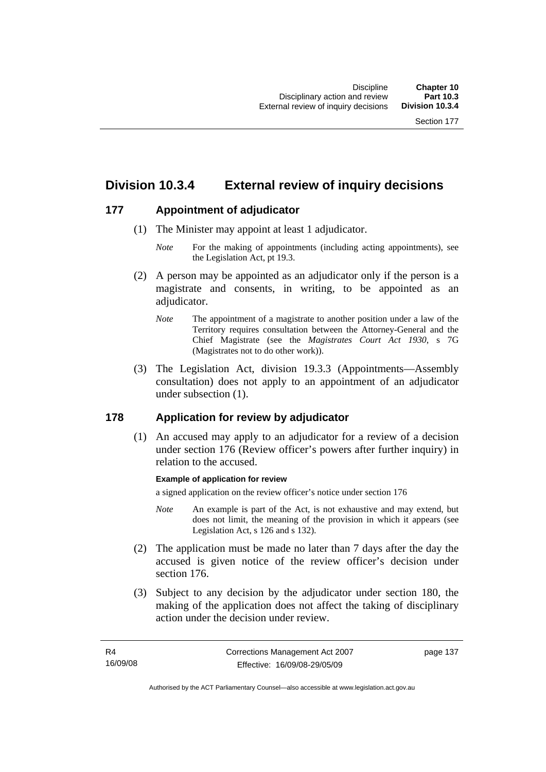# **Division 10.3.4 External review of inquiry decisions**

### **177 Appointment of adjudicator**

- (1) The Minister may appoint at least 1 adjudicator.
	- *Note* For the making of appointments (including acting appointments), see the Legislation Act, pt 19.3.
- (2) A person may be appointed as an adjudicator only if the person is a magistrate and consents, in writing, to be appointed as an adiudicator.
	- *Note* The appointment of a magistrate to another position under a law of the Territory requires consultation between the Attorney-General and the Chief Magistrate (see the *Magistrates Court Act 1930*, s 7G (Magistrates not to do other work)).
- (3) The Legislation Act, division 19.3.3 (Appointments—Assembly consultation) does not apply to an appointment of an adjudicator under subsection (1).

## **178 Application for review by adjudicator**

 (1) An accused may apply to an adjudicator for a review of a decision under section 176 (Review officer's powers after further inquiry) in relation to the accused.

#### **Example of application for review**

a signed application on the review officer's notice under section 176

- *Note* An example is part of the Act, is not exhaustive and may extend, but does not limit, the meaning of the provision in which it appears (see Legislation Act, s 126 and s 132).
- (2) The application must be made no later than 7 days after the day the accused is given notice of the review officer's decision under section 176.
- (3) Subject to any decision by the adjudicator under section 180, the making of the application does not affect the taking of disciplinary action under the decision under review.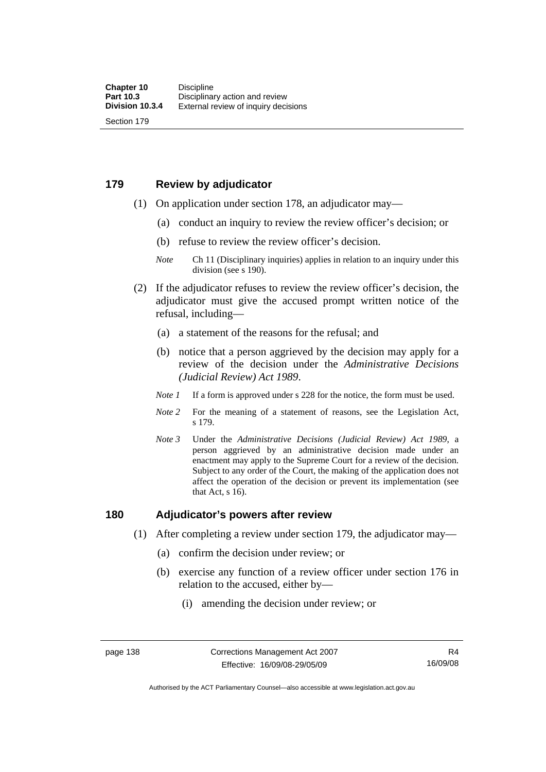#### **179 Review by adjudicator**

Section 179

- (1) On application under section 178, an adjudicator may—
	- (a) conduct an inquiry to review the review officer's decision; or
	- (b) refuse to review the review officer's decision.

- (2) If the adjudicator refuses to review the review officer's decision, the adjudicator must give the accused prompt written notice of the refusal, including—
	- (a) a statement of the reasons for the refusal; and
	- (b) notice that a person aggrieved by the decision may apply for a review of the decision under the *Administrative Decisions (Judicial Review) Act 1989*.
	- *Note 1* If a form is approved under s 228 for the notice, the form must be used.
	- *Note 2* For the meaning of a statement of reasons, see the Legislation Act, s 179.
	- *Note 3* Under the *Administrative Decisions (Judicial Review) Act 1989*, a person aggrieved by an administrative decision made under an enactment may apply to the Supreme Court for a review of the decision. Subject to any order of the Court, the making of the application does not affect the operation of the decision or prevent its implementation (see that Act, s 16).

#### **180 Adjudicator's powers after review**

- (1) After completing a review under section 179, the adjudicator may—
	- (a) confirm the decision under review; or
	- (b) exercise any function of a review officer under section 176 in relation to the accused, either by—
		- (i) amending the decision under review; or

*Note* Ch 11 (Disciplinary inquiries) applies in relation to an inquiry under this division (see s 190).

Authorised by the ACT Parliamentary Counsel—also accessible at www.legislation.act.gov.au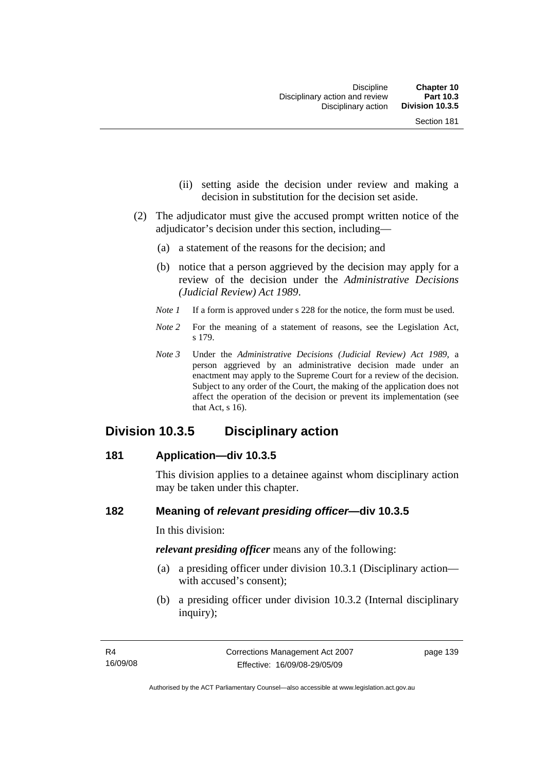- (ii) setting aside the decision under review and making a decision in substitution for the decision set aside.
- (2) The adjudicator must give the accused prompt written notice of the adjudicator's decision under this section, including—
	- (a) a statement of the reasons for the decision; and
	- (b) notice that a person aggrieved by the decision may apply for a review of the decision under the *Administrative Decisions (Judicial Review) Act 1989*.
	- *Note 1* If a form is approved under s 228 for the notice, the form must be used.
	- *Note* 2 For the meaning of a statement of reasons, see the Legislation Act, s 179.
	- *Note 3* Under the *Administrative Decisions (Judicial Review) Act 1989*, a person aggrieved by an administrative decision made under an enactment may apply to the Supreme Court for a review of the decision. Subject to any order of the Court, the making of the application does not affect the operation of the decision or prevent its implementation (see that Act, s 16).

## **Division 10.3.5 Disciplinary action**

#### **181 Application—div 10.3.5**

This division applies to a detainee against whom disciplinary action may be taken under this chapter.

#### **182 Meaning of** *relevant presiding officer***—div 10.3.5**

In this division:

*relevant presiding officer* means any of the following:

- (a) a presiding officer under division 10.3.1 (Disciplinary action with accused's consent);
- (b) a presiding officer under division 10.3.2 (Internal disciplinary inquiry);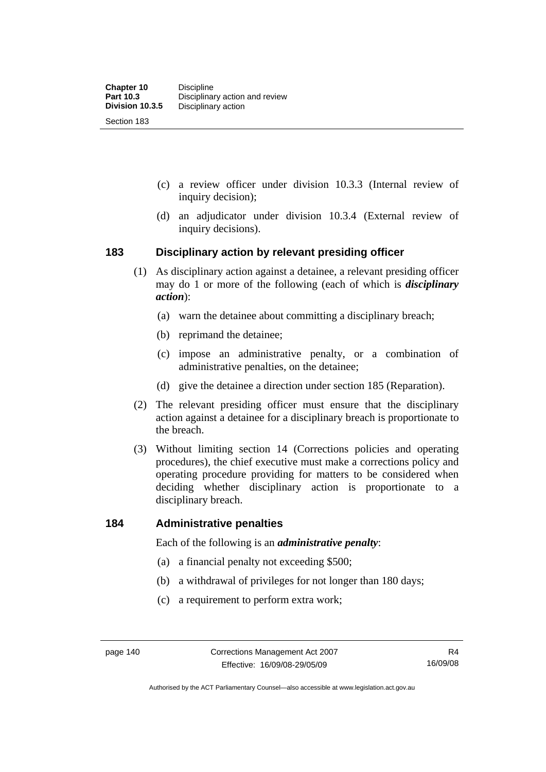- (c) a review officer under division 10.3.3 (Internal review of inquiry decision);
- (d) an adjudicator under division 10.3.4 (External review of inquiry decisions).

#### **183 Disciplinary action by relevant presiding officer**

- (1) As disciplinary action against a detainee, a relevant presiding officer may do 1 or more of the following (each of which is *disciplinary action*):
	- (a) warn the detainee about committing a disciplinary breach;
	- (b) reprimand the detainee;
	- (c) impose an administrative penalty, or a combination of administrative penalties, on the detainee;
	- (d) give the detainee a direction under section 185 (Reparation).
- (2) The relevant presiding officer must ensure that the disciplinary action against a detainee for a disciplinary breach is proportionate to the breach.
- (3) Without limiting section 14 (Corrections policies and operating procedures), the chief executive must make a corrections policy and operating procedure providing for matters to be considered when deciding whether disciplinary action is proportionate to a disciplinary breach.

#### **184 Administrative penalties**

Each of the following is an *administrative penalty*:

- (a) a financial penalty not exceeding \$500;
- (b) a withdrawal of privileges for not longer than 180 days;
- (c) a requirement to perform extra work;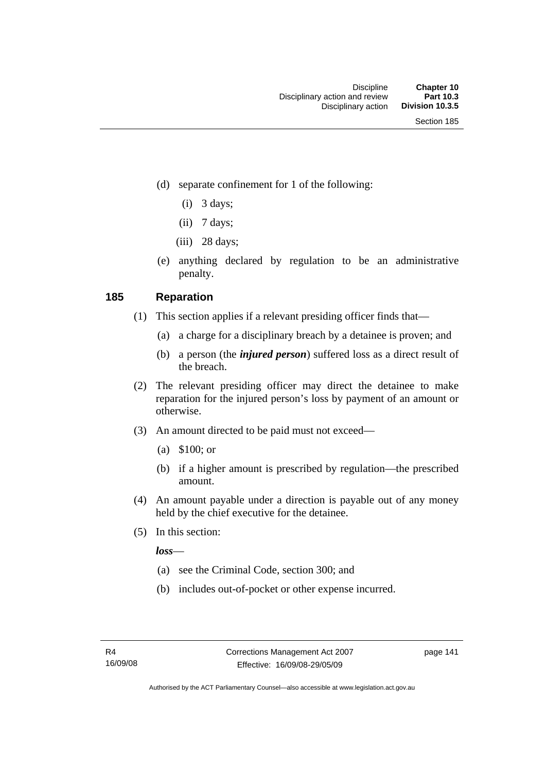- (d) separate confinement for 1 of the following:
	- $(i)$  3 days;
	- $(ii)$  7 days;
	- $(iii)$  28 days;
- (e) anything declared by regulation to be an administrative penalty.

### **185 Reparation**

- (1) This section applies if a relevant presiding officer finds that—
	- (a) a charge for a disciplinary breach by a detainee is proven; and
	- (b) a person (the *injured person*) suffered loss as a direct result of the breach.
- (2) The relevant presiding officer may direct the detainee to make reparation for the injured person's loss by payment of an amount or otherwise.
- (3) An amount directed to be paid must not exceed—
	- (a) \$100; or
	- (b) if a higher amount is prescribed by regulation—the prescribed amount.
- (4) An amount payable under a direction is payable out of any money held by the chief executive for the detainee.
- (5) In this section:

*loss*—

- (a) see the Criminal Code, section 300; and
- (b) includes out-of-pocket or other expense incurred.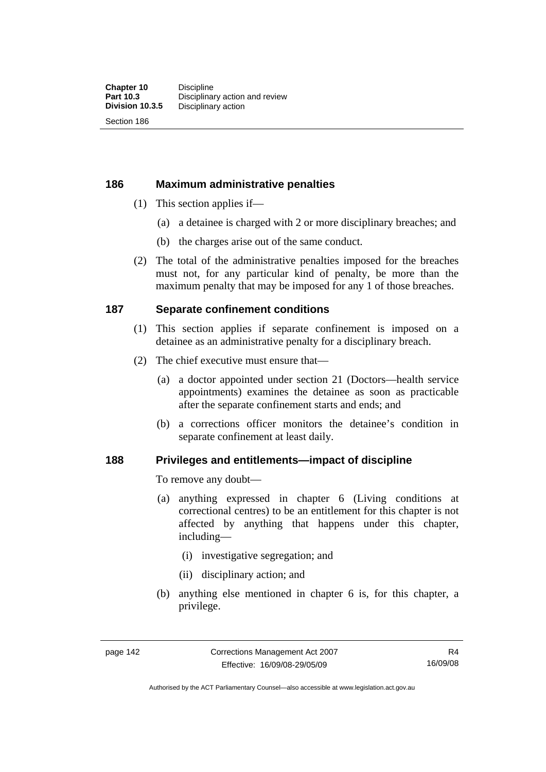Section 186

#### **186 Maximum administrative penalties**

- (1) This section applies if—
	- (a) a detainee is charged with 2 or more disciplinary breaches; and
	- (b) the charges arise out of the same conduct.
- (2) The total of the administrative penalties imposed for the breaches must not, for any particular kind of penalty, be more than the maximum penalty that may be imposed for any 1 of those breaches.

### **187 Separate confinement conditions**

- (1) This section applies if separate confinement is imposed on a detainee as an administrative penalty for a disciplinary breach.
- (2) The chief executive must ensure that—
	- (a) a doctor appointed under section 21 (Doctors—health service appointments) examines the detainee as soon as practicable after the separate confinement starts and ends; and
	- (b) a corrections officer monitors the detainee's condition in separate confinement at least daily.

#### **188 Privileges and entitlements—impact of discipline**

To remove any doubt—

- (a) anything expressed in chapter 6 (Living conditions at correctional centres) to be an entitlement for this chapter is not affected by anything that happens under this chapter, including—
	- (i) investigative segregation; and
	- (ii) disciplinary action; and
- (b) anything else mentioned in chapter 6 is, for this chapter, a privilege.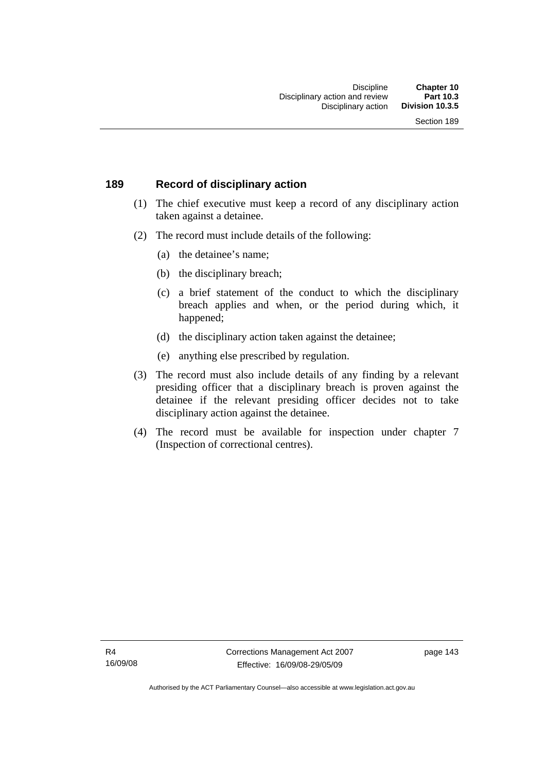#### **189 Record of disciplinary action**

- (1) The chief executive must keep a record of any disciplinary action taken against a detainee.
- (2) The record must include details of the following:
	- (a) the detainee's name;
	- (b) the disciplinary breach;
	- (c) a brief statement of the conduct to which the disciplinary breach applies and when, or the period during which, it happened;
	- (d) the disciplinary action taken against the detainee;
	- (e) anything else prescribed by regulation.
- (3) The record must also include details of any finding by a relevant presiding officer that a disciplinary breach is proven against the detainee if the relevant presiding officer decides not to take disciplinary action against the detainee.
- (4) The record must be available for inspection under chapter 7 (Inspection of correctional centres).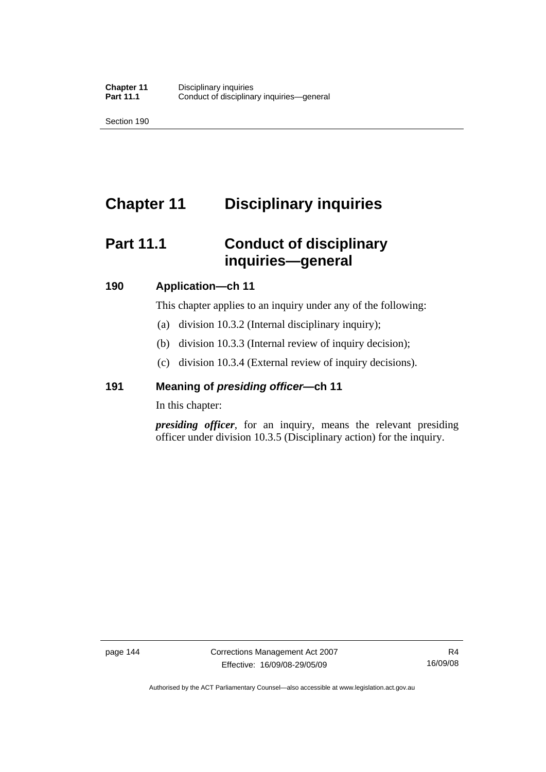Section 190

# **Chapter 11 Disciplinary inquiries**

# **Part 11.1 Conduct of disciplinary inquiries—general**

### **190 Application—ch 11**

This chapter applies to an inquiry under any of the following:

- (a) division 10.3.2 (Internal disciplinary inquiry);
- (b) division 10.3.3 (Internal review of inquiry decision);
- (c) division 10.3.4 (External review of inquiry decisions).

## **191 Meaning of** *presiding officer—***ch 11**

In this chapter:

*presiding officer*, for an inquiry, means the relevant presiding officer under division 10.3.5 (Disciplinary action) for the inquiry.

Authorised by the ACT Parliamentary Counsel—also accessible at www.legislation.act.gov.au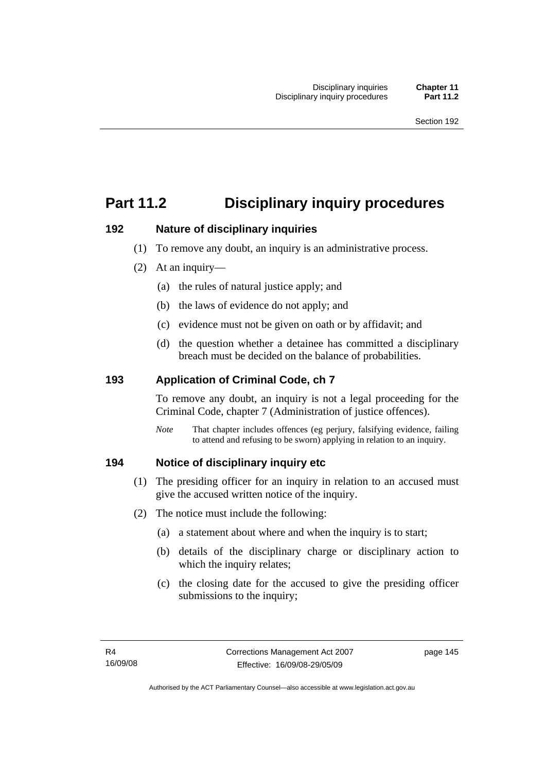# **Part 11.2 Disciplinary inquiry procedures**

### **192 Nature of disciplinary inquiries**

- (1) To remove any doubt, an inquiry is an administrative process.
- (2) At an inquiry—
	- (a) the rules of natural justice apply; and
	- (b) the laws of evidence do not apply; and
	- (c) evidence must not be given on oath or by affidavit; and
	- (d) the question whether a detainee has committed a disciplinary breach must be decided on the balance of probabilities.

## **193 Application of Criminal Code, ch 7**

To remove any doubt, an inquiry is not a legal proceeding for the Criminal Code, chapter 7 (Administration of justice offences).

*Note* That chapter includes offences (eg perjury, falsifying evidence, failing to attend and refusing to be sworn) applying in relation to an inquiry.

## **194 Notice of disciplinary inquiry etc**

- (1) The presiding officer for an inquiry in relation to an accused must give the accused written notice of the inquiry.
- (2) The notice must include the following:
	- (a) a statement about where and when the inquiry is to start;
	- (b) details of the disciplinary charge or disciplinary action to which the inquiry relates;
	- (c) the closing date for the accused to give the presiding officer submissions to the inquiry;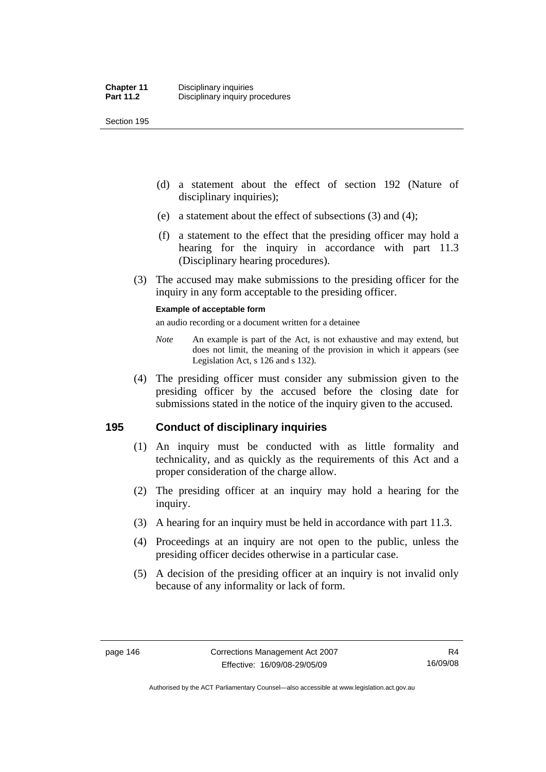Section 195

- (d) a statement about the effect of section 192 (Nature of disciplinary inquiries);
- (e) a statement about the effect of subsections (3) and (4);
- (f) a statement to the effect that the presiding officer may hold a hearing for the inquiry in accordance with part 11.3 (Disciplinary hearing procedures).
- (3) The accused may make submissions to the presiding officer for the inquiry in any form acceptable to the presiding officer.

#### **Example of acceptable form**

an audio recording or a document written for a detainee

- *Note* An example is part of the Act, is not exhaustive and may extend, but does not limit, the meaning of the provision in which it appears (see Legislation Act, s 126 and s 132).
- (4) The presiding officer must consider any submission given to the presiding officer by the accused before the closing date for submissions stated in the notice of the inquiry given to the accused.

## **195 Conduct of disciplinary inquiries**

- (1) An inquiry must be conducted with as little formality and technicality, and as quickly as the requirements of this Act and a proper consideration of the charge allow.
- (2) The presiding officer at an inquiry may hold a hearing for the inquiry.
- (3) A hearing for an inquiry must be held in accordance with part 11.3.
- (4) Proceedings at an inquiry are not open to the public, unless the presiding officer decides otherwise in a particular case.
- (5) A decision of the presiding officer at an inquiry is not invalid only because of any informality or lack of form.

Authorised by the ACT Parliamentary Counsel—also accessible at www.legislation.act.gov.au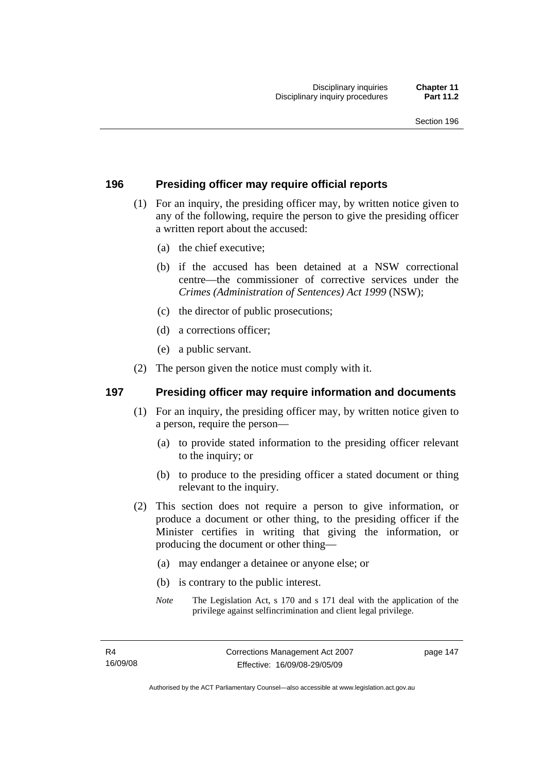### **196 Presiding officer may require official reports**

- (1) For an inquiry, the presiding officer may, by written notice given to any of the following, require the person to give the presiding officer a written report about the accused:
	- (a) the chief executive;
	- (b) if the accused has been detained at a NSW correctional centre—the commissioner of corrective services under the *Crimes (Administration of Sentences) Act 1999* (NSW);
	- (c) the director of public prosecutions;
	- (d) a corrections officer;
	- (e) a public servant.
- (2) The person given the notice must comply with it.

#### **197 Presiding officer may require information and documents**

- (1) For an inquiry, the presiding officer may, by written notice given to a person, require the person—
	- (a) to provide stated information to the presiding officer relevant to the inquiry; or
	- (b) to produce to the presiding officer a stated document or thing relevant to the inquiry.
- (2) This section does not require a person to give information, or produce a document or other thing, to the presiding officer if the Minister certifies in writing that giving the information, or producing the document or other thing—
	- (a) may endanger a detainee or anyone else; or
	- (b) is contrary to the public interest.
	- *Note* The Legislation Act, s 170 and s 171 deal with the application of the privilege against selfincrimination and client legal privilege.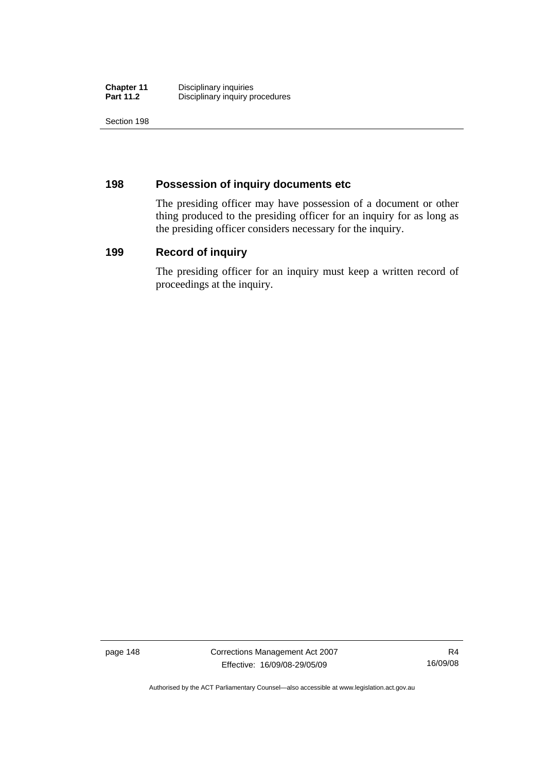| <b>Chapter 11</b> | Disciplinary inquiries          |
|-------------------|---------------------------------|
| <b>Part 11.2</b>  | Disciplinary inquiry procedures |

Section 198

### **198 Possession of inquiry documents etc**

The presiding officer may have possession of a document or other thing produced to the presiding officer for an inquiry for as long as the presiding officer considers necessary for the inquiry.

#### **199 Record of inquiry**

The presiding officer for an inquiry must keep a written record of proceedings at the inquiry.

page 148 Corrections Management Act 2007 Effective: 16/09/08-29/05/09

R4 16/09/08

Authorised by the ACT Parliamentary Counsel—also accessible at www.legislation.act.gov.au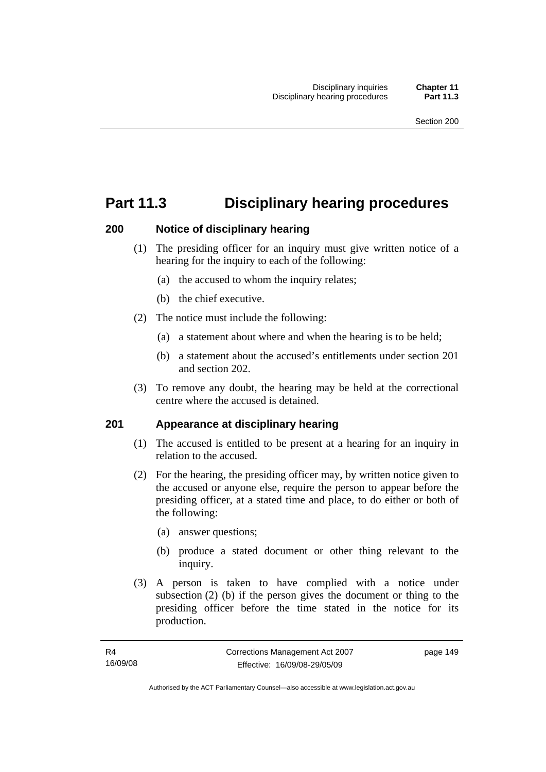# **Part 11.3 Disciplinary hearing procedures**

### **200 Notice of disciplinary hearing**

- (1) The presiding officer for an inquiry must give written notice of a hearing for the inquiry to each of the following:
	- (a) the accused to whom the inquiry relates;
	- (b) the chief executive.
- (2) The notice must include the following:
	- (a) a statement about where and when the hearing is to be held;
	- (b) a statement about the accused's entitlements under section 201 and section 202.
- (3) To remove any doubt, the hearing may be held at the correctional centre where the accused is detained.

## **201 Appearance at disciplinary hearing**

- (1) The accused is entitled to be present at a hearing for an inquiry in relation to the accused.
- (2) For the hearing, the presiding officer may, by written notice given to the accused or anyone else, require the person to appear before the presiding officer, at a stated time and place, to do either or both of the following:
	- (a) answer questions;
	- (b) produce a stated document or other thing relevant to the inquiry.
- (3) A person is taken to have complied with a notice under subsection (2) (b) if the person gives the document or thing to the presiding officer before the time stated in the notice for its production.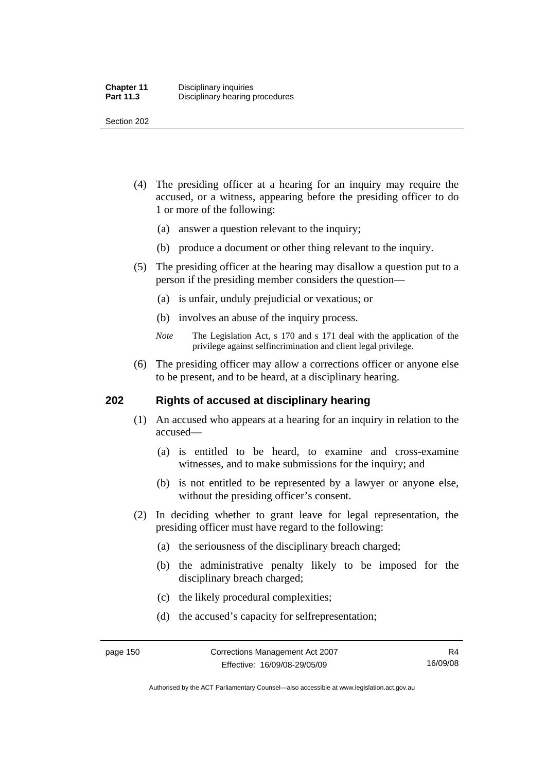Section 202

- (4) The presiding officer at a hearing for an inquiry may require the accused, or a witness, appearing before the presiding officer to do 1 or more of the following:
	- (a) answer a question relevant to the inquiry;
	- (b) produce a document or other thing relevant to the inquiry.
- (5) The presiding officer at the hearing may disallow a question put to a person if the presiding member considers the question—
	- (a) is unfair, unduly prejudicial or vexatious; or
	- (b) involves an abuse of the inquiry process.
	- *Note* The Legislation Act, s 170 and s 171 deal with the application of the privilege against selfincrimination and client legal privilege.
- (6) The presiding officer may allow a corrections officer or anyone else to be present, and to be heard, at a disciplinary hearing.

#### **202 Rights of accused at disciplinary hearing**

- (1) An accused who appears at a hearing for an inquiry in relation to the accused—
	- (a) is entitled to be heard, to examine and cross-examine witnesses, and to make submissions for the inquiry; and
	- (b) is not entitled to be represented by a lawyer or anyone else, without the presiding officer's consent.
- (2) In deciding whether to grant leave for legal representation, the presiding officer must have regard to the following:
	- (a) the seriousness of the disciplinary breach charged;
	- (b) the administrative penalty likely to be imposed for the disciplinary breach charged;
	- (c) the likely procedural complexities;
	- (d) the accused's capacity for selfrepresentation;

Authorised by the ACT Parliamentary Counsel—also accessible at www.legislation.act.gov.au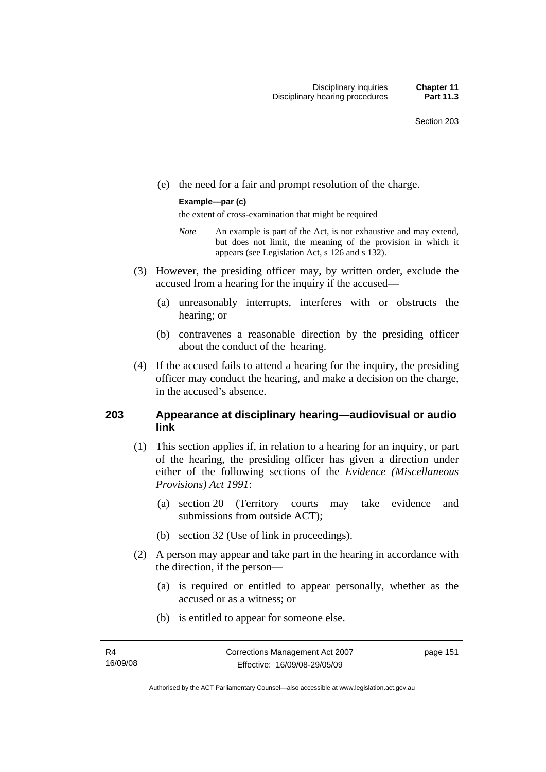(e) the need for a fair and prompt resolution of the charge.

#### **Example—par (c)**

the extent of cross-examination that might be required

- *Note* An example is part of the Act, is not exhaustive and may extend, but does not limit, the meaning of the provision in which it appears (see Legislation Act, s 126 and s 132).
- (3) However, the presiding officer may, by written order, exclude the accused from a hearing for the inquiry if the accused—
	- (a) unreasonably interrupts, interferes with or obstructs the hearing; or
	- (b) contravenes a reasonable direction by the presiding officer about the conduct of the hearing.
- (4) If the accused fails to attend a hearing for the inquiry, the presiding officer may conduct the hearing, and make a decision on the charge, in the accused's absence.

#### **203 Appearance at disciplinary hearing—audiovisual or audio link**

- (1) This section applies if, in relation to a hearing for an inquiry, or part of the hearing, the presiding officer has given a direction under either of the following sections of the *Evidence (Miscellaneous Provisions) Act 1991*:
	- (a) section 20 (Territory courts may take evidence and submissions from outside ACT);
	- (b) section 32 (Use of link in proceedings).
- (2) A person may appear and take part in the hearing in accordance with the direction, if the person—
	- (a) is required or entitled to appear personally, whether as the accused or as a witness; or
	- (b) is entitled to appear for someone else.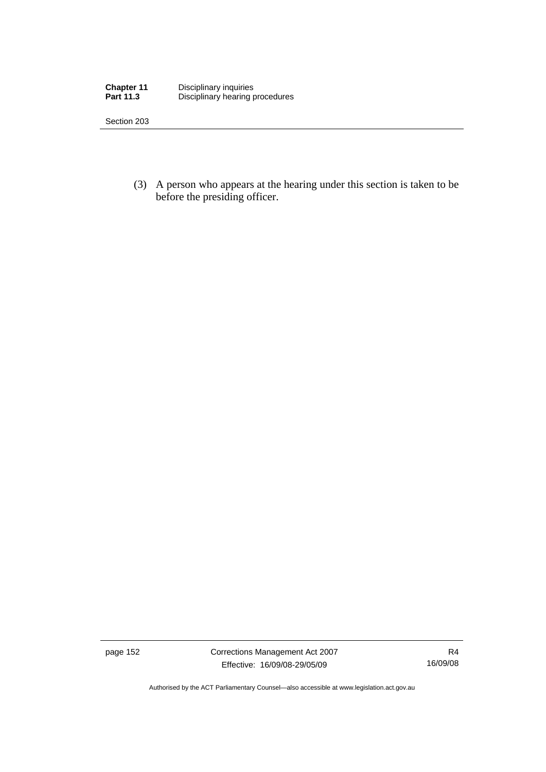| <b>Chapter 11</b> | Disciplinary inquiries          |
|-------------------|---------------------------------|
| <b>Part 11.3</b>  | Disciplinary hearing procedures |

Section 203

 (3) A person who appears at the hearing under this section is taken to be before the presiding officer.

page 152 Corrections Management Act 2007 Effective: 16/09/08-29/05/09

Authorised by the ACT Parliamentary Counsel—also accessible at www.legislation.act.gov.au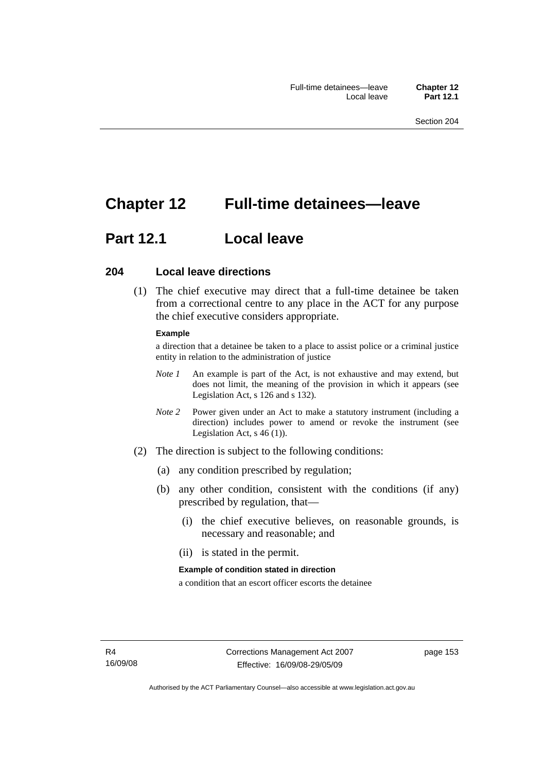# **Chapter 12 Full-time detainees—leave**

# **Part 12.1 Local leave**

#### **204 Local leave directions**

 (1) The chief executive may direct that a full-time detainee be taken from a correctional centre to any place in the ACT for any purpose the chief executive considers appropriate.

#### **Example**

a direction that a detainee be taken to a place to assist police or a criminal justice entity in relation to the administration of justice

- *Note 1* An example is part of the Act, is not exhaustive and may extend, but does not limit, the meaning of the provision in which it appears (see Legislation Act, s 126 and s 132).
- *Note* 2 Power given under an Act to make a statutory instrument (including a direction) includes power to amend or revoke the instrument (see Legislation Act, s 46 (1)).
- (2) The direction is subject to the following conditions:
	- (a) any condition prescribed by regulation;
	- (b) any other condition, consistent with the conditions (if any) prescribed by regulation, that—
		- (i) the chief executive believes, on reasonable grounds, is necessary and reasonable; and
		- (ii) is stated in the permit.

#### **Example of condition stated in direction**

a condition that an escort officer escorts the detainee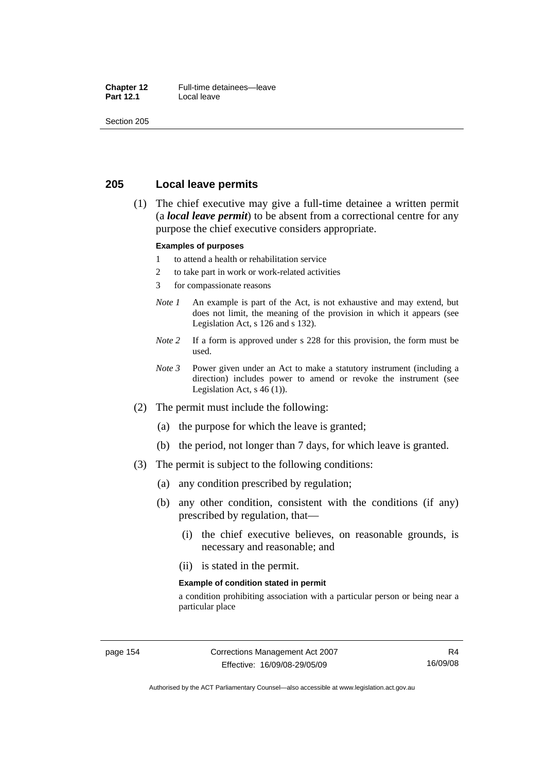#### **Chapter 12** Full-time detainees—leave<br>**Part 12.1** Local leave **Local leave**

Section 205

#### **205 Local leave permits**

 (1) The chief executive may give a full-time detainee a written permit (a *local leave permit*) to be absent from a correctional centre for any purpose the chief executive considers appropriate.

#### **Examples of purposes**

- 1 to attend a health or rehabilitation service
- 2 to take part in work or work-related activities
- 3 for compassionate reasons
- *Note 1* An example is part of the Act, is not exhaustive and may extend, but does not limit, the meaning of the provision in which it appears (see Legislation Act, s 126 and s 132).
- *Note* 2 If a form is approved under s 228 for this provision, the form must be used.
- *Note 3* Power given under an Act to make a statutory instrument (including a direction) includes power to amend or revoke the instrument (see Legislation Act, s 46 (1)).
- (2) The permit must include the following:
	- (a) the purpose for which the leave is granted;
	- (b) the period, not longer than 7 days, for which leave is granted.
- (3) The permit is subject to the following conditions:
	- (a) any condition prescribed by regulation;
	- (b) any other condition, consistent with the conditions (if any) prescribed by regulation, that—
		- (i) the chief executive believes, on reasonable grounds, is necessary and reasonable; and
		- (ii) is stated in the permit.

#### **Example of condition stated in permit**

a condition prohibiting association with a particular person or being near a particular place

Authorised by the ACT Parliamentary Counsel—also accessible at www.legislation.act.gov.au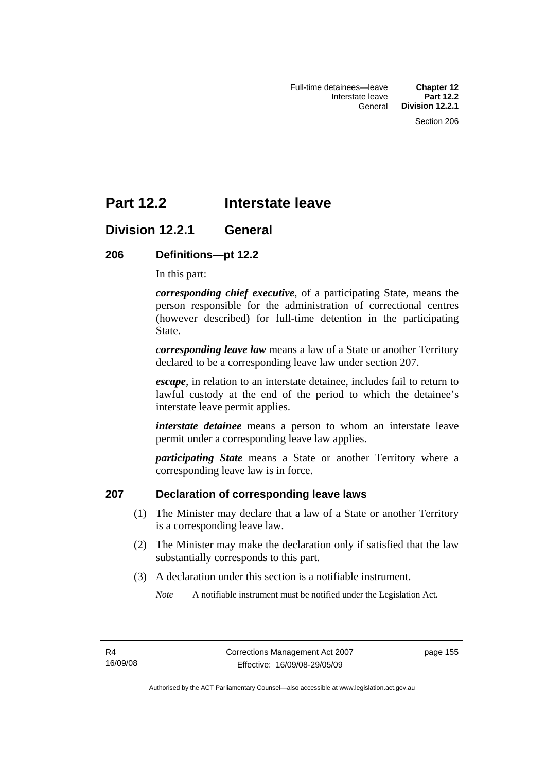# **Part 12.2 Interstate leave**

## **Division 12.2.1 General**

#### **206 Definitions—pt 12.2**

In this part:

*corresponding chief executive*, of a participating State, means the person responsible for the administration of correctional centres (however described) for full-time detention in the participating State.

*corresponding leave law* means a law of a State or another Territory declared to be a corresponding leave law under section 207.

*escape*, in relation to an interstate detainee, includes fail to return to lawful custody at the end of the period to which the detainee's interstate leave permit applies.

*interstate detainee* means a person to whom an interstate leave permit under a corresponding leave law applies.

*participating State* means a State or another Territory where a corresponding leave law is in force.

#### **207 Declaration of corresponding leave laws**

- (1) The Minister may declare that a law of a State or another Territory is a corresponding leave law.
- (2) The Minister may make the declaration only if satisfied that the law substantially corresponds to this part.
- (3) A declaration under this section is a notifiable instrument.

*Note* A notifiable instrument must be notified under the Legislation Act.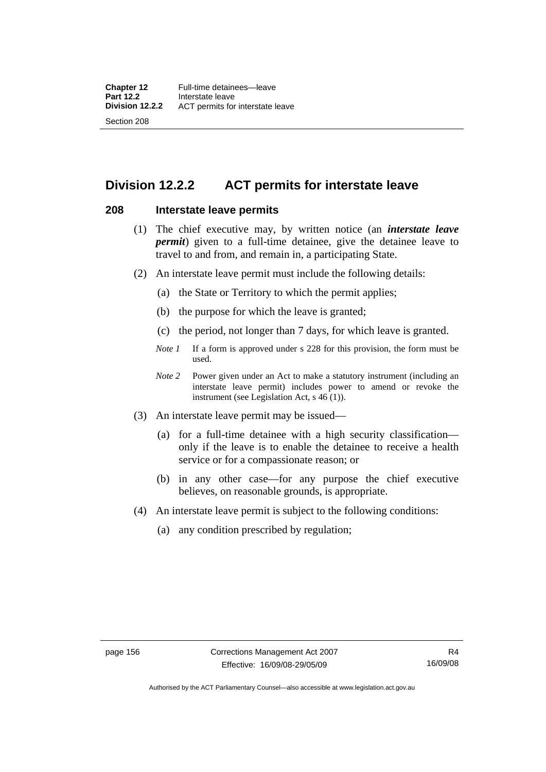## **Division 12.2.2 ACT permits for interstate leave**

#### **208 Interstate leave permits**

- (1) The chief executive may, by written notice (an *interstate leave permit*) given to a full-time detainee, give the detainee leave to travel to and from, and remain in, a participating State.
- (2) An interstate leave permit must include the following details:
	- (a) the State or Territory to which the permit applies;
	- (b) the purpose for which the leave is granted;
	- (c) the period, not longer than 7 days, for which leave is granted.
	- *Note 1* If a form is approved under s 228 for this provision, the form must be used.
	- *Note 2* Power given under an Act to make a statutory instrument (including an interstate leave permit) includes power to amend or revoke the instrument (see Legislation Act, s 46 (1)).
- (3) An interstate leave permit may be issued—
	- (a) for a full-time detainee with a high security classification only if the leave is to enable the detainee to receive a health service or for a compassionate reason; or
	- (b) in any other case—for any purpose the chief executive believes, on reasonable grounds, is appropriate.
- (4) An interstate leave permit is subject to the following conditions:
	- (a) any condition prescribed by regulation;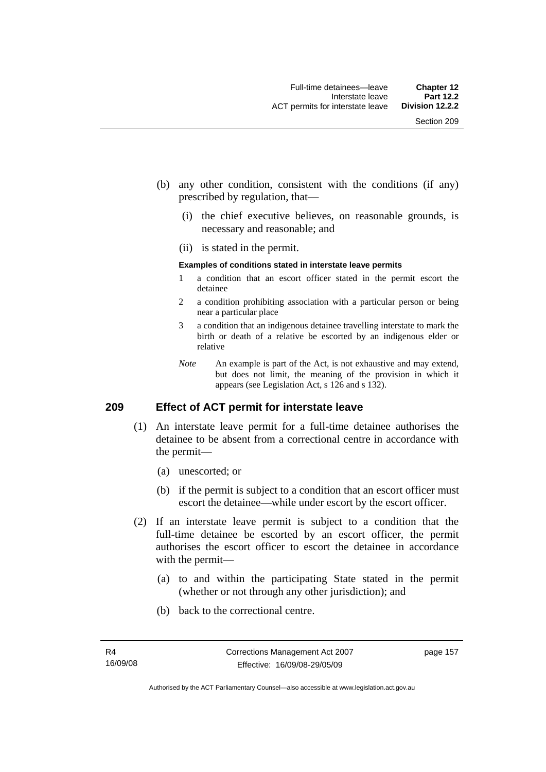- (b) any other condition, consistent with the conditions (if any) prescribed by regulation, that—
	- (i) the chief executive believes, on reasonable grounds, is necessary and reasonable; and
	- (ii) is stated in the permit.

#### **Examples of conditions stated in interstate leave permits**

- 1 a condition that an escort officer stated in the permit escort the detainee
- 2 a condition prohibiting association with a particular person or being near a particular place
- 3 a condition that an indigenous detainee travelling interstate to mark the birth or death of a relative be escorted by an indigenous elder or relative
- *Note* An example is part of the Act, is not exhaustive and may extend, but does not limit, the meaning of the provision in which it appears (see Legislation Act, s 126 and s 132).

#### **209 Effect of ACT permit for interstate leave**

- (1) An interstate leave permit for a full-time detainee authorises the detainee to be absent from a correctional centre in accordance with the permit—
	- (a) unescorted; or
	- (b) if the permit is subject to a condition that an escort officer must escort the detainee—while under escort by the escort officer.
- (2) If an interstate leave permit is subject to a condition that the full-time detainee be escorted by an escort officer, the permit authorises the escort officer to escort the detainee in accordance with the permit—
	- (a) to and within the participating State stated in the permit (whether or not through any other jurisdiction); and
	- (b) back to the correctional centre.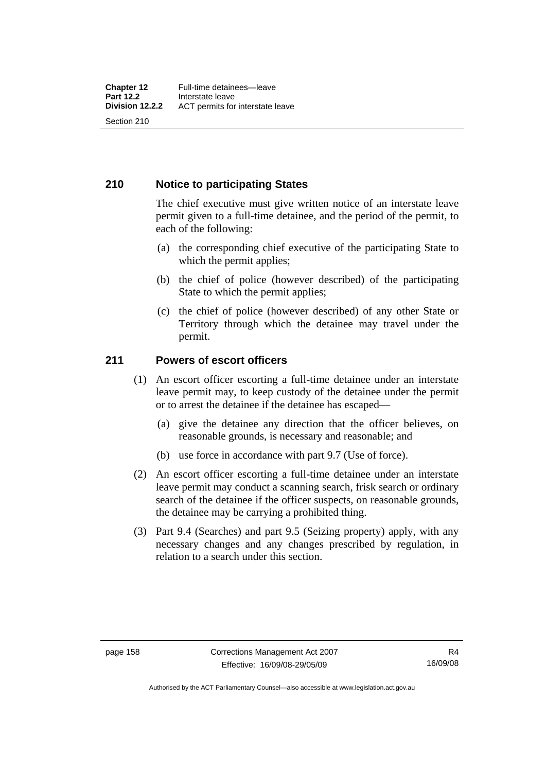### **210 Notice to participating States**

The chief executive must give written notice of an interstate leave permit given to a full-time detainee, and the period of the permit, to each of the following:

- (a) the corresponding chief executive of the participating State to which the permit applies;
- (b) the chief of police (however described) of the participating State to which the permit applies;
- (c) the chief of police (however described) of any other State or Territory through which the detainee may travel under the permit.

### **211 Powers of escort officers**

- (1) An escort officer escorting a full-time detainee under an interstate leave permit may, to keep custody of the detainee under the permit or to arrest the detainee if the detainee has escaped—
	- (a) give the detainee any direction that the officer believes, on reasonable grounds, is necessary and reasonable; and
	- (b) use force in accordance with part 9.7 (Use of force).
- (2) An escort officer escorting a full-time detainee under an interstate leave permit may conduct a scanning search, frisk search or ordinary search of the detainee if the officer suspects, on reasonable grounds, the detainee may be carrying a prohibited thing.
- (3) Part 9.4 (Searches) and part 9.5 (Seizing property) apply, with any necessary changes and any changes prescribed by regulation, in relation to a search under this section.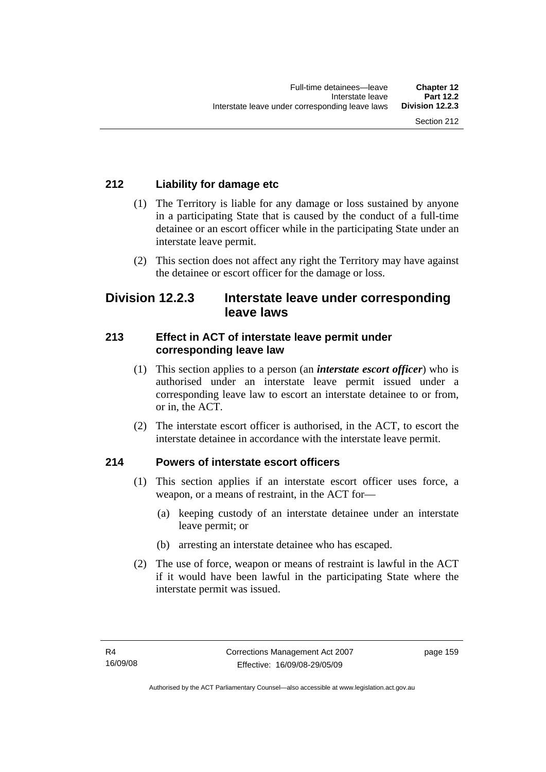## **212 Liability for damage etc**

- (1) The Territory is liable for any damage or loss sustained by anyone in a participating State that is caused by the conduct of a full-time detainee or an escort officer while in the participating State under an interstate leave permit.
- (2) This section does not affect any right the Territory may have against the detainee or escort officer for the damage or loss.

## **Division 12.2.3 Interstate leave under corresponding leave laws**

### **213 Effect in ACT of interstate leave permit under corresponding leave law**

- (1) This section applies to a person (an *interstate escort officer*) who is authorised under an interstate leave permit issued under a corresponding leave law to escort an interstate detainee to or from, or in, the ACT.
- (2) The interstate escort officer is authorised, in the ACT, to escort the interstate detainee in accordance with the interstate leave permit.

## **214 Powers of interstate escort officers**

- (1) This section applies if an interstate escort officer uses force, a weapon, or a means of restraint, in the ACT for—
	- (a) keeping custody of an interstate detainee under an interstate leave permit; or
	- (b) arresting an interstate detainee who has escaped.
- (2) The use of force, weapon or means of restraint is lawful in the ACT if it would have been lawful in the participating State where the interstate permit was issued.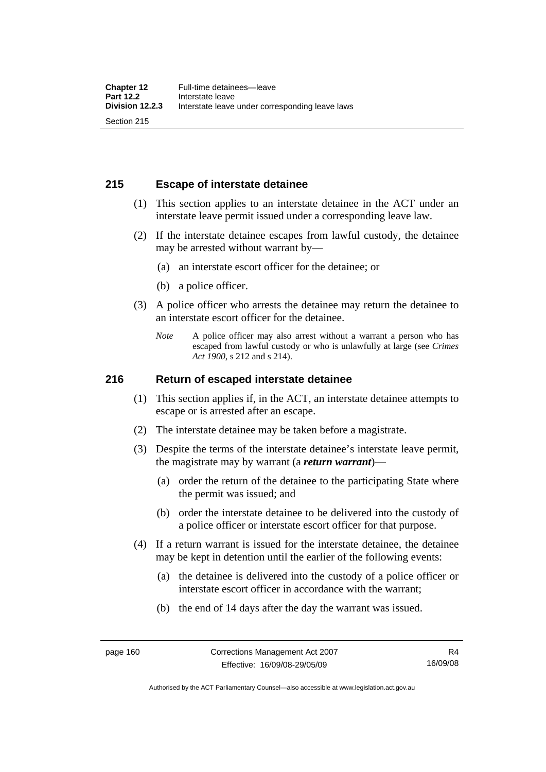## **215 Escape of interstate detainee**

- (1) This section applies to an interstate detainee in the ACT under an interstate leave permit issued under a corresponding leave law.
- (2) If the interstate detainee escapes from lawful custody, the detainee may be arrested without warrant by—
	- (a) an interstate escort officer for the detainee; or
	- (b) a police officer.
- (3) A police officer who arrests the detainee may return the detainee to an interstate escort officer for the detainee.
	- *Note* A police officer may also arrest without a warrant a person who has escaped from lawful custody or who is unlawfully at large (see *Crimes Act 1900*, s 212 and s 214).

#### **216 Return of escaped interstate detainee**

- (1) This section applies if, in the ACT, an interstate detainee attempts to escape or is arrested after an escape.
- (2) The interstate detainee may be taken before a magistrate.
- (3) Despite the terms of the interstate detainee's interstate leave permit, the magistrate may by warrant (a *return warrant*)—
	- (a) order the return of the detainee to the participating State where the permit was issued; and
	- (b) order the interstate detainee to be delivered into the custody of a police officer or interstate escort officer for that purpose.
- (4) If a return warrant is issued for the interstate detainee, the detainee may be kept in detention until the earlier of the following events:
	- (a) the detainee is delivered into the custody of a police officer or interstate escort officer in accordance with the warrant;
	- (b) the end of 14 days after the day the warrant was issued.

Authorised by the ACT Parliamentary Counsel—also accessible at www.legislation.act.gov.au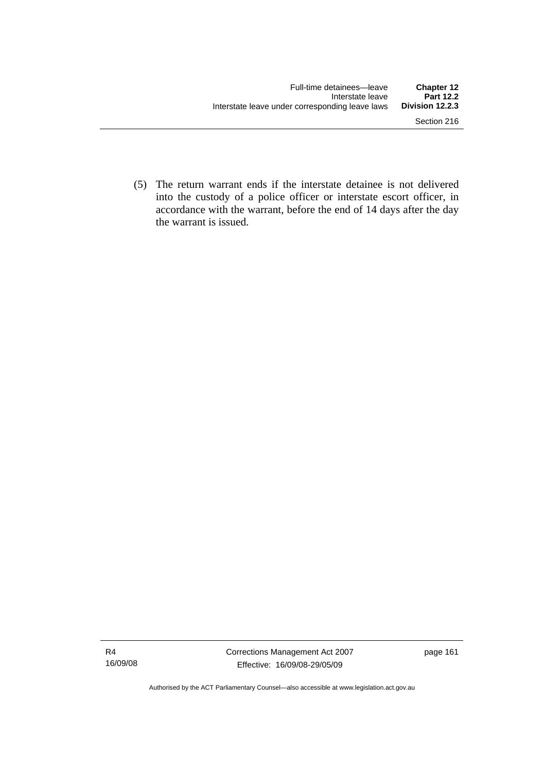(5) The return warrant ends if the interstate detainee is not delivered into the custody of a police officer or interstate escort officer, in accordance with the warrant, before the end of 14 days after the day the warrant is issued.

Authorised by the ACT Parliamentary Counsel—also accessible at www.legislation.act.gov.au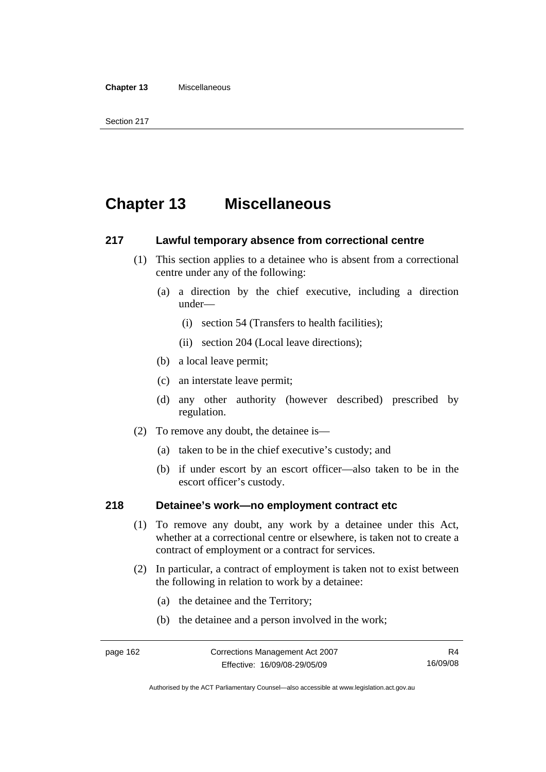# **Chapter 13 Miscellaneous**

#### **217 Lawful temporary absence from correctional centre**

- (1) This section applies to a detainee who is absent from a correctional centre under any of the following:
	- (a) a direction by the chief executive, including a direction under—
		- (i) section 54 (Transfers to health facilities);
		- (ii) section 204 (Local leave directions);
	- (b) a local leave permit;
	- (c) an interstate leave permit;
	- (d) any other authority (however described) prescribed by regulation.
- (2) To remove any doubt, the detainee is—
	- (a) taken to be in the chief executive's custody; and
	- (b) if under escort by an escort officer—also taken to be in the escort officer's custody.

#### **218 Detainee's work—no employment contract etc**

- (1) To remove any doubt, any work by a detainee under this Act, whether at a correctional centre or elsewhere, is taken not to create a contract of employment or a contract for services.
- (2) In particular, a contract of employment is taken not to exist between the following in relation to work by a detainee:
	- (a) the detainee and the Territory;
	- (b) the detainee and a person involved in the work;

Authorised by the ACT Parliamentary Counsel—also accessible at www.legislation.act.gov.au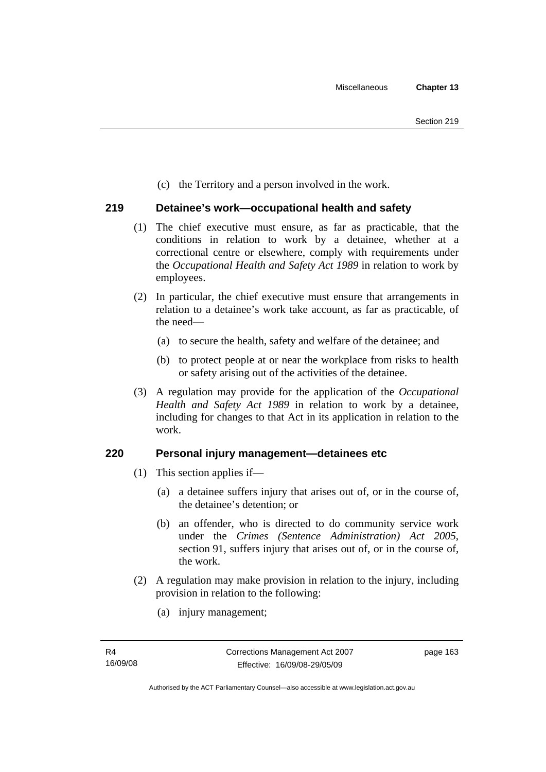(c) the Territory and a person involved in the work.

## **219 Detainee's work—occupational health and safety**

- (1) The chief executive must ensure, as far as practicable, that the conditions in relation to work by a detainee, whether at a correctional centre or elsewhere, comply with requirements under the *Occupational Health and Safety Act 1989* in relation to work by employees.
- (2) In particular, the chief executive must ensure that arrangements in relation to a detainee's work take account, as far as practicable, of the need—
	- (a) to secure the health, safety and welfare of the detainee; and
	- (b) to protect people at or near the workplace from risks to health or safety arising out of the activities of the detainee.
- (3) A regulation may provide for the application of the *Occupational Health and Safety Act 1989* in relation to work by a detainee, including for changes to that Act in its application in relation to the work.

## **220 Personal injury management—detainees etc**

- (1) This section applies if—
	- (a) a detainee suffers injury that arises out of, or in the course of, the detainee's detention; or
	- (b) an offender, who is directed to do community service work under the *Crimes (Sentence Administration) Act 2005*, section 91, suffers injury that arises out of, or in the course of, the work.
- (2) A regulation may make provision in relation to the injury, including provision in relation to the following:
	- (a) injury management;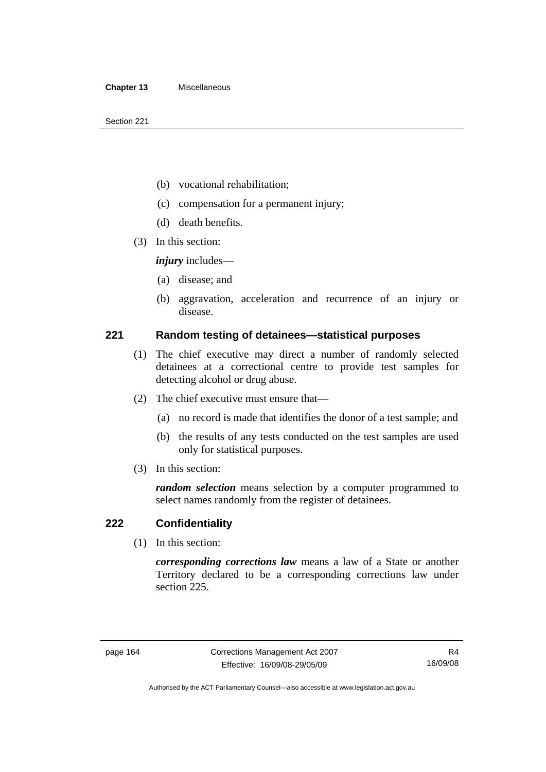- (b) vocational rehabilitation;
- (c) compensation for a permanent injury;
- (d) death benefits.
- (3) In this section:

*injury* includes—

- (a) disease; and
- (b) aggravation, acceleration and recurrence of an injury or disease.

#### **221 Random testing of detainees—statistical purposes**

- (1) The chief executive may direct a number of randomly selected detainees at a correctional centre to provide test samples for detecting alcohol or drug abuse.
- (2) The chief executive must ensure that—
	- (a) no record is made that identifies the donor of a test sample; and
	- (b) the results of any tests conducted on the test samples are used only for statistical purposes.
- (3) In this section:

*random selection* means selection by a computer programmed to select names randomly from the register of detainees.

#### **222 Confidentiality**

(1) In this section:

*corresponding corrections law* means a law of a State or another Territory declared to be a corresponding corrections law under section 225.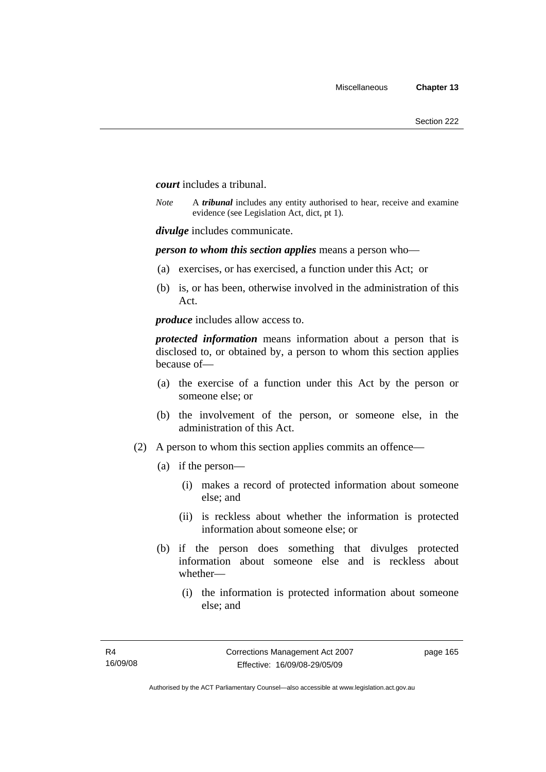*court* includes a tribunal.

*Note* A *tribunal* includes any entity authorised to hear, receive and examine evidence (see Legislation Act, dict, pt 1).

*divulge* includes communicate.

*person to whom this section applies* means a person who—

- (a) exercises, or has exercised, a function under this Act; or
- (b) is, or has been, otherwise involved in the administration of this Act.

*produce* includes allow access to.

*protected information* means information about a person that is disclosed to, or obtained by, a person to whom this section applies because of—

- (a) the exercise of a function under this Act by the person or someone else; or
- (b) the involvement of the person, or someone else, in the administration of this Act.
- (2) A person to whom this section applies commits an offence—
	- (a) if the person—
		- (i) makes a record of protected information about someone else; and
		- (ii) is reckless about whether the information is protected information about someone else; or
	- (b) if the person does something that divulges protected information about someone else and is reckless about whether—
		- (i) the information is protected information about someone else; and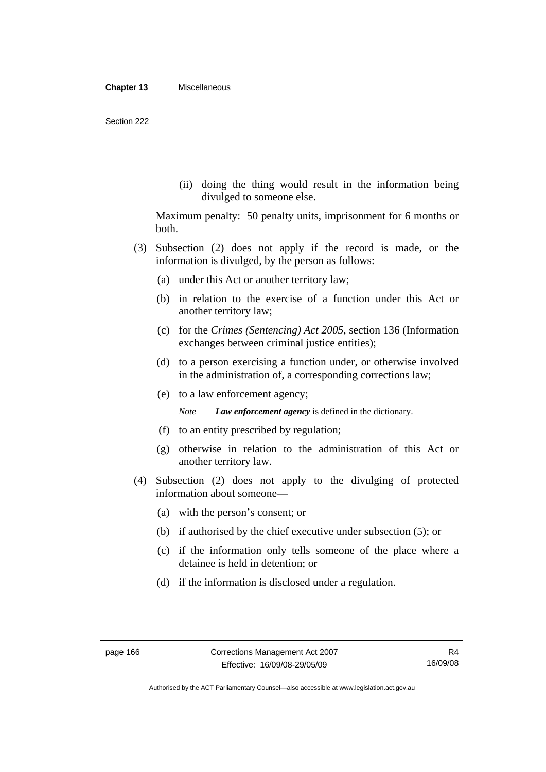(ii) doing the thing would result in the information being divulged to someone else.

Maximum penalty: 50 penalty units, imprisonment for 6 months or both.

- (3) Subsection (2) does not apply if the record is made, or the information is divulged, by the person as follows:
	- (a) under this Act or another territory law;
	- (b) in relation to the exercise of a function under this Act or another territory law;
	- (c) for the *Crimes (Sentencing) Act 2005*, section 136 (Information exchanges between criminal justice entities);
	- (d) to a person exercising a function under, or otherwise involved in the administration of, a corresponding corrections law;
	- (e) to a law enforcement agency;

*Note Law enforcement agency* is defined in the dictionary.

- (f) to an entity prescribed by regulation;
- (g) otherwise in relation to the administration of this Act or another territory law.
- (4) Subsection (2) does not apply to the divulging of protected information about someone—
	- (a) with the person's consent; or
	- (b) if authorised by the chief executive under subsection (5); or
	- (c) if the information only tells someone of the place where a detainee is held in detention; or
	- (d) if the information is disclosed under a regulation.

Authorised by the ACT Parliamentary Counsel—also accessible at www.legislation.act.gov.au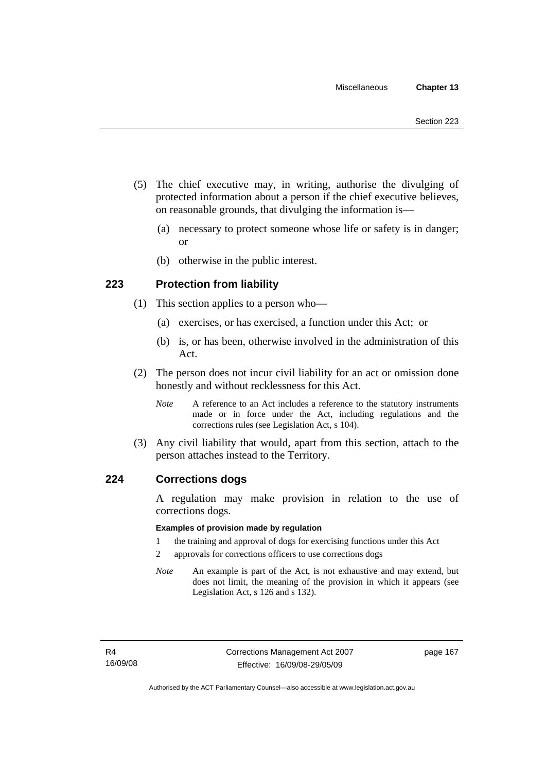- (5) The chief executive may, in writing, authorise the divulging of protected information about a person if the chief executive believes, on reasonable grounds, that divulging the information is—
	- (a) necessary to protect someone whose life or safety is in danger; or
	- (b) otherwise in the public interest.

## **223 Protection from liability**

- (1) This section applies to a person who—
	- (a) exercises, or has exercised, a function under this Act; or
	- (b) is, or has been, otherwise involved in the administration of this Act.
- (2) The person does not incur civil liability for an act or omission done honestly and without recklessness for this Act.
	- *Note* A reference to an Act includes a reference to the statutory instruments made or in force under the Act, including regulations and the corrections rules (see Legislation Act, s 104).
- (3) Any civil liability that would, apart from this section, attach to the person attaches instead to the Territory.

#### **224 Corrections dogs**

A regulation may make provision in relation to the use of corrections dogs.

#### **Examples of provision made by regulation**

- 1 the training and approval of dogs for exercising functions under this Act
- 2 approvals for corrections officers to use corrections dogs
- *Note* An example is part of the Act, is not exhaustive and may extend, but does not limit, the meaning of the provision in which it appears (see Legislation Act, s 126 and s 132).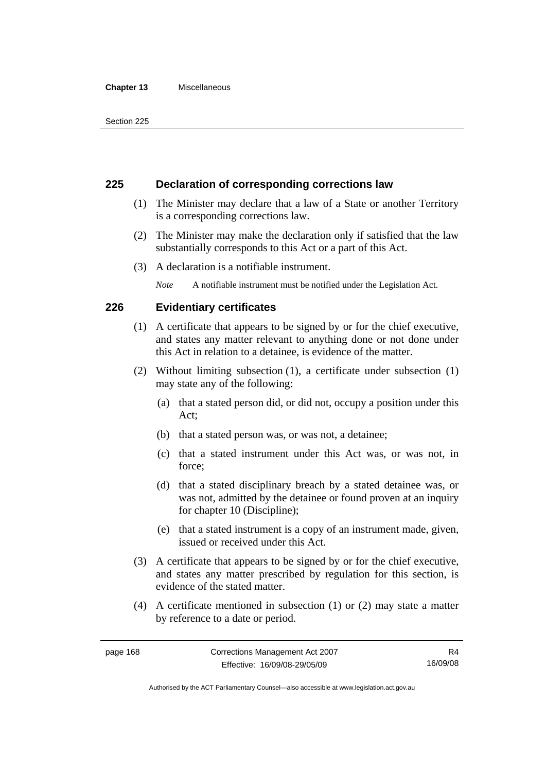#### **Chapter 13** Miscellaneous

## **225 Declaration of corresponding corrections law**

- (1) The Minister may declare that a law of a State or another Territory is a corresponding corrections law.
- (2) The Minister may make the declaration only if satisfied that the law substantially corresponds to this Act or a part of this Act.
- (3) A declaration is a notifiable instrument.

*Note* A notifiable instrument must be notified under the Legislation Act.

## **226 Evidentiary certificates**

- (1) A certificate that appears to be signed by or for the chief executive, and states any matter relevant to anything done or not done under this Act in relation to a detainee, is evidence of the matter.
- (2) Without limiting subsection (1), a certificate under subsection (1) may state any of the following:
	- (a) that a stated person did, or did not, occupy a position under this Act;
	- (b) that a stated person was, or was not, a detainee;
	- (c) that a stated instrument under this Act was, or was not, in force;
	- (d) that a stated disciplinary breach by a stated detainee was, or was not, admitted by the detainee or found proven at an inquiry for chapter 10 (Discipline);
	- (e) that a stated instrument is a copy of an instrument made, given, issued or received under this Act.
- (3) A certificate that appears to be signed by or for the chief executive, and states any matter prescribed by regulation for this section, is evidence of the stated matter.
- (4) A certificate mentioned in subsection (1) or (2) may state a matter by reference to a date or period.

Authorised by the ACT Parliamentary Counsel—also accessible at www.legislation.act.gov.au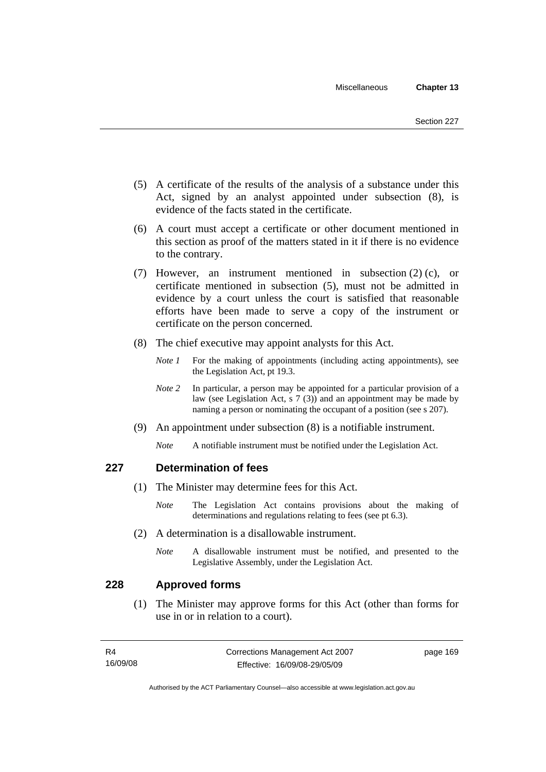- (5) A certificate of the results of the analysis of a substance under this Act, signed by an analyst appointed under subsection (8), is evidence of the facts stated in the certificate.
- (6) A court must accept a certificate or other document mentioned in this section as proof of the matters stated in it if there is no evidence to the contrary.
- (7) However, an instrument mentioned in subsection (2) (c), or certificate mentioned in subsection (5), must not be admitted in evidence by a court unless the court is satisfied that reasonable efforts have been made to serve a copy of the instrument or certificate on the person concerned.
- (8) The chief executive may appoint analysts for this Act.
	- *Note 1* For the making of appointments (including acting appointments), see the Legislation Act, pt 19.3.
	- *Note* 2 In particular, a person may be appointed for a particular provision of a law (see Legislation Act, s 7 (3)) and an appointment may be made by naming a person or nominating the occupant of a position (see s 207).
- (9) An appointment under subsection (8) is a notifiable instrument.
	- *Note* A notifiable instrument must be notified under the Legislation Act.

## **227 Determination of fees**

- (1) The Minister may determine fees for this Act.
	- *Note* The Legislation Act contains provisions about the making of determinations and regulations relating to fees (see pt 6.3).
- (2) A determination is a disallowable instrument.
	- *Note* A disallowable instrument must be notified, and presented to the Legislative Assembly, under the Legislation Act.

## **228 Approved forms**

 (1) The Minister may approve forms for this Act (other than forms for use in or in relation to a court).

| R4       | Corrections Management Act 2007 | page 169 |
|----------|---------------------------------|----------|
| 16/09/08 | Effective: 16/09/08-29/05/09    |          |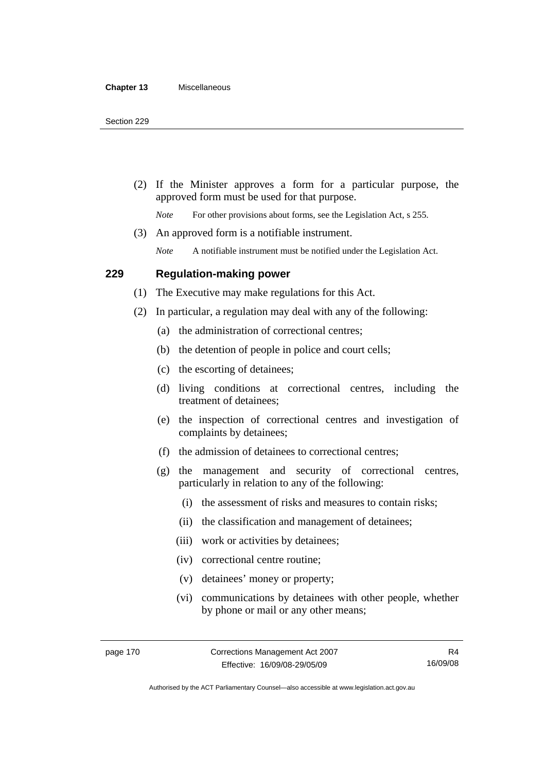(2) If the Minister approves a form for a particular purpose, the approved form must be used for that purpose.

*Note* For other provisions about forms, see the Legislation Act, s 255.

(3) An approved form is a notifiable instrument.

*Note* A notifiable instrument must be notified under the Legislation Act.

#### **229 Regulation-making power**

(1) The Executive may make regulations for this Act.

- (2) In particular, a regulation may deal with any of the following:
	- (a) the administration of correctional centres;
	- (b) the detention of people in police and court cells;
	- (c) the escorting of detainees;
	- (d) living conditions at correctional centres, including the treatment of detainees;
	- (e) the inspection of correctional centres and investigation of complaints by detainees;
	- (f) the admission of detainees to correctional centres;
	- (g) the management and security of correctional centres, particularly in relation to any of the following:
		- (i) the assessment of risks and measures to contain risks;
		- (ii) the classification and management of detainees;
		- (iii) work or activities by detainees;
		- (iv) correctional centre routine;
		- (v) detainees' money or property;
		- (vi) communications by detainees with other people, whether by phone or mail or any other means;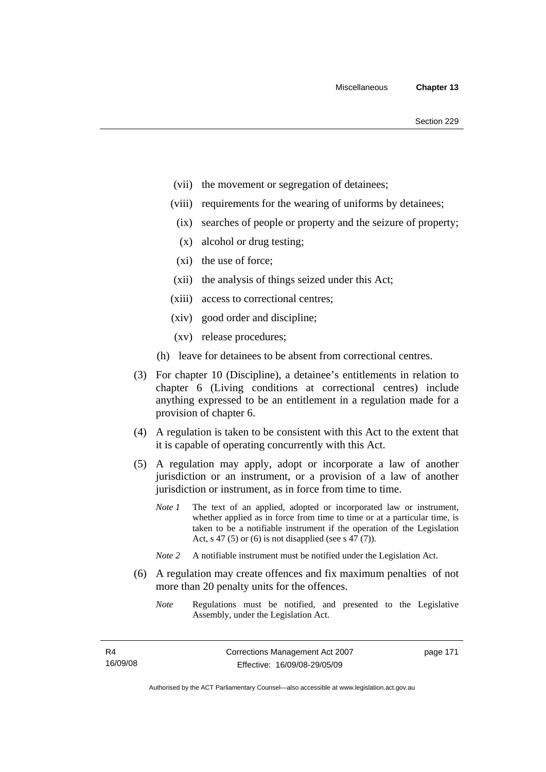- (vii) the movement or segregation of detainees;
- (viii) requirements for the wearing of uniforms by detainees;
	- (ix) searches of people or property and the seizure of property;
	- (x) alcohol or drug testing;
- (xi) the use of force;
- (xii) the analysis of things seized under this Act;
- (xiii) access to correctional centres;
- (xiv) good order and discipline;
- (xv) release procedures;
- (h) leave for detainees to be absent from correctional centres.
- (3) For chapter 10 (Discipline), a detainee's entitlements in relation to chapter 6 (Living conditions at correctional centres) include anything expressed to be an entitlement in a regulation made for a provision of chapter 6.
- (4) A regulation is taken to be consistent with this Act to the extent that it is capable of operating concurrently with this Act.
- (5) A regulation may apply, adopt or incorporate a law of another jurisdiction or an instrument, or a provision of a law of another jurisdiction or instrument, as in force from time to time.
	- *Note 1* The text of an applied, adopted or incorporated law or instrument, whether applied as in force from time to time or at a particular time, is taken to be a notifiable instrument if the operation of the Legislation Act, s 47 (5) or (6) is not disapplied (see s 47 (7)).
	- *Note 2* A notifiable instrument must be notified under the Legislation Act.
- (6) A regulation may create offences and fix maximum penalties of not more than 20 penalty units for the offences.
	- *Note* Regulations must be notified, and presented to the Legislative Assembly, under the Legislation Act.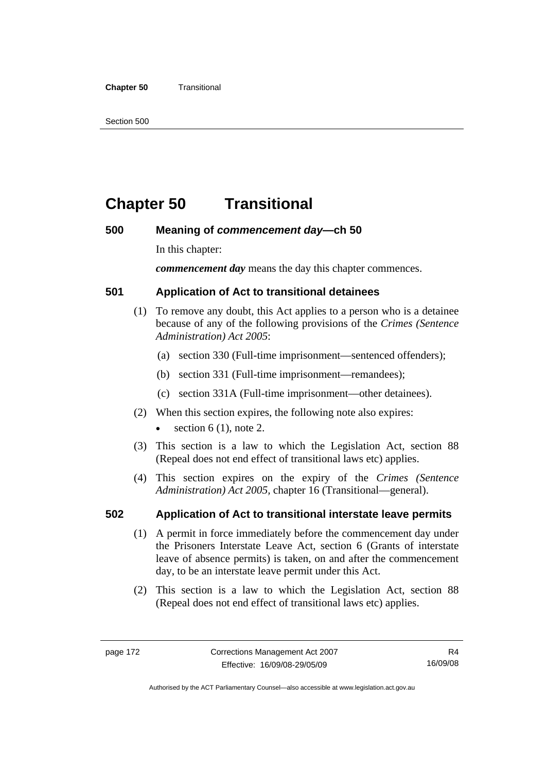#### **Chapter 50 Transitional**

Section 500

# **Chapter 50 Transitional**

## **500 Meaning of** *commencement day***—ch 50**

In this chapter:

*commencement day* means the day this chapter commences.

## **501 Application of Act to transitional detainees**

- (1) To remove any doubt, this Act applies to a person who is a detainee because of any of the following provisions of the *Crimes (Sentence Administration) Act 2005*:
	- (a) section 330 (Full-time imprisonment—sentenced offenders);
	- (b) section 331 (Full-time imprisonment—remandees);
	- (c) section 331A (Full-time imprisonment—other detainees).
- (2) When this section expires, the following note also expires:
	- section  $6(1)$ , note 2.
- (3) This section is a law to which the Legislation Act, section 88 (Repeal does not end effect of transitional laws etc) applies.
- (4) This section expires on the expiry of the *Crimes (Sentence Administration) Act 2005,* chapter 16 (Transitional—general).

## **502 Application of Act to transitional interstate leave permits**

- (1) A permit in force immediately before the commencement day under the Prisoners Interstate Leave Act, section 6 (Grants of interstate leave of absence permits) is taken, on and after the commencement day, to be an interstate leave permit under this Act.
- (2) This section is a law to which the Legislation Act, section 88 (Repeal does not end effect of transitional laws etc) applies.

Authorised by the ACT Parliamentary Counsel—also accessible at www.legislation.act.gov.au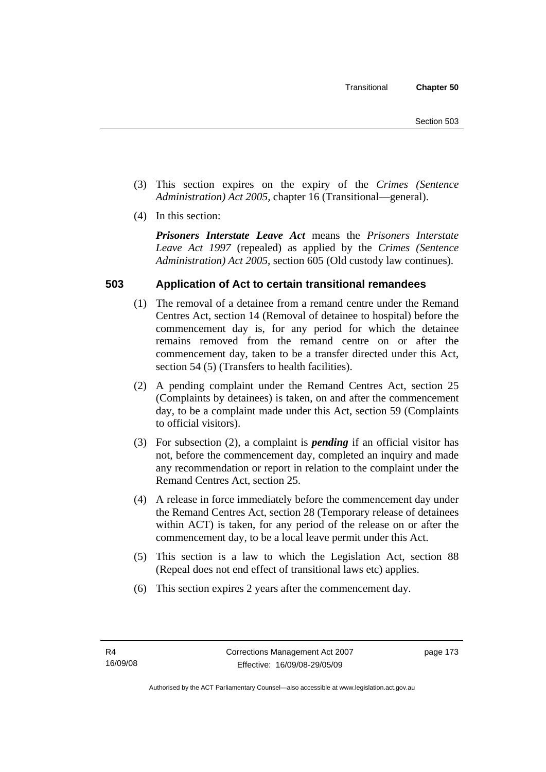- (3) This section expires on the expiry of the *Crimes (Sentence Administration) Act 2005,* chapter 16 (Transitional—general).
- (4) In this section:

*Prisoners Interstate Leave Act* means the *Prisoners Interstate Leave Act 1997* (repealed) as applied by the *Crimes (Sentence Administration) Act 2005*, section 605 (Old custody law continues).

# **503 Application of Act to certain transitional remandees**

- (1) The removal of a detainee from a remand centre under the Remand Centres Act, section 14 (Removal of detainee to hospital) before the commencement day is, for any period for which the detainee remains removed from the remand centre on or after the commencement day, taken to be a transfer directed under this Act, section 54 (5) (Transfers to health facilities).
- (2) A pending complaint under the Remand Centres Act, section 25 (Complaints by detainees) is taken, on and after the commencement day, to be a complaint made under this Act, section 59 (Complaints to official visitors).
- (3) For subsection (2), a complaint is *pending* if an official visitor has not, before the commencement day, completed an inquiry and made any recommendation or report in relation to the complaint under the Remand Centres Act, section 25.
- (4) A release in force immediately before the commencement day under the Remand Centres Act, section 28 (Temporary release of detainees within ACT) is taken, for any period of the release on or after the commencement day, to be a local leave permit under this Act.
- (5) This section is a law to which the Legislation Act, section 88 (Repeal does not end effect of transitional laws etc) applies.
- (6) This section expires 2 years after the commencement day.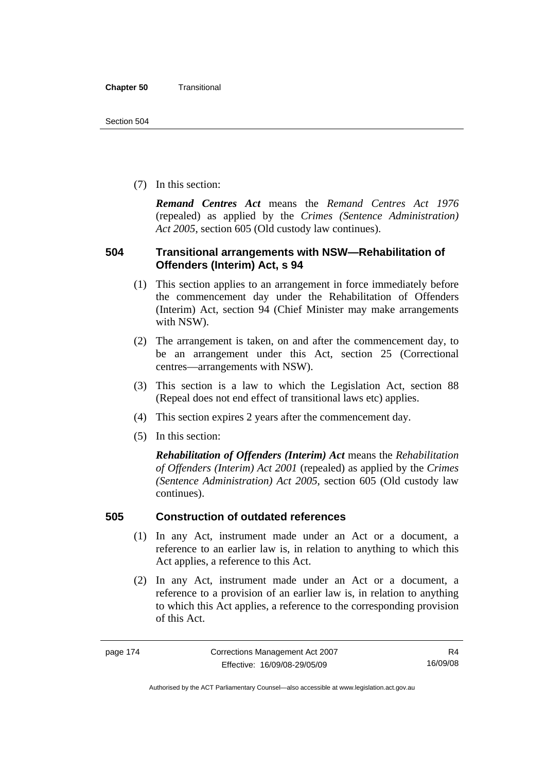(7) In this section:

*Remand Centres Act* means the *Remand Centres Act 1976*  (repealed) as applied by the *Crimes (Sentence Administration) Act 2005*, section 605 (Old custody law continues).

## **504 Transitional arrangements with NSW—Rehabilitation of Offenders (Interim) Act, s 94**

- (1) This section applies to an arrangement in force immediately before the commencement day under the Rehabilitation of Offenders (Interim) Act, section 94 (Chief Minister may make arrangements with NSW).
- (2) The arrangement is taken, on and after the commencement day, to be an arrangement under this Act, section 25 (Correctional centres—arrangements with NSW).
- (3) This section is a law to which the Legislation Act, section 88 (Repeal does not end effect of transitional laws etc) applies.
- (4) This section expires 2 years after the commencement day.
- (5) In this section:

*Rehabilitation of Offenders (Interim) Act* means the *Rehabilitation of Offenders (Interim) Act 2001* (repealed) as applied by the *Crimes (Sentence Administration) Act 2005*, section 605 (Old custody law continues).

## **505 Construction of outdated references**

- (1) In any Act, instrument made under an Act or a document, a reference to an earlier law is, in relation to anything to which this Act applies, a reference to this Act.
- (2) In any Act, instrument made under an Act or a document, a reference to a provision of an earlier law is, in relation to anything to which this Act applies, a reference to the corresponding provision of this Act.

R4 16/09/08

Authorised by the ACT Parliamentary Counsel—also accessible at www.legislation.act.gov.au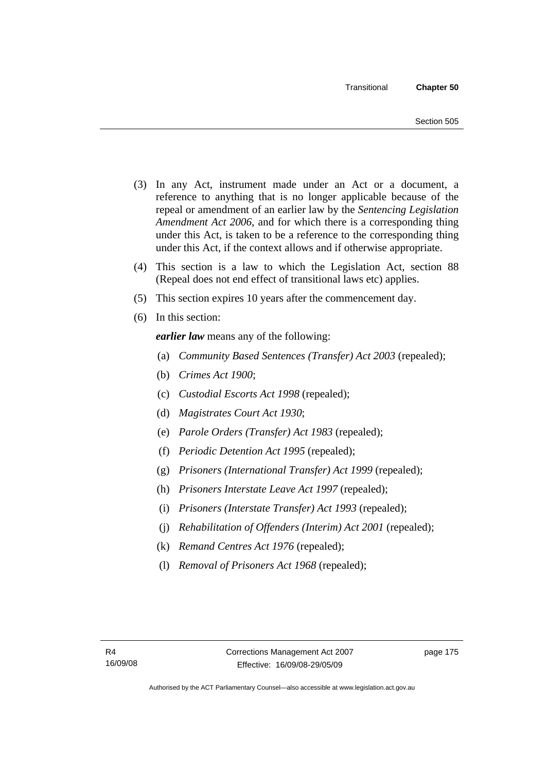- (3) In any Act, instrument made under an Act or a document, a reference to anything that is no longer applicable because of the repeal or amendment of an earlier law by the *Sentencing Legislation Amendment Act 2006*, and for which there is a corresponding thing under this Act, is taken to be a reference to the corresponding thing under this Act, if the context allows and if otherwise appropriate.
- (4) This section is a law to which the Legislation Act, section 88 (Repeal does not end effect of transitional laws etc) applies.
- (5) This section expires 10 years after the commencement day.
- (6) In this section:

*earlier law* means any of the following:

- (a) *Community Based Sentences (Transfer) Act 2003* (repealed);
- (b) *Crimes Act 1900*;
- (c) *Custodial Escorts Act 1998* (repealed);
- (d) *Magistrates Court Act 1930*;
- (e) *Parole Orders (Transfer) Act 1983* (repealed);
- (f) *Periodic Detention Act 1995* (repealed);
- (g) *Prisoners (International Transfer) Act 1999* (repealed);
- (h) *Prisoners Interstate Leave Act 1997* (repealed);
- (i) *Prisoners (Interstate Transfer) Act 1993* (repealed);
- (j) *Rehabilitation of Offenders (Interim) Act 2001* (repealed);
- (k) *Remand Centres Act 1976* (repealed);
- (l) *Removal of Prisoners Act 1968* (repealed);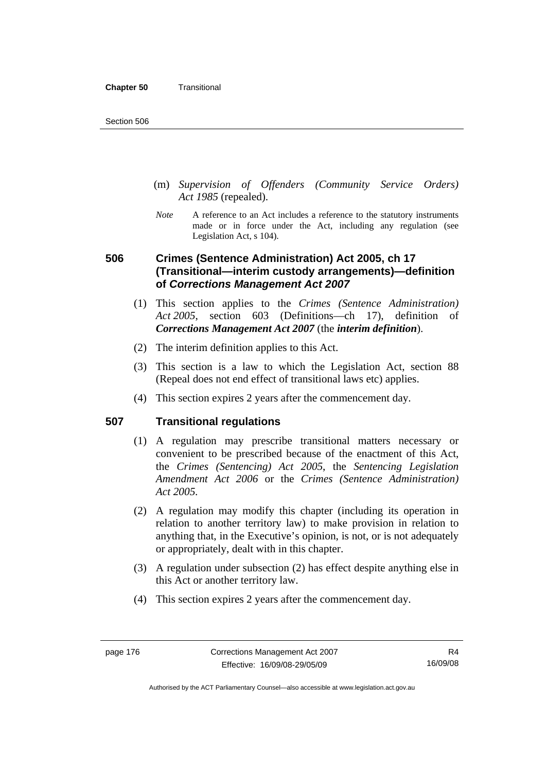- (m) *Supervision of Offenders (Community Service Orders) Act 1985* (repealed).
- *Note* A reference to an Act includes a reference to the statutory instruments made or in force under the Act, including any regulation (see Legislation Act, s 104).

# **506 Crimes (Sentence Administration) Act 2005, ch 17 (Transitional—interim custody arrangements)—definition of** *Corrections Management Act 2007*

- (1) This section applies to the *Crimes (Sentence Administration) Act 2005*, section 603 (Definitions—ch 17), definition of *Corrections Management Act 2007* (the *interim definition*).
- (2) The interim definition applies to this Act.
- (3) This section is a law to which the Legislation Act, section 88 (Repeal does not end effect of transitional laws etc) applies.
- (4) This section expires 2 years after the commencement day.

## **507 Transitional regulations**

- (1) A regulation may prescribe transitional matters necessary or convenient to be prescribed because of the enactment of this Act, the *Crimes (Sentencing) Act 2005*, the *Sentencing Legislation Amendment Act 2006* or the *Crimes (Sentence Administration) Act 2005.*
- (2) A regulation may modify this chapter (including its operation in relation to another territory law) to make provision in relation to anything that, in the Executive's opinion, is not, or is not adequately or appropriately, dealt with in this chapter.
- (3) A regulation under subsection (2) has effect despite anything else in this Act or another territory law.
- (4) This section expires 2 years after the commencement day.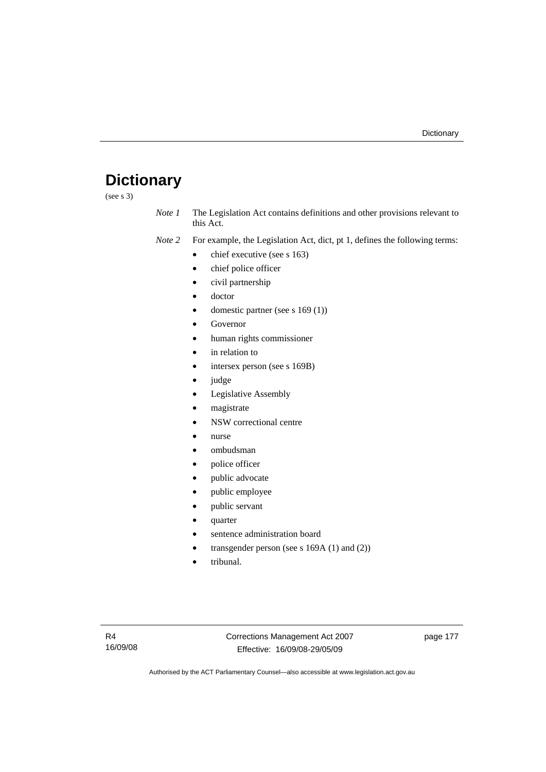# **Dictionary**

(see s 3)

*Note 1* The Legislation Act contains definitions and other provisions relevant to this Act.

*Note 2* For example, the Legislation Act, dict, pt 1, defines the following terms:

- chief executive (see s 163)
- chief police officer
- civil partnership
- doctor
- domestic partner (see s 169 (1))
- **Governor**
- human rights commissioner
- in relation to
- intersex person (see s 169B)
- judge
- Legislative Assembly
- magistrate
- NSW correctional centre
- nurse
- ombudsman
- police officer
- public advocate
- public employee
- public servant
- quarter
- sentence administration board
- transgender person (see s  $169A(1)$  and  $(2)$ )
- tribunal.

page 177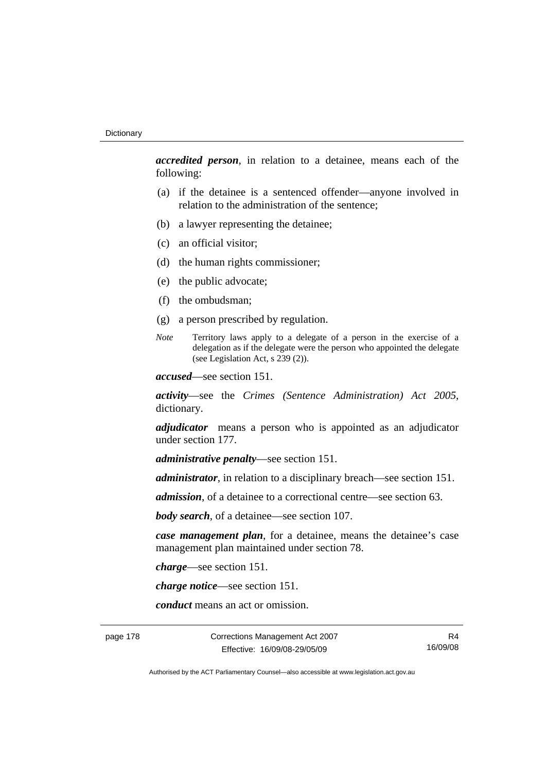*accredited person*, in relation to a detainee, means each of the following:

- (a) if the detainee is a sentenced offender—anyone involved in relation to the administration of the sentence;
- (b) a lawyer representing the detainee;
- (c) an official visitor;
- (d) the human rights commissioner;
- (e) the public advocate;
- (f) the ombudsman;
- (g) a person prescribed by regulation.
- *Note* Territory laws apply to a delegate of a person in the exercise of a delegation as if the delegate were the person who appointed the delegate (see Legislation Act, s 239 (2)).

*accused*—see section 151.

*activity*—see the *Crimes (Sentence Administration) Act 2005*, dictionary.

*adjudicator* means a person who is appointed as an adjudicator under section 177.

*administrative penalty*—see section 151.

*administrator*, in relation to a disciplinary breach—see section 151.

*admission*, of a detainee to a correctional centre—see section 63.

*body search*, of a detainee—see section 107.

*case management plan*, for a detainee, means the detainee's case management plan maintained under section 78.

*charge*—see section 151.

*charge notice*—see section 151.

*conduct* means an act or omission.

page 178 Corrections Management Act 2007 Effective: 16/09/08-29/05/09

R4 16/09/08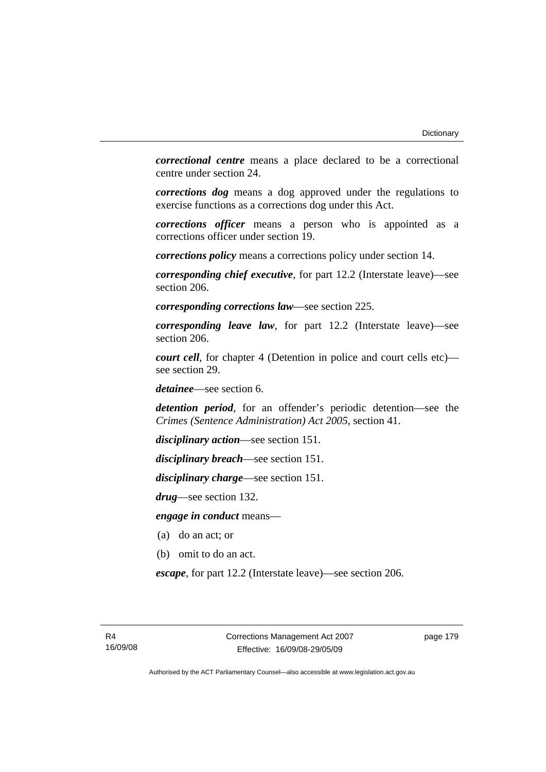*correctional centre* means a place declared to be a correctional centre under section 24.

*corrections dog* means a dog approved under the regulations to exercise functions as a corrections dog under this Act.

*corrections officer* means a person who is appointed as a corrections officer under section 19.

*corrections policy* means a corrections policy under section 14.

*corresponding chief executive*, for part 12.2 (Interstate leave)—see section 206.

*corresponding corrections law*—see section 225.

*corresponding leave law*, for part 12.2 (Interstate leave)—see section 206.

*court cell*, for chapter 4 (Detention in police and court cells etc) see section 29.

*detainee*—see section 6.

*detention period*, for an offender's periodic detention—see the *Crimes (Sentence Administration) Act 2005*, section 41.

*disciplinary action*—see section 151.

*disciplinary breach*—see section 151.

*disciplinary charge*—see section 151.

*drug*—see section 132.

*engage in conduct* means—

- (a) do an act; or
- (b) omit to do an act.

*escape*, for part 12.2 (Interstate leave)—see section 206.

page 179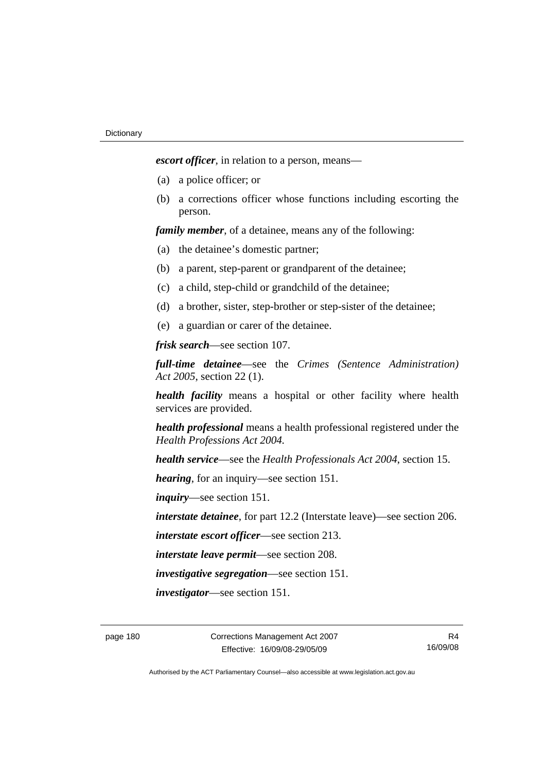*escort officer*, in relation to a person, means—

- (a) a police officer; or
- (b) a corrections officer whose functions including escorting the person.

*family member*, of a detainee, means any of the following:

- (a) the detainee's domestic partner;
- (b) a parent, step-parent or grandparent of the detainee;
- (c) a child, step-child or grandchild of the detainee;
- (d) a brother, sister, step-brother or step-sister of the detainee;
- (e) a guardian or carer of the detainee.

*frisk search*—see section 107.

*full-time detainee*—see the *Crimes (Sentence Administration) Act 2005*, section 22 (1).

*health facility* means a hospital or other facility where health services are provided.

*health professional* means a health professional registered under the *Health Professions Act 2004.*

*health service*—see the *Health Professionals Act 2004*, section 15.

*hearing*, for an inquiry—see section 151.

*inquiry*—see section 151.

*interstate detainee*, for part 12.2 (Interstate leave)—see section 206.

*interstate escort officer*—see section 213.

*interstate leave permit*—see section 208.

*investigative segregation*—see section 151.

*investigator*—see section 151.

page 180 Corrections Management Act 2007 Effective: 16/09/08-29/05/09

R4 16/09/08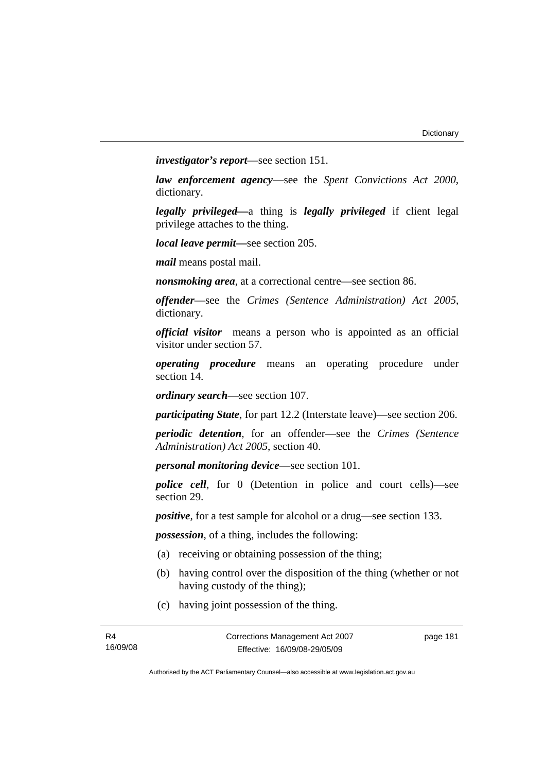*investigator's report*—see section 151.

*law enforcement agency*—see the *Spent Convictions Act 2000*, dictionary.

*legally privileged—*a thing is *legally privileged* if client legal privilege attaches to the thing.

*local leave permit—*see section 205.

*mail* means postal mail.

*nonsmoking area*, at a correctional centre—see section 86.

*offender*—see the *Crimes (Sentence Administration) Act 2005*, dictionary.

*official visitor* means a person who is appointed as an official visitor under section 57.

*operating procedure* means an operating procedure under section 14.

*ordinary search*—see section 107.

*participating State*, for part 12.2 (Interstate leave)—see section 206.

*periodic detention*, for an offender—see the *Crimes (Sentence Administration) Act 2005*, section 40.

*personal monitoring device*—see section 101.

*police cell*, for 0 (Detention in police and court cells)—see section 29.

*positive*, for a test sample for alcohol or a drug—see section 133.

*possession*, of a thing, includes the following:

- (a) receiving or obtaining possession of the thing;
- (b) having control over the disposition of the thing (whether or not having custody of the thing);
- (c) having joint possession of the thing.

page 181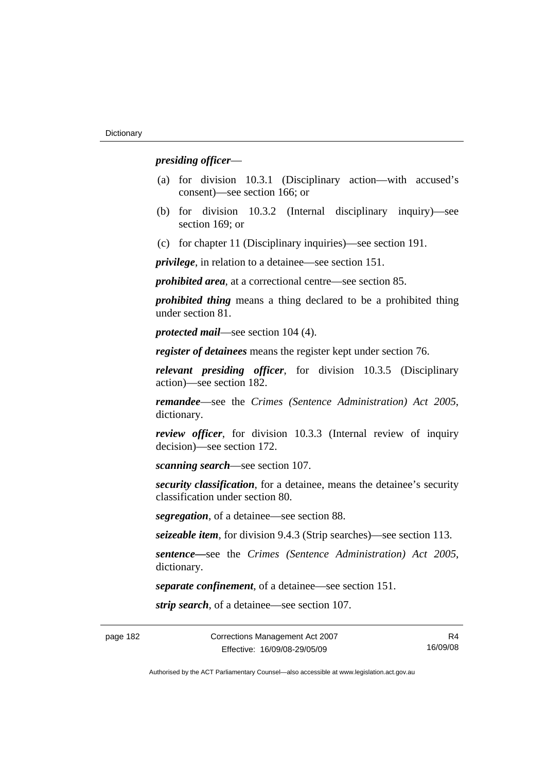#### *presiding officer*—

- (a) for division 10.3.1 (Disciplinary action—with accused's consent)—see section 166; or
- (b) for division 10.3.2 (Internal disciplinary inquiry)—see section 169; or
- (c) for chapter 11 (Disciplinary inquiries)—see section 191.

*privilege*, in relation to a detainee—see section 151.

*prohibited area*, at a correctional centre—see section 85.

*prohibited thing* means a thing declared to be a prohibited thing under section 81.

*protected mail*—see section 104 (4).

*register of detainees* means the register kept under section 76.

*relevant presiding officer*, for division 10.3.5 (Disciplinary action)—see section 182.

*remandee*—see the *Crimes (Sentence Administration) Act 2005*, dictionary.

*review officer*, for division 10.3.3 (Internal review of inquiry decision)—see section 172.

*scanning search*—see section 107.

*security classification*, for a detainee, means the detainee's security classification under section 80.

*segregation*, of a detainee—see section 88.

*seizeable item*, for division 9.4.3 (Strip searches)—see section 113.

*sentence—*see the *Crimes (Sentence Administration) Act 2005*, dictionary.

*separate confinement*, of a detainee—see section 151.

*strip search*, of a detainee—see section 107.

R4 16/09/08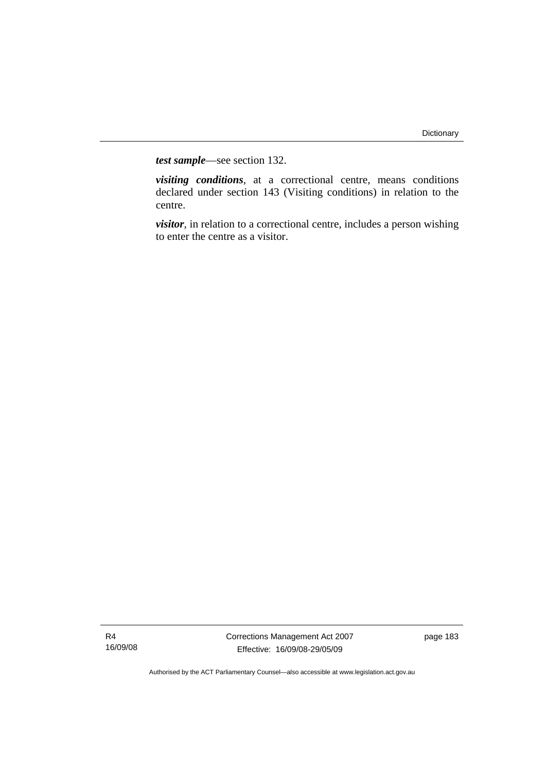*test sample*—see section 132.

*visiting conditions*, at a correctional centre, means conditions declared under section 143 (Visiting conditions) in relation to the centre.

*visitor*, in relation to a correctional centre, includes a person wishing to enter the centre as a visitor.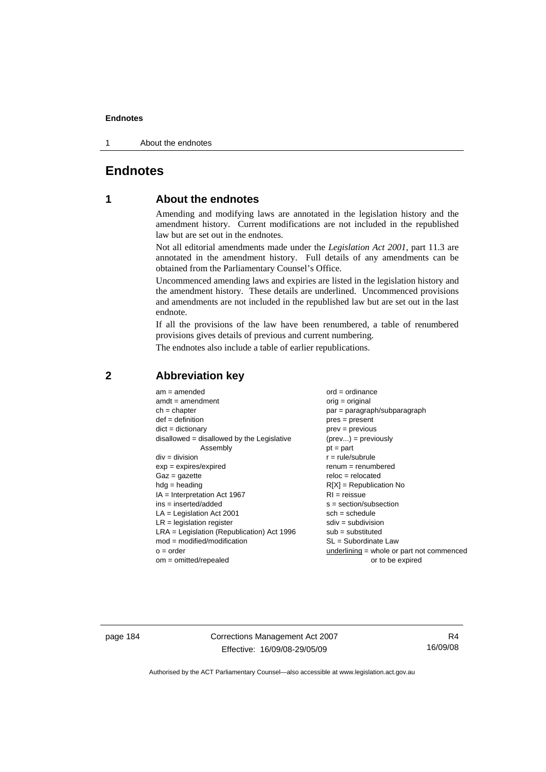1 About the endnotes

# **Endnotes**

## **1 About the endnotes**

Amending and modifying laws are annotated in the legislation history and the amendment history. Current modifications are not included in the republished law but are set out in the endnotes.

Not all editorial amendments made under the *Legislation Act 2001*, part 11.3 are annotated in the amendment history. Full details of any amendments can be obtained from the Parliamentary Counsel's Office.

Uncommenced amending laws and expiries are listed in the legislation history and the amendment history. These details are underlined. Uncommenced provisions and amendments are not included in the republished law but are set out in the last endnote.

If all the provisions of the law have been renumbered, a table of renumbered provisions gives details of previous and current numbering.

The endnotes also include a table of earlier republications.

| $am = amended$                               | $ord = ordinance$                         |
|----------------------------------------------|-------------------------------------------|
| $amdt = amendment$                           | $orig = original$                         |
| $ch = chapter$                               | $par = paragraph/subparagraph$            |
| $def = definition$                           | $pres = present$                          |
| $dict = dictionary$                          | $prev = previous$                         |
| disallowed = disallowed by the Legislative   | $(\text{prev}) = \text{previously}$       |
| Assembly                                     | $pt = part$                               |
| $div = division$                             | $r = rule/subrule$                        |
| $exp = expires/expired$                      | $remum = renumbered$                      |
| $Gaz = gazette$                              | $reloc = relocated$                       |
| $hdg =$ heading                              | $R[X]$ = Republication No                 |
| $IA = Interpretation Act 1967$               | $RI = reissue$                            |
| $ins = inserted/added$                       | $s = section/subsection$                  |
| $LA =$ Legislation Act 2001                  | $sch = schedule$                          |
| $LR =$ legislation register                  | $sdiv = subdivision$                      |
| $LRA =$ Legislation (Republication) Act 1996 | $sub = substituted$                       |
| $mod = modified/modification$                | SL = Subordinate Law                      |
| $o = order$                                  | underlining = whole or part not commenced |
| $om = omitted/repealed$                      | or to be expired                          |
|                                              |                                           |

#### **2 Abbreviation key**

page 184 Corrections Management Act 2007 Effective: 16/09/08-29/05/09

R4 16/09/08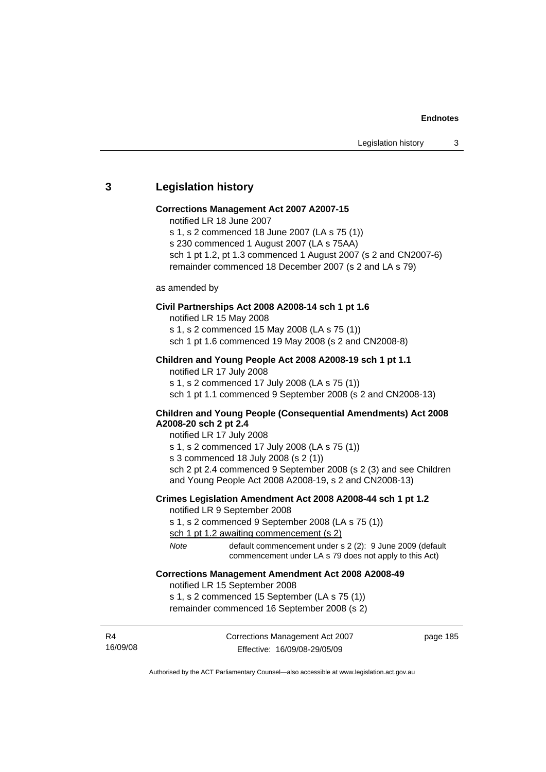#### **3 Legislation history**

#### **Corrections Management Act 2007 A2007-15**

- notified LR 18 June 2007
- s 1, s 2 commenced 18 June 2007 (LA s 75 (1))
- s 230 commenced 1 August 2007 (LA s 75AA)
- sch 1 pt 1.2, pt 1.3 commenced 1 August 2007 (s 2 and CN2007-6) remainder commenced 18 December 2007 (s 2 and LA s 79)

#### as amended by

#### **Civil Partnerships Act 2008 A2008-14 sch 1 pt 1.6**

notified LR 15 May 2008 s 1, s 2 commenced 15 May 2008 (LA s 75 (1)) sch 1 pt 1.6 commenced 19 May 2008 (s 2 and CN2008-8)

#### **Children and Young People Act 2008 A2008-19 sch 1 pt 1.1**

notified LR 17 July 2008 s 1, s 2 commenced 17 July 2008 (LA s 75 (1)) sch 1 pt 1.1 commenced 9 September 2008 (s 2 and CN2008-13)

#### **Children and Young People (Consequential Amendments) Act 2008 A2008-20 sch 2 pt 2.4**

notified LR 17 July 2008

s 1, s 2 commenced 17 July 2008 (LA s 75 (1))

s 3 commenced 18 July 2008 (s 2 (1))

sch 2 pt 2.4 commenced 9 September 2008 (s 2 (3) and see Children and Young People Act 2008 A2008-19, s 2 and CN2008-13)

# **Crimes Legislation Amendment Act 2008 A2008-44 sch 1 pt 1.2**

notified LR 9 September 2008

s 1, s 2 commenced 9 September 2008 (LA s 75 (1))

sch 1 pt 1.2 awaiting commencement (s 2)

*Note* default commencement under s 2 (2): 9 June 2009 (default commencement under LA s 79 does not apply to this Act)

#### **Corrections Management Amendment Act 2008 A2008-49**

notified LR 15 September 2008

s 1, s 2 commenced 15 September (LA s 75 (1)) remainder commenced 16 September 2008 (s 2)

R4 16/09/08 Corrections Management Act 2007 Effective: 16/09/08-29/05/09

page 185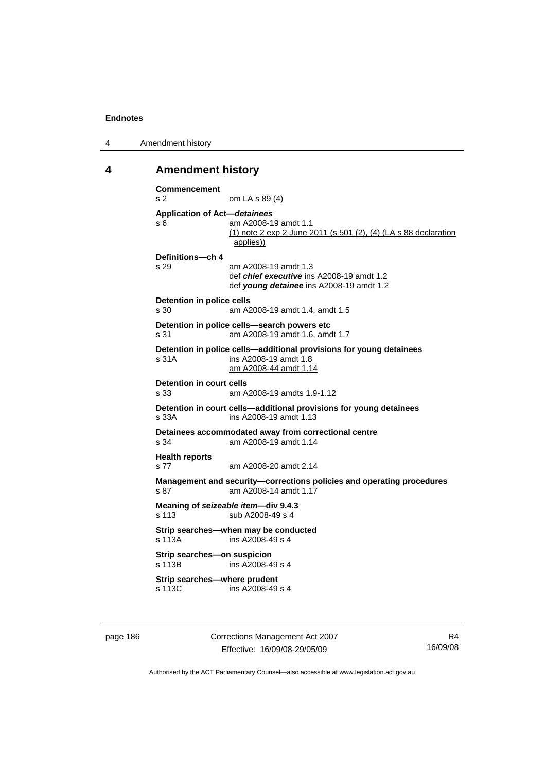4 Amendment history

#### **4 Amendment history**

```
Commencement 
s 2 om LA s 89 (4) 
Application of Act—detainees
s 6 am A2008-19 amdt 1.1 
                 (1) note 2 exp 2 June 2011 (s 501 (2), (4) (LA s 88 declaration 
                 applies))
Definitions—ch 4 
s 29 am A2008-19 amdt 1.3 
                 def chief executive ins A2008-19 amdt 1.2 
                 def young detainee ins A2008-19 amdt 1.2 
Detention in police cells 
s 30 am A2008-19 amdt 1.4, amdt 1.5 
Detention in police cells—search powers etc 
s 31 am A2008-19 amdt 1.6, amdt 1.7 
Detention in police cells—additional provisions for young detainees 
s 31A ins A2008-19 amdt 1.8 
                 am A2008-44 amdt 1.14
Detention in court cells 
s 33 am A2008-19 amdts 1.9-1.12 
Detention in court cells—additional provisions for young detainees 
s 33A ins A2008-19 amdt 1.13 
Detainees accommodated away from correctional centre 
s 34 am A2008-19 amdt 1.14 
Health reports 
s 77 am A2008-20 amdt 2.14 
Management and security—corrections policies and operating procedures 
s 87 am A2008-14 amdt 1.17
Meaning of seizeable item—div 9.4.3 
s 113 sub A2008-49 s 4
Strip searches—when may be conducted 
s 113A ins A2008-49 s 4 
Strip searches—on suspicion 
s 113B ins A2008-49 s 4 
Strip searches—where prudent 
s 113C ins A2008-49 s 4
```
page 186 Corrections Management Act 2007 Effective: 16/09/08-29/05/09

R4 16/09/08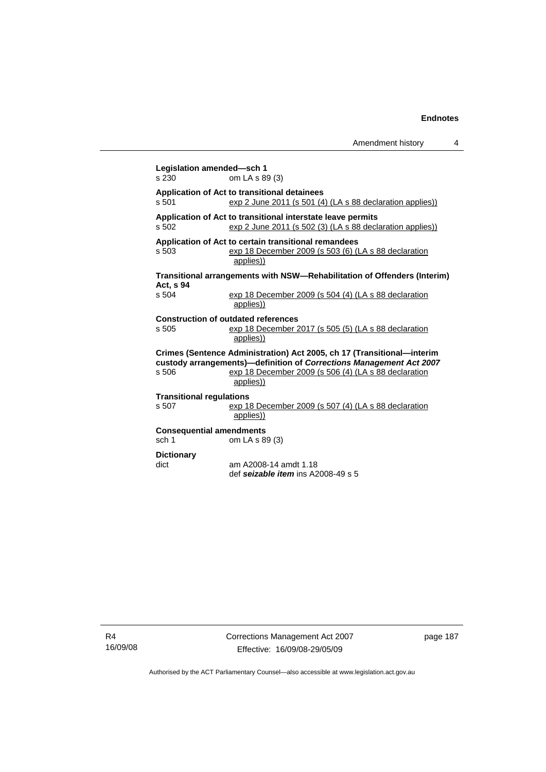Amendment history 4

| Legislation amended-sch 1<br>s 230                                                                                                                                                                                          | om LA s 89 (3)                                                                                                            |  |  |  |
|-----------------------------------------------------------------------------------------------------------------------------------------------------------------------------------------------------------------------------|---------------------------------------------------------------------------------------------------------------------------|--|--|--|
| Application of Act to transitional detainees<br>s, 501<br>exp 2 June 2011 (s 501 (4) (LA s 88 declaration applies))                                                                                                         |                                                                                                                           |  |  |  |
| Application of Act to transitional interstate leave permits<br>s 502<br>$\frac{\text{exp 2 June 2011 (s 502 (3) (LA s 88 declaration applies))}}{(\text{L})}$                                                               |                                                                                                                           |  |  |  |
| s, 503                                                                                                                                                                                                                      | Application of Act to certain transitional remandees<br>exp 18 December 2009 (s 503 (6) (LA s 88 declaration<br>applies)) |  |  |  |
| Transitional arrangements with NSW-Rehabilitation of Offenders (Interim)<br>Act, s 94                                                                                                                                       |                                                                                                                           |  |  |  |
| s 504                                                                                                                                                                                                                       | exp 18 December 2009 (s 504 (4) (LA s 88 declaration<br>applies))                                                         |  |  |  |
| s 505                                                                                                                                                                                                                       | <b>Construction of outdated references</b><br>exp 18 December 2017 (s 505 (5) (LA s 88 declaration<br>applies))           |  |  |  |
| Crimes (Sentence Administration) Act 2005, ch 17 (Transitional-interim<br>custody arrangements)-definition of Corrections Management Act 2007<br>s 506<br>exp 18 December 2009 (s 506 (4) (LA s 88 declaration<br>applies)) |                                                                                                                           |  |  |  |
| <b>Transitional regulations</b>                                                                                                                                                                                             |                                                                                                                           |  |  |  |
| s 507                                                                                                                                                                                                                       | exp 18 December 2009 (s 507 (4) (LA s 88 declaration<br>applies))                                                         |  |  |  |
| <b>Consequential amendments</b><br>sch 1                                                                                                                                                                                    | om LA s 89 (3)                                                                                                            |  |  |  |
| <b>Dictionary</b>                                                                                                                                                                                                           |                                                                                                                           |  |  |  |
| dict                                                                                                                                                                                                                        | am A2008-14 amdt 1.18<br>def seizable item ins A2008-49 s 5                                                               |  |  |  |

R4 16/09/08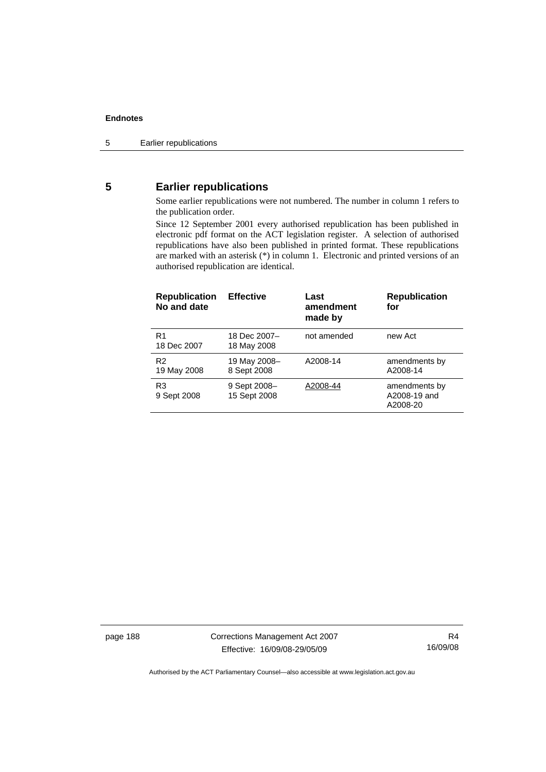## **5 Earlier republications**

Some earlier republications were not numbered. The number in column 1 refers to the publication order.

Since 12 September 2001 every authorised republication has been published in electronic pdf format on the ACT legislation register. A selection of authorised republications have also been published in printed format. These republications are marked with an asterisk (\*) in column 1. Electronic and printed versions of an authorised republication are identical.

| <b>Republication</b><br>No and date | <b>Effective</b>             | Last<br>amendment<br>made by | <b>Republication</b><br>for               |
|-------------------------------------|------------------------------|------------------------------|-------------------------------------------|
| R <sub>1</sub><br>18 Dec 2007       | 18 Dec 2007-<br>18 May 2008  | not amended                  | new Act                                   |
| R <sub>2</sub><br>19 May 2008       | 19 May 2008-<br>8 Sept 2008  | A2008-14                     | amendments by<br>A2008-14                 |
| R <sub>3</sub><br>9 Sept 2008       | 9 Sept 2008-<br>15 Sept 2008 | A2008-44                     | amendments by<br>A2008-19 and<br>A2008-20 |

page 188 Corrections Management Act 2007 Effective: 16/09/08-29/05/09

R4 16/09/08